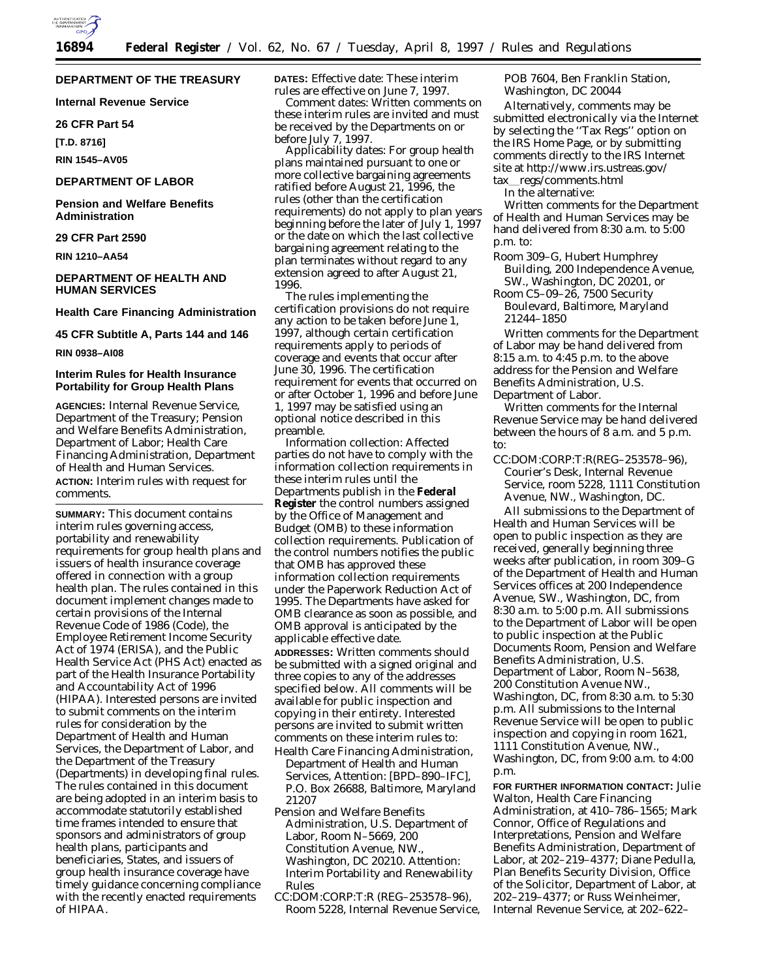

# **DEPARTMENT OF THE TREASURY**

**Internal Revenue Service**

#### **26 CFR Part 54**

**[T.D. 8716]**

**RIN 1545–AV05**

# **DEPARTMENT OF LABOR**

**Pension and Welfare Benefits Administration**

# **29 CFR Part 2590**

**RIN 1210–AA54**

# **DEPARTMENT OF HEALTH AND HUMAN SERVICES**

## **Health Care Financing Administration**

#### **45 CFR Subtitle A, Parts 144 and 146**

**RIN 0938–AI08**

# **Interim Rules for Health Insurance Portability for Group Health Plans**

**AGENCIES:** Internal Revenue Service, Department of the Treasury; Pension and Welfare Benefits Administration, Department of Labor; Health Care Financing Administration, Department of Health and Human Services. **ACTION:** Interim rules with request for comments.

**SUMMARY:** This document contains interim rules governing access, portability and renewability requirements for group health plans and issuers of health insurance coverage offered in connection with a group health plan. The rules contained in this document implement changes made to certain provisions of the Internal Revenue Code of 1986 (Code), the Employee Retirement Income Security Act of 1974 (ERISA), and the Public Health Service Act (PHS Act) enacted as part of the Health Insurance Portability and Accountability Act of 1996 (HIPAA). Interested persons are invited to submit comments on the interim rules for consideration by the Department of Health and Human Services, the Department of Labor, and the Department of the Treasury (Departments) in developing final rules. The rules contained in this document are being adopted in an interim basis to accommodate statutorily established time frames intended to ensure that sponsors and administrators of group health plans, participants and beneficiaries, States, and issuers of group health insurance coverage have timely guidance concerning compliance with the recently enacted requirements of HIPAA.

**DATES:** *Effective date:* These interim rules are effective on June 7, 1997.

*Comment dates:* Written comments on these interim rules are invited and must be received by the Departments on or before July 7, 1997.

*Applicability dates:* For group health plans maintained pursuant to one or more collective bargaining agreements ratified before August 21, 1996, the rules (other than the certification requirements) do not apply to plan years beginning before the later of July 1, 1997 or the date on which the last collective bargaining agreement relating to the plan terminates without regard to any extension agreed to after August 21, 1996.

The rules implementing the certification provisions do not require any action to be taken before June 1, 1997, although certain certification requirements apply to periods of coverage and events that occur after June 30, 1996. The certification requirement for events that occurred on or after October 1, 1996 and before June 1, 1997 may be satisfied using an optional notice described in this preamble.

*Information collection:* Affected parties do not have to comply with the information collection requirements in these interim rules until the Departments publish in the **Federal Register** the control numbers assigned by the Office of Management and Budget (OMB) to these information collection requirements. Publication of the control numbers notifies the public that OMB has approved these information collection requirements under the Paperwork Reduction Act of 1995. The Departments have asked for OMB clearance as soon as possible, and OMB approval is anticipated by the applicable effective date. **ADDRESSES:** Written comments should be submitted with a signed original and

three copies to any of the addresses specified below. All comments will be available for public inspection and copying in their entirety. Interested persons are invited to submit written comments on these interim rules to: Health Care Financing Administration,

- Department of Health and Human Services, Attention: [BPD–890–IFC], P.O. Box 26688, Baltimore, Maryland 21207
- Pension and Welfare Benefits Administration, U.S. Department of Labor, Room N–5669, 200 Constitution Avenue, NW., Washington, DC 20210. Attention: Interim Portability and Renewability Rules
- CC:DOM:CORP:T:R (REG–253578–96), Room 5228, Internal Revenue Service,

POB 7604, Ben Franklin Station, Washington, DC 20044

Alternatively, comments may be submitted electronically via the Internet by selecting the ''Tax Regs'' option on the IRS Home Page, or by submitting comments directly to the IRS Internet site at http://www.irs.ustreas.gov/ tax\_regs/comments.html

In the alternative:

Written comments for the Department of Health and Human Services may be hand delivered from 8:30 a.m. to 5:00 p.m. to:

- Room 309–G, Hubert Humphrey Building, 200 Independence Avenue, SW., Washington, DC 20201, or
- Room C5–09–26, 7500 Security Boulevard, Baltimore, Maryland 21244–1850

Written comments for the Department of Labor may be hand delivered from 8:15 a.m. to 4:45 p.m. to the above address for the Pension and Welfare Benefits Administration, U.S. Department of Labor.

Written comments for the Internal Revenue Service may be hand delivered between the hours of 8 a.m. and 5 p.m. to:

CC:DOM:CORP:T:R(REG–253578–96), Courier's Desk, Internal Revenue Service, room 5228, 1111 Constitution Avenue, NW., Washington, DC.

All submissions to the Department of Health and Human Services will be open to public inspection as they are received, generally beginning three weeks after publication, in room 309–G of the Department of Health and Human Services offices at 200 Independence Avenue, SW., Washington, DC, from 8:30 a.m. to 5:00 p.m. All submissions to the Department of Labor will be open to public inspection at the Public Documents Room, Pension and Welfare Benefits Administration, U.S. Department of Labor, Room N–5638, 200 Constitution Avenue NW., Washington, DC, from 8:30 a.m. to 5:30 p.m. All submissions to the Internal Revenue Service will be open to public inspection and copying in room 1621, 1111 Constitution Avenue, NW., Washington, DC, from 9:00 a.m. to 4:00 p.m.

**FOR FURTHER INFORMATION CONTACT:** Julie Walton, Health Care Financing Administration, at 410–786–1565; Mark Connor, Office of Regulations and Interpretations, Pension and Welfare Benefits Administration, Department of Labor, at 202–219–4377; Diane Pedulla, Plan Benefits Security Division, Office of the Solicitor, Department of Labor, at 202–219–4377; or Russ Weinheimer, Internal Revenue Service, at 202–622–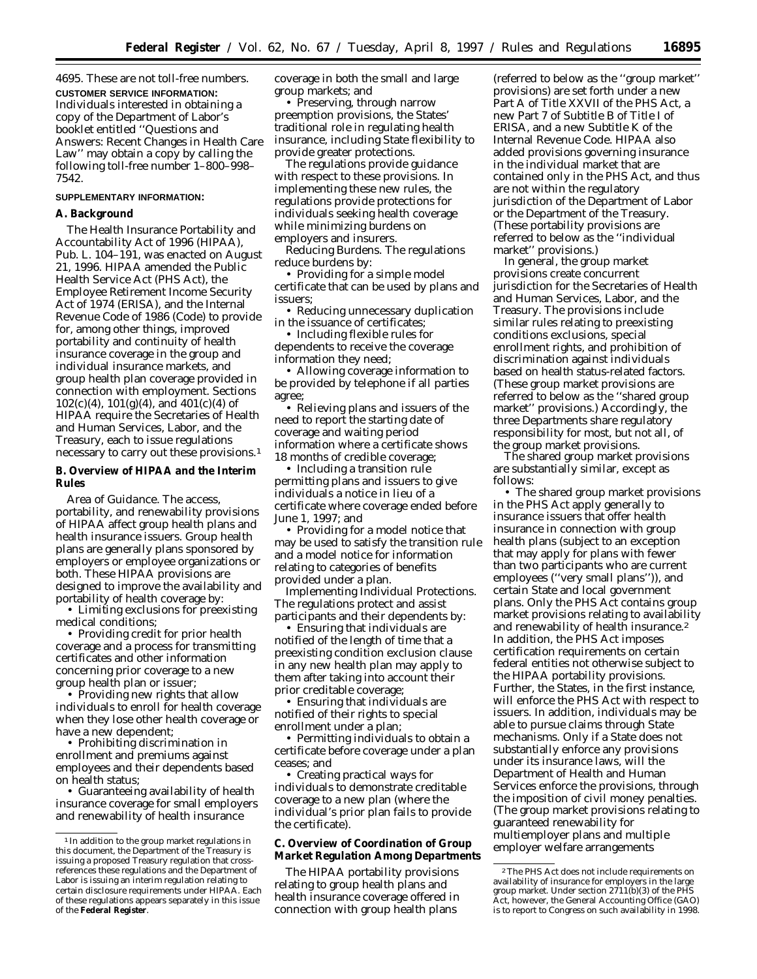4695. These are not toll-free numbers. **CUSTOMER SERVICE INFORMATION:** Individuals interested in obtaining a copy of the Department of Labor's booklet entitled ''Questions and Answers: Recent Changes in Health Care Law'' may obtain a copy by calling the following toll-free number 1–800–998– 7542.

#### **SUPPLEMENTARY INFORMATION:**

#### **A. Background**

The Health Insurance Portability and Accountability Act of 1996 (HIPAA), Pub. L. 104–191, was enacted on August 21, 1996. HIPAA amended the Public Health Service Act (PHS Act), the Employee Retirement Income Security Act of 1974 (ERISA), and the Internal Revenue Code of 1986 (Code) to provide for, among other things, improved portability and continuity of health insurance coverage in the group and individual insurance markets, and group health plan coverage provided in connection with employment. Sections  $102(c)(4)$ ,  $101(g)(4)$ , and  $401(c)(4)$  of HIPAA require the Secretaries of Health and Human Services, Labor, and the Treasury, each to issue regulations necessary to carry out these provisions.1

## **B. Overview of HIPAA and the Interim Rules**

*Area of Guidance.* The access, portability, and renewability provisions of HIPAA affect group health plans and health insurance issuers. Group health plans are generally plans sponsored by employers or employee organizations or both. These HIPAA provisions are designed to improve the availability and portability of health coverage by:

• Limiting exclusions for preexisting medical conditions;

• Providing credit for prior health coverage and a process for transmitting certificates and other information concerning prior coverage to a new group health plan or issuer;

• Providing new rights that allow individuals to enroll for health coverage when they lose other health coverage or have a new dependent;

• Prohibiting discrimination in enrollment and premiums against employees and their dependents based on health status;

• Guaranteeing availability of health insurance coverage for small employers and renewability of health insurance

coverage in both the small and large group markets; and

• Preserving, through narrow preemption provisions, the States' traditional role in regulating health insurance, including State flexibility to provide greater protections.

The regulations provide guidance with respect to these provisions. In implementing these new rules, the regulations provide protections for individuals seeking health coverage while minimizing burdens on employers and insurers.

*Reducing Burdens.* The regulations reduce burdens by:

• Providing for a simple model certificate that can be used by plans and issuers;

• Reducing unnecessary duplication in the issuance of certificates;

• Including flexible rules for dependents to receive the coverage information they need;

• Allowing coverage information to be provided by telephone if all parties agree;

• Relieving plans and issuers of the need to report the starting date of coverage and waiting period information where a certificate shows 18 months of credible coverage;

• Including a transition rule permitting plans and issuers to give individuals a notice in lieu of a certificate where coverage ended before June 1, 1997; and

• Providing for a model notice that may be used to satisfy the transition rule and a model notice for information relating to categories of benefits provided under a plan.

*Implementing Individual Protections.* The regulations protect and assist participants and their dependents by:

• Ensuring that individuals are notified of the length of time that a preexisting condition exclusion clause in any new health plan may apply to them after taking into account their prior creditable coverage;

• Ensuring that individuals are notified of their rights to special enrollment under a plan;

• Permitting individuals to obtain a certificate before coverage under a plan ceases; and

• Creating practical ways for individuals to demonstrate creditable coverage to a new plan (where the individual's prior plan fails to provide the certificate).

# **C. Overview of Coordination of Group Market Regulation Among Departments**

The HIPAA portability provisions relating to group health plans and health insurance coverage offered in connection with group health plans

(referred to below as the ''group market'' provisions) are set forth under a new Part A of Title XXVII of the PHS Act, a new Part 7 of Subtitle B of Title I of ERISA, and a new Subtitle K of the Internal Revenue Code. HIPAA also added provisions governing insurance in the individual market that are contained only in the PHS Act, and thus are not within the regulatory jurisdiction of the Department of Labor or the Department of the Treasury. (These portability provisions are referred to below as the ''individual market'' provisions.)

In general, the group market provisions create concurrent jurisdiction for the Secretaries of Health and Human Services, Labor, and the Treasury. The provisions include similar rules relating to preexisting conditions exclusions, special enrollment rights, and prohibition of discrimination against individuals based on health status-related factors. (These group market provisions are referred to below as the ''shared group market'' provisions.) Accordingly, the three Departments share regulatory responsibility for most, but not all, of the group market provisions.

The shared group market provisions are substantially similar, except as follows:

• The shared group market provisions in the PHS Act apply generally to insurance issuers that offer health insurance in connection with group health plans (subject to an exception that may apply for plans with fewer than two participants who are current employees (''very small plans'')), and certain State and local government plans. Only the PHS Act contains group market provisions relating to availability and renewability of health insurance.2 In addition, the PHS Act imposes certification requirements on certain federal entities not otherwise subject to the HIPAA portability provisions. Further, the States, in the first instance, will enforce the PHS Act with respect to issuers. In addition, individuals may be able to pursue claims through State mechanisms. Only if a State does not substantially enforce any provisions under its insurance laws, will the Department of Health and Human Services enforce the provisions, through the imposition of civil money penalties. (The group market provisions relating to guaranteed renewability for multiemployer plans and multiple employer welfare arrangements

<sup>1</sup> In addition to the group market regulations in this document, the Department of the Treasury is issuing a proposed Treasury regulation that crossreferences these regulations and the Department of Labor is issuing an interim regulation relating to certain disclosure requirements under HIPAA. Each of these regulations appears separately in this issue of the **Federal Register**.

<sup>2</sup>The PHS Act does not include requirements on availability of insurance for employers in the large group market. Under section  $2711(b)(3)$  of the PHS Act, however, the General Accounting Office (GAO) is to report to Congress on such availability in 1998.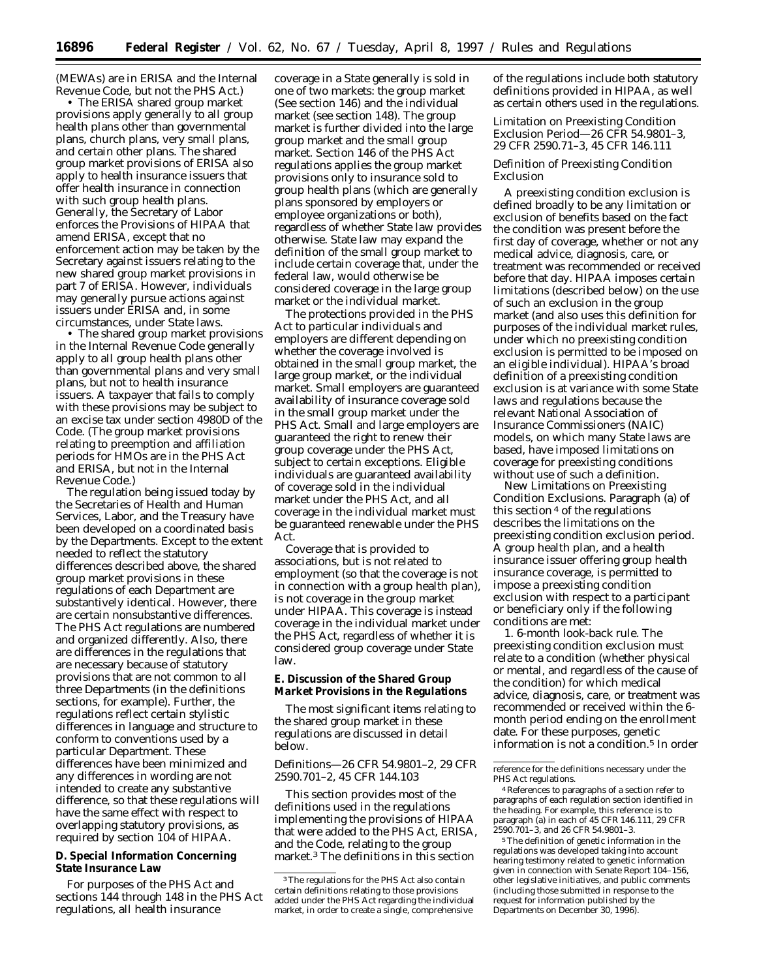(MEWAs) are in ERISA and the Internal Revenue Code, but not the PHS Act.)

• The ERISA shared group market provisions apply generally to all group health plans other than governmental plans, church plans, very small plans, and certain other plans. The shared group market provisions of ERISA also apply to health insurance issuers that offer health insurance in connection with such group health plans. Generally, the Secretary of Labor enforces the Provisions of HIPAA that amend ERISA, except that no enforcement action may be taken by the Secretary against issuers relating to the new shared group market provisions in part 7 of ERISA. However, individuals may generally pursue actions against issuers under ERISA and, in some circumstances, under State laws.

• The shared group market provisions in the Internal Revenue Code generally apply to all group health plans other than governmental plans and very small plans, but not to health insurance issuers. A taxpayer that fails to comply with these provisions may be subject to an excise tax under section 4980D of the Code. (The group market provisions relating to preemption and affiliation periods for HMOs are in the PHS Act and ERISA, but not in the Internal Revenue Code.)

The regulation being issued today by the Secretaries of Health and Human Services, Labor, and the Treasury have been developed on a coordinated basis by the Departments. Except to the extent needed to reflect the statutory differences described above, the shared group market provisions in these regulations of each Department are substantively identical. However, there are certain nonsubstantive differences. The PHS Act regulations are numbered and organized differently. Also, there are differences in the regulations that are necessary because of statutory provisions that are not common to all three Departments (in the definitions sections, for example). Further, the regulations reflect certain stylistic differences in language and structure to conform to conventions used by a particular Department. These differences have been minimized and any differences in wording are not intended to create any substantive difference, so that these regulations will have the same effect with respect to overlapping statutory provisions, as required by section 104 of HIPAA.

# **D. Special Information Concerning State Insurance Law**

For purposes of the PHS Act and sections 144 through 148 in the PHS Act regulations, all health insurance

coverage in a State generally is sold in one of two markets: the group market (See section 146) and the individual market (see section 148). The group market is further divided into the large group market and the small group market. Section 146 of the PHS Act regulations applies the group market provisions only to insurance sold to group health plans (which are generally plans sponsored by employers or employee organizations or both), regardless of whether State law provides otherwise. State law may expand the definition of the small group market to include certain coverage that, under the federal law, would otherwise be considered coverage in the large group market or the individual market.

The protections provided in the PHS Act to particular individuals and employers are different depending on whether the coverage involved is obtained in the small group market, the large group market, or the individual market. Small employers are guaranteed availability of insurance coverage sold in the small group market under the PHS Act. Small and large employers are guaranteed the right to renew their group coverage under the PHS Act, subject to certain exceptions. Eligible individuals are guaranteed availability of coverage sold in the individual market under the PHS Act, and all coverage in the individual market must be guaranteed renewable under the PHS Act.

Coverage that is provided to associations, but is not related to employment (so that the coverage is not in connection with a group health plan), is not coverage in the group market under HIPAA. This coverage is instead coverage in the individual market under the PHS Act, regardless of whether it is considered group coverage under State law.

# **E. Discussion of the Shared Group Market Provisions in the Regulations**

The most significant items relating to the shared group market in these regulations are discussed in detail below.

# *Definitions—26 CFR 54.9801–2, 29 CFR 2590.701–2, 45 CFR 144.103*

This section provides most of the definitions used in the regulations implementing the provisions of HIPAA that were added to the PHS Act, ERISA, and the Code, relating to the group market.3 The definitions in this section

of the regulations include both statutory definitions provided in HIPAA, as well as certain others used in the regulations.

## *Limitation on Preexisting Condition Exclusion Period—26 CFR 54.9801–3, 29 CFR 2590.71–3, 45 CFR 146.111*

## Definition of Preexisting Condition Exclusion

A preexisting condition exclusion is defined broadly to be any limitation or exclusion of benefits based on the fact the condition was present before the first day of coverage, whether or not any medical advice, diagnosis, care, or treatment was recommended or received before that day. HIPAA imposes certain limitations (described below) on the use of such an exclusion in the group market (and also uses this definition for purposes of the individual market rules, under which no preexisting condition exclusion is permitted to be imposed on an eligible individual). HIPAA's broad definition of a preexisting condition exclusion is at variance with some State laws and regulations because the relevant National Association of Insurance Commissioners (NAIC) models, on which many State laws are based, have imposed limitations on coverage for preexisting conditions without use of such a definition.

New Limitations on Preexisting Condition Exclusions. Paragraph (a) of this section 4 of the regulations describes the limitations on the preexisting condition exclusion period. A group health plan, and a health insurance issuer offering group health insurance coverage, is permitted to impose a preexisting condition exclusion with respect to a participant or beneficiary only if the following conditions are met:

1. *6-month look-back rule.* The preexisting condition exclusion must relate to a condition (whether physical or mental, and regardless of the cause of the condition) for which medical advice, diagnosis, care, or treatment was recommended or received within the 6 month period ending on the enrollment date. For these purposes, genetic information is not a condition.<sup>5</sup> In order

<sup>3</sup>The regulations for the PHS Act also contain certain definitions relating to those provisions added under the PHS Act regarding the individual market, in order to create a single, comprehensive

reference for the definitions necessary under the PHS Act regulations.

<sup>4</sup>References to paragraphs of a section refer to paragraphs of each regulation section identified in the heading. For example, this reference is to paragraph (a) in each of 45 CFR 146.111, 29 CFR 2590.701–3, and 26 CFR 54.9801–3.

<sup>5</sup>The definition of genetic information in the regulations was developed taking into account hearing testimony related to genetic information given in connection with Senate Report 104–156, other legislative initiatives, and public comments (including those submitted in response to the request for information published by the Departments on December 30, 1996).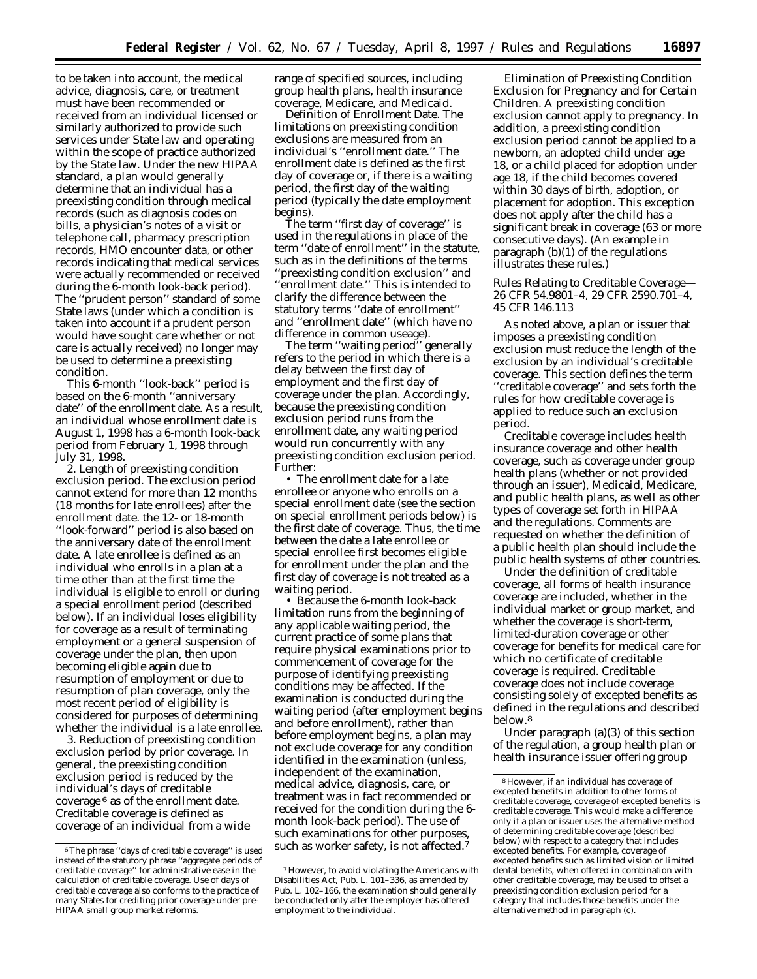to be taken into account, the medical advice, diagnosis, care, or treatment must have been recommended or received from an individual licensed or similarly authorized to provide such services under State law and operating within the scope of practice authorized by the State law. Under the new HIPAA standard, a plan would generally determine that an individual has a preexisting condition through medical records (such as diagnosis codes on bills, a physician's notes of a visit or telephone call, pharmacy prescription records, HMO encounter data, or other records indicating that medical services were actually recommended or received during the 6-month look-back period). The ''prudent person'' standard of some State laws (under which a condition is taken into account if a prudent person would have sought care whether or not care is actually received) no longer may be used to determine a preexisting condition.

This 6-month ''look-back'' period is based on the 6-month ''anniversary date'' of the enrollment date. As a result, an individual whose enrollment date is August 1, 1998 has a 6-month look-back period from February 1, 1998 through July 31, 1998.

2. *Length of preexisting condition exclusion period.* The exclusion period cannot extend for more than 12 months (18 months for late enrollees) after the enrollment date. the 12- or 18-month ''look-forward'' period is also based on the anniversary date of the enrollment date. A late enrollee is defined as an individual who enrolls in a plan at a time other than at the first time the individual is eligible to enroll or during a special enrollment period (described below). If an individual loses eligibility for coverage as a result of terminating employment or a general suspension of coverage under the plan, then upon becoming eligible again due to resumption of employment or due to resumption of plan coverage, only the most recent period of eligibility is considered for purposes of determining whether the individual is a late enrollee.

3. *Reduction of preexisting condition exclusion period by prior coverage.* In general, the preexisting condition exclusion period is reduced by the individual's days of creditable coverage 6 as of the enrollment date. Creditable coverage is defined as coverage of an individual from a wide

range of specified sources, including group health plans, health insurance coverage, Medicare, and Medicaid.

Definition of Enrollment Date. The limitations on preexisting condition exclusions are measured from an individual's ''enrollment date.'' The enrollment date is defined as the first day of coverage or, if there is a waiting period, the first day of the waiting period (typically the date employment begins).

The term ''first day of coverage'' is used in the regulations in place of the term ''date of enrollment'' in the statute, such as in the definitions of the terms 'preexisting condition exclusion'' and ''enrollment date.'' This is intended to clarify the difference between the statutory terms ''date of enrollment'' and ''enrollment date'' (which have no difference in common useage).

The term ''waiting period'' generally refers to the period in which there is a delay between the first day of employment and the first day of coverage under the plan. Accordingly, because the preexisting condition exclusion period runs from the enrollment date, any waiting period would run concurrently with any preexisting condition exclusion period. Further:

• The enrollment date for a late enrollee or anyone who enrolls on a special enrollment date (see the section on special enrollment periods below) is the first date of coverage. Thus, the time between the date a late enrollee or special enrollee first becomes eligible for enrollment under the plan and the first day of coverage is not treated as a waiting period.

• Because the 6-month look-back limitation runs from the beginning of any applicable waiting period, the current practice of some plans that require physical examinations prior to commencement of coverage for the purpose of identifying preexisting conditions may be affected. If the examination is conducted during the waiting period (after employment begins and before enrollment), rather than before employment begins, a plan may not exclude coverage for any condition identified in the examination (unless, independent of the examination, medical advice, diagnosis, care, or treatment was in fact recommended or received for the condition during the 6 month look-back period). The use of such examinations for other purposes, such as worker safety, is not affected.7

Elimination of Preexisting Condition Exclusion for Pregnancy and for Certain Children. A preexisting condition exclusion cannot apply to pregnancy. In addition, a preexisting condition exclusion period cannot be applied to a newborn, an adopted child under age 18, or a child placed for adoption under age 18, if the child becomes covered within 30 days of birth, adoption, or placement for adoption. This exception does not apply after the child has a significant break in coverage (63 or more consecutive days). (An example in paragraph (b)(1) of the regulations illustrates these rules.)

# *Rules Relating to Creditable Coverage— 26 CFR 54.9801–4, 29 CFR 2590.701–4, 45 CFR 146.113*

As noted above, a plan or issuer that imposes a preexisting condition exclusion must reduce the length of the exclusion by an individual's creditable coverage. This section defines the term ''creditable coverage'' and sets forth the rules for how creditable coverage is applied to reduce such an exclusion period.

Creditable coverage includes health insurance coverage and other health coverage, such as coverage under group health plans (whether or not provided through an issuer), Medicaid, Medicare, and public health plans, as well as other types of coverage set forth in HIPAA and the regulations. Comments are requested on whether the definition of a public health plan should include the public health systems of other countries.

Under the definition of creditable coverage, all forms of health insurance coverage are included, whether in the individual market or group market, and whether the coverage is short-term, limited-duration coverage or other coverage for benefits for medical care for which no certificate of creditable coverage is required. Creditable coverage does not include coverage consisting solely of excepted benefits as defined in the regulations and described below.8

Under paragraph (a)(3) of this section of the regulation, a group health plan or health insurance issuer offering group

<sup>6</sup>The phrase ''days of creditable coverage'' is used instead of the statutory phrase ''aggregate periods of creditable coverage'' for administrative ease in the calculation of creditable coverage. Use of days of creditable coverage also conforms to the practice of many States for crediting prior coverage under pre-HIPAA small group market reforms.

<sup>7</sup>However, to avoid violating the Americans with Disabilities Act, Pub. L. 101–336, as amended by Pub. L. 102–166, the examination should generally be conducted only after the employer has offered employment to the individual.

<sup>8</sup>However, if an individual has coverage of excepted benefits in addition to other forms of creditable coverage, coverage of excepted benefits is creditable coverage. This would make a difference only if a plan or issuer uses the alternative method of determining creditable coverage (described below) with respect to a category that includes excepted benefits. For example, coverage of excepted benefits such as limited vision or limited dental benefits, when offered in combination with other creditable coverage, may be used to offset a preexisting condition exclusion period for a category that includes those benefits under the alternative method in paragraph (c).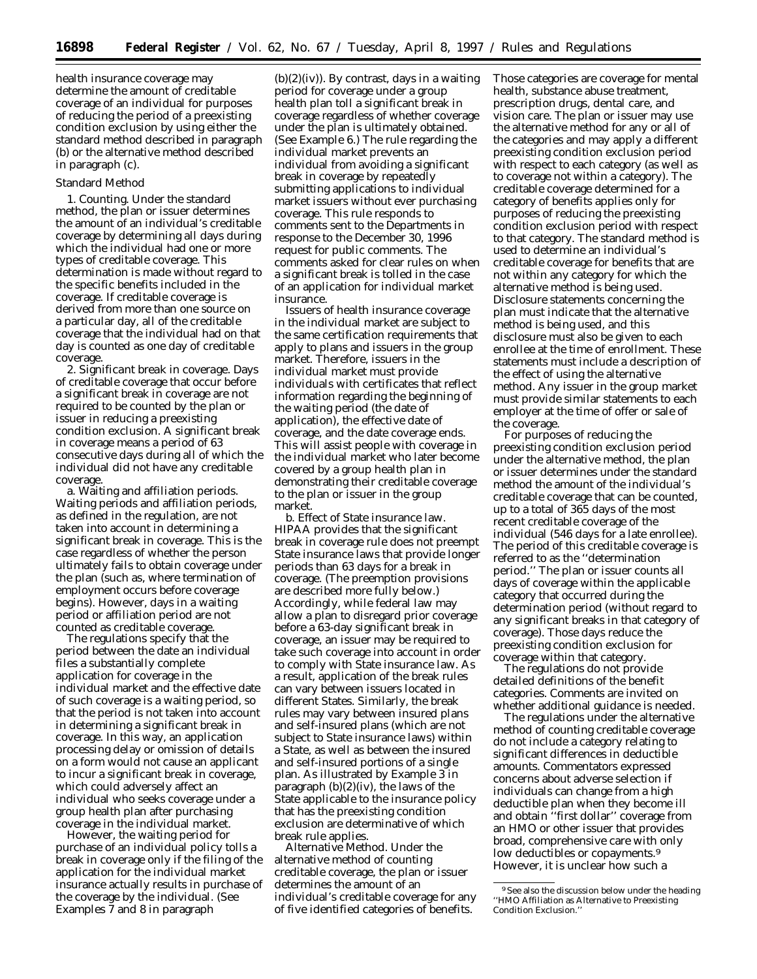health insurance coverage may determine the amount of creditable coverage of an individual for purposes of reducing the period of a preexisting condition exclusion by using either the standard method described in paragraph (b) or the alternative method described in paragraph (c).

## Standard Method

1. *Counting.* Under the standard method, the plan or issuer determines the amount of an individual's creditable coverage by determining all days during which the individual had one or more types of creditable coverage. This determination is made without regard to the specific benefits included in the coverage. If creditable coverage is derived from more than one source on a particular day, all of the creditable coverage that the individual had on that day is counted as one day of creditable coverage.

2. *Significant break in coverage.* Days of creditable coverage that occur before a significant break in coverage are not required to be counted by the plan or issuer in reducing a preexisting condition exclusion. A significant break in coverage means a period of 63 consecutive days during all of which the individual did not have any creditable coverage.

a. Waiting and affiliation periods. Waiting periods and affiliation periods, as defined in the regulation, are not taken into account in determining a significant break in coverage. This is the case regardless of whether the person ultimately fails to obtain coverage under the plan (such as, where termination of employment occurs before coverage begins). However, days in a waiting period or affiliation period are not counted as creditable coverage.

The regulations specify that the period between the date an individual files a substantially complete application for coverage in the individual market and the effective date of such coverage is a waiting period, so that the period is not taken into account in determining a significant break in coverage. In this way, an application processing delay or omission of details on a form would not cause an applicant to incur a significant break in coverage, which could adversely affect an individual who seeks coverage under a group health plan after purchasing coverage in the individual market.

However, the waiting period for purchase of an individual policy tolls a break in coverage only if the filing of the application for the individual market insurance actually results in purchase of the coverage by the individual. (See Examples 7 and 8 in paragraph

 $(b)(2)(iv)$ . By contrast, days in a waiting period for coverage under a group health plan toll a significant break in coverage regardless of whether coverage under the plan is ultimately obtained. (See Example 6.) The rule regarding the individual market prevents an individual from avoiding a significant break in coverage by repeatedly submitting applications to individual market issuers without ever purchasing coverage. This rule responds to comments sent to the Departments in response to the December 30, 1996 request for public comments. The comments asked for clear rules on when a significant break is tolled in the case of an application for individual market insurance.

Issuers of health insurance coverage in the individual market are subject to the same certification requirements that apply to plans and issuers in the group market. Therefore, issuers in the individual market must provide individuals with certificates that reflect information regarding the beginning of the waiting period (the date of application), the effective date of coverage, and the date coverage ends. This will assist people with coverage in the individual market who later become covered by a group health plan in demonstrating their creditable coverage to the plan or issuer in the group market.

b. Effect of State insurance law. HIPAA provides that the significant break in coverage rule does not preempt State insurance laws that provide longer periods than 63 days for a break in coverage. (The preemption provisions are described more fully below.) Accordingly, while federal law may allow a plan to disregard prior coverage before a 63-day significant break in coverage, an issuer may be required to take such coverage into account in order to comply with State insurance law. As a result, application of the break rules can vary between issuers located in different States. Similarly, the break rules may vary between insured plans and self-insured plans (which are not subject to State insurance laws) within a State, as well as between the insured and self-insured portions of a single plan. As illustrated by Example 3 in paragraph  $(b)(2)(iv)$ , the laws of the State applicable to the insurance policy that has the preexisting condition exclusion are determinative of which break rule applies.

*Alternative Method.* Under the alternative method of counting creditable coverage, the plan or issuer determines the amount of an individual's creditable coverage for any of five identified categories of benefits.

Those categories are coverage for mental health, substance abuse treatment, prescription drugs, dental care, and vision care. The plan or issuer may use the alternative method for any or all of the categories and may apply a different preexisting condition exclusion period with respect to each category (as well as to coverage not within a category). The creditable coverage determined for a category of benefits applies only for purposes of reducing the preexisting condition exclusion period with respect to that category. The standard method is used to determine an individual's creditable coverage for benefits that are not within any category for which the alternative method is being used. Disclosure statements concerning the plan must indicate that the alternative method is being used, and this disclosure must also be given to each enrollee at the time of enrollment. These statements must include a description of the effect of using the alternative method. Any issuer in the group market must provide similar statements to each employer at the time of offer or sale of the coverage.

For purposes of reducing the preexisting condition exclusion period under the alternative method, the plan or issuer determines under the standard method the amount of the individual's creditable coverage that can be counted, up to a total of 365 days of the most recent creditable coverage of the individual (546 days for a late enrollee). The period of this creditable coverage is referred to as the ''determination period.'' The plan or issuer counts all days of coverage within the applicable category that occurred during the determination period (without regard to any significant breaks in that category of coverage). Those days reduce the preexisting condition exclusion for coverage within that category.

The regulations do not provide detailed definitions of the benefit categories. Comments are invited on whether additional guidance is needed.

The regulations under the alternative method of counting creditable coverage do not include a category relating to significant differences in deductible amounts. Commentators expressed concerns about adverse selection if individuals can change from a high deductible plan when they become ill and obtain ''first dollar'' coverage from an HMO or other issuer that provides broad, comprehensive care with only low deductibles or copayments.<sup>9</sup> However, it is unclear how such a

<sup>&</sup>lt;sup>9</sup> See also the discussion below under the heading ''HMO Affiliation as Alternative to Preexisting Condition Exclusion.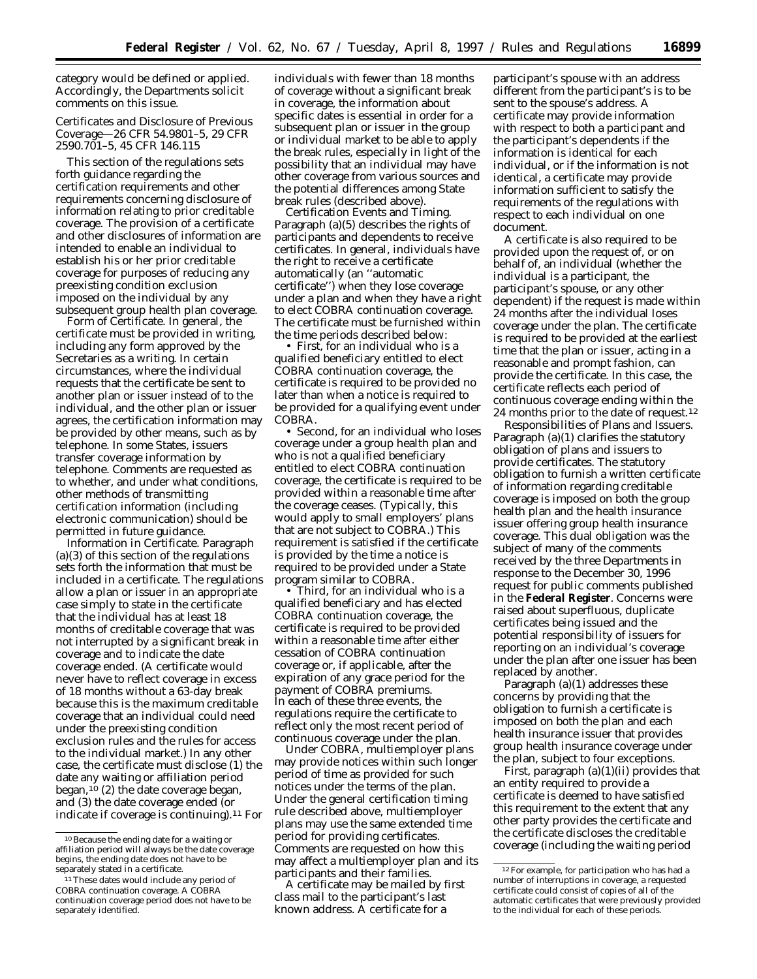category would be defined or applied. Accordingly, the Departments solicit comments on this issue.

# *Certificates and Disclosure of Previous Coverage—26 CFR 54.9801–5, 29 CFR 2590.701–5, 45 CFR 146.115*

This section of the regulations sets forth guidance regarding the certification requirements and other requirements concerning disclosure of information relating to prior creditable coverage. The provision of a certificate and other disclosures of information are intended to enable an individual to establish his or her prior creditable coverage for purposes of reducing any preexisting condition exclusion imposed on the individual by any subsequent group health plan coverage.

Form of Certificate. In general, the certificate must be provided in writing, including any form approved by the Secretaries as a writing. In certain circumstances, where the individual requests that the certificate be sent to another plan or issuer instead of to the individual, and the other plan or issuer agrees, the certification information may be provided by other means, such as by telephone. In some States, issuers transfer coverage information by telephone. Comments are requested as to whether, and under what conditions, other methods of transmitting certification information (including electronic communication) should be permitted in future guidance.

Information in Certificate. Paragraph  $(a)(3)$  of this section of the regulations sets forth the information that must be included in a certificate. The regulations allow a plan or issuer in an appropriate case simply to state in the certificate that the individual has at least 18 months of creditable coverage that was not interrupted by a significant break in coverage and to indicate the date coverage ended. (A certificate would never have to reflect coverage in excess of 18 months without a 63-day break because this is the maximum creditable coverage that an individual could need under the preexisting condition exclusion rules and the rules for access to the individual market.) In any other case, the certificate must disclose (1) the date any waiting or affiliation period began,<sup>10</sup> (2) the date coverage began, and (3) the date coverage ended (or indicate if coverage is continuing).11 For individuals with fewer than 18 months of coverage without a significant break in coverage, the information about specific dates is essential in order for a subsequent plan or issuer in the group or individual market to be able to apply the break rules, especially in light of the possibility that an individual may have other coverage from various sources and the potential differences among State break rules (described above).

Certification Events and Timing. Paragraph (a)(5) describes the rights of participants and dependents to receive certificates. In general, individuals have the right to receive a certificate automatically (an ''automatic certificate'') when they lose coverage under a plan and when they have a right to elect COBRA continuation coverage. The certificate must be furnished within the time periods described below:

• *First,* for an individual who is a qualified beneficiary entitled to elect COBRA continuation coverage, the certificate is required to be provided no later than when a notice is required to be provided for a qualifying event under COBRA.

• *Second,* for an individual who loses coverage under a group health plan and who is not a qualified beneficiary entitled to elect COBRA continuation coverage, the certificate is required to be provided within a reasonable time after the coverage ceases. (Typically, this would apply to small employers' plans that are not subject to COBRA.) This requirement is satisfied if the certificate is provided by the time a notice is required to be provided under a State program similar to COBRA.

• *Third,* for an individual who is a qualified beneficiary and has elected COBRA continuation coverage, the certificate is required to be provided within a reasonable time after either cessation of COBRA continuation coverage or, if applicable, after the expiration of any grace period for the payment of COBRA premiums. In each of these three events, the regulations require the certificate to reflect only the most recent period of continuous coverage under the plan.

Under COBRA, multiemployer plans may provide notices within such longer period of time as provided for such notices under the terms of the plan. Under the general certification timing rule described above, multiemployer plans may use the same extended time period for providing certificates. Comments are requested on how this may affect a multiemployer plan and its participants and their families.

A certificate may be mailed by first class mail to the participant's last known address. A certificate for a

participant's spouse with an address different from the participant's is to be sent to the spouse's address. A certificate may provide information with respect to both a participant and the participant's dependents if the information is identical for each individual, or if the information is not identical, a certificate may provide information sufficient to satisfy the requirements of the regulations with respect to each individual on one document.

A certificate is also required to be provided upon the request of, or on behalf of, an individual (whether the individual is a participant, the participant's spouse, or any other dependent) if the request is made within 24 months after the individual loses coverage under the plan. The certificate is required to be provided at the earliest time that the plan or issuer, acting in a reasonable and prompt fashion, can provide the certificate. In this case, the certificate reflects each period of continuous coverage ending within the 24 months prior to the date of request.12

Responsibilities of Plans and Issuers. Paragraph (a)(1) clarifies the statutory obligation of plans and issuers to provide certificates. The statutory obligation to furnish a written certificate of information regarding creditable coverage is imposed on both the group health plan and the health insurance issuer offering group health insurance coverage. This dual obligation was the subject of many of the comments received by the three Departments in response to the December 30, 1996 request for public comments published in the **Federal Register**. Concerns were raised about superfluous, duplicate certificates being issued and the potential responsibility of issuers for reporting on an individual's coverage under the plan after one issuer has been replaced by another.

Paragraph (a)(1) addresses these concerns by providing that the obligation to furnish a certificate is imposed on both the plan and each health insurance issuer that provides group health insurance coverage under the plan, subject to four exceptions.

*First,* paragraph (a)(1)(ii) provides that an entity required to provide a certificate is deemed to have satisfied this requirement to the extent that any other party provides the certificate and the certificate discloses the creditable coverage (including the waiting period

<sup>10</sup>Because the ending date for a waiting or affiliation period will always be the date coverage begins, the ending date does not have to be separately stated in a certificate.

<sup>11</sup>These dates would include any period of COBRA continuation coverage. A COBRA continuation coverage period does not have to be separately identified.

<sup>&</sup>lt;sup>12</sup> For example, for participation who has had a number of interruptions in coverage, a requested certificate could consist of copies of all of the automatic certificates that were previously provided to the individual for each of these periods.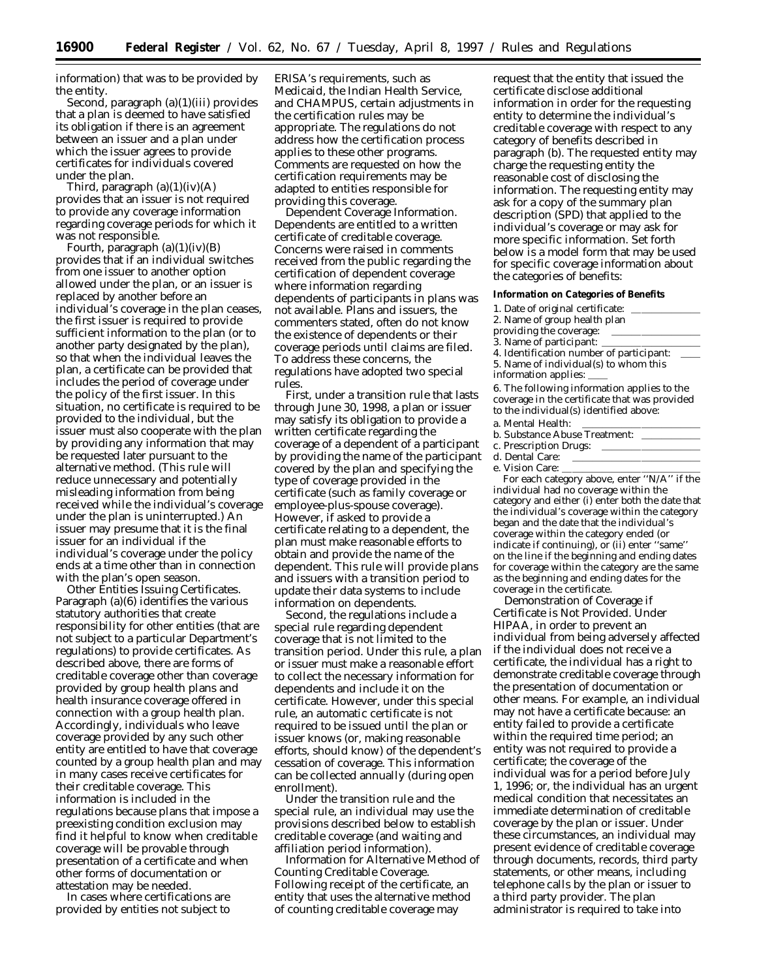information) that was to be provided by the entity.

*Second,* paragraph (a)(1)(iii) provides that a plan is deemed to have satisfied its obligation if there is an agreement between an issuer and a plan under which the issuer agrees to provide certificates for individuals covered under the plan.

*Third,* paragraph (a)(1)(iv)(A) provides that an issuer is not required to provide any coverage information regarding coverage periods for which it was not responsible.

*Fourth, paragraph* (a)(1)(iv)(B) provides that if an individual switches from one issuer to another option allowed under the plan, or an issuer is replaced by another before an individual's coverage in the plan ceases, the first issuer is required to provide sufficient information to the plan (or to another party designated by the plan), so that when the individual leaves the plan, a certificate can be provided that includes the period of coverage under the policy of the first issuer. In this situation, no certificate is required to be provided to the individual, but the issuer must also cooperate with the plan by providing any information that may be requested later pursuant to the alternative method. (This rule will reduce unnecessary and potentially misleading information from being received while the individual's coverage under the plan is uninterrupted.) An issuer may presume that it is the final issuer for an individual if the individual's coverage under the policy ends at a time other than in connection with the plan's open season.

Other Entities Issuing Certificates. Paragraph (a)(6) identifies the various statutory authorities that create responsibility for other entities (that are not subject to a particular Department's regulations) to provide certificates. As described above, there are forms of creditable coverage other than coverage provided by group health plans and health insurance coverage offered in connection with a group health plan. Accordingly, individuals who leave coverage provided by any such other entity are entitled to have that coverage counted by a group health plan and may in many cases receive certificates for their creditable coverage. This information is included in the regulations because plans that impose a preexisting condition exclusion may find it helpful to know when creditable coverage will be provable through presentation of a certificate and when other forms of documentation or attestation may be needed.

In cases where certifications are provided by entities not subject to ERISA's requirements, such as Medicaid, the Indian Health Service, and CHAMPUS, certain adjustments in the certification rules may be appropriate. The regulations do not address how the certification process applies to these other programs. Comments are requested on how the certification requirements may be adapted to entities responsible for providing this coverage.

Dependent Coverage Information. Dependents are entitled to a written certificate of creditable coverage. Concerns were raised in comments received from the public regarding the certification of dependent coverage where information regarding dependents of participants in plans was not available. Plans and issuers, the commenters stated, often do not know the existence of dependents or their coverage periods until claims are filed. To address these concerns, the regulations have adopted two special rules.

*First,* under a transition rule that lasts through June 30, 1998, a plan or issuer may satisfy its obligation to provide a written certificate regarding the coverage of a dependent of a participant by providing the name of the participant covered by the plan and specifying the type of coverage provided in the certificate (such as family coverage or employee-plus-spouse coverage). However, if asked to provide a certificate relating to a dependent, the plan must make reasonable efforts to obtain and provide the name of the dependent. This rule will provide plans and issuers with a transition period to update their data systems to include information on dependents.

*Second,* the regulations include a special rule regarding dependent coverage that is not limited to the transition period. Under this rule, a plan or issuer must make a reasonable effort to collect the necessary information for dependents and include it on the certificate. However, under this special rule, an automatic certificate is not required to be issued until the plan or issuer knows (or, making reasonable efforts, should know) of the dependent's cessation of coverage. This information can be collected annually (during open enrollment).

Under the transition rule and the special rule, an individual may use the provisions described below to establish creditable coverage (and waiting and affiliation period information).

Information for Alternative Method of Counting Creditable Coverage. Following receipt of the certificate, an entity that uses the alternative method of counting creditable coverage may

request that the entity that issued the certificate disclose additional information in order for the requesting entity to determine the individual's creditable coverage with respect to any category of benefits described in paragraph (b). The requested entity may charge the requesting entity the reasonable cost of disclosing the information. The requesting entity may ask for a copy of the summary plan description (SPD) that applied to the individual's coverage or may ask for more specific information. Set forth below is a model form that may be used for specific coverage information about the categories of benefits:

#### **Information on Categories of Benefits**

| 1. Date of original certificate:                                                                                                       |
|----------------------------------------------------------------------------------------------------------------------------------------|
| 2. Name of group health plan                                                                                                           |
| providing the coverage:                                                                                                                |
| 3. Name of participant:                                                                                                                |
| 4. Identification number of participant:                                                                                               |
| 5. Name of individual(s) to whom this                                                                                                  |
| information applies:                                                                                                                   |
| 6. The following information applies to the<br>coverage in the certificate that was provided<br>to the individual(s) identified above: |
| a. Mental Health:                                                                                                                      |
| b. Substance Abuse Treatment:                                                                                                          |
| <u>n : : n .</u>                                                                                                                       |

c. Prescription Drugs: d. Dental Care: e. Vision Care:

For each category above, enter ''N/A'' if the individual had no coverage within the category and either (i) enter both the date that the individual's coverage within the category began and the date that the individual's coverage within the category ended (or indicate if continuing), or (ii) enter ''same'' on the line if the beginning and ending dates for coverage within the category are the same as the beginning and ending dates for the coverage in the certificate.

Demonstration of Coverage if Certificate is Not Provided. Under HIPAA, in order to prevent an individual from being adversely affected if the individual does not receive a certificate, the individual has a right to demonstrate creditable coverage through the presentation of documentation or other means. For example, an individual may not have a certificate because: an entity failed to provide a certificate within the required time period; an entity was not required to provide a certificate; the coverage of the individual was for a period before July 1, 1996; or, the individual has an urgent medical condition that necessitates an immediate determination of creditable coverage by the plan or issuer. Under these circumstances, an individual may present evidence of creditable coverage through documents, records, third party statements, or other means, including telephone calls by the plan or issuer to a third party provider. The plan administrator is required to take into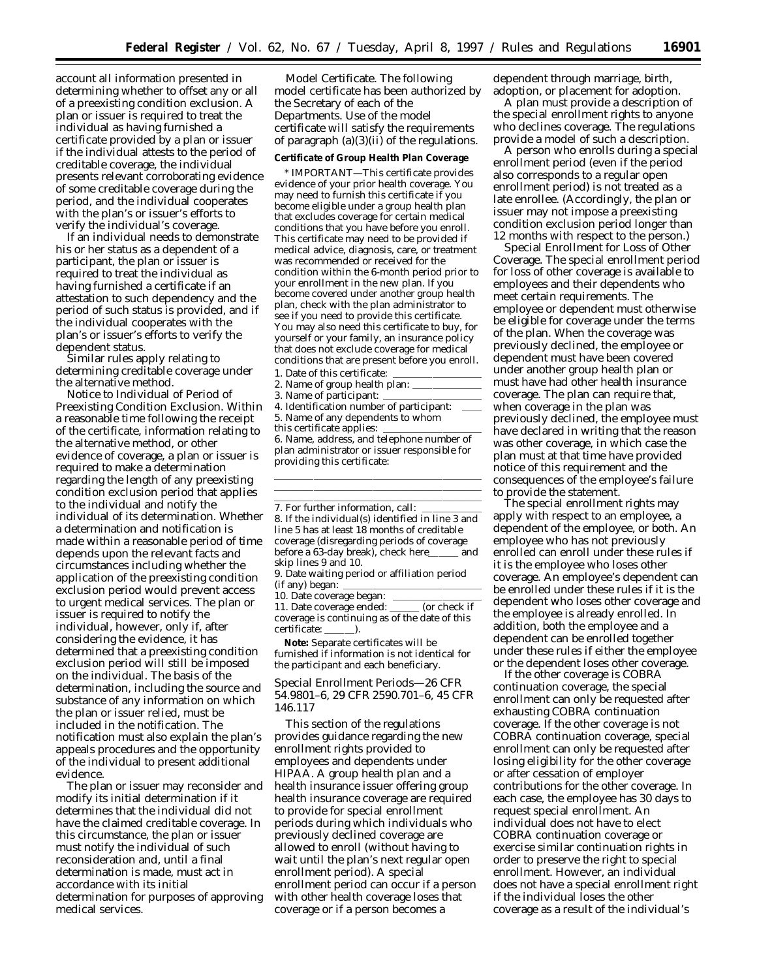account all information presented in determining whether to offset any or all of a preexisting condition exclusion. A plan or issuer is required to treat the individual as having furnished a certificate provided by a plan or issuer if the individual attests to the period of creditable coverage, the individual presents relevant corroborating evidence of some creditable coverage during the period, and the individual cooperates with the plan's or issuer's efforts to verify the individual's coverage.

If an individual needs to demonstrate his or her status as a dependent of a participant, the plan or issuer is required to treat the individual as having furnished a certificate if an attestation to such dependency and the period of such status is provided, and if the individual cooperates with the plan's or issuer's efforts to verify the dependent status.

Similar rules apply relating to determining creditable coverage under the alternative method.

Notice to Individual of Period of Preexisting Condition Exclusion. Within a reasonable time following the receipt of the certificate, information relating to the alternative method, or other evidence of coverage, a plan or issuer is required to make a determination regarding the length of any preexisting condition exclusion period that applies to the individual and notify the individual of its determination. Whether a determination and notification is made within a reasonable period of time depends upon the relevant facts and circumstances including whether the application of the preexisting condition exclusion period would prevent access to urgent medical services. The plan or issuer is required to notify the individual, however, only if, after considering the evidence, it has determined that a preexisting condition exclusion period will still be imposed on the individual. The basis of the determination, including the source and substance of any information on which the plan or issuer relied, must be included in the notification. The notification must also explain the plan's appeals procedures and the opportunity of the individual to present additional evidence.

The plan or issuer may reconsider and modify its initial determination if it determines that the individual did not have the claimed creditable coverage. In this circumstance, the plan or issuer must notify the individual of such reconsideration and, until a final determination is made, must act in accordance with its initial determination for purposes of approving medical services.

Model Certificate. The following model certificate has been authorized by the Secretary of each of the Departments. Use of the model certificate will satisfy the requirements of paragraph (a)(3)(ii) of the regulations.

#### **Certificate of Group Health Plan Coverage**

\* IMPORTANT—This certificate provides evidence of your prior health coverage. You may need to furnish this certificate if you become eligible under a group health plan that excludes coverage for certain medical conditions that you have before you enroll. This certificate may need to be provided if medical advice, diagnosis, care, or treatment was recommended or received for the condition within the 6-month period prior to your enrollment in the new plan. If you become covered under another group health plan, check with the plan administrator to see if you need to provide this certificate. You may also need this certificate to buy, for yourself or your family, an insurance policy that does not exclude coverage for medical conditions that are present before you enroll.

- 1. Date of this certificate:
- 2. Name of group health plan:
- 3. Name of participant:
- 4. Identification number of participant:
- 5. Name of any dependents to whom
- this certificate applies:

6. Name, address, and telephone number of plan administrator or issuer responsible for providing this certificate:

lllllllllllllllllllll lllllllllllllllllllll

7. For further information, call: 8. If the individual(s) identified in line 3 and line 5 has at least 18 months of creditable coverage (disregarding periods of coverage<br>before a 63-day break), check here\_\_\_\_\_\_ and before a 63-day break), check here\_ skip lines 9 and 10.

9. Date waiting period or affiliation period (if any) began:

10. Date coverage began:

11. Date coverage ended: <u>come (or check if</u> coverage is continuing as of the date of this certificate:

**Note:** Separate certificates will be furnished if information is not identical for the participant and each beneficiary.

*Special Enrollment Periods—26 CFR 54.9801–6, 29 CFR 2590.701–6, 45 CFR 146.117*

This section of the regulations provides guidance regarding the new enrollment rights provided to employees and dependents under HIPAA. A group health plan and a health insurance issuer offering group health insurance coverage are required to provide for special enrollment periods during which individuals who previously declined coverage are allowed to enroll (without having to wait until the plan's next regular open enrollment period). A special enrollment period can occur if a person with other health coverage loses that coverage or if a person becomes a

dependent through marriage, birth, adoption, or placement for adoption.

A plan must provide a description of the special enrollment rights to anyone who declines coverage. The regulations provide a model of such a description.

A person who enrolls during a special enrollment period (even if the period also corresponds to a regular open enrollment period) is not treated as a late enrollee. (Accordingly, the plan or issuer may not impose a preexisting condition exclusion period longer than 12 months with respect to the person.)

Special Enrollment for Loss of Other Coverage. The special enrollment period for loss of other coverage is available to employees and their dependents who meet certain requirements. The employee or dependent must otherwise be eligible for coverage under the terms of the plan. When the coverage was previously declined, the employee or dependent must have been covered under another group health plan or must have had other health insurance coverage. The plan can require that, when coverage in the plan was previously declined, the employee must have declared in writing that the reason was other coverage, in which case the plan must at that time have provided notice of this requirement and the consequences of the employee's failure to provide the statement.

The special enrollment rights may apply with respect to an employee, a dependent of the employee, or both. An employee who has not previously enrolled can enroll under these rules if it is the employee who loses other coverage. An employee's dependent can be enrolled under these rules if it is the dependent who loses other coverage and the employee is already enrolled. In addition, both the employee and a dependent can be enrolled together under these rules if either the employee or the dependent loses other coverage.

If the other coverage is COBRA continuation coverage, the special enrollment can only be requested after exhausting COBRA continuation coverage. If the other coverage is not COBRA continuation coverage, special enrollment can only be requested after losing eligibility for the other coverage or after cessation of employer contributions for the other coverage. In each case, the employee has 30 days to request special enrollment. An individual does not have to elect COBRA continuation coverage or exercise similar continuation rights in order to preserve the right to special enrollment. However, an individual does not have a special enrollment right if the individual loses the other coverage as a result of the individual's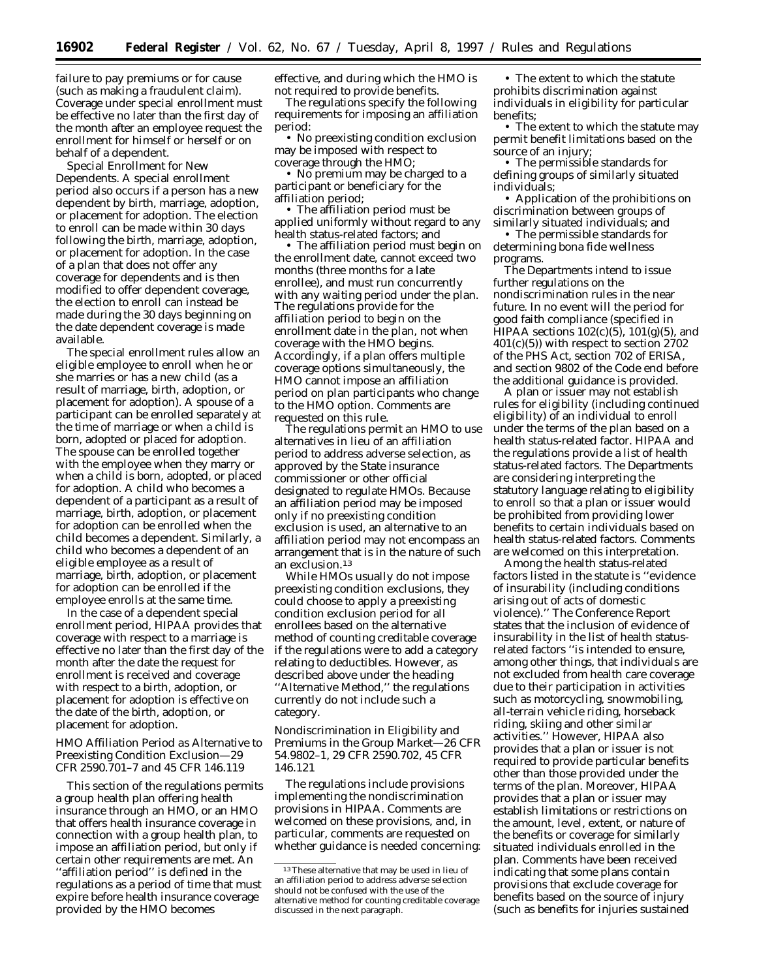failure to pay premiums or for cause (such as making a fraudulent claim). Coverage under special enrollment must be effective no later than the first day of the month after an employee request the enrollment for himself or herself or on behalf of a dependent.

Special Enrollment for New Dependents. A special enrollment period also occurs if a person has a new dependent by birth, marriage, adoption, or placement for adoption. The election to enroll can be made within 30 days following the birth, marriage, adoption, or placement for adoption. In the case of a plan that does not offer any coverage for dependents and is then modified to offer dependent coverage, the election to enroll can instead be made during the 30 days beginning on the date dependent coverage is made available.

The special enrollment rules allow an eligible employee to enroll when he or she marries or has a new child (as a result of marriage, birth, adoption, or placement for adoption). A spouse of a participant can be enrolled separately at the time of marriage or when a child is born, adopted or placed for adoption. The spouse can be enrolled together with the employee when they marry or when a child is born, adopted, or placed for adoption. A child who becomes a dependent of a participant as a result of marriage, birth, adoption, or placement for adoption can be enrolled when the child becomes a dependent. Similarly, a child who becomes a dependent of an eligible employee as a result of marriage, birth, adoption, or placement for adoption can be enrolled if the employee enrolls at the same time.

In the case of a dependent special enrollment period, HIPAA provides that coverage with respect to a marriage is effective no later than the first day of the month after the date the request for enrollment is received and coverage with respect to a birth, adoption, or placement for adoption is effective on the date of the birth, adoption, or placement for adoption.

## *HMO Affiliation Period as Alternative to Preexisting Condition Exclusion—29 CFR 2590.701–7 and 45 CFR 146.119*

This section of the regulations permits a group health plan offering health insurance through an HMO, or an HMO that offers health insurance coverage in connection with a group health plan, to impose an affiliation period, but only if certain other requirements are met. An ''affiliation period'' is defined in the regulations as a period of time that must expire before health insurance coverage provided by the HMO becomes

effective, and during which the HMO is not required to provide benefits.

The regulations specify the following requirements for imposing an affiliation period:

• No preexisting condition exclusion may be imposed with respect to coverage through the HMO;

• No premium may be charged to a participant or beneficiary for the affiliation period;

• The affiliation period must be applied uniformly without regard to any health status-related factors; and

• The affiliation period must begin on the enrollment date, cannot exceed two months (three months for a late enrollee), and must run concurrently with any waiting period under the plan. The regulations provide for the affiliation period to begin on the enrollment date in the plan, not when coverage with the HMO begins. Accordingly, if a plan offers multiple coverage options simultaneously, the HMO cannot impose an affiliation period on plan participants who change to the HMO option. Comments are requested on this rule.

The regulations permit an HMO to use alternatives in lieu of an affiliation period to address adverse selection, as approved by the State insurance commissioner or other official designated to regulate HMOs. Because an affiliation period may be imposed only if no preexisting condition exclusion is used, an alternative to an affiliation period may not encompass an arrangement that is in the nature of such an exclusion.13

While HMOs usually do not impose preexisting condition exclusions, they could choose to apply a preexisting condition exclusion period for all enrollees based on the alternative method of counting creditable coverage if the regulations were to add a category relating to deductibles. However, as described above under the heading ''Alternative Method,'' the regulations currently do not include such a category.

*Nondiscrimination in Eligibility and Premiums in the Group Market—26 CFR 54.9802–1, 29 CFR 2590.702, 45 CFR 146.121*

The regulations include provisions implementing the nondiscrimination provisions in HIPAA. Comments are welcomed on these provisions, and, in particular, comments are requested on whether guidance is needed concerning:

• The extent to which the statute prohibits discrimination against individuals in eligibility for particular benefits;

• The extent to which the statute may permit benefit limitations based on the source of an injury;

• The permissible standards for defining groups of similarly situated individuals;

• Application of the prohibitions on discrimination between groups of similarly situated individuals; and

• The permissible standards for determining bona fide wellness programs.

The Departments intend to issue further regulations on the nondiscrimination rules in the near future. In no event will the period for good faith compliance (specified in HIPAA sections  $102(c)(5)$ ,  $101(g)(5)$ , and  $401(c)(5)$ ) with respect to section 2702 of the PHS Act, section 702 of ERISA, and section 9802 of the Code end before the additional guidance is provided.

A plan or issuer may not establish rules for eligibility (including continued eligibility) of an individual to enroll under the terms of the plan based on a health status-related factor. HIPAA and the regulations provide a list of health status-related factors. The Departments are considering interpreting the statutory language relating to eligibility to enroll so that a plan or issuer would be prohibited from providing lower benefits to certain individuals based on health status-related factors. Comments are welcomed on this interpretation.

Among the health status-related factors listed in the statute is ''evidence of insurability (including conditions arising out of acts of domestic violence).'' The Conference Report states that the inclusion of evidence of insurability in the list of health statusrelated factors ''is intended to ensure, among other things, that individuals are not excluded from health care coverage due to their participation in activities such as motorcycling, snowmobiling, all-terrain vehicle riding, horseback riding, skiing and other similar activities.'' However, HIPAA also provides that a plan or issuer is not required to provide particular benefits other than those provided under the terms of the plan. Moreover, HIPAA provides that a plan or issuer may establish limitations or restrictions on the amount, level, extent, or nature of the benefits or coverage for similarly situated individuals enrolled in the plan. Comments have been received indicating that some plans contain provisions that exclude coverage for benefits based on the source of injury (such as benefits for injuries sustained

<sup>13</sup>These alternative that may be used in lieu of an affiliation period to address adverse selection should not be confused with the use of the alternative method for counting creditable coverage discussed in the next paragraph.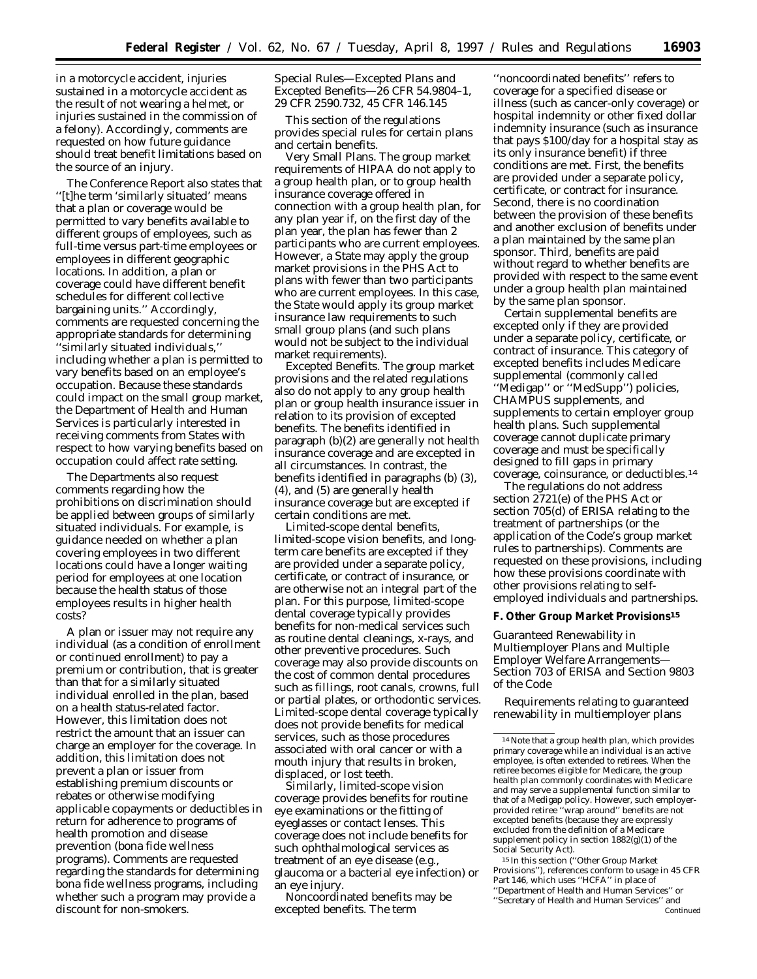in a motorcycle accident, injuries sustained in a motorcycle accident as the result of not wearing a helmet, or injuries sustained in the commission of a felony). Accordingly, comments are requested on how future guidance should treat benefit limitations based on the source of an injury.

The Conference Report also states that ''[t]he term 'similarly situated' means that a plan or coverage would be permitted to vary benefits available to different groups of employees, such as full-time versus part-time employees or employees in different geographic locations. In addition, a plan or coverage could have different benefit schedules for different collective bargaining units.'' Accordingly, comments are requested concerning the appropriate standards for determining ''similarly situated individuals,'' including whether a plan is permitted to vary benefits based on an employee's occupation. Because these standards could impact on the small group market, the Department of Health and Human Services is particularly interested in receiving comments from States with respect to how varying benefits based on occupation could affect rate setting.

The Departments also request comments regarding how the prohibitions on discrimination should be applied between groups of similarly situated individuals. For example, is guidance needed on whether a plan covering employees in two different locations could have a longer waiting period for employees at one location because the health status of those employees results in higher health costs?

A plan or issuer may not require any individual (as a condition of enrollment or continued enrollment) to pay a premium or contribution, that is greater than that for a similarly situated individual enrolled in the plan, based on a health status-related factor. However, this limitation does not restrict the amount that an issuer can charge an employer for the coverage. In addition, this limitation does not prevent a plan or issuer from establishing premium discounts or rebates or otherwise modifying applicable copayments or deductibles in return for adherence to programs of health promotion and disease prevention (bona fide wellness programs). Comments are requested regarding the standards for determining bona fide wellness programs, including whether such a program may provide a discount for non-smokers.

# *Special Rules—Excepted Plans and Excepted Benefits—26 CFR 54.9804–1, 29 CFR 2590.732, 45 CFR 146.145*

This section of the regulations provides special rules for certain plans and certain benefits.

Very Small Plans. The group market requirements of HIPAA do not apply to a group health plan, or to group health insurance coverage offered in connection with a group health plan, for any plan year if, on the first day of the plan year, the plan has fewer than 2 participants who are current employees. However, a State may apply the group market provisions in the PHS Act to plans with fewer than two participants who are current employees. In this case, the State would apply its group market insurance law requirements to such small group plans (and such plans would not be subject to the individual market requirements).

Excepted Benefits. The group market provisions and the related regulations also do not apply to any group health plan or group health insurance issuer in relation to its provision of excepted benefits. The benefits identified in paragraph (b)(2) are generally not health insurance coverage and are excepted in all circumstances. In contrast, the benefits identified in paragraphs (b) (3), (4), and (5) are generally health insurance coverage but are excepted if certain conditions are met.

Limited-scope dental benefits, limited-scope vision benefits, and longterm care benefits are excepted if they are provided under a separate policy, certificate, or contract of insurance, or are otherwise not an integral part of the plan. For this purpose, limited-scope dental coverage typically provides benefits for non-medical services such as routine dental cleanings, x-rays, and other preventive procedures. Such coverage may also provide discounts on the cost of common dental procedures such as fillings, root canals, crowns, full or partial plates, or orthodontic services. Limited-scope dental coverage typically does not provide benefits for medical services, such as those procedures associated with oral cancer or with a mouth injury that results in broken, displaced, or lost teeth.

Similarly, limited-scope vision coverage provides benefits for routine eye examinations or the fitting of eyeglasses or contact lenses. This coverage does not include benefits for such ophthalmological services as treatment of an eye disease (e.g., glaucoma or a bacterial eye infection) or an eye injury.

Noncoordinated benefits may be excepted benefits. The term

''noncoordinated benefits'' refers to coverage for a specified disease or illness (such as cancer-only coverage) or hospital indemnity or other fixed dollar indemnity insurance (such as insurance that pays \$100/day for a hospital stay as its only insurance benefit) if three conditions are met. First, the benefits are provided under a separate policy, certificate, or contract for insurance. Second, there is no coordination between the provision of these benefits and another exclusion of benefits under a plan maintained by the same plan sponsor. Third, benefits are paid without regard to whether benefits are provided with respect to the same event under a group health plan maintained by the same plan sponsor.

Certain supplemental benefits are excepted only if they are provided under a separate policy, certificate, or contract of insurance. This category of excepted benefits includes Medicare supplemental (commonly called ''Medigap'' or ''MedSupp'') policies, CHAMPUS supplements, and supplements to certain employer group health plans. Such supplemental coverage cannot duplicate primary coverage and must be specifically designed to fill gaps in primary coverage, coinsurance, or deductibles.14

The regulations do not address section 2721(e) of the PHS Act or section 705(d) of ERISA relating to the treatment of partnerships (or the application of the Code's group market rules to partnerships). Comments are requested on these provisions, including how these provisions coordinate with other provisions relating to selfemployed individuals and partnerships.

## **F. Other Group Market Provisions15**

*Guaranteed Renewability in Multiemployer Plans and Multiple Employer Welfare Arrangements— Section 703 of ERISA and Section 9803 of the Code*

Requirements relating to guaranteed renewability in multiemployer plans

15 In this section (''Other Group Market Provisions''), references conform to usage in 45 CFR Part 146, which uses "HCFA" in place of ''Department of Health and Human Services'' or ''Secretary of Health and Human Services'' and Continued

<sup>14</sup>Note that a group health plan, which provides primary coverage while an individual is an active employee, is often extended to retirees. When the retiree becomes eligible for Medicare, the group health plan commonly coordinates with Medicare and may serve a supplemental function similar to that of a Medigap policy. However, such employerprovided retiree ''wrap around'' benefits are not excepted benefits (because they are expressly excluded from the definition of a Medicare supplement policy in section  $1882(g)(1)$  of the Social Security Act).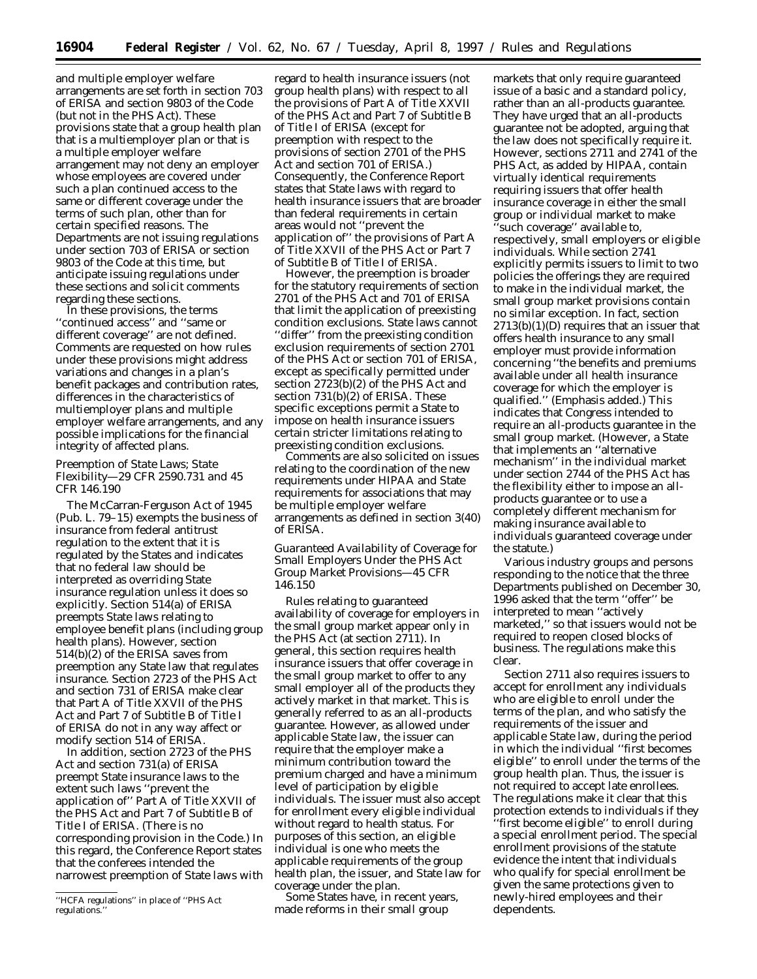and multiple employer welfare arrangements are set forth in section 703 of ERISA and section 9803 of the Code (but not in the PHS Act). These provisions state that a group health plan that is a multiemployer plan or that is a multiple employer welfare arrangement may not deny an employer whose employees are covered under such a plan continued access to the same or different coverage under the terms of such plan, other than for certain specified reasons. The Departments are not issuing regulations under section 703 of ERISA or section 9803 of the Code at this time, but anticipate issuing regulations under these sections and solicit comments regarding these sections.

In these provisions, the terms ''continued access'' and ''same or different coverage'' are not defined. Comments are requested on how rules under these provisions might address variations and changes in a plan's benefit packages and contribution rates, differences in the characteristics of multiemployer plans and multiple employer welfare arrangements, and any possible implications for the financial integrity of affected plans.

## *Preemption of State Laws; State Flexibility—29 CFR 2590.731 and 45 CFR 146.190*

The McCarran-Ferguson Act of 1945 (Pub. L. 79–15) exempts the business of insurance from federal antitrust regulation to the extent that it is regulated by the States and indicates that no federal law should be interpreted as overriding State insurance regulation unless it does so explicitly. Section 514(a) of ERISA preempts State laws relating to employee benefit plans (including group health plans). However, section 514(b)(2) of the ERISA saves from preemption any State law that regulates insurance. Section 2723 of the PHS Act and section 731 of ERISA make clear that Part A of Title XXVII of the PHS Act and Part 7 of Subtitle B of Title I of ERISA do not in any way affect or modify section 514 of ERISA.

In addition, section 2723 of the PHS Act and section 731(a) of ERISA preempt State insurance laws to the extent such laws ''prevent the application of'' Part A of Title XXVII of the PHS Act and Part 7 of Subtitle B of Title I of ERISA. (There is no corresponding provision in the Code.) In this regard, the Conference Report states that the conferees intended the narrowest preemption of State laws with

regard to health insurance issuers (not group health plans) with respect to all the provisions of Part A of Title XXVII of the PHS Act and Part 7 of Subtitle B of Title I of ERISA (except for preemption with respect to the provisions of section 2701 of the PHS Act and section 701 of ERISA.) Consequently, the Conference Report states that State laws with regard to health insurance issuers that are broader than federal requirements in certain areas would not ''prevent the application of'' the provisions of Part A of Title XXVII of the PHS Act or Part 7 of Subtitle B of Title I of ERISA.

However, the preemption is broader for the statutory requirements of section 2701 of the PHS Act and 701 of ERISA that limit the application of preexisting condition exclusions. State laws cannot ''differ'' from the preexisting condition exclusion requirements of section 2701 of the PHS Act or section 701 of ERISA, except as specifically permitted under section 2723(b)(2) of the PHS Act and section 731(b)(2) of ERISA. These specific exceptions permit a State to impose on health insurance issuers certain stricter limitations relating to preexisting condition exclusions.

Comments are also solicited on issues relating to the coordination of the new requirements under HIPAA and State requirements for associations that may be multiple employer welfare arrangements as defined in section 3(40) of ERISA.

# *Guaranteed Availability of Coverage for Small Employers Under the PHS Act Group Market Provisions—45 CFR 146.150*

Rules relating to guaranteed availability of coverage for employers in the small group market appear only in the PHS Act (at section 2711). In general, this section requires health insurance issuers that offer coverage in the small group market to offer to any small employer all of the products they actively market in that market. This is generally referred to as an all-products guarantee. However, as allowed under applicable State law, the issuer can require that the employer make a minimum contribution toward the premium charged and have a minimum level of participation by eligible individuals. The issuer must also accept for enrollment every eligible individual without regard to health status. For purposes of this section, an eligible individual is one who meets the applicable requirements of the group health plan, the issuer, and State law for coverage under the plan.

Some States have, in recent years, made reforms in their small group

markets that only require guaranteed issue of a basic and a standard policy, rather than an all-products guarantee. They have urged that an all-products guarantee not be adopted, arguing that the law does not specifically require it. However, sections 2711 and 2741 of the PHS Act, as added by HIPAA, contain virtually identical requirements requiring issuers that offer health insurance coverage in either the small group or individual market to make 'such coverage" available to, respectively, small employers or eligible individuals. While section 2741 explicitly permits issuers to limit to two policies the offerings they are required to make in the individual market, the small group market provisions contain no similar exception. In fact, section 2713(b)(1)(D) requires that an issuer that offers health insurance to any small employer must provide information concerning ''the benefits and premiums available under *all* health insurance coverage for which the employer is qualified.'' (Emphasis added.) This indicates that Congress intended to require an all-products guarantee in the small group market. (However, a State that implements an ''alternative mechanism'' in the individual market under section 2744 of the PHS Act has the flexibility either to impose an allproducts guarantee or to use a completely different mechanism for making insurance available to individuals guaranteed coverage under the statute.)

Various industry groups and persons responding to the notice that the three Departments published on December 30, 1996 asked that the term ''offer'' be interpreted to mean ''actively marketed,'' so that issuers would not be required to reopen closed blocks of business. The regulations make this clear.

Section 2711 also requires issuers to accept for enrollment any individuals who are eligible to enroll under the terms of the plan, and who satisfy the requirements of the issuer and applicable State law, during the period in which the individual ''first becomes eligible'' to enroll under the terms of the group health plan. Thus, the issuer is not required to accept late enrollees. The regulations make it clear that this protection extends to individuals if they 'first become eligible'' to enroll during a special enrollment period. The special enrollment provisions of the statute evidence the intent that individuals who qualify for special enrollment be given the same protections given to newly-hired employees and their dependents.

<sup>&#</sup>x27;'HCFA regulations'' in place of ''PHS Act regulations.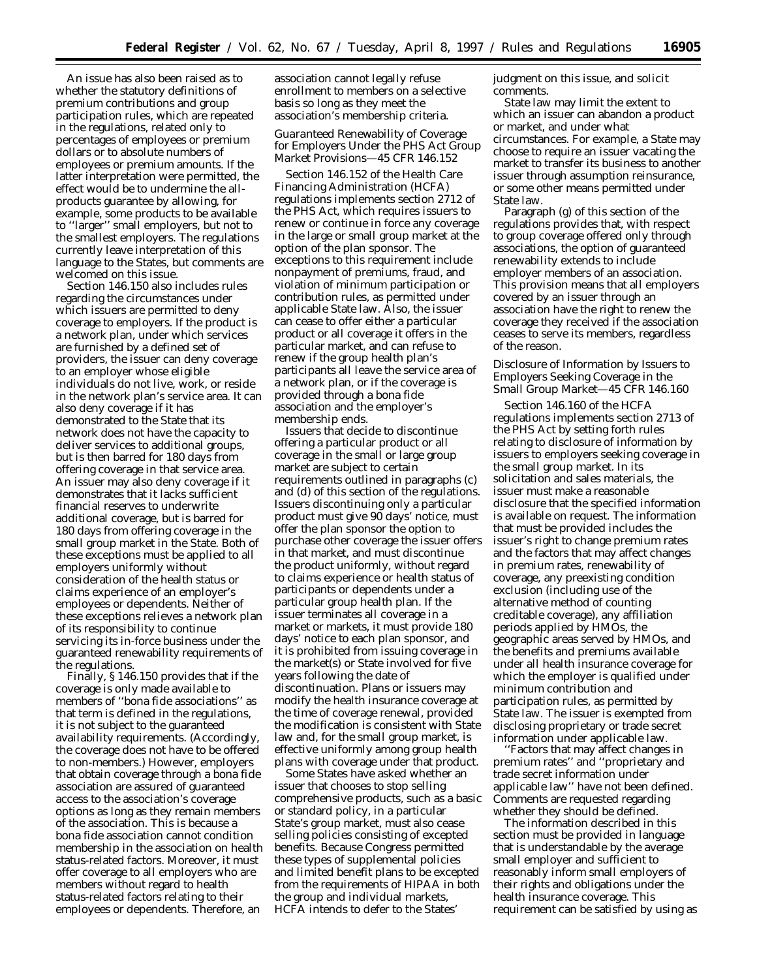An issue has also been raised as to whether the statutory definitions of premium contributions and group participation rules, which are repeated in the regulations, related only to percentages of employees or premium dollars or to absolute numbers of employees or premium amounts. If the latter interpretation were permitted, the effect would be to undermine the allproducts guarantee by allowing, for example, some products to be available to ''larger'' small employers, but not to the smallest employers. The regulations currently leave interpretation of this language to the States, but comments are welcomed on this issue.

Section 146.150 also includes rules regarding the circumstances under which issuers are permitted to deny coverage to employers. If the product is a network plan, under which services are furnished by a defined set of providers, the issuer can deny coverage to an employer whose eligible individuals do not live, work, or reside in the network plan's service area. It can also deny coverage if it has demonstrated to the State that its network does not have the capacity to deliver services to additional groups, but is then barred for 180 days from offering coverage in that service area. An issuer may also deny coverage if it demonstrates that it lacks sufficient financial reserves to underwrite additional coverage, but is barred for 180 days from offering coverage in the small group market in the State. Both of these exceptions must be applied to all employers uniformly without consideration of the health status or claims experience of an employer's employees or dependents. Neither of these exceptions relieves a network plan of its responsibility to continue servicing its in-force business under the guaranteed renewability requirements of the regulations.

Finally, § 146.150 provides that if the coverage is only made available to members of ''bona fide associations'' as that term is defined in the regulations, it is not subject to the guaranteed availability requirements. (Accordingly, the coverage does not have to be offered to non-members.) However, employers that obtain coverage through a bona fide association are assured of guaranteed access to the association's coverage options as long as they remain members of the association. This is because a bona fide association cannot condition membership in the association on health status-related factors. Moreover, it must offer coverage to all employers who are members without regard to health status-related factors relating to their employees or dependents. Therefore, an

association cannot legally refuse enrollment to members on a selective basis so long as they meet the association's membership criteria.

## *Guaranteed Renewability of Coverage for Employers Under the PHS Act Group Market Provisions—45 CFR 146.152*

Section 146.152 of the Health Care Financing Administration (HCFA) regulations implements section 2712 of the PHS Act, which requires issuers to renew or continue in force any coverage in the large or small group market at the option of the plan sponsor. The exceptions to this requirement include nonpayment of premiums, fraud, and violation of minimum participation or contribution rules, as permitted under applicable State law. Also, the issuer can cease to offer either a particular product or all coverage it offers in the particular market, and can refuse to renew if the group health plan's participants all leave the service area of a network plan, or if the coverage is provided through a bona fide association and the employer's membership ends.

Issuers that decide to discontinue offering a particular product or all coverage in the small or large group market are subject to certain requirements outlined in paragraphs (c) and (d) of this section of the regulations. Issuers discontinuing only a particular product must give 90 days' notice, must offer the plan sponsor the option to purchase other coverage the issuer offers in that market, and must discontinue the product uniformly, without regard to claims experience or health status of participants or dependents under a particular group health plan. If the issuer terminates all coverage in a market or markets, it must provide 180 days' notice to each plan sponsor, and it is prohibited from issuing coverage in the market(s) or State involved for five years following the date of discontinuation. Plans or issuers may modify the health insurance coverage at the time of coverage renewal, provided the modification is consistent with State law and, for the small group market, is effective uniformly among group health plans with coverage under that product.

Some States have asked whether an issuer that chooses to stop selling comprehensive products, such as a basic or standard policy, in a particular State's group market, must also cease selling policies consisting of excepted benefits. Because Congress permitted these types of supplemental policies and limited benefit plans to be excepted from the requirements of HIPAA in both the group and individual markets, HCFA intends to defer to the States'

judgment on this issue, and solicit comments.

State law may limit the extent to which an issuer can abandon a product or market, and under what circumstances. For example, a State may choose to require an issuer vacating the market to transfer its business to another issuer through assumption reinsurance, or some other means permitted under State law.

Paragraph (g) of this section of the regulations provides that, with respect to group coverage offered only through associations, the option of guaranteed renewability extends to include employer members of an association. This provision means that all employers covered by an issuer through an association have the right to renew the coverage they received if the association ceases to serve its members, regardless of the reason.

# *Disclosure of Information by Issuers to Employers Seeking Coverage in the Small Group Market—45 CFR 146.160*

Section 146.160 of the HCFA regulations implements section 2713 of the PHS Act by setting forth rules relating to disclosure of information by issuers to employers seeking coverage in the small group market. In its solicitation and sales materials, the issuer must make a reasonable disclosure that the specified information is available on request. The information that must be provided includes the issuer's right to change premium rates and the factors that may affect changes in premium rates, renewability of coverage, any preexisting condition exclusion (including use of the alternative method of counting creditable coverage), any affiliation periods applied by HMOs, the geographic areas served by HMOs, and the benefits and premiums available under all health insurance coverage for which the employer is qualified under minimum contribution and participation rules, as permitted by State law. The issuer is exempted from disclosing proprietary or trade secret information under applicable law.

''Factors that may affect changes in premium rates'' and ''proprietary and trade secret information under applicable law'' have not been defined. Comments are requested regarding whether they should be defined.

The information described in this section must be provided in language that is understandable by the average small employer and sufficient to reasonably inform small employers of their rights and obligations under the health insurance coverage. This requirement can be satisfied by using as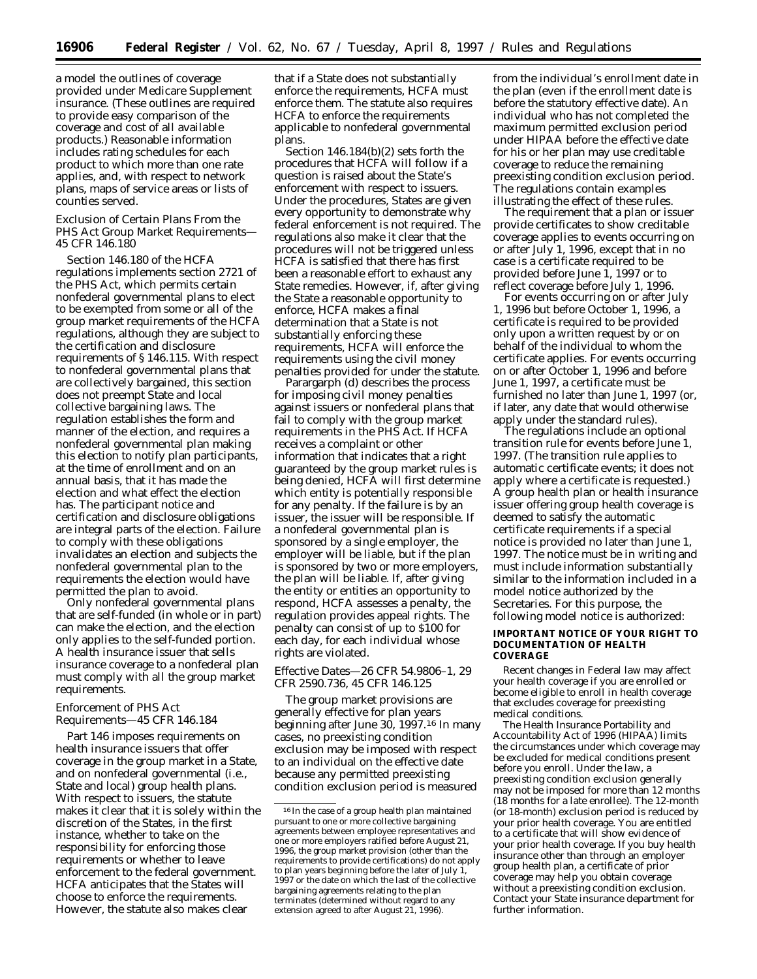a model the outlines of coverage provided under Medicare Supplement insurance. (These outlines are required to provide easy comparison of the coverage and cost of all available products.) Reasonable information includes rating schedules for each product to which more than one rate applies, and, with respect to network plans, maps of service areas or lists of counties served.

## *Exclusion of Certain Plans From the PHS Act Group Market Requirements— 45 CFR 146.180*

Section 146.180 of the HCFA regulations implements section 2721 of the PHS Act, which permits certain nonfederal governmental plans to elect to be exempted from some or all of the group market requirements of the HCFA regulations, although they are subject to the certification and disclosure requirements of § 146.115. With respect to nonfederal governmental plans that are collectively bargained, this section does not preempt State and local collective bargaining laws. The regulation establishes the form and manner of the election, and requires a nonfederal governmental plan making this election to notify plan participants, at the time of enrollment and on an annual basis, that it has made the election and what effect the election has. The participant notice and certification and disclosure obligations are integral parts of the election. Failure to comply with these obligations invalidates an election and subjects the nonfederal governmental plan to the requirements the election would have permitted the plan to avoid.

Only nonfederal governmental plans that are self-funded (in whole or in part) can make the election, and the election only applies to the self-funded portion. A health insurance issuer that sells insurance coverage to a nonfederal plan must comply with all the group market requirements.

# *Enforcement of PHS Act Requirements—45 CFR 146.184*

Part 146 imposes requirements on health insurance issuers that offer coverage in the group market in a State, and on nonfederal governmental (i.e., State and local) group health plans. With respect to issuers, the statute makes it clear that it is solely within the discretion of the States, in the first instance, whether to take on the responsibility for enforcing those requirements or whether to leave enforcement to the federal government. HCFA anticipates that the States will choose to enforce the requirements. However, the statute also makes clear

that if a State does not substantially enforce the requirements, HCFA must enforce them. The statute also requires HCFA to enforce the requirements applicable to nonfederal governmental plans.

Section 146.184(b)(2) sets forth the procedures that HCFA will follow if a question is raised about the State's enforcement with respect to issuers. Under the procedures, States are given every opportunity to demonstrate why federal enforcement is not required. The regulations also make it clear that the procedures will not be triggered unless HCFA is satisfied that there has first been a reasonable effort to exhaust any State remedies. However, if, after giving the State a reasonable opportunity to enforce, HCFA makes a final determination that a State is not substantially enforcing these requirements, HCFA will enforce the requirements using the civil money penalties provided for under the statute.

Parargarph (d) describes the process for imposing civil money penalties against issuers or nonfederal plans that fail to comply with the group market requirements in the PHS Act. If HCFA receives a complaint or other information that indicates that a right guaranteed by the group market rules is being denied, HCFA will first determine which entity is potentially responsible for any penalty. If the failure is by an issuer, the issuer will be responsible. If a nonfederal governmental plan is sponsored by a single employer, the employer will be liable, but if the plan is sponsored by two or more employers, the plan will be liable. If, after giving the entity or entities an opportunity to respond, HCFA assesses a penalty, the regulation provides appeal rights. The penalty can consist of up to \$100 for each day, for each individual whose rights are violated.

# *Effective Dates—26 CFR 54.9806–1, 29 CFR 2590.736, 45 CFR 146.125*

The group market provisions are generally effective for plan years beginning after June 30, 1997.16 In many cases, no preexisting condition exclusion may be imposed with respect to an individual on the effective date because any permitted preexisting condition exclusion period is measured

from the individual's enrollment date in the plan (even if the enrollment date is before the statutory effective date). An individual who has not completed the maximum permitted exclusion period under HIPAA before the effective date for his or her plan may use creditable coverage to reduce the remaining preexisting condition exclusion period. The regulations contain examples illustrating the effect of these rules.

The requirement that a plan or issuer provide certificates to show creditable coverage applies to events occurring on or after July 1, 1996, except that in no case is a certificate required to be provided before June 1, 1997 or to reflect coverage before July 1, 1996.

For events occurring on or after July 1, 1996 but before October 1, 1996, a certificate is required to be provided only upon a written request by or on behalf of the individual to whom the certificate applies. For events occurring on or after October 1, 1996 and before June 1, 1997, a certificate must be furnished no later than June 1, 1997 (or, if later, any date that would otherwise apply under the standard rules).

The regulations include an optional transition rule for events before June 1, 1997. (The transition rule applies to automatic certificate events; it does not apply where a certificate is requested.) A group health plan or health insurance issuer offering group health coverage is deemed to satisfy the automatic certificate requirements if a special notice is provided no later than June 1, 1997. The notice must be in writing and must include information substantially similar to the information included in a model notice authorized by the Secretaries. For this purpose, the following model notice is authorized:

## **IMPORTANT NOTICE OF YOUR RIGHT TO DOCUMENTATION OF HEALTH COVERAGE**

Recent changes in Federal law may affect your health coverage if you are enrolled or become eligible to enroll in health coverage that excludes coverage for preexisting medical conditions.

The Health Insurance Portability and Accountability Act of 1996 (HIPAA) limits the circumstances under which coverage may be excluded for medical conditions present before you enroll. Under the law, a preexisting condition exclusion generally may not be imposed for more than 12 months (18 months for a late enrollee). The 12-month (or 18-month) exclusion period is reduced by your prior health coverage. You are entitled to a certificate that will show evidence of your prior health coverage. If you buy health insurance other than through an employer group health plan, a certificate of prior coverage may help you obtain coverage without a preexisting condition exclusion. Contact your State insurance department for further information.

<sup>16</sup> In the case of a group health plan maintained pursuant to one or more collective bargaining agreements between employee representatives and one or more employers ratified before August 21, 1996, the group market provision (other than the requirements to provide certifications) do not apply to plan years beginning before the later of July 1, 1997 or the date on which the last of the collective bargaining agreements relating to the plan terminates (determined without regard to any extension agreed to after August 21, 1996).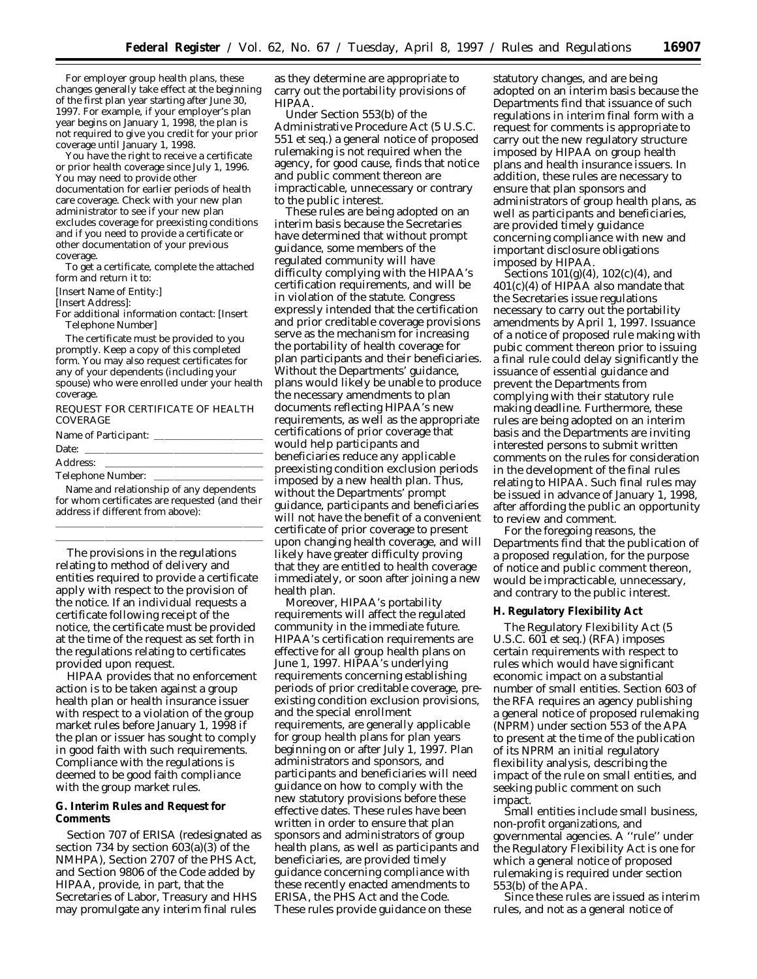For employer group health plans, these changes generally take effect at the beginning of the first plan year starting after June 30, 1997. For example, if your employer's plan year begins on January 1, 1998, the plan is not required to give you credit for your prior coverage until January 1, 1998.

You have the right to receive a certificate or prior health coverage since July 1, 1996. You may need to provide other documentation for earlier periods of health care coverage. Check with your new plan administrator to see if your new plan excludes coverage for preexisting conditions and if you need to provide a certificate or other documentation of your previous coverage.

To get a certificate, complete the attached form and return it to:

[Insert Name of Entity:]

[Insert Address]:

For additional information contact: [Insert Telephone Number]

The certificate must be provided to you promptly. Keep a copy of this completed form. You may also request certificates for any of your dependents (including your spouse) who were enrolled under your health coverage.

REQUEST FOR CERTIFICATE OF HEALTH COVERAGE

Name of Participant: \_

# Date:

Address:

Telephone Number:

Name and relationship of any dependents for whom certificates are requested (and their address if different from above): lllllllllllllllllllll

lllllllllllllllllllll

The provisions in the regulations relating to method of delivery and entities required to provide a certificate apply with respect to the provision of the notice. If an individual requests a certificate following receipt of the notice, the certificate must be provided at the time of the request as set forth in the regulations relating to certificates provided upon request.

HIPAA provides that no enforcement action is to be taken against a group health plan or health insurance issuer with respect to a violation of the group market rules before January 1, 1998 if the plan or issuer has sought to comply in good faith with such requirements. Compliance with the regulations is deemed to be good faith compliance with the group market rules.

## **G. Interim Rules and Request for Comments**

Section 707 of ERISA (redesignated as section 734 by section 603(a)(3) of the NMHPA), Section 2707 of the PHS Act, and Section 9806 of the Code added by HIPAA, provide, in part, that the Secretaries of Labor, Treasury and HHS may promulgate any interim final rules

as they determine are appropriate to carry out the portability provisions of HIPAA.

Under Section 553(b) of the Administrative Procedure Act (5 U.S.C. 551 *et seq.*) a general notice of proposed rulemaking is not required when the agency, for good cause, finds that notice and public comment thereon are impracticable, unnecessary or contrary to the public interest.

These rules are being adopted on an interim basis because the Secretaries have determined that without prompt guidance, some members of the regulated community will have difficulty complying with the HIPAA's certification requirements, and will be in violation of the statute. Congress expressly intended that the certification and prior creditable coverage provisions serve as the mechanism for increasing the portability of health coverage for plan participants and their beneficiaries. Without the Departments' guidance, plans would likely be unable to produce the necessary amendments to plan documents reflecting HIPAA's new requirements, as well as the appropriate certifications of prior coverage that would help participants and beneficiaries reduce any applicable preexisting condition exclusion periods imposed by a new health plan. Thus, without the Departments' prompt guidance, participants and beneficiaries will not have the benefit of a convenient certificate of prior coverage to present upon changing health coverage, and will likely have greater difficulty proving that they are entitled to health coverage immediately, or soon after joining a new health plan.

Moreover, HIPAA's portability requirements will affect the regulated community in the immediate future. HIPAA's certification requirements are effective for all group health plans on June 1, 1997. HIPAA's underlying requirements concerning establishing periods of prior creditable coverage, preexisting condition exclusion provisions, and the special enrollment requirements, are generally applicable for group health plans for plan years beginning on or after July 1, 1997. Plan administrators and sponsors, and participants and beneficiaries will need guidance on how to comply with the new statutory provisions before these effective dates. These rules have been written in order to ensure that plan sponsors and administrators of group health plans, as well as participants and beneficiaries, are provided timely guidance concerning compliance with these recently enacted amendments to ERISA, the PHS Act and the Code. These rules provide guidance on these

statutory changes, and are being adopted on an interim basis because the Departments find that issuance of such regulations in interim final form with a request for comments is appropriate to carry out the new regulatory structure imposed by HIPAA on group health plans and health insurance issuers. In addition, these rules are necessary to ensure that plan sponsors and administrators of group health plans, as well as participants and beneficiaries, are provided timely guidance concerning compliance with new and important disclosure obligations imposed by HIPAA.

Sections  $101(g)(4)$ ,  $102(c)(4)$ , and 401(c)(4) of HIPAA also mandate that the Secretaries issue regulations necessary to carry out the portability amendments by April 1, 1997. Issuance of a notice of proposed rule making with pubic comment thereon prior to issuing a final rule could delay significantly the issuance of essential guidance and prevent the Departments from complying with their statutory rule making deadline. Furthermore, these rules are being adopted on an interim basis and the Departments are inviting interested persons to submit written comments on the rules for consideration in the development of the final rules relating to HIPAA. Such final rules may be issued in advance of January 1, 1998, after affording the public an opportunity to review and comment.

For the foregoing reasons, the Departments find that the publication of a proposed regulation, for the purpose of notice and public comment thereon, would be impracticable, unnecessary, and contrary to the public interest.

## **H. Regulatory Flexibility Act**

The Regulatory Flexibility Act (5 U.S.C. 601 *et seq.*) (RFA) imposes certain requirements with respect to rules which would have significant economic impact on a substantial number of small entities. Section 603 of the RFA requires an agency publishing a general notice of proposed rulemaking (NPRM) under section 553 of the APA to present at the time of the publication of its NPRM an initial regulatory flexibility analysis, describing the impact of the rule on small entities, and seeking public comment on such impact.

Small entities include small business, non-profit organizations, and governmental agencies. A ''rule'' under the Regulatory Flexibility Act is one for which a general notice of proposed rulemaking is required under section 553(b) of the APA.

Since these rules are issued as interim rules, and not as a general notice of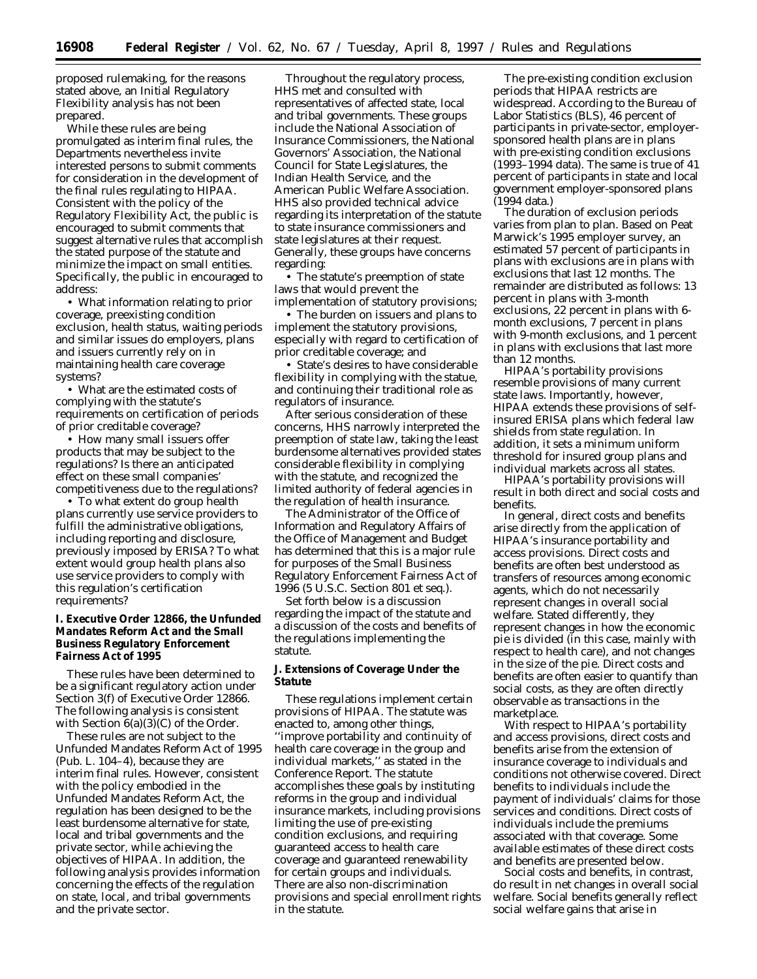proposed rulemaking, for the reasons stated above, an Initial Regulatory Flexibility analysis has not been prepared.

While these rules are being promulgated as interim final rules, the Departments nevertheless invite interested persons to submit comments for consideration in the development of the final rules regulating to HIPAA. Consistent with the policy of the Regulatory Flexibility Act, the public is encouraged to submit comments that suggest alternative rules that accomplish the stated purpose of the statute and minimize the impact on small entities. Specifically, the public in encouraged to address:

• What information relating to prior coverage, preexisting condition exclusion, health status, waiting periods and similar issues do employers, plans and issuers currently rely on in maintaining health care coverage systems?

• What are the estimated costs of complying with the statute's requirements on certification of periods of prior creditable coverage?

• How many small issuers offer products that may be subject to the regulations? Is there an anticipated effect on these small companies' competitiveness due to the regulations?

• To what extent do group health plans currently use service providers to fulfill the administrative obligations, including reporting and disclosure, previously imposed by ERISA? To what extent would group health plans also use service providers to comply with this regulation's certification requirements?

# **I. Executive Order 12866, the Unfunded Mandates Reform Act and the Small Business Regulatory Enforcement Fairness Act of 1995**

These rules have been determined to be a significant regulatory action under Section 3(f) of Executive Order 12866. The following analysis is consistent with Section 6(a)(3)(C) of the Order.

These rules are not subject to the Unfunded Mandates Reform Act of 1995 (Pub. L. 104–4), because they are interim final rules. However, consistent with the policy embodied in the Unfunded Mandates Reform Act, the regulation has been designed to be the least burdensome alternative for state, local and tribal governments and the private sector, while achieving the objectives of HIPAA. In addition, the following analysis provides information concerning the effects of the regulation on state, local, and tribal governments and the private sector.

Throughout the regulatory process, HHS met and consulted with representatives of affected state, local and tribal governments. These groups include the National Association of Insurance Commissioners, the National Governors' Association, the National Council for State Legislatures, the Indian Health Service, and the American Public Welfare Association. HHS also provided technical advice regarding its interpretation of the statute to state insurance commissioners and state legislatures at their request. Generally, these groups have concerns regarding:

• The statute's preemption of state laws that would prevent the implementation of statutory provisions;

• The burden on issuers and plans to implement the statutory provisions, especially with regard to certification of prior creditable coverage; and

• State's desires to have considerable flexibility in complying with the statue, and continuing their traditional role as regulators of insurance.

After serious consideration of these concerns, HHS narrowly interpreted the preemption of state law, taking the least burdensome alternatives provided states considerable flexibility in complying with the statute, and recognized the limited authority of federal agencies in the regulation of health insurance.

The Administrator of the Office of Information and Regulatory Affairs of the Office of Management and Budget has determined that this is a major rule for purposes of the Small Business Regulatory Enforcement Fairness Act of 1996 (5 U.S.C. Section 801 *et seq.*).

Set forth below is a discussion regarding the impact of the statute and a discussion of the costs and benefits of the regulations implementing the statute.

## **J. Extensions of Coverage Under the Statute**

These regulations implement certain provisions of HIPAA. The statute was enacted to, among other things, ''improve portability and continuity of health care coverage in the group and individual markets,'' as stated in the Conference Report. The statute accomplishes these goals by instituting reforms in the group and individual insurance markets, including provisions limiting the use of pre-existing condition exclusions, and requiring guaranteed access to health care coverage and guaranteed renewability for certain groups and individuals. There are also non-discrimination provisions and special enrollment rights in the statute.

The pre-existing condition exclusion periods that HIPAA restricts are widespread. According to the Bureau of Labor Statistics (BLS), 46 percent of participants in private-sector, employersponsored health plans are in plans with pre-existing condition exclusions (1993–1994 data). The same is true of 41 percent of participants in state and local government employer-sponsored plans (1994 data.)

The duration of exclusion periods varies from plan to plan. Based on Peat Marwick's 1995 employer survey, an estimated 57 percent of participants in plans with exclusions are in plans with exclusions that last 12 months. The remainder are distributed as follows: 13 percent in plans with 3-month exclusions, 22 percent in plans with 6 month exclusions, 7 percent in plans with 9-month exclusions, and 1 percent in plans with exclusions that last more than 12 months.

HIPAA's portability provisions resemble provisions of many current state laws. Importantly, however, HIPAA extends these provisions of selfinsured ERISA plans which federal law shields from state regulation. In addition, it sets a minimum uniform threshold for insured group plans and individual markets across all states.

HIPAA's portability provisions will result in both direct and social costs and benefits.

In general, direct costs and benefits arise directly from the application of HIPAA's insurance portability and access provisions. Direct costs and benefits are often best understood as transfers of resources among economic agents, which do not necessarily represent changes in overall social welfare. Stated differently, they represent changes in how the economic pie is divided (in this case, mainly with respect to health care), and not changes in the size of the pie. Direct costs and benefits are often easier to quantify than social costs, as they are often directly observable as transactions in the marketplace.

With respect to HIPAA's portability and access provisions, direct costs and benefits arise from the extension of insurance coverage to individuals and conditions not otherwise covered. Direct benefits to individuals include the payment of individuals' claims for those services and conditions. Direct costs of individuals include the premiums associated with that coverage. Some available estimates of these direct costs and benefits are presented below.

Social costs and benefits, in contrast, do result in net changes in overall social welfare. Social benefits generally reflect social welfare gains that arise in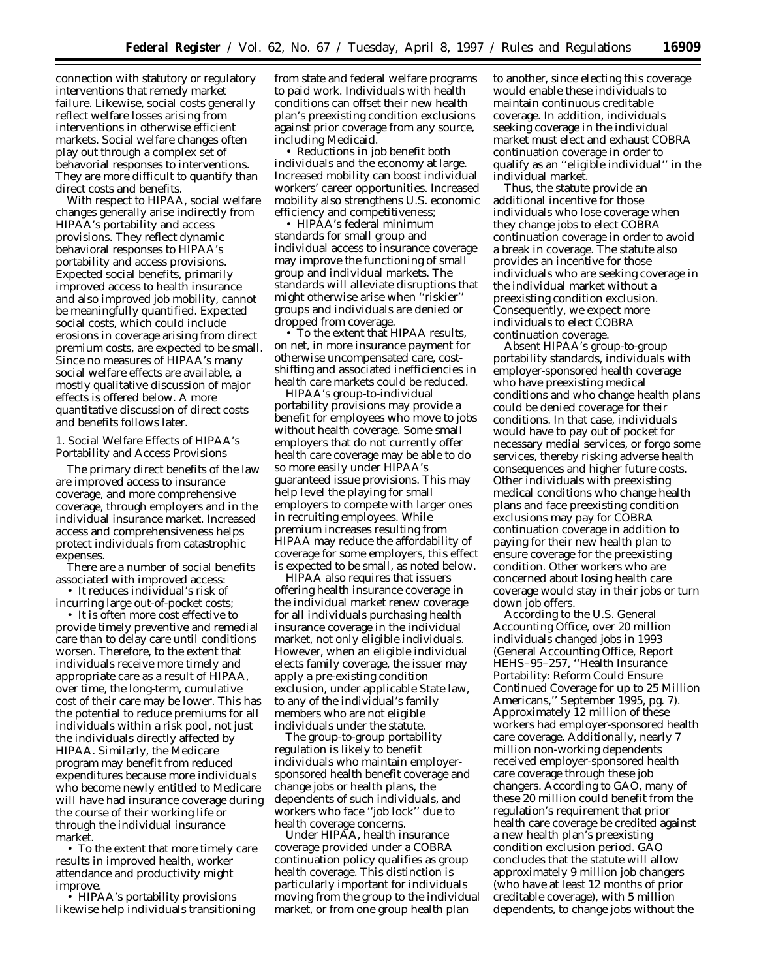connection with statutory or regulatory interventions that remedy market failure. Likewise, social costs generally reflect welfare losses arising from interventions in otherwise efficient markets. Social welfare changes often play out through a complex set of behavorial responses to interventions. They are more difficult to quantify than direct costs and benefits.

With respect to HIPAA, social welfare changes generally arise indirectly from HIPAA's portability and access provisions. They reflect dynamic behavioral responses to HIPAA's portability and access provisions. Expected social benefits, primarily improved access to health insurance and also improved job mobility, cannot be meaningfully quantified. Expected social costs, which could include erosions in coverage arising from direct premium costs, are expected to be small. Since no measures of HIPAA's many social welfare effects are available, a mostly qualitative discussion of major effects is offered below. A more quantitative discussion of direct costs and benefits follows later.

1. Social Welfare Effects of HIPAA's Portability and Access Provisions

The primary direct benefits of the law are improved access to insurance coverage, and more comprehensive coverage, through employers and in the individual insurance market. Increased access and comprehensiveness helps protect individuals from catastrophic expenses.

There are a number of social benefits associated with improved access:

• It reduces individual's risk of incurring large out-of-pocket costs;

• It is often more cost effective to provide timely preventive and remedial care than to delay care until conditions worsen. Therefore, to the extent that individuals receive more timely and appropriate care as a result of HIPAA, over time, the long-term, cumulative cost of their care may be lower. This has the potential to reduce premiums for all individuals within a risk pool, not just the individuals directly affected by HIPAA. Similarly, the Medicare program may benefit from reduced expenditures because more individuals who become newly entitled to Medicare will have had insurance coverage during the course of their working life or through the individual insurance market.

• To the extent that more timely care results in improved health, worker attendance and productivity might improve.

• HIPAA's portability provisions likewise help individuals transitioning from state and federal welfare programs to paid work. Individuals with health conditions can offset their new health plan's preexisting condition exclusions against prior coverage from any source, including Medicaid.

• Reductions in job benefit both individuals and the economy at large. Increased mobility can boost individual workers' career opportunities. Increased mobility also strengthens U.S. economic efficiency and competitiveness;

• HIPAA's federal minimum standards for small group and individual access to insurance coverage may improve the functioning of small group and individual markets. The standards will alleviate disruptions that might otherwise arise when "riskier" groups and individuals are denied or dropped from coverage.

• To the extent that HIPAA results, on net, in more insurance payment for otherwise uncompensated care, costshifting and associated inefficiencies in health care markets could be reduced.

HIPAA's group-to-individual portability provisions may provide a benefit for employees who move to jobs without health coverage. Some small employers that do not currently offer health care coverage may be able to do so more easily under HIPAA's guaranteed issue provisions. This may help level the playing for small employers to compete with larger ones in recruiting employees. While premium increases resulting from HIPAA may reduce the affordability of coverage for some employers, this effect is expected to be small, as noted below.

HIPAA also requires that issuers offering health insurance coverage in the individual market renew coverage for all individuals purchasing health insurance coverage in the individual market, not only eligible individuals. However, when an eligible individual elects family coverage, the issuer may apply a pre-existing condition exclusion, under applicable State law, to any of the individual's family members who are not eligible individuals under the statute.

The group-to-group portability regulation is likely to benefit individuals who maintain employersponsored health benefit coverage and change jobs or health plans, the dependents of such individuals, and workers who face ''job lock'' due to health coverage concerns.

Under HIPAA, health insurance coverage provided under a COBRA continuation policy qualifies as group health coverage. This distinction is particularly important for individuals moving from the group to the individual market, or from one group health plan

to another, since electing this coverage would enable these individuals to maintain continuous creditable coverage. In addition, individuals seeking coverage in the individual market must elect and exhaust COBRA continuation coverage in order to qualify as an ''eligible individual'' in the individual market.

Thus, the statute provide an additional incentive for those individuals who lose coverage when they change jobs to elect COBRA continuation coverage in order to avoid a break in coverage. The statute also provides an incentive for those individuals who are seeking coverage in the individual market without a preexisting condition exclusion. Consequently, we expect more individuals to elect COBRA continuation coverage.

Absent HIPAA's group-to-group portability standards, individuals with employer-sponsored health coverage who have preexisting medical conditions and who change health plans could be denied coverage for their conditions. In that case, individuals would have to pay out of pocket for necessary medial services, or forgo some services, thereby risking adverse health consequences and higher future costs. Other individuals with preexisting medical conditions who change health plans and face preexisting condition exclusions may pay for COBRA continuation coverage in addition to paying for their new health plan to ensure coverage for the preexisting condition. Other workers who are concerned about losing health care coverage would stay in their jobs or turn down job offers.

According to the U.S. General Accounting Office, over 20 million individuals changed jobs in 1993 (General Accounting Office, Report HEHS–95–257, ''Health Insurance Portability: Reform Could Ensure Continued Coverage for up to 25 Million Americans,'' September 1995, pg. 7). Approximately 12 million of these workers had employer-sponsored health care coverage. Additionally, nearly 7 million non-working dependents received employer-sponsored health care coverage through these job changers. According to GAO, many of these 20 million could benefit from the regulation's requirement that prior health care coverage be credited against a new health plan's preexisting condition exclusion period. GAO concludes that the statute will allow approximately 9 million job changers (who have at least 12 months of prior creditable coverage), with 5 million dependents, to change jobs without the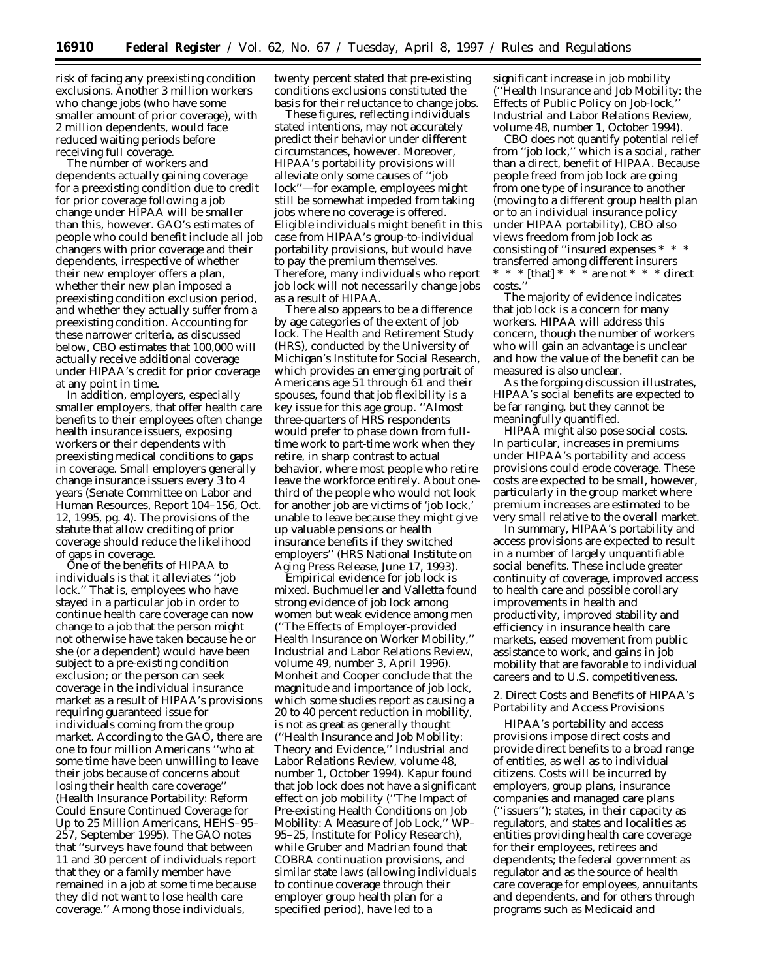risk of facing any preexisting condition exclusions. Another 3 million workers who change jobs (who have some smaller amount of prior coverage), with 2 million dependents, would face reduced waiting periods before receiving full coverage.

The number of workers and dependents actually gaining coverage for a preexisting condition due to credit for prior coverage following a job change under HIPAA will be smaller than this, however. GAO's estimates of people who could benefit include all job changers with prior coverage and their dependents, irrespective of whether their new employer offers a plan, whether their new plan imposed a preexisting condition exclusion period, and whether they actually suffer from a preexisting condition. Accounting for these narrower criteria, as discussed below, CBO estimates that 100,000 will actually receive additional coverage under HIPAA's credit for prior coverage at any point in time.

In addition, employers, especially smaller employers, that offer health care benefits to their employees often change health insurance issuers, exposing workers or their dependents with preexisting medical conditions to gaps in coverage. Small employers generally change insurance issuers every 3 to 4 years (Senate Committee on Labor and Human Resources, Report 104–156, Oct. 12, 1995, pg. 4). The provisions of the statute that allow crediting of prior coverage should reduce the likelihood of gaps in coverage.

One of the benefits of HIPAA to individuals is that it alleviates ''job lock.'' That is, employees who have stayed in a particular job in order to continue health care coverage can now change to a job that the person might not otherwise have taken because he or she (or a dependent) would have been subject to a pre-existing condition exclusion; or the person can seek coverage in the individual insurance market as a result of HIPAA's provisions requiring guaranteed issue for individuals coming from the group market. According to the GAO, there are one to four million Americans ''who at some time have been unwilling to leave their jobs because of concerns about losing their health care coverage'' (*Health Insurance Portability: Reform Could Ensure Continued Coverage for Up to 25 Million Americans,* HEHS–95– 257, September 1995). The GAO notes that ''surveys have found that between 11 and 30 percent of individuals report that they or a family member have remained in a job at some time because they did not want to lose health care coverage.'' Among those individuals,

twenty percent stated that pre-existing conditions exclusions constituted the basis for their reluctance to change jobs.

These figures, reflecting individuals stated intentions, may not accurately predict their behavior under different circumstances, however. Moreover, HIPAA's portability provisions will alleviate only some causes of ''job lock''—for example, employees might still be somewhat impeded from taking jobs where no coverage is offered. Eligible individuals might benefit in this case from HIPAA's group-to-individual portability provisions, but would have to pay the premium themselves. Therefore, many individuals who report job lock will not necessarily change jobs as a result of HIPAA.

There also appears to be a difference by age categories of the extent of job lock. The Health and Retirement Study (HRS), conducted by the University of Michigan's Institute for Social Research, which provides an emerging portrait of Americans age 51 through 61 and their spouses, found that job flexibility is a key issue for this age group. ''Almost three-quarters of HRS respondents would prefer to phase down from fulltime work to part-time work when they retire, in sharp contrast to actual behavior, where most people who retire leave the workforce entirely. About onethird of the people who would not look for another job are victims of 'job lock,' unable to leave because they might give up valuable pensions or health insurance benefits if they switched employers'' (HRS National Institute on Aging Press Release, June 17, 1993).

Empirical evidence for job lock is mixed. Buchmueller and Valletta found strong evidence of job lock among women but weak evidence among men (''The Effects of Employer-provided Health Insurance on Worker Mobility,'' *Industrial and Labor Relations Review,* volume 49, number 3, April 1996). Monheit and Cooper conclude that the magnitude and importance of job lock, which some studies report as causing a 20 to 40 percent reduction in mobility, is not as great as generally thought (''Health Insurance and Job Mobility: Theory and Evidence,'' *Industrial and Labor Relations Review,* volume 48, number 1, October 1994). Kapur found that job lock does not have a significant effect on job mobility (''The Impact of Pre-existing Health Conditions on Job Mobility: A Measure of Job Lock,'' WP– 95–25, Institute for Policy Research), while Gruber and Madrian found that COBRA continuation provisions, and similar state laws (allowing individuals to continue coverage through their employer group health plan for a specified period), have led to a

significant increase in job mobility (''Health Insurance and Job Mobility: the Effects of Public Policy on Job-lock, *Industrial and Labor Relations Review,* volume 48, number 1, October 1994).

CBO does not quantify potential relief from ''job lock,'' which is a social, rather than a direct, benefit of HIPAA. Because people freed from job lock are going from one type of insurance to another (moving to a different group health plan or to an individual insurance policy under HIPAA portability), CBO also views freedom from job lock as consisting of ''insured expenses \* \* \* transferred among different insurers \* \* \* [that] \* \* \* are not \* \* \* direct costs.''

The majority of evidence indicates that job lock is a concern for many workers. HIPAA will address this concern, though the number of workers who will gain an advantage is unclear and how the value of the benefit can be measured is also unclear.

As the forgoing discussion illustrates, HIPAA's social benefits are expected to be far ranging, but they cannot be meaningfully quantified.

HIPAA might also pose social costs. In particular, increases in premiums under HIPAA's portability and access provisions could erode coverage. These costs are expected to be small, however, particularly in the group market where premium increases are estimated to be very small relative to the overall market.

In summary, HIPAA's portability and access provisions are expected to result in a number of largely unquantifiable social benefits. These include greater continuity of coverage, improved access to health care and possible corollary improvements in health and productivity, improved stability and efficiency in insurance health care markets, eased movement from public assistance to work, and gains in job mobility that are favorable to individual careers and to U.S. competitiveness.

2. Direct Costs and Benefits of HIPAA's Portability and Access Provisions

HIPAA's portability and access provisions impose direct costs and provide direct benefits to a broad range of entities, as well as to individual citizens. Costs will be incurred by employers, group plans, insurance companies and managed care plans (''issuers''); states, in their capacity as regulators, and states and localities as entities providing health care coverage for their employees, retirees and dependents; the federal government as regulator and as the source of health care coverage for employees, annuitants and dependents, and for others through programs such as Medicaid and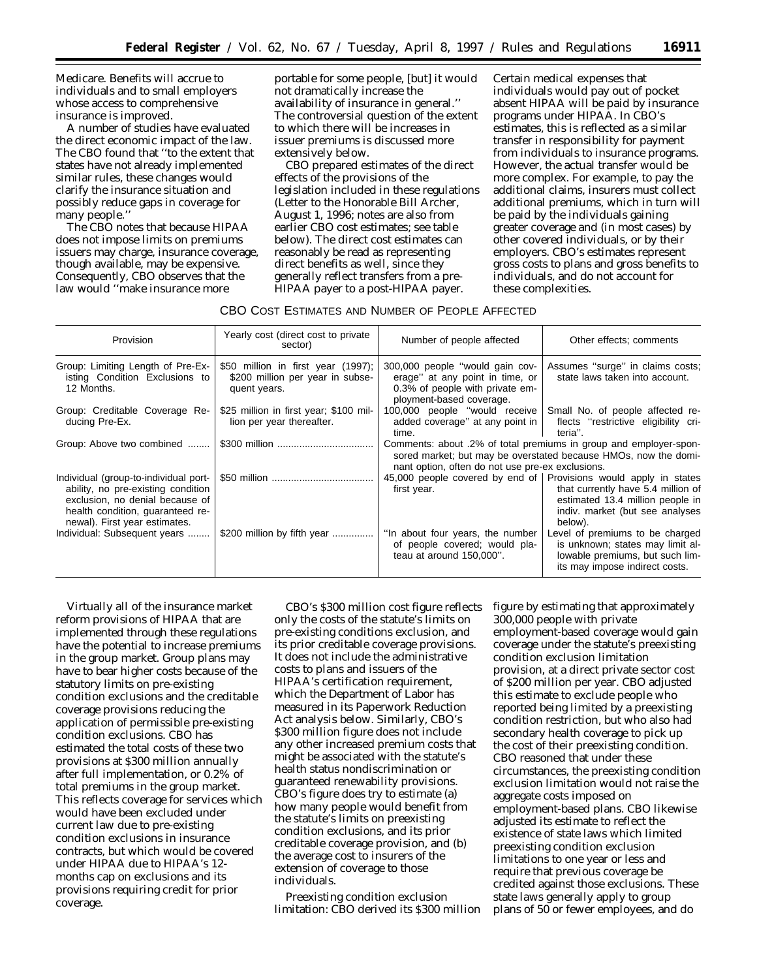Medicare. Benefits will accrue to individuals and to small employers whose access to comprehensive insurance is improved.

A number of studies have evaluated the direct economic impact of the law. The CBO found that ''to the extent that states have not already implemented similar rules, these changes would clarify the insurance situation and possibly reduce gaps in coverage for many people.''

The CBO notes that because HIPAA does not impose limits on premiums issuers may charge, insurance coverage, though available, may be expensive. Consequently, CBO observes that the law would ''make insurance more

portable for some people, [but] it would not dramatically increase the availability of insurance in general.'' The controversial question of the extent to which there will be increases in issuer premiums is discussed more extensively below.

CBO prepared estimates of the direct effects of the provisions of the legislation included in these regulations (Letter to the Honorable Bill Archer, August 1, 1996; notes are also from earlier CBO cost estimates; see table below). The direct cost estimates can reasonably be read as representing direct benefits as well, since they generally reflect transfers from a pre-HIPAA payer to a post-HIPAA payer.

Certain medical expenses that individuals would pay out of pocket absent HIPAA will be paid by insurance programs under HIPAA. In CBO's estimates, this is reflected as a similar transfer in responsibility for payment from individuals to insurance programs. However, the actual transfer would be more complex. For example, to pay the additional claims, insurers must collect additional premiums, which in turn will be paid by the individuals gaining greater coverage and (in most cases) by other covered individuals, or by their employers. CBO's estimates represent gross costs to plans and gross benefits to individuals, and do not account for these complexities.

# CBO COST ESTIMATES AND NUMBER OF PEOPLE AFFECTED

| Provision                                                                                                                                                                           | Yearly cost (direct cost to private<br>sector)                                         | Number of people affected                                                                                                         | Other effects; comments                                                                                                                                                                    |
|-------------------------------------------------------------------------------------------------------------------------------------------------------------------------------------|----------------------------------------------------------------------------------------|-----------------------------------------------------------------------------------------------------------------------------------|--------------------------------------------------------------------------------------------------------------------------------------------------------------------------------------------|
| Group: Limiting Length of Pre-Ex-<br>isting Condition Exclusions to<br>12 Months.                                                                                                   | \$50 million in first year (1997);<br>\$200 million per year in subse-<br>quent years. | 300,000 people "would gain cov-<br>erage" at any point in time, or<br>0.3% of people with private em-<br>ployment-based coverage. | Assumes "surge" in claims costs;<br>state laws taken into account.                                                                                                                         |
| Group: Creditable Coverage Re-<br>ducing Pre-Ex.                                                                                                                                    | \$25 million in first year; \$100 mil-<br>lion per year thereafter.                    | 100,000 people "would receive  <br>added coverage" at any point in<br>time.                                                       | Small No. of people affected re-<br>flects "restrictive eligibility cri-<br>teria".                                                                                                        |
| Group: Above two combined                                                                                                                                                           |                                                                                        | nant option, often do not use pre-ex exclusions.                                                                                  | Comments: about .2% of total premiums in group and employer-spon-<br>sored market; but may be overstated because HMOs, now the domi-                                                       |
| Individual (group-to-individual port-<br>ability, no pre-existing condition<br>exclusion, no denial because of<br>health condition, guaranteed re-<br>newal). First year estimates. |                                                                                        | first year.                                                                                                                       | 45,000 people covered by end of   Provisions would apply in states<br>that currently have 5.4 million of<br>estimated 13.4 million people in<br>indiv. market (but see analyses<br>below). |
| Individual: Subsequent years                                                                                                                                                        | \$200 million by fifth year                                                            | "In about four years, the number<br>of people covered; would pla-<br>teau at around 150,000".                                     | Level of premiums to be charged<br>is unknown; states may limit al-<br>lowable premiums, but such lim-<br>its may impose indirect costs.                                                   |

Virtually all of the insurance market reform provisions of HIPAA that are implemented through these regulations have the potential to increase premiums in the group market. Group plans may have to bear higher costs because of the statutory limits on pre-existing condition exclusions and the creditable coverage provisions reducing the application of permissible pre-existing condition exclusions. CBO has estimated the total costs of these two provisions at \$300 million annually after full implementation, or 0.2% of total premiums in the group market. This reflects coverage for services which would have been excluded under current law due to pre-existing condition exclusions in insurance contracts, but which would be covered under HIPAA due to HIPAA's 12 months cap on exclusions and its provisions requiring credit for prior coverage.

CBO's \$300 million cost figure reflects only the costs of the statute's limits on pre-existing conditions exclusion, and its prior creditable coverage provisions. It does not include the administrative costs to plans and issuers of the HIPAA's certification requirement, which the Department of Labor has measured in its Paperwork Reduction Act analysis below. Similarly, CBO's \$300 million figure does not include any other increased premium costs that might be associated with the statute's health status nondiscrimination or guaranteed renewability provisions. CBO's figure does try to estimate (a) how many people would benefit from the statute's limits on preexisting condition exclusions, and its prior creditable coverage provision, and (b) the average cost to insurers of the extension of coverage to those individuals.

Preexisting condition exclusion limitation: CBO derived its \$300 million figure by estimating that approximately 300,000 people with private employment-based coverage would gain coverage under the statute's preexisting condition exclusion limitation provision, at a direct private sector cost of \$200 million per year. CBO adjusted this estimate to exclude people who reported being limited by a preexisting condition restriction, but who also had secondary health coverage to pick up the cost of their preexisting condition. CBO reasoned that under these circumstances, the preexisting condition exclusion limitation would not raise the aggregate costs imposed on employment-based plans. CBO likewise adjusted its estimate to reflect the existence of state laws which limited preexisting condition exclusion limitations to one year or less and require that previous coverage be credited against those exclusions. These state laws generally apply to group plans of 50 or fewer employees, and do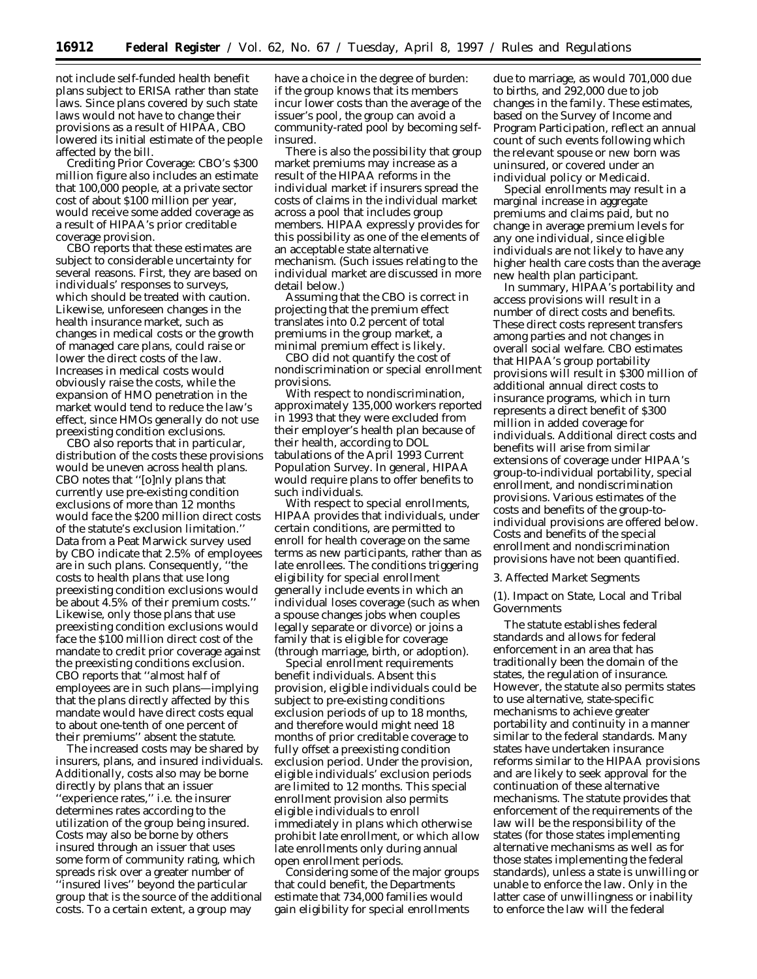not include self-funded health benefit plans subject to ERISA rather than state laws. Since plans covered by such state laws would not have to change their provisions as a result of HIPAA, CBO lowered its initial estimate of the people affected by the bill.

Crediting Prior Coverage: CBO's \$300 million figure also includes an estimate that 100,000 people, at a private sector cost of about \$100 million per year, would receive some added coverage as a result of HIPAA's prior creditable coverage provision.

CBO reports that these estimates are subject to considerable uncertainty for several reasons. First, they are based on individuals' responses to surveys, which should be treated with caution. Likewise, unforeseen changes in the health insurance market, such as changes in medical costs or the growth of managed care plans, could raise or lower the direct costs of the law. Increases in medical costs would obviously raise the costs, while the expansion of HMO penetration in the market would tend to reduce the law's effect, since HMOs generally do not use preexisting condition exclusions.

CBO also reports that in particular, distribution of the costs these provisions would be uneven across health plans. CBO notes that ''[o]nly plans that currently use pre-existing condition exclusions of more than 12 months would face the \$200 million direct costs of the statute's exclusion limitation.'' Data from a Peat Marwick survey used by CBO indicate that 2.5% of employees are in such plans. Consequently, ''the costs to health plans that use long preexisting condition exclusions would be about 4.5% of their premium costs.'' Likewise, only those plans that use preexisting condition exclusions would face the \$100 million direct cost of the mandate to credit prior coverage against the preexisting conditions exclusion. CBO reports that ''almost half of employees are in such plans—implying that the plans directly affected by this mandate would have direct costs equal to about one-tenth of one percent of their premiums'' absent the statute.

The increased costs may be shared by insurers, plans, and insured individuals. Additionally, costs also may be borne directly by plans that an issuer ''experience rates,'' i.e. the insurer determines rates according to the utilization of the group being insured. Costs may also be borne by others insured through an issuer that uses some form of community rating, which spreads risk over a greater number of ''insured lives'' beyond the particular group that is the source of the additional costs. To a certain extent, a group may

have a choice in the degree of burden: if the group knows that its members incur lower costs than the average of the issuer's pool, the group can avoid a community-rated pool by becoming selfinsured.

There is also the possibility that group market premiums may increase as a result of the HIPAA reforms in the individual market if insurers spread the costs of claims in the individual market across a pool that includes group members. HIPAA expressly provides for this possibility as one of the elements of an acceptable state alternative mechanism. (Such issues relating to the individual market are discussed in more detail below.)

Assuming that the CBO is correct in projecting that the premium effect translates into 0.2 percent of total premiums in the group market, a minimal premium effect is likely.

CBO did not quantify the cost of nondiscrimination or special enrollment provisions.

With respect to nondiscrimination, approximately 135,000 workers reported in 1993 that they were excluded from their employer's health plan because of their health, according to DOL tabulations of the April 1993 Current Population Survey. In general, HIPAA would require plans to offer benefits to such individuals.

With respect to special enrollments, HIPAA provides that individuals, under certain conditions, are permitted to enroll for health coverage on the same terms as new participants, rather than as late enrollees. The conditions triggering eligibility for special enrollment generally include events in which an individual loses coverage (such as when a spouse changes jobs when couples legally separate or divorce) or joins a family that is eligible for coverage (through marriage, birth, or adoption).

Special enrollment requirements benefit individuals. Absent this provision, eligible individuals could be subject to pre-existing conditions exclusion periods of up to 18 months, and therefore would might need 18 months of prior creditable coverage to fully offset a preexisting condition exclusion period. Under the provision, eligible individuals' exclusion periods are limited to 12 months. This special enrollment provision also permits eligible individuals to enroll immediately in plans which otherwise prohibit late enrollment, or which allow late enrollments only during annual open enrollment periods.

Considering some of the major groups that could benefit, the Departments estimate that 734,000 families would gain eligibility for special enrollments

due to marriage, as would 701,000 due to births, and 292,000 due to job changes in the family. These estimates, based on the Survey of Income and Program Participation, reflect an annual count of such events following which the relevant spouse or new born was uninsured, or covered under an individual policy or Medicaid.

Special enrollments may result in a marginal increase in aggregate premiums and claims paid, but no change in average premium levels for any one individual, since eligible individuals are not likely to have any higher health care costs than the average new health plan participant.

In summary, HIPAA's portability and access provisions will result in a number of direct costs and benefits. These direct costs represent transfers among parties and not changes in overall social welfare. CBO estimates that HIPAA's group portability provisions will result in \$300 million of additional annual direct costs to insurance programs, which in turn represents a direct benefit of \$300 million in added coverage for individuals. Additional direct costs and benefits will arise from similar extensions of coverage under HIPAA's group-to-individual portability, special enrollment, and nondiscrimination provisions. Various estimates of the costs and benefits of the group-toindividual provisions are offered below. Costs and benefits of the special enrollment and nondiscrimination provisions have not been quantified.

## *3. Affected Market Segments*

(1). Impact on State, Local and Tribal Governments

The statute establishes federal standards and allows for federal enforcement in an area that has traditionally been the domain of the states, the regulation of insurance. However, the statute also permits states to use alternative, state-specific mechanisms to achieve greater portability and continuity in a manner similar to the federal standards. Many states have undertaken insurance reforms similar to the HIPAA provisions and are likely to seek approval for the continuation of these alternative mechanisms. The statute provides that enforcement of the requirements of the law will be the responsibility of the states (for those states implementing alternative mechanisms as well as for those states implementing the federal standards), unless a state is unwilling or unable to enforce the law. Only in the latter case of unwillingness or inability to enforce the law will the federal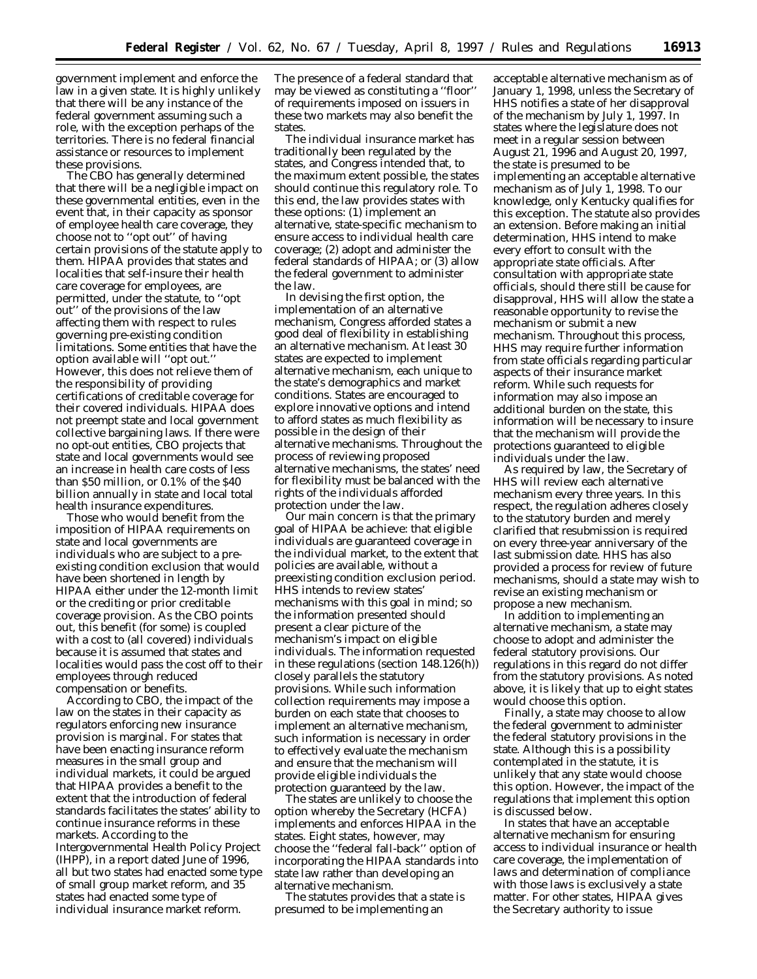government implement and enforce the law in a given state. It is highly unlikely that there will be any instance of the federal government assuming such a role, with the exception perhaps of the territories. There is no federal financial assistance or resources to implement these provisions.

The CBO has generally determined that there will be a negligible impact on these governmental entities, even in the event that, in their capacity as sponsor of employee health care coverage, they choose not to ''opt out'' of having certain provisions of the statute apply to them. HIPAA provides that states and localities that self-insure their health care coverage for employees, are permitted, under the statute, to ''opt out'' of the provisions of the law affecting them with respect to rules governing pre-existing condition limitations. Some entities that have the option available will ''opt out.'' However, this does not relieve them of the responsibility of providing certifications of creditable coverage for their covered individuals. HIPAA does not preempt state and local government collective bargaining laws. If there were no opt-out entities, CBO projects that state and local governments would see an increase in health care costs of less than \$50 million, or 0.1% of the \$40 billion annually in state and local total health insurance expenditures.

Those who would benefit from the imposition of HIPAA requirements on state and local governments are individuals who are subject to a preexisting condition exclusion that would have been shortened in length by HIPAA either under the 12-month limit or the crediting or prior creditable coverage provision. As the CBO points out, this benefit (for some) is coupled with a cost to (all covered) individuals because it is assumed that states and localities would pass the cost off to their employees through reduced compensation or benefits.

According to CBO, the impact of the law on the states in their capacity as regulators enforcing new insurance provision is marginal. For states that have been enacting insurance reform measures in the small group and individual markets, it could be argued that HIPAA provides a benefit to the extent that the introduction of federal standards facilitates the states' ability to continue insurance reforms in these markets. According to the Intergovernmental Health Policy Project (IHPP), in a report dated June of 1996, all but two states had enacted some type of small group market reform, and 35 states had enacted some type of individual insurance market reform.

The presence of a federal standard that may be viewed as constituting a ''floor'' of requirements imposed on issuers in these two markets may also benefit the states.

The individual insurance market has traditionally been regulated by the states, and Congress intended that, to the maximum extent possible, the states should continue this regulatory role. To this end, the law provides states with these options: (1) implement an alternative, state-specific mechanism to ensure access to individual health care coverage; (2) adopt and administer the federal standards of HIPAA; or (3) allow the federal government to administer the law.

In devising the first option, the implementation of an alternative mechanism, Congress afforded states a good deal of flexibility in establishing an alternative mechanism. At least 30 states are expected to implement alternative mechanism, each unique to the state's demographics and market conditions. States are encouraged to explore innovative options and intend to afford states as much flexibility as possible in the design of their alternative mechanisms. Throughout the process of reviewing proposed alternative mechanisms, the states' need for flexibility must be balanced with the rights of the individuals afforded protection under the law.

Our main concern is that the primary goal of HIPAA be achieve: that eligible individuals are guaranteed coverage in the individual market, to the extent that policies are available, without a preexisting condition exclusion period. HHS intends to review states' mechanisms with this goal in mind; so the information presented should present a clear picture of the mechanism's impact on eligible individuals. The information requested in these regulations (section 148.126(h)) closely parallels the statutory provisions. While such information collection requirements may impose a burden on each state that chooses to implement an alternative mechanism, such information is necessary in order to effectively evaluate the mechanism and ensure that the mechanism will provide eligible individuals the protection guaranteed by the law.

The states are unlikely to choose the option whereby the Secretary (HCFA) implements and enforces HIPAA in the states. Eight states, however, may choose the ''federal fall-back'' option of incorporating the HIPAA standards into state law rather than developing an alternative mechanism.

The statutes provides that a state is presumed to be implementing an

acceptable alternative mechanism as of January 1, 1998, unless the Secretary of HHS notifies a state of her disapproval of the mechanism by July 1, 1997. In states where the legislature does not meet in a regular session between August 21, 1996 and August 20, 1997, the state is presumed to be implementing an acceptable alternative mechanism as of July 1, 1998. To our knowledge, only Kentucky qualifies for this exception. The statute also provides an extension. Before making an initial determination, HHS intend to make every effort to consult with the appropriate state officials. After consultation with appropriate state officials, should there still be cause for disapproval, HHS will allow the state a reasonable opportunity to revise the mechanism or submit a new mechanism. Throughout this process, HHS may require further information from state officials regarding particular aspects of their insurance market reform. While such requests for information may also impose an additional burden on the state, this information will be necessary to insure that the mechanism will provide the protections guaranteed to eligible individuals under the law.

As required by law, the Secretary of HHS will review each alternative mechanism every three years. In this respect, the regulation adheres closely to the statutory burden and merely clarified that resubmission is required on every three-year anniversary of the last submission date. HHS has also provided a process for review of future mechanisms, should a state may wish to revise an existing mechanism or propose a new mechanism.

In addition to implementing an alternative mechanism, a state may choose to adopt and administer the federal statutory provisions. Our regulations in this regard do not differ from the statutory provisions. As noted above, it is likely that up to eight states would choose this option.

Finally, a state may choose to allow the federal government to administer the federal statutory provisions in the state. Although this is a possibility contemplated in the statute, it is unlikely that any state would choose this option. However, the impact of the regulations that implement this option is discussed below.

In states that have an acceptable alternative mechanism for ensuring access to individual insurance or health care coverage, the implementation of laws and determination of compliance with those laws is exclusively a state matter. For other states, HIPAA gives the Secretary authority to issue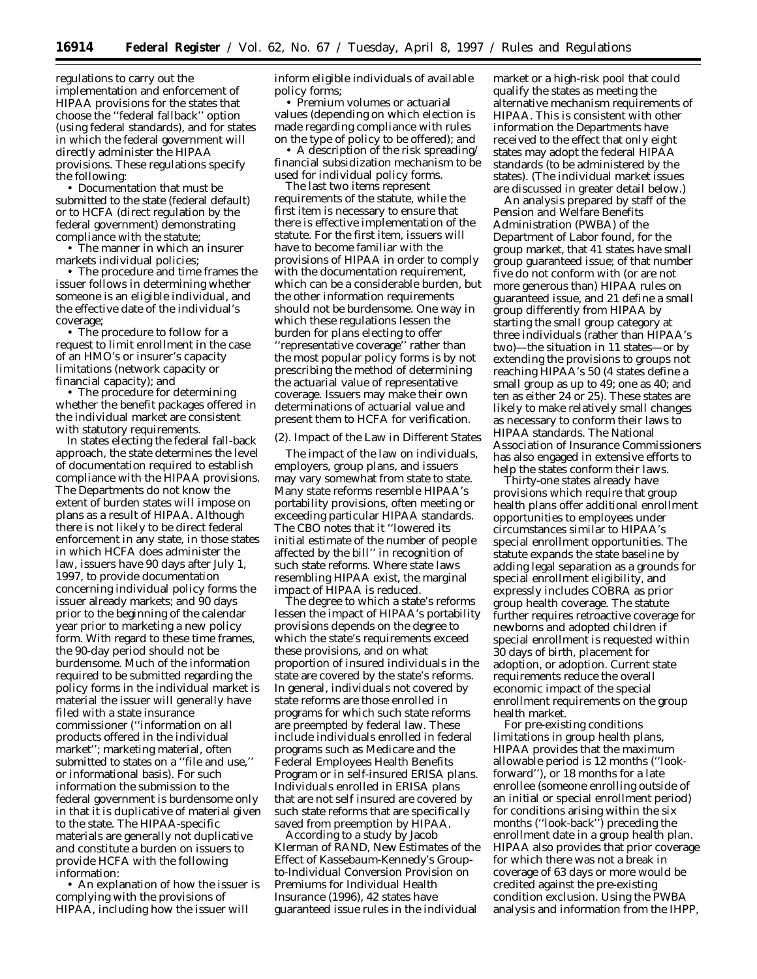regulations to carry out the implementation and enforcement of HIPAA provisions for the states that choose the ''federal fallback'' option (using federal standards), and for states in which the federal government will directly administer the HIPAA provisions. These regulations specify the following:

• Documentation that must be submitted to the state (federal default) or to HCFA (direct regulation by the federal government) demonstrating compliance with the statute;

• The manner in which an insurer markets individual policies;

• The procedure and time frames the issuer follows in determining whether someone is an eligible individual, and the effective date of the individual's coverage;

• The procedure to follow for a request to limit enrollment in the case of an HMO's or insurer's capacity limitations (network capacity or financial capacity); and

• The procedure for determining whether the benefit packages offered in the individual market are consistent with statutory requirements.

In states electing the federal fall-back approach, the state determines the level of documentation required to establish compliance with the HIPAA provisions. The Departments do not know the extent of burden states will impose on plans as a result of HIPAA. Although there is not likely to be direct federal enforcement in any state, in those states in which HCFA does administer the law, issuers have 90 days after July 1, 1997, to provide documentation concerning individual policy forms the issuer already markets; and 90 days prior to the beginning of the calendar year prior to marketing a new policy form. With regard to these time frames, the 90-day period should not be burdensome. Much of the information required to be submitted regarding the policy forms in the individual market is material the issuer will generally have filed with a state insurance commissioner (''information on all products offered in the individual market''; marketing material, often submitted to states on a ''file and use,'' or informational basis). For such information the submission to the federal government is burdensome only in that it is duplicative of material given to the state. The HIPAA-specific materials are generally not duplicative and constitute a burden on issuers to provide HCFA with the following information:

• An explanation of how the issuer is complying with the provisions of HIPAA, including how the issuer will

inform eligible individuals of available policy forms;

• Premium volumes or actuarial values (depending on which election is made regarding compliance with rules on the type of policy to be offered); and

• A description of the risk spreading/ financial subsidization mechanism to be used for individual policy forms.

The last two items represent requirements of the statute, while the first item is necessary to ensure that there is effective implementation of the statute. For the first item, issuers will have to become familiar with the provisions of HIPAA in order to comply with the documentation requirement, which can be a considerable burden, but the other information requirements should not be burdensome. One way in which these regulations lessen the burden for plans electing to offer ''representative coverage'' rather than the most popular policy forms is by not prescribing the method of determining the actuarial value of representative coverage. Issuers may make their own determinations of actuarial value and present them to HCFA for verification.

#### (2). Impact of the Law in Different States

The impact of the law on individuals, employers, group plans, and issuers may vary somewhat from state to state. Many state reforms resemble HIPAA's portability provisions, often meeting or exceeding particular HIPAA standards. The CBO notes that it ''lowered its initial estimate of the number of people affected by the bill'' in recognition of such state reforms. Where state laws resembling HIPAA exist, the marginal impact of HIPAA is reduced.

The degree to which a state's reforms lessen the impact of HIPAA's portability provisions depends on the degree to which the state's requirements exceed these provisions, and on what proportion of insured individuals in the state are covered by the state's reforms. In general, individuals not covered by state reforms are those enrolled in programs for which such state reforms are preempted by federal law. These include individuals enrolled in federal programs such as Medicare and the Federal Employees Health Benefits Program or in self-insured ERISA plans. Individuals enrolled in ERISA plans that are not self insured are covered by such state reforms that are specifically saved from preemption by HIPAA.

According to a study by Jacob Klerman of RAND, *New Estimates of the Effect of Kassebaum-Kennedy's Groupto-Individual Conversion Provision on Premiums for Individual Health Insurance* (1996), 42 states have guaranteed issue rules in the individual

market or a high-risk pool that could qualify the states as meeting the alternative mechanism requirements of HIPAA. This is consistent with other information the Departments have received to the effect that only eight states may adopt the federal HIPAA standards (to be administered by the states). (The individual market issues are discussed in greater detail below.)

An analysis prepared by staff of the Pension and Welfare Benefits Administration (PWBA) of the Department of Labor found, for the group market, that 41 states have small group guaranteed issue; of that number five do not conform with (or are not more generous than) HIPAA rules on guaranteed issue, and 21 define a small group differently from HIPAA by starting the small group category at three individuals (rather than HIPAA's two)—the situation in 11 states—or by extending the provisions to groups not reaching HIPAA's 50 (4 states define a small group as up to 49; one as 40; and ten as either 24 or 25). These states are likely to make relatively small changes as necessary to conform their laws to HIPAA standards. The National Association of Insurance Commissioners has also engaged in extensive efforts to help the states conform their laws.

Thirty-one states already have provisions which require that group health plans offer additional enrollment opportunities to employees under circumstances similar to HIPAA's special enrollment opportunities. The statute expands the state baseline by adding legal separation as a grounds for special enrollment eligibility, and expressly includes COBRA as prior group health coverage. The statute further requires retroactive coverage for newborns and adopted children if special enrollment is requested within 30 days of birth, placement for adoption, or adoption. Current state requirements reduce the overall economic impact of the special enrollment requirements on the group health market.

For pre-existing conditions limitations in group health plans, HIPAA provides that the maximum allowable period is 12 months (''lookforward''), or 18 months for a late enrollee (someone enrolling outside of an initial or special enrollment period) for conditions arising within the six months (''look-back'') preceding the enrollment date in a group health plan. HIPAA also provides that prior coverage for which there was not a break in coverage of 63 days or more would be credited against the pre-existing condition exclusion. Using the PWBA analysis and information from the IHPP,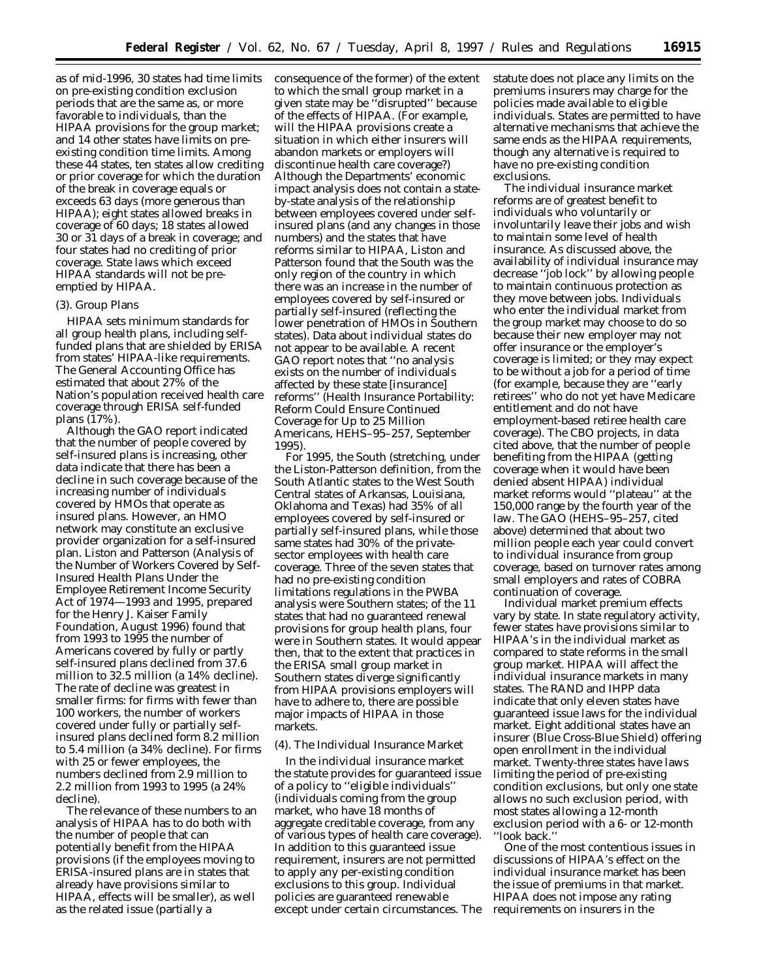as of mid-1996, 30 states had time limits on pre-existing condition exclusion periods that are the same as, or more favorable to individuals, than the HIPAA provisions for the group market; and 14 other states have limits on preexisting condition time limits. Among these 44 states, ten states allow crediting or prior coverage for which the duration of the break in coverage equals or exceeds 63 days (more generous than HIPAA); eight states allowed breaks in coverage of 60 days; 18 states allowed 30 or 31 days of a break in coverage; and four states had no crediting of prior coverage. State laws which exceed HIPAA standards will not be preemptied by HIPAA.

## (3). Group Plans

HIPAA sets minimum standards for all group health plans, including selffunded plans that are shielded by ERISA from states' HIPAA-like requirements. The General Accounting Office has estimated that about 27% of the Nation's population received health care coverage through ERISA self-funded plans (17%).

Although the GAO report indicated that the number of people covered by self-insured plans is increasing, other data indicate that there has been a decline in such coverage because of the increasing number of individuals covered by HMOs that operate as insured plans. However, an HMO network may constitute an exclusive provider organization for a self-insured plan. Liston and Patterson (*Analysis of the Number of Workers Covered by Self-Insured Health Plans Under the Employee Retirement Income Security Act of 1974—1993 and 1995,* prepared for the Henry J. Kaiser Family Foundation, August 1996) found that from 1993 to 1995 the number of Americans covered by fully or partly self-insured plans declined from 37.6 million to 32.5 million (a 14% decline). The rate of decline was greatest in smaller firms: for firms with fewer than 100 workers, the number of workers covered under fully or partially selfinsured plans declined form 8.2 million to 5.4 million (a 34% decline). For firms with 25 or fewer employees, the numbers declined from 2.9 million to 2.2 million from 1993 to 1995 (a 24% decline).

The relevance of these numbers to an analysis of HIPAA has to do both with the number of people that can potentially benefit from the HIPAA provisions (if the employees moving to ERISA-insured plans are in states that already have provisions similar to HIPAA, effects will be smaller), as well as the related issue (partially a

consequence of the former) of the extent to which the small group market in a given state may be ''disrupted'' because of the effects of HIPAA. (For example, will the HIPAA provisions create a situation in which either insurers will abandon markets or employers will discontinue health care coverage?) Although the Departments' economic impact analysis does not contain a stateby-state analysis of the relationship between employees covered under selfinsured plans (and any changes in those numbers) and the states that have reforms similar to HIPAA, Liston and Patterson found that the South was the only region of the country in which there was an increase in the number of employees covered by self-insured or partially self-insured (reflecting the lower penetration of HMOs in Southern states). Data about individual states do not appear to be available. A recent GAO report notes that ''no analysis exists on the number of individuals affected by these state [insurance] reforms'' (*Health Insurance Portability: Reform Could Ensure Continued Coverage for Up to 25 Million Americans,* HEHS–95–257, September 1995).

For 1995, the South (stretching, under the Liston-Patterson definition, from the South Atlantic states to the West South Central states of Arkansas, Louisiana, Oklahoma and Texas) had 35% of all employees covered by self-insured or partially self-insured plans, while those same states had 30% of the privatesector employees with health care coverage. Three of the seven states that had no pre-existing condition limitations regulations in the PWBA analysis were Southern states; of the 11 states that had no guaranteed renewal provisions for group health plans, four were in Southern states. It would appear then, that to the extent that practices in the ERISA small group market in Southern states diverge significantly from HIPAA provisions employers will have to adhere to, there are possible major impacts of HIPAA in those markets.

## (4). The Individual Insurance Market

In the individual insurance market the statute provides for guaranteed issue of a policy to ''eligible individuals'' (individuals coming from the group market, who have 18 months of aggregate creditable coverage, from any of various types of health care coverage). In addition to this guaranteed issue requirement, insurers are not permitted to apply any per-existing condition exclusions to this group. Individual policies are guaranteed renewable except under certain circumstances. The statute does not place any limits on the premiums insurers may charge for the policies made available to eligible individuals. States are permitted to have alternative mechanisms that achieve the same ends as the HIPAA requirements, though any alternative is required to have no pre-existing condition exclusions.

The individual insurance market reforms are of greatest benefit to individuals who voluntarily or involuntarily leave their jobs and wish to maintain some level of health insurance. As discussed above, the availability of individual insurance may decrease ''job lock'' by allowing people to maintain continuous protection as they move between jobs. Individuals who enter the individual market from the group market may choose to do so because their new employer may not offer insurance or the employer's coverage is limited; or they may expect to be without a job for a period of time (for example, because they are ''early retirees'' who do not yet have Medicare entitlement and do not have employment-based retiree health care coverage). The CBO projects, in data cited above, that the number of people benefiting from the HIPAA (getting coverage when it would have been denied absent HIPAA) individual market reforms would ''plateau'' at the 150,000 range by the fourth year of the law. The GAO (HEHS–95–257, cited above) determined that about two million people each year could convert to individual insurance from group coverage, based on turnover rates among small employers and rates of COBRA continuation of coverage.

Individual market premium effects vary by state. In state regulatory activity, fewer states have provisions similar to HIPAA's in the individual market as compared to state reforms in the small group market. HIPAA will affect the individual insurance markets in many states. The RAND and IHPP data indicate that only eleven states have guaranteed issue laws for the individual market. Eight additional states have an insurer (Blue Cross-Blue Shield) offering open enrollment in the individual market. Twenty-three states have laws limiting the period of pre-existing condition exclusions, but only one state allows no such exclusion period, with most states allowing a 12-month exclusion period with a 6- or 12-month ''look back.''

One of the most contentious issues in discussions of HIPAA's effect on the individual insurance market has been the issue of premiums in that market. HIPAA does not impose any rating requirements on insurers in the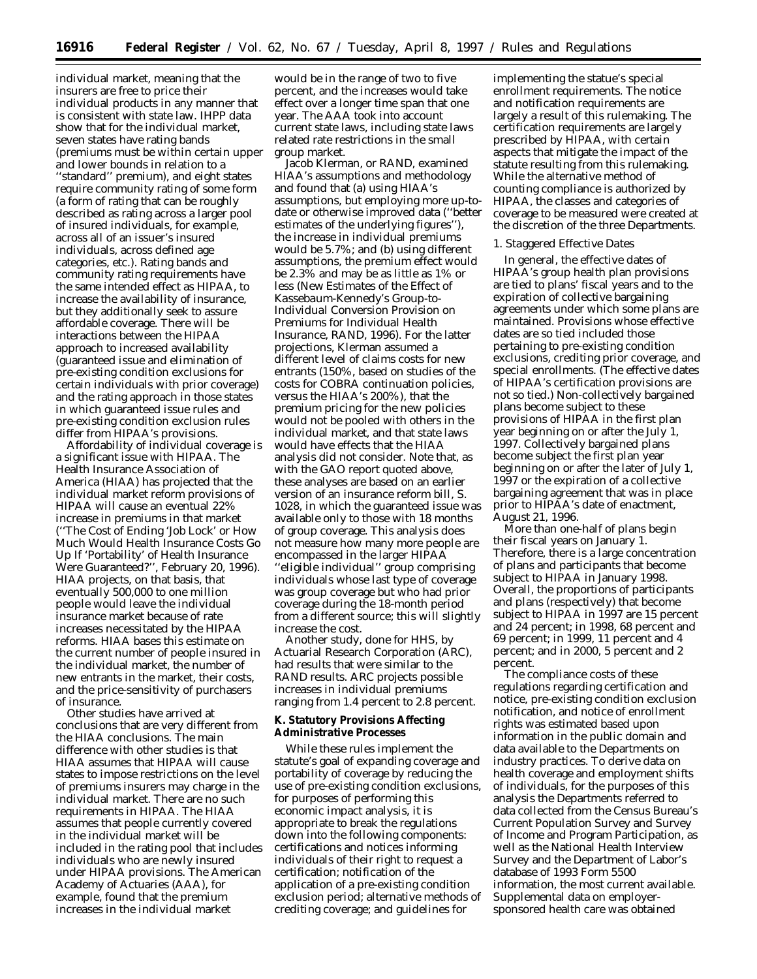individual market, meaning that the insurers are free to price their individual products in any manner that is consistent with state law. IHPP data show that for the individual market, seven states have rating bands (premiums must be within certain upper and lower bounds in relation to a ''standard'' premium), and eight states require community rating of some form (a form of rating that can be roughly described as rating across a larger pool of insured individuals, for example, across all of an issuer's insured individuals, across defined age categories, etc.). Rating bands and community rating requirements have the same intended effect as HIPAA, to increase the availability of insurance, but they additionally seek to assure affordable coverage. There will be interactions between the HIPAA approach to increased availability (guaranteed issue and elimination of pre-existing condition exclusions for certain individuals with prior coverage) and the rating approach in those states in which guaranteed issue rules and pre-existing condition exclusion rules differ from HIPAA's provisions.

Affordability of individual coverage is a significant issue with HIPAA. The Health Insurance Association of America (HIAA) has projected that the individual market reform provisions of HIPAA will cause an eventual 22% increase in premiums in that market (''The Cost of Ending 'Job Lock' or How Much Would Health Insurance Costs Go Up If 'Portability' of Health Insurance Were Guaranteed?'', February 20, 1996). HIAA projects, on that basis, that eventually 500,000 to one million people would leave the individual insurance market because of rate increases necessitated by the HIPAA reforms. HIAA bases this estimate on the current number of people insured in the individual market, the number of new entrants in the market, their costs, and the price-sensitivity of purchasers of insurance.

Other studies have arrived at conclusions that are very different from the HIAA conclusions. The main difference with other studies is that HIAA assumes that HIPAA will cause states to impose restrictions on the level of premiums insurers may charge in the individual market. There are no such requirements in HIPAA. The HIAA assumes that people currently covered in the individual market will be included in the rating pool that includes individuals who are newly insured under HIPAA provisions. The American Academy of Actuaries (AAA), for example, found that the premium increases in the individual market

would be in the range of two to five percent, and the increases would take effect over a longer time span that one year. The AAA took into account current state laws, including state laws related rate restrictions in the small group market.

Jacob Klerman, or RAND, examined HIAA's assumptions and methodology and found that (a) using HIAA's assumptions, but employing more up-todate or otherwise improved data (''better estimates of the underlying figures''), the increase in individual premiums would be 5.7%; and (b) using different assumptions, the premium effect would be 2.3% and may be as little as 1% or less (*New Estimates of the Effect of Kassebaum-Kennedy's Group-to-Individual Conversion Provision on Premiums for Individual Health Insurance,* RAND, 1996). For the latter projections, Klerman assumed a different level of claims costs for new entrants (150%, based on studies of the costs for COBRA continuation policies, versus the HIAA's 200%), that the premium pricing for the new policies would not be pooled with others in the individual market, and that state laws would have effects that the HIAA analysis did not consider. Note that, as with the GAO report quoted above, these analyses are based on an earlier version of an insurance reform bill, S. 1028, in which the guaranteed issue was available only to those with 18 months of group coverage. This analysis does not measure how many more people are encompassed in the larger HIPAA ''eligible individual'' group comprising individuals whose last type of coverage was group coverage but who had prior coverage during the 18-month period from a different source; this will slightly increase the cost.

Another study, done for HHS, by Actuarial Research Corporation (ARC), had results that were similar to the RAND results. ARC projects possible increases in individual premiums ranging from 1.4 percent to 2.8 percent.

## **K. Statutory Provisions Affecting Administrative Processes**

While these rules implement the statute's goal of expanding coverage and portability of coverage by reducing the use of pre-existing condition exclusions, for purposes of performing this economic impact analysis, it is appropriate to break the regulations down into the following components: certifications and notices informing individuals of their right to request a certification; notification of the application of a pre-existing condition exclusion period; alternative methods of crediting coverage; and guidelines for

implementing the statue's special enrollment requirements. The notice and notification requirements are largely a result of this rulemaking. The certification requirements are largely prescribed by HIPAA, with certain aspects that mitigate the impact of the statute resulting from this rulemaking. While the alternative method of counting compliance is authorized by HIPAA, the classes and categories of coverage to be measured were created at the discretion of the three Departments.

# *1. Staggered Effective Dates*

In general, the effective dates of HIPAA's group health plan provisions are tied to plans' fiscal years and to the expiration of collective bargaining agreements under which some plans are maintained. Provisions whose effective dates are so tied included those pertaining to pre-existing condition exclusions, crediting prior coverage, and special enrollments. (The effective dates of HIPAA's certification provisions are not so tied.) Non-collectively bargained plans become subject to these provisions of HIPAA in the first plan year beginning on or after the July 1, 1997. Collectively bargained plans become subject the first plan year beginning on or after the later of July 1, 1997 or the expiration of a collective bargaining agreement that was in place prior to HIPAA's date of enactment, August 21, 1996.

More than one-half of plans begin their fiscal years on January 1. Therefore, there is a large concentration of plans and participants that become subject to HIPAA in January 1998. Overall, the proportions of participants and plans (respectively) that become subject to HIPAA in 1997 are 15 percent and 24 percent; in 1998, 68 percent and 69 percent; in 1999, 11 percent and 4 percent; and in 2000, 5 percent and 2 percent.

The compliance costs of these regulations regarding certification and notice, pre-existing condition exclusion notification, and notice of enrollment rights was estimated based upon information in the public domain and data available to the Departments on industry practices. To derive data on health coverage and employment shifts of individuals, for the purposes of this analysis the Departments referred to data collected from the Census Bureau's Current Population Survey and Survey of Income and Program Participation, as well as the National Health Interview Survey and the Department of Labor's database of 1993 Form 5500 information, the most current available. Supplemental data on employersponsored health care was obtained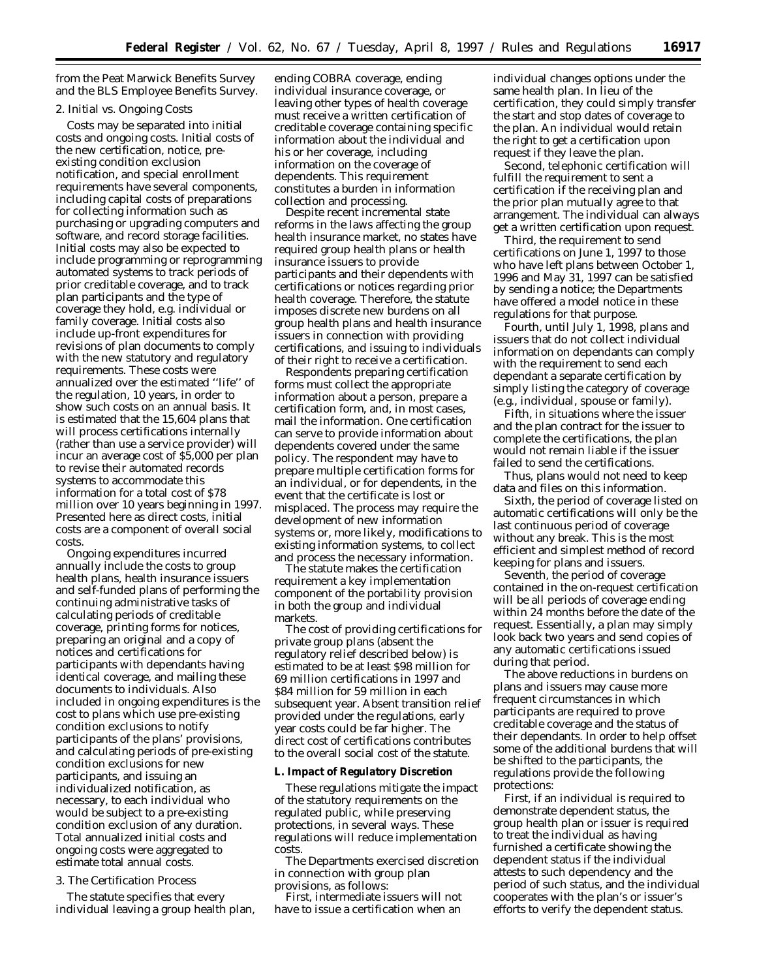from the Peat Marwick Benefits Survey and the BLS Employee Benefits Survey.

## *2. Initial vs. Ongoing Costs*

Costs may be separated into initial costs and ongoing costs. Initial costs of the new certification, notice, preexisting condition exclusion notification, and special enrollment requirements have several components, including capital costs of preparations for collecting information such as purchasing or upgrading computers and software, and record storage facilities. Initial costs may also be expected to include programming or reprogramming automated systems to track periods of prior creditable coverage, and to track plan participants and the type of coverage they hold, e.g. individual or family coverage. Initial costs also include up-front expenditures for revisions of plan documents to comply with the new statutory and regulatory requirements. These costs were annualized over the estimated ''life'' of the regulation, 10 years, in order to show such costs on an annual basis. It is estimated that the 15,604 plans that will process certifications internally (rather than use a service provider) will incur an average cost of \$5,000 per plan to revise their automated records systems to accommodate this information for a total cost of \$78 million over 10 years beginning in 1997. Presented here as direct costs, initial costs are a component of overall social costs.

Ongoing expenditures incurred annually include the costs to group health plans, health insurance issuers and self-funded plans of performing the continuing administrative tasks of calculating periods of creditable coverage, printing forms for notices, preparing an original and a copy of notices and certifications for participants with dependants having identical coverage, and mailing these documents to individuals. Also included in ongoing expenditures is the cost to plans which use pre-existing condition exclusions to notify participants of the plans' provisions, and calculating periods of pre-existing condition exclusions for new participants, and issuing an individualized notification, as necessary, to each individual who would be subject to a pre-existing condition exclusion of any duration. Total annualized initial costs and ongoing costs were aggregated to estimate total annual costs.

# *3. The Certification Process*

The statute specifies that every individual leaving a group health plan,

ending COBRA coverage, ending individual insurance coverage, or leaving other types of health coverage must receive a written certification of creditable coverage containing specific information about the individual and his or her coverage, including information on the coverage of dependents. This requirement constitutes a burden in information collection and processing.

Despite recent incremental state reforms in the laws affecting the group health insurance market, no states have required group health plans or health insurance issuers to provide participants and their dependents with certifications or notices regarding prior health coverage. Therefore, the statute imposes discrete new burdens on all group health plans and health insurance issuers in connection with providing certifications, and issuing to individuals of their right to receive a certification.

Respondents preparing certification forms must collect the appropriate information about a person, prepare a certification form, and, in most cases, mail the information. One certification can serve to provide information about dependents covered under the same policy. The respondent may have to prepare multiple certification forms for an individual, or for dependents, in the event that the certificate is lost or misplaced. The process may require the development of new information systems or, more likely, modifications to existing information systems, to collect and process the necessary information.

The statute makes the certification requirement a key implementation component of the portability provision in both the group and individual markets.

The cost of providing certifications for private group plans (absent the regulatory relief described below) is estimated to be at least \$98 million for 69 million certifications in 1997 and \$84 million for 59 million in each subsequent year. Absent transition relief provided under the regulations, early year costs could be far higher. The direct cost of certifications contributes to the overall social cost of the statute.

## **L. Impact of Regulatory Discretion**

These regulations mitigate the impact of the statutory requirements on the regulated public, while preserving protections, in several ways. These regulations will reduce implementation costs.

The Departments exercised discretion in connection with group plan provisions, as follows:

First, intermediate issuers will not have to issue a certification when an

individual changes options under the same health plan. In lieu of the certification, they could simply transfer the start and stop dates of coverage to the plan. An individual would retain the right to get a certification upon request if they leave the plan.

Second, telephonic certification will fulfill the requirement to sent a certification if the receiving plan and the prior plan mutually agree to that arrangement. The individual can always get a written certification upon request.

Third, the requirement to send certifications on June 1, 1997 to those who have left plans between October 1, 1996 and May 31, 1997 can be satisfied by sending a notice; the Departments have offered a model notice in these regulations for that purpose.

Fourth, until July 1, 1998, plans and issuers that do not collect individual information on dependants can comply with the requirement to send each dependant a separate certification by simply listing the category of coverage (e.g., individual, spouse or family).

Fifth, in situations where the issuer and the plan contract for the issuer to complete the certifications, the plan would not remain liable if the issuer failed to send the certifications.

Thus, plans would not need to keep data and files on this information.

Sixth, the period of coverage listed on automatic certifications will only be the last continuous period of coverage without any break. This is the most efficient and simplest method of record keeping for plans and issuers.

Seventh, the period of coverage contained in the on-request certification will be all periods of coverage ending within 24 months before the date of the request. Essentially, a plan may simply look back two years and send copies of any automatic certifications issued during that period.

The above reductions in burdens on plans and issuers may cause more frequent circumstances in which participants are required to prove creditable coverage and the status of their dependants. In order to help offset some of the additional burdens that will be shifted to the participants, the regulations provide the following protections:

First, if an individual is required to demonstrate dependent status, the group health plan or issuer is required to treat the individual as having furnished a certificate showing the dependent status if the individual attests to such dependency and the period of such status, and the individual cooperates with the plan's or issuer's efforts to verify the dependent status.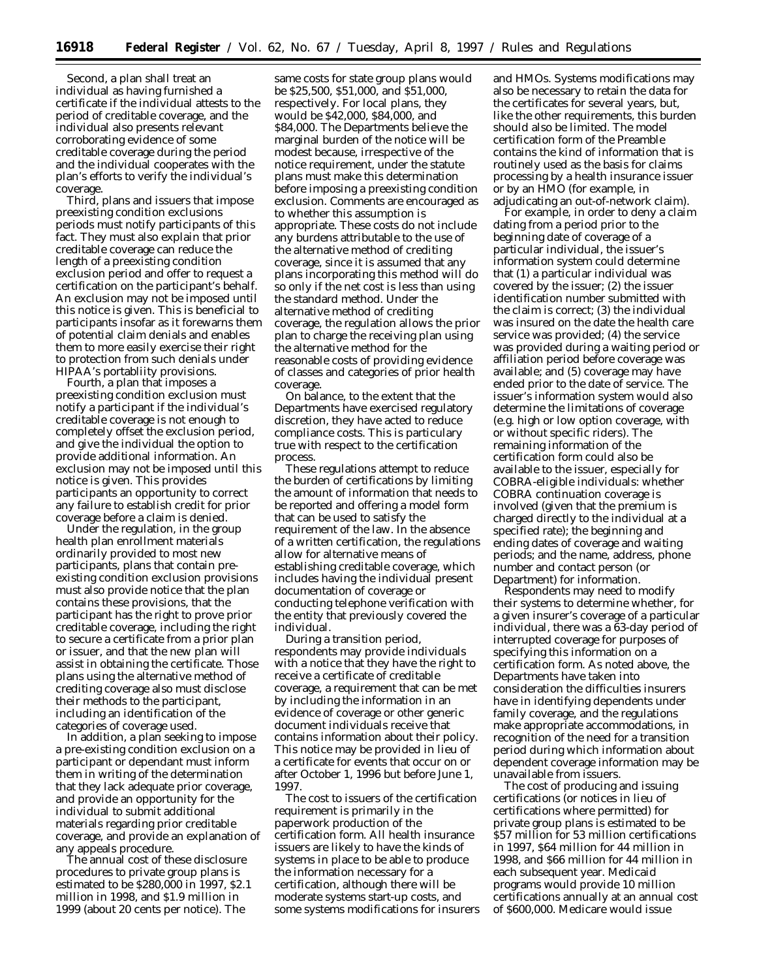Second, a plan shall treat an individual as having furnished a certificate if the individual attests to the period of creditable coverage, and the individual also presents relevant corroborating evidence of some creditable coverage during the period and the individual cooperates with the plan's efforts to verify the individual's coverage.

Third, plans and issuers that impose preexisting condition exclusions periods must notify participants of this fact. They must also explain that prior creditable coverage can reduce the length of a preexisting condition exclusion period and offer to request a certification on the participant's behalf. An exclusion may not be imposed until this notice is given. This is beneficial to participants insofar as it forewarns them of potential claim denials and enables them to more easily exercise their right to protection from such denials under HIPAA's portabliity provisions.

Fourth, a plan that imposes a preexisting condition exclusion must notify a participant if the individual's creditable coverage is not enough to completely offset the exclusion period, and give the individual the option to provide additional information. An exclusion may not be imposed until this notice is given. This provides participants an opportunity to correct any failure to establish credit for prior coverage before a claim is denied.

Under the regulation, in the group health plan enrollment materials ordinarily provided to most new participants, plans that contain preexisting condition exclusion provisions must also provide notice that the plan contains these provisions, that the participant has the right to prove prior creditable coverage, including the right to secure a certificate from a prior plan or issuer, and that the new plan will assist in obtaining the certificate. Those plans using the alternative method of crediting coverage also must disclose their methods to the participant, including an identification of the categories of coverage used.

In addition, a plan seeking to impose a pre-existing condition exclusion on a participant or dependant must inform them in writing of the determination that they lack adequate prior coverage, and provide an opportunity for the individual to submit additional materials regarding prior creditable coverage, and provide an explanation of any appeals procedure.

The annual cost of these disclosure procedures to private group plans is estimated to be \$280,000 in 1997, \$2.1 million in 1998, and \$1.9 million in 1999 (about 20 cents per notice). The

same costs for state group plans would be \$25,500, \$51,000, and \$51,000, respectively. For local plans, they would be \$42,000, \$84,000, and \$84,000. The Departments believe the marginal burden of the notice will be modest because, irrespective of the notice requirement, under the statute plans must make this determination before imposing a preexisting condition exclusion. Comments are encouraged as to whether this assumption is appropriate. These costs do not include any burdens attributable to the use of the alternative method of crediting coverage, since it is assumed that any plans incorporating this method will do so only if the net cost is less than using the standard method. Under the alternative method of crediting coverage, the regulation allows the prior plan to charge the receiving plan using the alternative method for the reasonable costs of providing evidence of classes and categories of prior health coverage.

On balance, to the extent that the Departments have exercised regulatory discretion, they have acted to reduce compliance costs. This is particulary true with respect to the certification process.

These regulations attempt to reduce the burden of certifications by limiting the amount of information that needs to be reported and offering a model form that can be used to satisfy the requirement of the law. In the absence of a written certification, the regulations allow for alternative means of establishing creditable coverage, which includes having the individual present documentation of coverage or conducting telephone verification with the entity that previously covered the individual.

During a transition period, respondents may provide individuals with a notice that they have the right to receive a certificate of creditable coverage, a requirement that can be met by including the information in an evidence of coverage or other generic document individuals receive that contains information about their policy. This notice may be provided in lieu of a certificate for events that occur on or after October 1, 1996 but before June 1, 1997.

The cost to issuers of the certification requirement is primarily in the paperwork production of the certification form. All health insurance issuers are likely to have the kinds of systems in place to be able to produce the information necessary for a certification, although there will be moderate systems start-up costs, and some systems modifications for insurers

and HMOs. Systems modifications may also be necessary to retain the data for the certificates for several years, but, like the other requirements, this burden should also be limited. The model certification form of the Preamble contains the kind of information that is routinely used as the basis for claims processing by a health insurance issuer or by an HMO (for example, in adjudicating an out-of-network claim).

For example, in order to deny a claim dating from a period prior to the beginning date of coverage of a particular individual, the issuer's information system could determine that (1) a particular individual was covered by the issuer; (2) the issuer identification number submitted with the claim is correct; (3) the individual was insured on the date the health care service was provided; (4) the service was provided during a waiting period or affiliation period before coverage was available; and (5) coverage may have ended prior to the date of service. The issuer's information system would also determine the limitations of coverage (e.g. high or low option coverage, with or without specific riders). The remaining information of the certification form could also be available to the issuer, especially for COBRA-eligible individuals: whether COBRA continuation coverage is involved (given that the premium is charged directly to the individual at a specified rate); the beginning and ending dates of coverage and waiting periods; and the name, address, phone number and contact person (or Department) for information.

Respondents may need to modify their systems to determine whether, for a given insurer's coverage of a particular individual, there was a 63-day period of interrupted coverage for purposes of specifying this information on a certification form. As noted above, the Departments have taken into consideration the difficulties insurers have in identifying dependents under family coverage, and the regulations make appropriate accommodations, in recognition of the need for a transition period during which information about dependent coverage information may be unavailable from issuers.

The cost of producing and issuing certifications (or notices in lieu of certifications where permitted) for private group plans is estimated to be \$57 million for 53 million certifications in 1997, \$64 million for 44 million in 1998, and \$66 million for 44 million in each subsequent year. Medicaid programs would provide 10 million certifications annually at an annual cost of \$600,000. Medicare would issue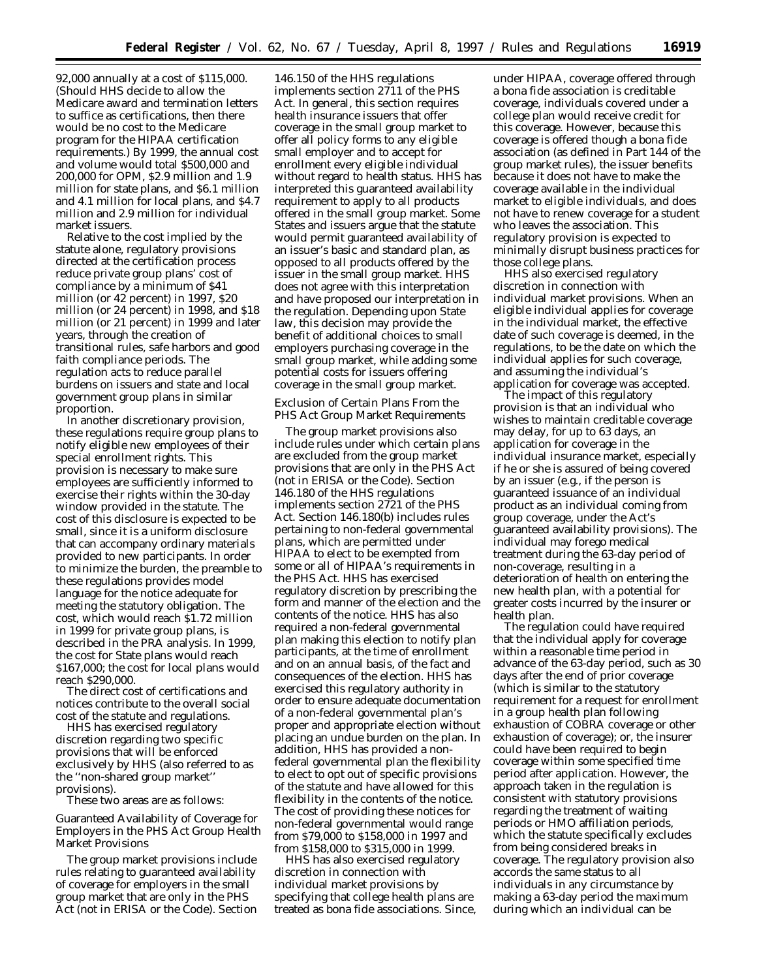92,000 annually at a cost of \$115,000. (Should HHS decide to allow the Medicare award and termination letters to suffice as certifications, then there would be no cost to the Medicare program for the HIPAA certification requirements.) By 1999, the annual cost and volume would total \$500,000 and 200,000 for OPM, \$2.9 million and 1.9 million for state plans, and \$6.1 million and 4.1 million for local plans, and \$4.7 million and 2.9 million for individual market issuers.

Relative to the cost implied by the statute alone, regulatory provisions directed at the certification process reduce private group plans' cost of compliance by a minimum of \$41 million (or 42 percent) in 1997, \$20 million (or 24 percent) in 1998, and \$18 million (or 21 percent) in 1999 and later years, through the creation of transitional rules, safe harbors and good faith compliance periods. The regulation acts to reduce parallel burdens on issuers and state and local government group plans in similar proportion.

In another discretionary provision, these regulations require group plans to notify eligible new employees of their special enrollment rights. This provision is necessary to make sure employees are sufficiently informed to exercise their rights within the 30-day window provided in the statute. The cost of this disclosure is expected to be small, since it is a uniform disclosure that can accompany ordinary materials provided to new participants. In order to minimize the burden, the preamble to these regulations provides model language for the notice adequate for meeting the statutory obligation. The cost, which would reach \$1.72 million in 1999 for private group plans, is described in the PRA analysis. In 1999, the cost for State plans would reach \$167,000; the cost for local plans would reach \$290,000.

The direct cost of certifications and notices contribute to the overall social cost of the statute and regulations.

HHS has exercised regulatory discretion regarding two specific provisions that will be enforced exclusively by HHS (also referred to as the ''non-shared group market'' provisions).

These two areas are as follows:

Guaranteed Availability of Coverage for Employers in the PHS Act Group Health Market Provisions

The group market provisions include rules relating to guaranteed availability of coverage for employers in the small group market that are only in the PHS Act (not in ERISA or the Code). Section

146.150 of the HHS regulations implements section 2711 of the PHS Act. In general, this section requires health insurance issuers that offer coverage in the small group market to offer all policy forms to any eligible small employer and to accept for enrollment every eligible individual without regard to health status. HHS has interpreted this guaranteed availability requirement to apply to all products offered in the small group market. Some States and issuers argue that the statute would permit guaranteed availability of an issuer's basic and standard plan, as opposed to all products offered by the issuer in the small group market. HHS does not agree with this interpretation and have proposed our interpretation in the regulation. Depending upon State law, this decision may provide the benefit of additional choices to small employers purchasing coverage in the small group market, while adding some potential costs for issuers offering coverage in the small group market.

Exclusion of Certain Plans From the PHS Act Group Market Requirements

The group market provisions also include rules under which certain plans are excluded from the group market provisions that are only in the PHS Act (not in ERISA or the Code). Section 146.180 of the HHS regulations implements section 2721 of the PHS Act. Section 146.180(b) includes rules pertaining to non-federal governmental plans, which are permitted under HIPAA to elect to be exempted from some or all of HIPAA's requirements in the PHS Act. HHS has exercised regulatory discretion by prescribing the form and manner of the election and the contents of the notice. HHS has also required a non-federal governmental plan making this election to notify plan participants, at the time of enrollment and on an annual basis, of the fact and consequences of the election. HHS has exercised this regulatory authority in order to ensure adequate documentation of a non-federal governmental plan's proper and appropriate election without placing an undue burden on the plan. In addition, HHS has provided a nonfederal governmental plan the flexibility to elect to opt out of specific provisions of the statute and have allowed for this flexibility in the contents of the notice. The cost of providing these notices for non-federal governmental would range from \$79,000 to \$158,000 in 1997 and from \$158,000 to \$315,000 in 1999.

HHS has also exercised regulatory discretion in connection with individual market provisions by specifying that college health plans are treated as bona fide associations. Since,

under HIPAA, coverage offered through a bona fide association is creditable coverage, individuals covered under a college plan would receive credit for this coverage. However, because this coverage is offered though a bona fide association (as defined in Part 144 of the group market rules), the issuer benefits because it does not have to make the coverage available in the individual market to eligible individuals, and does not have to renew coverage for a student who leaves the association. This regulatory provision is expected to minimally disrupt business practices for those college plans.

HHS also exercised regulatory discretion in connection with individual market provisions. When an eligible individual applies for coverage in the individual market, the effective date of such coverage is deemed, in the regulations, to be the date on which the individual applies for such coverage, and assuming the individual's application for coverage was accepted.

The impact of this regulatory provision is that an individual who wishes to maintain creditable coverage may delay, for up to 63 days, an application for coverage in the individual insurance market, especially if he or she is assured of being covered by an issuer (e.g., if the person is guaranteed issuance of an individual product as an individual coming from group coverage, under the Act's guaranteed availability provisions). The individual may forego medical treatment during the 63-day period of non-coverage, resulting in a deterioration of health on entering the new health plan, with a potential for greater costs incurred by the insurer or health plan.

The regulation could have required that the individual apply for coverage within a reasonable time period in advance of the 63-day period, such as 30 days after the end of prior coverage (which is similar to the statutory requirement for a request for enrollment in a group health plan following exhaustion of COBRA coverage or other exhaustion of coverage); or, the insurer could have been required to begin coverage within some specified time period after application. However, the approach taken in the regulation is consistent with statutory provisions regarding the treatment of waiting periods or HMO affiliation periods, which the statute specifically excludes from being considered breaks in coverage. The regulatory provision also accords the same status to all individuals in any circumstance by making a 63-day period the maximum during which an individual can be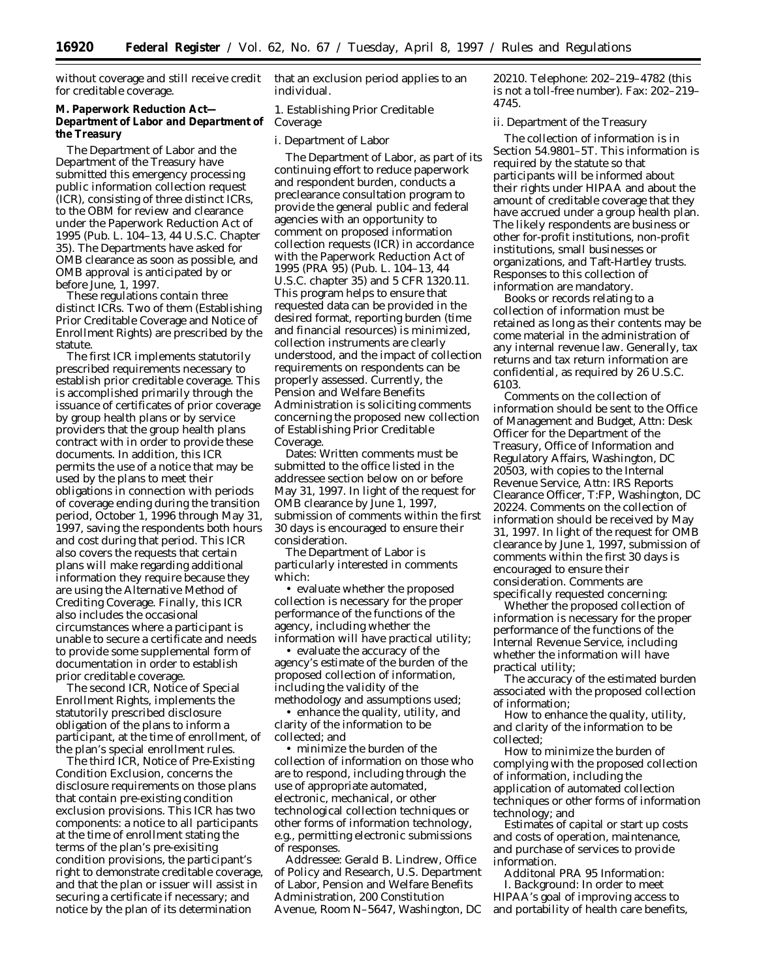without coverage and still receive credit for creditable coverage.

# **M. Paperwork Reduction Act— Department of Labor and Department of** *Coverage* **the Treasury**

The Department of Labor and the Department of the Treasury have submitted this emergency processing public information collection request (ICR), consisting of three distinct ICRs, to the OBM for review and clearance under the Paperwork Reduction Act of 1995 (Pub. L. 104–13, 44 U.S.C. Chapter 35). The Departments have asked for OMB clearance as soon as possible, and OMB approval is anticipated by or before June, 1, 1997.

These regulations contain three distinct ICRs. Two of them (Establishing Prior Creditable Coverage and Notice of Enrollment Rights) are prescribed by the statute.

The first ICR implements statutorily prescribed requirements necessary to establish prior creditable coverage. This is accomplished primarily through the issuance of certificates of prior coverage by group health plans or by service providers that the group health plans contract with in order to provide these documents. In addition, this ICR permits the use of a notice that may be used by the plans to meet their obligations in connection with periods of coverage ending during the transition period, October 1, 1996 through May 31, 1997, saving the respondents both hours and cost during that period. This ICR also covers the requests that certain plans will make regarding additional information they require because they are using the Alternative Method of Crediting Coverage. Finally, this ICR also includes the occasional circumstances where a participant is unable to secure a certificate and needs to provide some supplemental form of documentation in order to establish prior creditable coverage.

The second ICR, Notice of Special Enrollment Rights, implements the statutorily prescribed disclosure obligation of the plans to inform a participant, at the time of enrollment, of the plan's special enrollment rules.

The third ICR, Notice of Pre-Existing Condition Exclusion, concerns the disclosure requirements on those plans that contain pre-existing condition exclusion provisions. This ICR has two components: a notice to all participants at the time of enrollment stating the terms of the plan's pre-exisiting condition provisions, the participant's right to demonstrate creditable coverage, and that the plan or issuer will assist in securing a certificate if necessary; and notice by the plan of its determination

that an exclusion period applies to an individual.

# *1. Establishing Prior Creditable*

#### i. Department of Labor

The Department of Labor, as part of its continuing effort to reduce paperwork and respondent burden, conducts a preclearance consultation program to provide the general public and federal agencies with an opportunity to comment on proposed information collection requests (ICR) in accordance with the Paperwork Reduction Act of 1995 (PRA 95) (Pub. L. 104–13, 44 U.S.C. chapter 35) and 5 CFR 1320.11. This program helps to ensure that requested data can be provided in the desired format, reporting burden (time and financial resources) is minimized, collection instruments are clearly understood, and the impact of collection requirements on respondents can be properly assessed. Currently, the Pension and Welfare Benefits Administration is soliciting comments concerning the proposed new collection of Establishing Prior Creditable Coverage.

Dates: Written comments must be submitted to the office listed in the addressee section below on or before May 31, 1997. In light of the request for OMB clearance by June 1, 1997, submission of comments within the first 30 days is encouraged to ensure their consideration.

The Department of Labor is particularly interested in comments which:

• evaluate whether the proposed collection is necessary for the proper performance of the functions of the agency, including whether the information will have practical utility;

• evaluate the accuracy of the agency's estimate of the burden of the proposed collection of information, including the validity of the methodology and assumptions used;

• enhance the quality, utility, and clarity of the information to be collected; and

• minimize the burden of the collection of information on those who are to respond, including through the use of appropriate automated, electronic, mechanical, or other technological collection techniques or other forms of information technology, e.g., permitting electronic submissions of responses.

Addressee: Gerald B. Lindrew, Office of Policy and Research, U.S. Department of Labor, Pension and Welfare Benefits Administration, 200 Constitution Avenue, Room N–5647, Washington, DC 20210. Telephone: 202–219–4782 (this is not a toll-free number). Fax: 202–219– 4745.

ii. Department of the Treasury

The collection of information is in Section 54.9801–5T. This information is required by the statute so that participants will be informed about their rights under HIPAA and about the amount of creditable coverage that they have accrued under a group health plan. The likely respondents are business or other for-profit institutions, non-profit institutions, small businesses or organizations, and Taft-Hartley trusts. Responses to this collection of information are mandatory.

Books or records relating to a collection of information must be retained as long as their contents may be come material in the administration of any internal revenue law. Generally, tax returns and tax return information are confidential, as required by 26 U.S.C. 6103.

Comments on the collection of information should be sent to the Office of Management and Budget, Attn: Desk Officer for the Department of the Treasury, Office of Information and Regulatory Affairs, Washington, DC 20503, with copies to the Internal Revenue Service, Attn: IRS Reports Clearance Officer, T:FP, Washington, DC 20224. Comments on the collection of information should be received by May 31, 1997. In light of the request for OMB clearance by June 1, 1997, submission of comments within the first 30 days is encouraged to ensure their consideration. Comments are specifically requested concerning:

Whether the proposed collection of information is necessary for the proper performance of the functions of the Internal Revenue Service, including whether the information will have practical utility;

The accuracy of the estimated burden associated with the proposed collection of information;

How to enhance the quality, utility, and clarity of the information to be collected;

How to minimize the burden of complying with the proposed collection of information, including the application of automated collection techniques or other forms of information technology; and

Estimates of capital or start up costs and costs of operation, maintenance, and purchase of services to provide information.

Additonal PRA 95 Information: I. *Background:* In order to meet HIPAA's goal of improving access to and portability of health care benefits,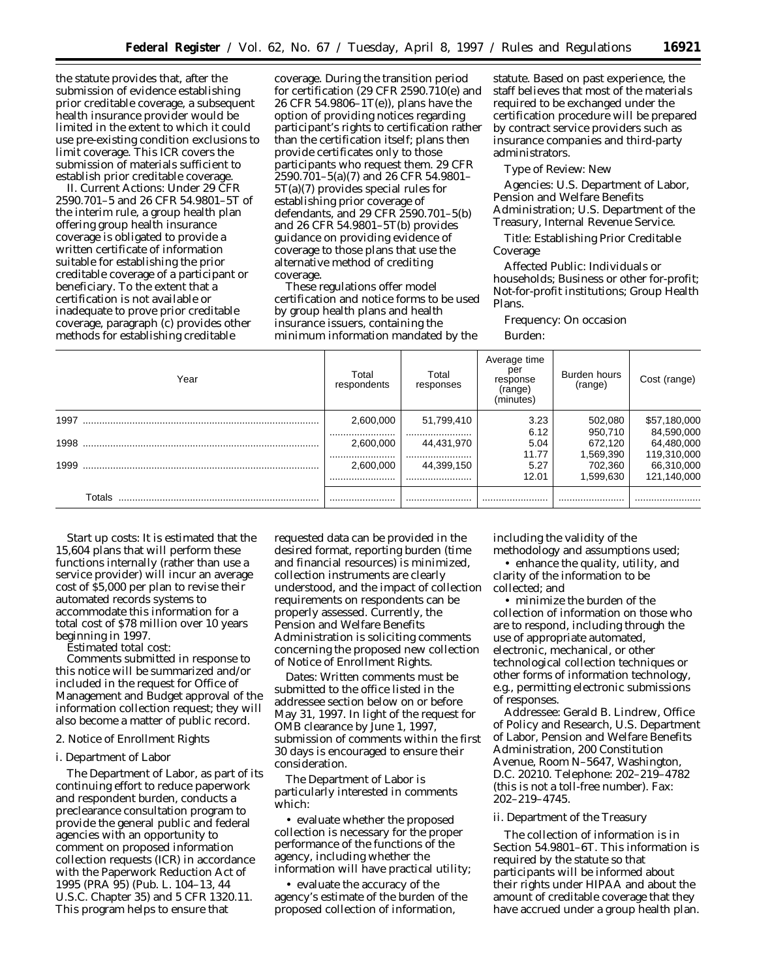the statute provides that, after the submission of evidence establishing prior creditable coverage, a subsequent health insurance provider would be limited in the extent to which it could use pre-existing condition exclusions to limit coverage. This ICR covers the submission of materials sufficient to establish prior creditable coverage.

II. *Current Actions:* Under 29 CFR 2590.701–5 and 26 CFR 54.9801–5T of the interim rule, a group health plan offering group health insurance coverage is obligated to provide a written certificate of information suitable for establishing the prior creditable coverage of a participant or beneficiary. To the extent that a certification is not available or inadequate to prove prior creditable coverage, paragraph (c) provides other methods for establishing creditable

coverage. During the transition period for certification (29 CFR 2590.710(e) and 26 CFR 54.9806–1T(e)), plans have the option of providing notices regarding participant's rights to certification rather than the certification itself; plans then provide certificates only to those participants who request them. 29 CFR 2590.701–5(a)(7) and 26 CFR 54.9801– 5T(a)(7) provides special rules for establishing prior coverage of defendants, and 29 CFR 2590.701–5(b) and 26 CFR 54.9801–5T(b) provides guidance on providing evidence of coverage to those plans that use the alternative method of crediting coverage.

These regulations offer model certification and notice forms to be used by group health plans and health insurance issuers, containing the minimum information mandated by the

statute. Based on past experience, the staff believes that most of the materials required to be exchanged under the certification procedure will be prepared by contract service providers such as insurance companies and third-party administrators.

*Type of Review:* New

*Agencies:* U.S. Department of Labor, Pension and Welfare Benefits Administration; U.S. Department of the Treasury, Internal Revenue Service.

*Title:* Establishing Prior Creditable Coverage

*Affected Public:* Individuals or households; Business or other for-profit; Not-for-profit institutions; Group Health Plans.

*Frequency:* On occasion

*Burden:*

| Year   | Total<br>respondents | Total<br>responses | Average time<br>per<br>response<br>(range)<br>(minutes) | Burden hours<br>(range) | Cost (range) |
|--------|----------------------|--------------------|---------------------------------------------------------|-------------------------|--------------|
|        | 2,600,000            | 51,799,410         | 3.23                                                    | 502,080                 | \$57,180,000 |
|        |                      |                    | 6.12                                                    | 950,710                 | 84,590,000   |
|        | 2,600,000            | 44,431,970         | 5.04                                                    | 672.120                 | 64,480,000   |
|        |                      |                    | 11.77                                                   | 1,569,390               | 119,310,000  |
| 1999   | 2.600.000            | 44,399,150         | 5.27                                                    | 702,360                 | 66,310,000   |
|        |                      |                    | 12.01                                                   | 1,599,630               | 121,140,000  |
| Totals |                      |                    |                                                         |                         |              |

*Start up costs:* It is estimated that the 15,604 plans that will perform these functions internally (rather than use a service provider) will incur an average cost of \$5,000 per plan to revise their automated records systems to accommodate this information for a total cost of \$78 million over 10 years beginning in 1997.

*Estimated total cost:*

Comments submitted in response to this notice will be summarized and/or included in the request for Office of Management and Budget approval of the information collection request; they will also become a matter of public record.

## *2. Notice of Enrollment Rights*

#### i. Department of Labor

The Department of Labor, as part of its continuing effort to reduce paperwork and respondent burden, conducts a preclearance consultation program to provide the general public and federal agencies with an opportunity to comment on proposed information collection requests (ICR) in accordance with the Paperwork Reduction Act of 1995 (PRA 95) (Pub. L. 104–13, 44 U.S.C. Chapter 35) and 5 CFR 1320.11. This program helps to ensure that

requested data can be provided in the desired format, reporting burden (time and financial resources) is minimized, collection instruments are clearly understood, and the impact of collection requirements on respondents can be properly assessed. Currently, the Pension and Welfare Benefits Administration is soliciting comments concerning the proposed new collection of Notice of Enrollment Rights.

*Dates:* Written comments must be submitted to the office listed in the addressee section below on or before May 31, 1997. In light of the request for OMB clearance by June 1, 1997, submission of comments within the first 30 days is encouraged to ensure their consideration.

The Department of Labor is particularly interested in comments which:

• evaluate whether the proposed collection is necessary for the proper performance of the functions of the agency, including whether the information will have practical utility;

• evaluate the accuracy of the agency's estimate of the burden of the proposed collection of information,

including the validity of the

methodology and assumptions used; • enhance the quality, utility, and clarity of the information to be collected; and

• minimize the burden of the collection of information on those who are to respond, including through the use of appropriate automated, electronic, mechanical, or other technological collection techniques or other forms of information technology, e.g., permitting electronic submissions of responses.

*Addressee:* Gerald B. Lindrew, Office of Policy and Research, U.S. Department of Labor, Pension and Welfare Benefits Administration, 200 Constitution Avenue, Room N–5647, Washington, D.C. 20210. Telephone: 202–219–4782 (this is not a toll-free number). Fax: 202–219–4745.

#### ii. Department of the Treasury

The collection of information is in Section 54.9801–6T. This information is required by the statute so that participants will be informed about their rights under HIPAA and about the amount of creditable coverage that they have accrued under a group health plan.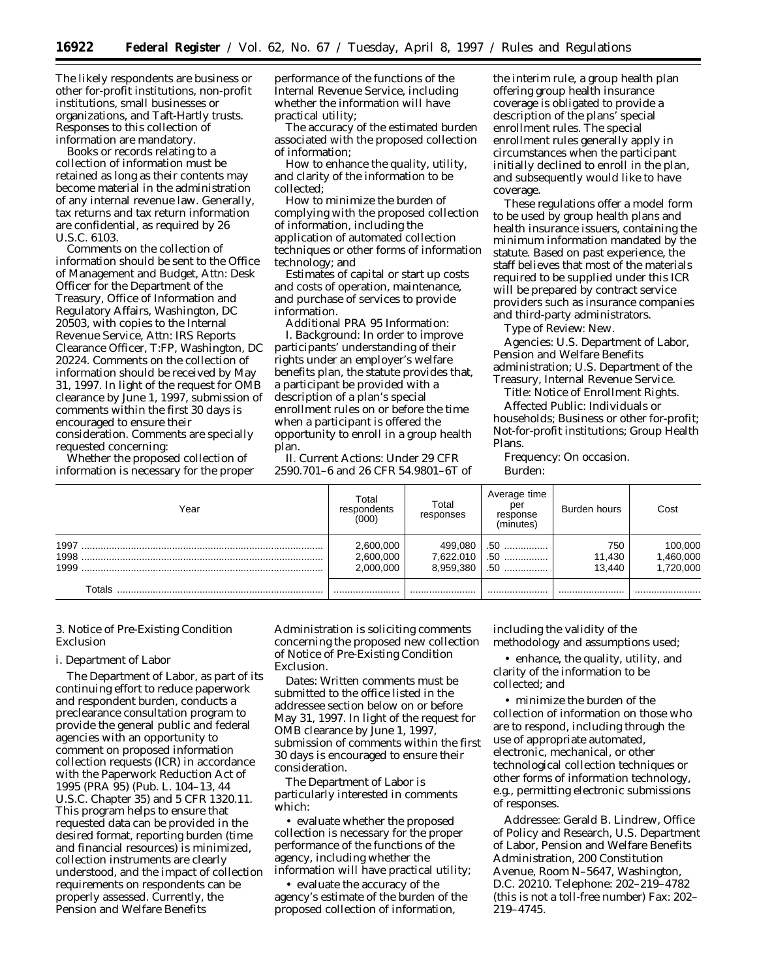The likely respondents are business or other for-profit institutions, non-profit institutions, small businesses or organizations, and Taft-Hartly trusts. Responses to this collection of information are mandatory.

Books or records relating to a collection of information must be retained as long as their contents may become material in the administration of any internal revenue law. Generally, tax returns and tax return information are confidential, as required by 26 U.S.C. 6103.

Comments on the collection of information should be sent to the Office of Management and Budget, Attn: Desk Officer for the Department of the Treasury, Office of Information and Regulatory Affairs, Washington, DC 20503, with copies to the Internal Revenue Service, Attn: IRS Reports Clearance Officer, T:FP, Washington, DC 20224. Comments on the collection of information should be received by May 31, 1997. In light of the request for OMB clearance by June 1, 1997, submission of comments within the first 30 days is encouraged to ensure their consideration. Comments are specially requested concerning:

Whether the proposed collection of information is necessary for the proper performance of the functions of the Internal Revenue Service, including whether the information will have practical utility;

The accuracy of the estimated burden associated with the proposed collection of information;

How to enhance the quality, utility, and clarity of the information to be collected;

How to minimize the burden of complying with the proposed collection of information, including the application of automated collection techniques or other forms of information technology; and

Estimates of capital or start up costs and costs of operation, maintenance, and purchase of services to provide information.

Additional PRA 95 Information:

I. *Background:* In order to improve participants' understanding of their rights under an employer's welfare benefits plan, the statute provides that, a participant be provided with a description of a plan's special enrollment rules on or before the time when a participant is offered the opportunity to enroll in a group health plan.

II. *Current Actions:* Under 29 CFR 2590.701–6 and 26 CFR 54.9801–6T of

the interim rule, a group health plan offering group health insurance coverage is obligated to provide a description of the plans' special enrollment rules. The special enrollment rules generally apply in circumstances when the participant initially declined to enroll in the plan, and subsequently would like to have coverage.

These regulations offer a model form to be used by group health plans and health insurance issuers, containing the minimum information mandated by the statute. Based on past experience, the staff believes that most of the materials required to be supplied under this ICR will be prepared by contract service providers such as insurance companies and third-party administrators.

*Type of Review:* New.

*Agencies:* U.S. Department of Labor, Pension and Welfare Benefits administration; U.S. Department of the Treasury, Internal Revenue Service.

*Title:* Notice of Enrollment Rights.

*Affected Public:* Individuals or households; Business or other for-profit; Not-for-profit institutions; Group Health Plans.

*Frequency:* On occasion. *Burden:*

| Year                 | Total<br>respondents<br>(000)       | Total<br>responses                | Average time<br>per<br>response<br>(minutes) | Burden hours            | Cost                                          |
|----------------------|-------------------------------------|-----------------------------------|----------------------------------------------|-------------------------|-----------------------------------------------|
| 1997<br>1998<br>1999 | 2,600,000<br>2,600,000<br>2.000.000 | 499,080<br>7,622.010<br>8.959.380 | .50<br>.50<br>$.50$                          | 750<br>11,430<br>13.440 | 100,000<br>460,00 <mark>0,</mark><br>720,000, |
| Totals               |                                     |                                   |                                              |                         |                                               |

# *3. Notice of Pre-Existing Condition Exclusion*

## i. Department of Labor

The Department of Labor, as part of its continuing effort to reduce paperwork and respondent burden, conducts a preclearance consultation program to provide the general public and federal agencies with an opportunity to comment on proposed information collection requests (ICR) in accordance with the Paperwork Reduction Act of 1995 (PRA 95) (Pub. L. 104–13, 44 U.S.C. Chapter 35) and 5 CFR 1320.11. This program helps to ensure that requested data can be provided in the desired format, reporting burden (time and financial resources) is minimized, collection instruments are clearly understood, and the impact of collection requirements on respondents can be properly assessed. Currently, the Pension and Welfare Benefits

Administration is soliciting comments concerning the proposed new collection of Notice of Pre-Existing Condition Exclusion.

*Dates:* Written comments must be submitted to the office listed in the addressee section below on or before May 31, 1997. In light of the request for OMB clearance by June 1, 1997, submission of comments within the first 30 days is encouraged to ensure their consideration.

The Department of Labor is particularly interested in comments which:

• evaluate whether the proposed collection is necessary for the proper performance of the functions of the agency, including whether the information will have practical utility;

• evaluate the accuracy of the agency's estimate of the burden of the proposed collection of information,

including the validity of the methodology and assumptions used;

• enhance, the quality, utility, and clarity of the information to be collected; and

• minimize the burden of the collection of information on those who are to respond, including through the use of appropriate automated, electronic, mechanical, or other technological collection techniques or other forms of information technology, e.g., permitting electronic submissions of responses.

*Addressee:* Gerald B. Lindrew, Office of Policy and Research, U.S. Department of Labor, Pension and Welfare Benefits Administration, 200 Constitution Avenue, Room N–5647, Washington, D.C. 20210. Telephone: 202–219–4782 (this is not a toll-free number) Fax: 202– 219–4745.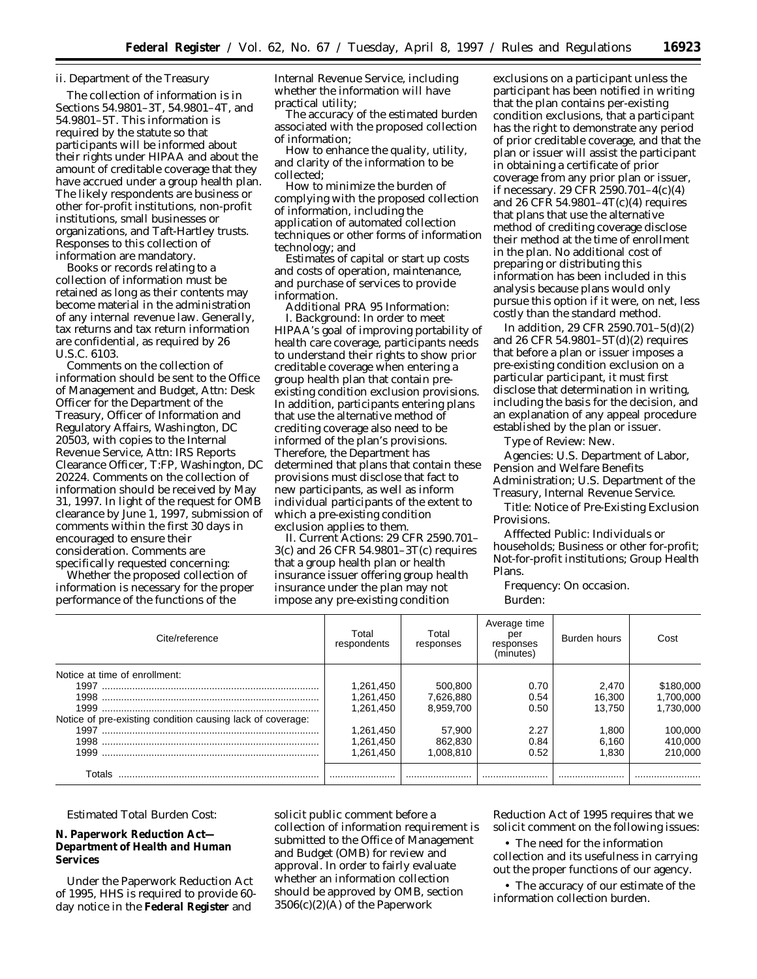## ii. Department of the Treasury

The collection of information is in Sections 54.9801–3T, 54.9801–4T, and 54.9801–5T. This information is required by the statute so that participants will be informed about their rights under HIPAA and about the amount of creditable coverage that they have accrued under a group health plan. The likely respondents are business or other for-profit institutions, non-profit institutions, small businesses or organizations, and Taft-Hartley trusts. Responses to this collection of information are mandatory.

Books or records relating to a collection of information must be retained as long as their contents may become material in the administration of any internal revenue law. Generally, tax returns and tax return information are confidential, as required by 26 U.S.C. 6103.

Comments on the collection of information should be sent to the Office of Management and Budget, Attn: Desk Officer for the Department of the Treasury, Officer of Information and Regulatory Affairs, Washington, DC 20503, with copies to the Internal Revenue Service, Attn: IRS Reports Clearance Officer, T:FP, Washington, DC 20224. Comments on the collection of information should be received by May 31, 1997. In light of the request for OMB clearance by June 1, 1997, submission of comments within the first 30 days in encouraged to ensure their consideration. Comments are specifically requested concerning:

Whether the proposed collection of information is necessary for the proper performance of the functions of the

Internal Revenue Service, including whether the information will have practical utility;

The accuracy of the estimated burden associated with the proposed collection of information;

How to enhance the quality, utility, and clarity of the information to be collected;

How to minimize the burden of complying with the proposed collection of information, including the application of automated collection techniques or other forms of information technology; and

Estimates of capital or start up costs and costs of operation, maintenance, and purchase of services to provide information.

Additional PRA 95 Information: I. *Background:* In order to meet HIPAA's goal of improving portability of health care coverage, participants needs to understand their rights to show prior creditable coverage when entering a group health plan that contain preexisting condition exclusion provisions. In addition, participants entering plans that use the alternative method of crediting coverage also need to be informed of the plan's provisions. Therefore, the Department has determined that plans that contain these provisions must disclose that fact to new participants, as well as inform individual participants of the extent to which a pre-existing condition exclusion applies to them.

II. *Current Actions:* 29 CFR 2590.701– 3(c) and 26 CFR 54.9801–3T(c) requires that a group health plan or health insurance issuer offering group health insurance under the plan may not impose any pre-existing condition

exclusions on a participant unless the participant has been notified in writing that the plan contains per-existing condition exclusions, that a participant has the right to demonstrate any period of prior creditable coverage, and that the plan or issuer will assist the participant in obtaining a certificate of prior coverage from any prior plan or issuer, if necessary. 29 CFR 2590.701–4(c)(4) and 26 CFR 54.9801–4T(c)(4) requires that plans that use the alternative method of crediting coverage disclose their method at the time of enrollment in the plan. No additional cost of preparing or distributing this information has been included in this analysis because plans would only pursue this option if it were, on net, less costly than the standard method.

In addition, 29 CFR 2590.701–5(d)(2) and 26 CFR 54.9801–5T(d)(2) requires that before a plan or issuer imposes a pre-existing condition exclusion on a particular participant, it must first disclose that determination in writing, including the basis for the decision, and an explanation of any appeal procedure established by the plan or issuer.

*Type of Review:* New.

*Agencies:* U.S. Department of Labor, Pension and Welfare Benefits Administration; U.S. Department of the Treasury, Internal Revenue Service.

*Title:* Notice of Pre-Existing Exclusion Provisions.

*Afffected Public:* Individuals or households; Business or other for-profit; Not-for-profit institutions; Group Health Plans.

*Frequency:* On occasion. *Burden:*

| Cite/reference                                             | Total<br>respondents | Total<br>responses | Average time<br>per<br>responses<br>(minutes) | Burden hours | Cost      |
|------------------------------------------------------------|----------------------|--------------------|-----------------------------------------------|--------------|-----------|
| Notice at time of enrollment:                              |                      |                    |                                               |              |           |
|                                                            | 1,261,450            | 500,800            | 0.70                                          | 2.470        | \$180,000 |
|                                                            | 1.261.450            | 7.626.880          | 0.54                                          | 16.300       | 1.700.000 |
|                                                            | 1.261.450            | 8.959.700          | 0.50                                          | 13.750       | 1.730.000 |
| Notice of pre-existing condition causing lack of coverage: |                      |                    |                                               |              |           |
|                                                            | 1,261,450            | 57.900             | 2.27                                          | 1.800        | 100,000   |
|                                                            | 1,261,450            | 862.830            | 0.84                                          | 6.160        | 410,000   |
|                                                            | 1.261.450            | 1.008.810          | 0.52                                          | 1.830        | 210.000   |
| Totals                                                     |                      |                    |                                               |              |           |

*Estimated Total Burden Cost:*

# **N. Paperwork Reduction Act— Department of Health and Human Services**

Under the Paperwork Reduction Act of 1995, HHS is required to provide 60 day notice in the **Federal Register** and

solicit public comment before a collection of information requirement is submitted to the Office of Management and Budget (OMB) for review and approval. In order to fairly evaluate whether an information collection should be approved by OMB, section 3506(c)(2)(A) of the Paperwork

Reduction Act of 1995 requires that we solicit comment on the following issues:

• The need for the information collection and its usefulness in carrying out the proper functions of our agency.

• The accuracy of our estimate of the information collection burden.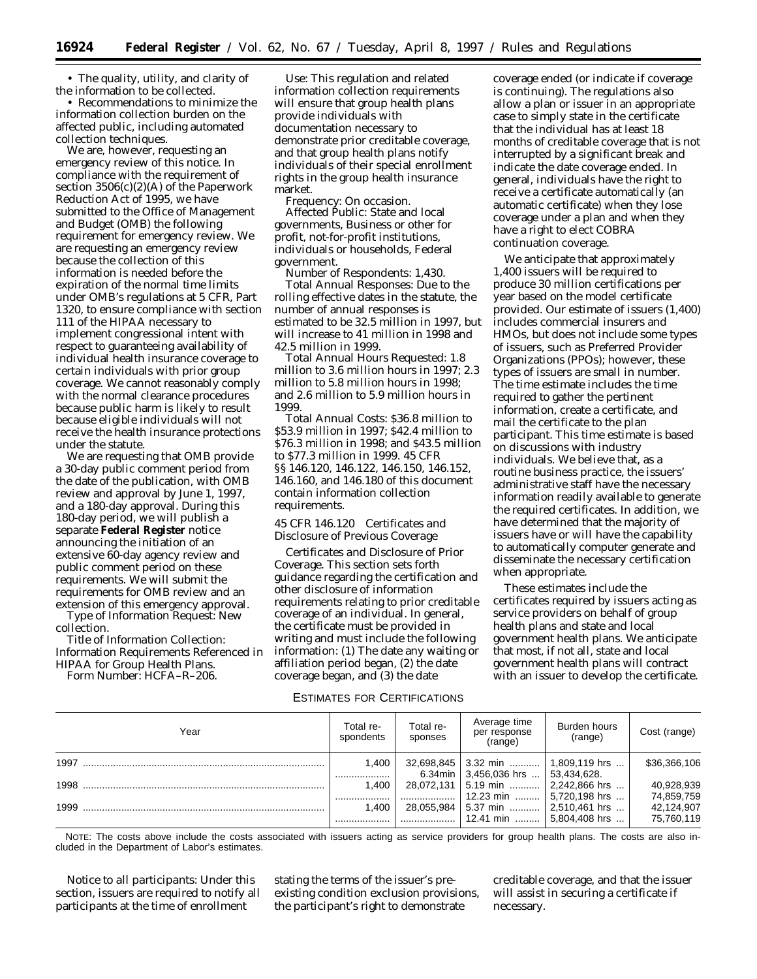• The quality, utility, and clarity of the information to be collected.

• Recommendations to minimize the information collection burden on the affected public, including automated collection techniques.

We are, however, requesting an emergency review of this notice. In compliance with the requirement of section 3506(c)(2)(A) of the Paperwork Reduction Act of 1995, we have submitted to the Office of Management and Budget (OMB) the following requirement for emergency review. We are requesting an emergency review because the collection of this information is needed before the expiration of the normal time limits under OMB's regulations at 5 CFR, Part 1320, to ensure compliance with section 111 of the HIPAA necessary to implement congressional intent with respect to guaranteeing availability of individual health insurance coverage to certain individuals with prior group coverage. We cannot reasonably comply with the normal clearance procedures because public harm is likely to result because eligible individuals will not receive the health insurance protections under the statute.

We are requesting that OMB provide a 30-day public comment period from the date of the publication, with OMB review and approval by June 1, 1997, and a 180-day approval. During this 180-day period, we will publish a separate **Federal Register** notice announcing the initiation of an extensive 60-day agency review and public comment period on these requirements. We will submit the requirements for OMB review and an extension of this emergency approval. *Type of Information Request:* New

collection.

*Title of Information Collection:* Information Requirements Referenced in HIPAA for Group Health Plans. *Form Number:* HCFA–R–206.

*Use:* This regulation and related information collection requirements will ensure that group health plans provide individuals with documentation necessary to demonstrate prior creditable coverage, and that group health plans notify individuals of their special enrollment rights in the group health insurance market.

*Frequency:* On occasion. *Affected Public:* State and local governments, Business or other for profit, not-for-profit institutions, individuals or households, Federal government.

*Number of Respondents:* 1,430. *Total Annual Responses:* Due to the rolling effective dates in the statute, the number of annual responses is estimated to be 32.5 million in 1997, but will increase to 41 million in 1998 and 42.5 million in 1999.

*Total Annual Hours Requested:* 1.8 million to 3.6 million hours in 1997; 2.3 million to 5.8 million hours in 1998; and 2.6 million to 5.9 million hours in 1999.

*Total Annual Costs:* \$36.8 million to \$53.9 million in 1997; \$42.4 million to \$76.3 million in 1998; and \$43.5 million to \$77.3 million in 1999. 45 CFR §§ 146.120, 146.122, 146.150, 146.152, 146.160, and 146.180 of this document contain information collection requirements.

# *45 CFR 146.120 Certificates and Disclosure of Previous Coverage*

*Certificates and Disclosure of Prior Coverage.* This section sets forth guidance regarding the certification and other disclosure of information requirements relating to prior creditable coverage of an individual. In general, the certificate must be provided in writing and must include the following information: (1) The date any waiting or affiliation period began, (2) the date coverage began, and (3) the date

coverage ended (or indicate if coverage is continuing). The regulations also allow a plan or issuer in an appropriate case to simply state in the certificate that the individual has at least 18 months of creditable coverage that is not interrupted by a significant break and indicate the date coverage ended. In general, individuals have the right to receive a certificate automatically (an automatic certificate) when they lose coverage under a plan and when they have a right to elect COBRA continuation coverage.

We anticipate that approximately 1,400 issuers will be required to produce 30 million certifications per year based on the model certificate provided. Our estimate of issuers (1,400) includes commercial insurers and HMOs, but does not include some types of issuers, such as Preferred Provider Organizations (PPOs); however, these types of issuers are small in number. The time estimate includes the time required to gather the pertinent information, create a certificate, and mail the certificate to the plan participant. This time estimate is based on discussions with industry individuals. We believe that, as a routine business practice, the issuers' administrative staff have the necessary information readily available to generate the required certificates. In addition, we have determined that the majority of issuers have or will have the capability to automatically computer generate and disseminate the necessary certification when appropriate.

These estimates include the certificates required by issuers acting as service providers on behalf of group health plans and state and local government health plans. We anticipate that most, if not all, state and local government health plans will contract with an issuer to develop the certificate.

## ESTIMATES FOR CERTIFICATIONS

| Year | Total re-<br>spondents | Total re-<br>sponses | Average time<br>per response<br>(range)                                      | Burden hours<br>(range) | Cost (range)             |
|------|------------------------|----------------------|------------------------------------------------------------------------------|-------------------------|--------------------------|
| 1997 | 1.400                  |                      | 32,698,845 3.32 min  1,809,119 hrs<br>6.34min   3,456,036 hrs    53,434,628. |                         | \$36,366,106             |
| 1998 | <br>1,400<br>          |                      | 28,072,131   5.19 min    2,242,866 hrs<br>12.23 min                          | $\vert$ 5.720.198 hrs   | 40,928,939<br>74,859,759 |
| 1999 | 1.400                  |                      | 28,055,984   5.37 min    2,510,461 hrs<br>12.41 min  5.804.408 hrs           |                         | 42,124,907<br>75,760,119 |

NOTE: The costs above include the costs associated with issuers acting as service providers for group health plans. The costs are also included in the Department of Labor's estimates.

*Notice to all participants:* Under this section, issuers are required to notify all participants at the time of enrollment

stating the terms of the issuer's preexisting condition exclusion provisions, the participant's right to demonstrate

creditable coverage, and that the issuer will assist in securing a certificate if necessary.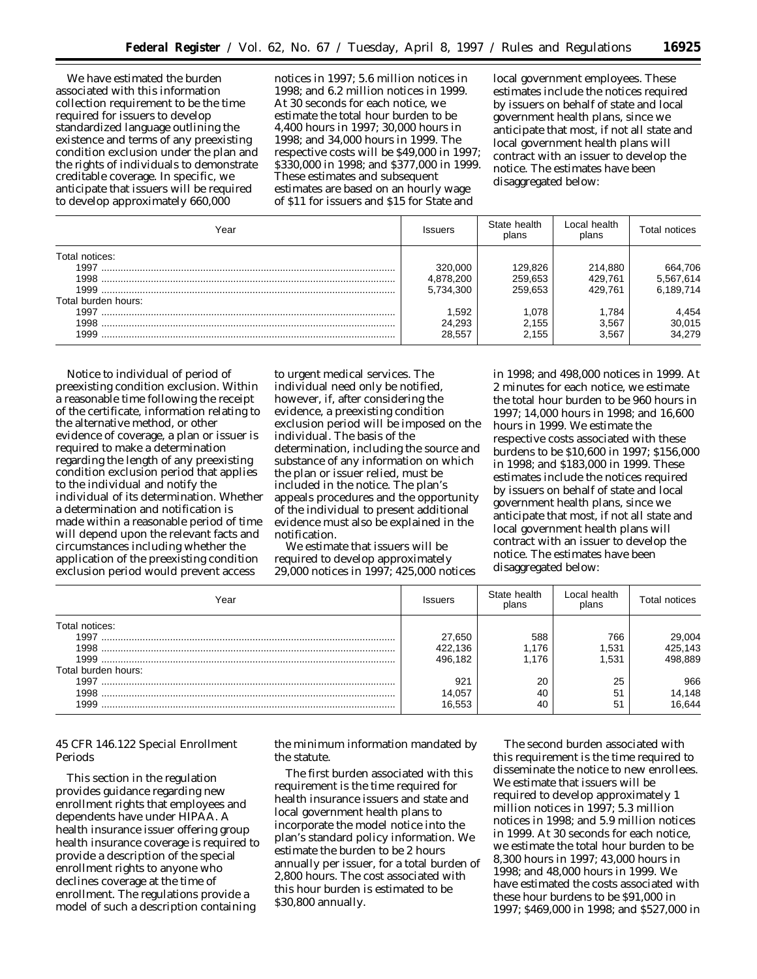We have estimated the burden associated with this information collection requirement to be the time required for issuers to develop standardized language outlining the existence and terms of any preexisting condition exclusion under the plan and the rights of individuals to demonstrate creditable coverage. In specific, we anticipate that issuers will be required to develop approximately 660,000

notices in 1997; 5.6 million notices in 1998; and 6.2 million notices in 1999. At 30 seconds for each notice, we estimate the total hour burden to be 4,400 hours in 1997; 30,000 hours in 1998; and 34,000 hours in 1999. The respective costs will be \$49,000 in 1997; \$330,000 in 1998; and \$377,000 in 1999. These estimates and subsequent estimates are based on an hourly wage of \$11 for issuers and \$15 for State and

local government employees. These estimates include the notices required by issuers on behalf of state and local government health plans, since we anticipate that most, if not all state and local government health plans will contract with an issuer to develop the notice. The estimates have been disaggregated below:

| Year                | <b>Issuers</b> | State health<br>plans | Local health<br>plans | Total notices   |
|---------------------|----------------|-----------------------|-----------------------|-----------------|
| Total notices:      |                |                       |                       |                 |
| 1997                | 320.000        | 129.826               | 214,880               | 664,706         |
|                     | 4,878,200      | 259,653               | 429.761               | 5,567,614       |
| 1999                | 5,734,300      | 259.653               | 429.761               | 6.189.714       |
| Total burden hours: |                |                       |                       |                 |
|                     | 1.592          | 1.078                 | 1.784                 |                 |
|                     | 24,293         | 2.155                 | 3.567                 | 4,454<br>30,015 |
| 1999                | 28.557         | 2.155                 | 3.567                 | 34,279          |

*Notice to individual of period of preexisting condition exclusion.* Within a reasonable time following the receipt of the certificate, information relating to the alternative method, or other evidence of coverage, a plan or issuer is required to make a determination regarding the length of any preexisting condition exclusion period that applies to the individual and notify the individual of its determination. Whether a determination and notification is made within a reasonable period of time will depend upon the relevant facts and circumstances including whether the application of the preexisting condition exclusion period would prevent access

to urgent medical services. The individual need only be notified, however, if, after considering the evidence, a preexisting condition exclusion period will be imposed on the individual. The basis of the determination, including the source and substance of any information on which the plan or issuer relied, must be included in the notice. The plan's appeals procedures and the opportunity of the individual to present additional evidence must also be explained in the notification.

We estimate that issuers will be required to develop approximately 29,000 notices in 1997; 425,000 notices

in 1998; and 498,000 notices in 1999. At 2 minutes for each notice, we estimate the total hour burden to be 960 hours in 1997; 14,000 hours in 1998; and 16,600 hours in 1999. We estimate the respective costs associated with these burdens to be \$10,600 in 1997; \$156,000 in 1998; and \$183,000 in 1999. These estimates include the notices required by issuers on behalf of state and local government health plans, since we anticipate that most, if not all state and local government health plans will contract with an issuer to develop the notice. The estimates have been disaggregated below:

| Year                | <b>Issuers</b> | State health<br>plans | Local health<br>plans | Total notices |
|---------------------|----------------|-----------------------|-----------------------|---------------|
| Total notices:      |                |                       |                       |               |
| 1997                | 27.650         | 588                   | 766                   | 29,004        |
| 1998                | 422.136        | .176                  | 1.531                 | 425,143       |
| 1999                | 496.182        | .176                  | 1.531                 | 498.889       |
| Total burden hours: |                |                       |                       |               |
| 1997                | 921            | 20                    | 25                    | 966           |
| 1998                | 14,057         | 40                    | 51                    | 14,148        |
| 1999                | 16.553         | 40                    | 51                    | 6,644         |

# *45 CFR 146.122 Special Enrollment Periods*

This section in the regulation provides guidance regarding new enrollment rights that employees and dependents have under HIPAA. A health insurance issuer offering group health insurance coverage is required to provide a description of the special enrollment rights to anyone who declines coverage at the time of enrollment. The regulations provide a model of such a description containing

the minimum information mandated by the statute.

The first burden associated with this requirement is the time required for health insurance issuers and state and local government health plans to incorporate the model notice into the plan's standard policy information. We estimate the burden to be 2 hours annually per issuer, for a total burden of 2,800 hours. The cost associated with this hour burden is estimated to be \$30,800 annually.

The second burden associated with this requirement is the time required to disseminate the notice to new enrollees. We estimate that issuers will be required to develop approximately 1 million notices in 1997; 5.3 million notices in 1998; and 5.9 million notices in 1999. At 30 seconds for each notice, we estimate the total hour burden to be 8,300 hours in 1997; 43,000 hours in 1998; and 48,000 hours in 1999. We have estimated the costs associated with these hour burdens to be \$91,000 in 1997; \$469,000 in 1998; and \$527,000 in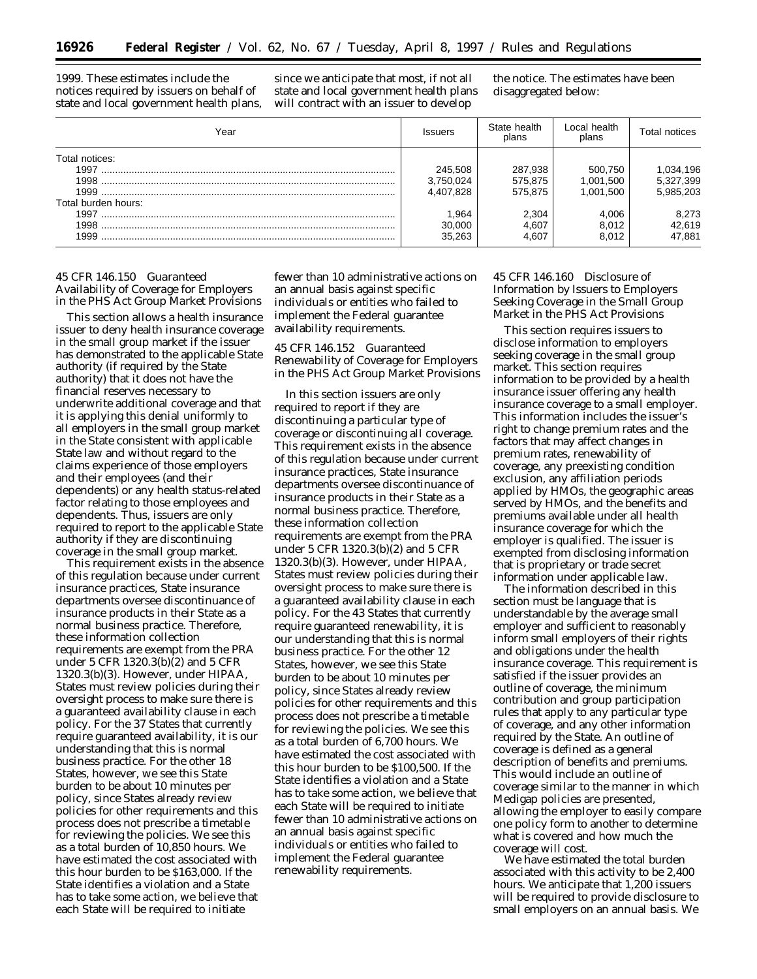1999. These estimates include the notices required by issuers on behalf of state and local government health plans,

since we anticipate that most, if not all state and local government health plans will contract with an issuer to develop

the notice. The estimates have been disaggregated below:

| Year                                          | <b>Issuers</b>                             | State health<br>plans                  | Local health<br>plans                      | Total notices                       |
|-----------------------------------------------|--------------------------------------------|----------------------------------------|--------------------------------------------|-------------------------------------|
| Total notices:<br>1997<br>Total burden hours: | 245,508<br>3,750,024<br>4,407,828<br>1.964 | 287,938<br>575,875<br>575.875<br>2,304 | 500,750<br>1,001,500<br>1.001.500<br>4,006 | 1,034,196<br>5,327,399<br>5,985,203 |
| 1999                                          | 30,000<br>35.263                           | 4,607<br>4.607                         | 8,012<br>8.012                             | 8,273<br>42,619<br>47,881           |

# *45 CFR 146.150 Guaranteed Availability of Coverage for Employers in the PHS Act Group Market Provisions*

This section allows a health insurance issuer to deny health insurance coverage in the small group market if the issuer has demonstrated to the applicable State authority (if required by the State authority) that it does not have the financial reserves necessary to underwrite additional coverage and that it is applying this denial uniformly to all employers in the small group market in the State consistent with applicable State law and without regard to the claims experience of those employers and their employees (and their dependents) or any health status-related factor relating to those employees and dependents. Thus, issuers are only required to report to the applicable State authority if they are discontinuing coverage in the small group market.

This requirement exists in the absence of this regulation because under current insurance practices, State insurance departments oversee discontinuance of insurance products in their State as a normal business practice. Therefore, these information collection requirements are exempt from the PRA under 5 CFR 1320.3(b)(2) and 5 CFR 1320.3(b)(3). However, under HIPAA, States must review policies during their oversight process to make sure there is a guaranteed availability clause in each policy. For the 37 States that currently require guaranteed availability, it is our understanding that this is normal business practice. For the other 18 States, however, we see this State burden to be about 10 minutes per policy, since States already review policies for other requirements and this process does not prescribe a timetable for reviewing the policies. We see this as a total burden of 10,850 hours. We have estimated the cost associated with this hour burden to be \$163,000. If the State identifies a violation and a State has to take some action, we believe that each State will be required to initiate

fewer than 10 administrative actions on an annual basis against specific individuals or entities who failed to implement the Federal guarantee availability requirements.

*45 CFR 146.152 Guaranteed Renewability of Coverage for Employers in the PHS Act Group Market Provisions*

In this section issuers are only required to report if they are discontinuing a particular type of coverage or discontinuing all coverage. This requirement exists in the absence of this regulation because under current insurance practices, State insurance departments oversee discontinuance of insurance products in their State as a normal business practice. Therefore, these information collection requirements are exempt from the PRA under 5 CFR 1320.3(b)(2) and 5 CFR 1320.3(b)(3). However, under HIPAA, States must review policies during their oversight process to make sure there is a guaranteed availability clause in each policy. For the 43 States that currently require guaranteed renewability, it is our understanding that this is normal business practice. For the other 12 States, however, we see this State burden to be about 10 minutes per policy, since States already review policies for other requirements and this process does not prescribe a timetable for reviewing the policies. We see this as a total burden of 6,700 hours. We have estimated the cost associated with this hour burden to be \$100,500. If the State identifies a violation and a State has to take some action, we believe that each State will be required to initiate fewer than 10 administrative actions on an annual basis against specific individuals or entities who failed to implement the Federal guarantee renewability requirements.

# *45 CFR 146.160 Disclosure of Information by Issuers to Employers Seeking Coverage in the Small Group Market in the PHS Act Provisions*

This section requires issuers to disclose information to employers seeking coverage in the small group market. This section requires information to be provided by a health insurance issuer offering any health insurance coverage to a small employer. This information includes the issuer's right to change premium rates and the factors that may affect changes in premium rates, renewability of coverage, any preexisting condition exclusion, any affiliation periods applied by HMOs, the geographic areas served by HMOs, and the benefits and premiums available under all health insurance coverage for which the employer is qualified. The issuer is exempted from disclosing information that is proprietary or trade secret information under applicable law.

The information described in this section must be language that is understandable by the average small employer and sufficient to reasonably inform small employers of their rights and obligations under the health insurance coverage. This requirement is satisfied if the issuer provides an outline of coverage, the minimum contribution and group participation rules that apply to any particular type of coverage, and any other information required by the State. An outline of coverage is defined as a general description of benefits and premiums. This would include an outline of coverage similar to the manner in which Medigap policies are presented, allowing the employer to easily compare one policy form to another to determine what is covered and how much the coverage will cost.

We have estimated the total burden associated with this activity to be 2,400 hours. We anticipate that 1,200 issuers will be required to provide disclosure to small employers on an annual basis. We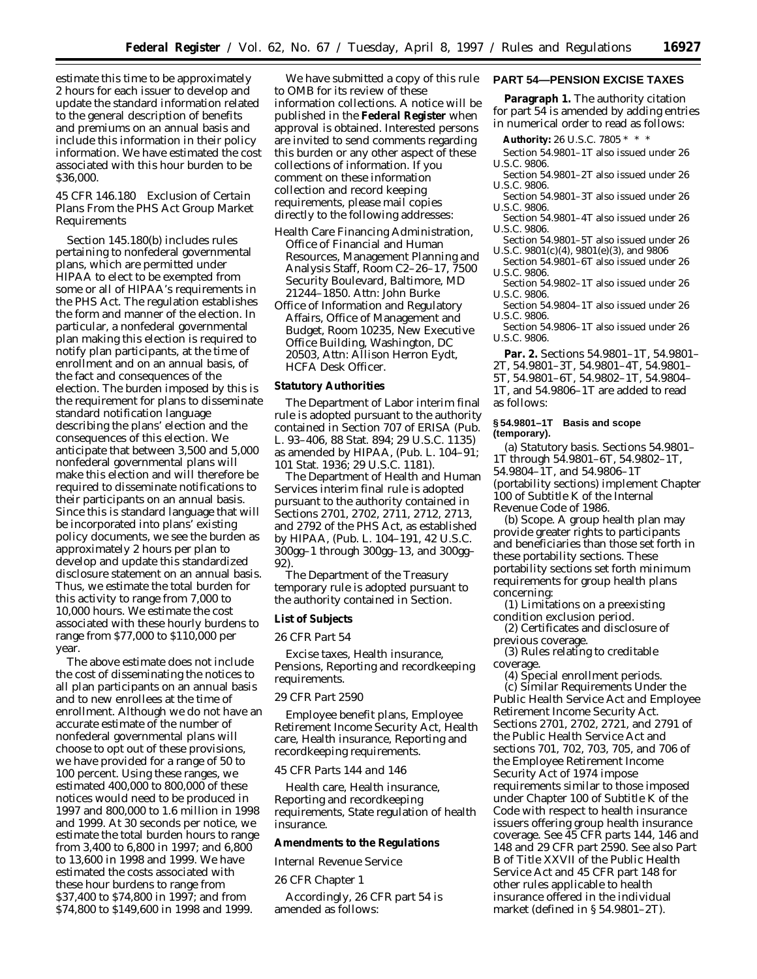estimate this time to be approximately 2 hours for each issuer to develop and update the standard information related to the general description of benefits and premiums on an annual basis and include this information in their policy information. We have estimated the cost associated with this hour burden to be \$36,000.

# *45 CFR 146.180 Exclusion of Certain Plans From the PHS Act Group Market Requirements*

Section 145.180(b) includes rules pertaining to nonfederal governmental plans, which are permitted under HIPAA to elect to be exempted from some or all of HIPAA's requirements in the PHS Act. The regulation establishes the form and manner of the election. In particular, a nonfederal governmental plan making this election is required to notify plan participants, at the time of enrollment and on an annual basis, of the fact and consequences of the election. The burden imposed by this is the requirement for plans to disseminate standard notification language describing the plans' election and the consequences of this election. We anticipate that between 3,500 and 5,000 nonfederal governmental plans will make this election and will therefore be required to disseminate notifications to their participants on an annual basis. Since this is standard language that will be incorporated into plans' existing policy documents, we see the burden as approximately 2 hours per plan to develop and update this standardized disclosure statement on an annual basis. Thus, we estimate the total burden for this activity to range from 7,000 to 10,000 hours. We estimate the cost associated with these hourly burdens to range from \$77,000 to \$110,000 per year.

The above estimate does not include the cost of disseminating the notices to all plan participants on an annual basis and to new enrollees at the time of enrollment. Although we do not have an accurate estimate of the number of nonfederal governmental plans will choose to opt out of these provisions, we have provided for a range of 50 to 100 percent. Using these ranges, we estimated 400,000 to 800,000 of these notices would need to be produced in 1997 and 800,000 to 1.6 million in 1998 and 1999. At 30 seconds per notice, we estimate the total burden hours to range from 3,400 to 6,800 in 1997; and 6,800 to 13,600 in 1998 and 1999. We have estimated the costs associated with these hour burdens to range from \$37,400 to \$74,800 in 1997; and from \$74,800 to \$149,600 in 1998 and 1999.

We have submitted a copy of this rule to OMB for its review of these information collections. A notice will be published in the **Federal Register** when approval is obtained. Interested persons are invited to send comments regarding this burden or any other aspect of these collections of information. If you comment on these information collection and record keeping requirements, please mail copies directly to the following addresses:

- Health Care Financing Administration, Office of Financial and Human Resources, Management Planning and Analysis Staff, Room C2–26–17, 7500 Security Boulevard, Baltimore, MD 21244–1850. Attn: John Burke
- Office of Information and Regulatory Affairs, Office of Management and Budget, Room 10235, New Executive Office Building, Washington, DC 20503, Attn: Allison Herron Eydt, HCFA Desk Officer.

#### **Statutory Authorities**

The Department of Labor interim final rule is adopted pursuant to the authority contained in Section 707 of ERISA (Pub. L. 93–406, 88 Stat. 894; 29 U.S.C. 1135) as amended by HIPAA, (Pub. L. 104–91; 101 Stat. 1936; 29 U.S.C. 1181).

The Department of Health and Human Services interim final rule is adopted pursuant to the authority contained in Sections 2701, 2702, 2711, 2712, 2713, and 2792 of the PHS Act, as established by HIPAA, (Pub. L. 104–191, 42 U.S.C. 300gg–1 through 300gg–13, and 300gg– 92).

The Department of the Treasury temporary rule is adopted pursuant to the authority contained in Section.

# **List of Subjects**

#### *26 CFR Part 54*

Excise taxes, Health insurance, Pensions, Reporting and recordkeeping requirements.

# *29 CFR Part 2590*

Employee benefit plans, Employee Retirement Income Security Act, Health care, Health insurance, Reporting and recordkeeping requirements.

#### *45 CFR Parts 144 and 146*

Health care, Health insurance, Reporting and recordkeeping requirements, State regulation of health insurance.

#### **Amendments to the Regulations**

*Internal Revenue Service*

26 CFR Chapter 1

Accordingly, 26 CFR part 54 is amended as follows:

# **PART 54—PENSION EXCISE TAXES**

**Paragraph 1.** The authority citation for part 54 is amended by adding entries in numerical order to read as follows:

**Authority:** 26 U.S.C. 7805 \* \* \*

Section 54.9801–1T also issued under 26 U.S.C. 9806.

- Section 54.9801–2T also issued under 26 U.S.C. 9806.
- Section 54.9801–3T also issued under 26 U.S.C. 9806.
- Section 54.9801–4T also issued under 26 U.S.C. 9806.
- Section 54.9801–5T also issued under 26 U.S.C. 9801(c)(4), 9801(e)(3), and 9806
- Section 54.9801–6T also issued under 26 U.S.C. 9806.
- Section 54.9802–1T also issued under 26 U.S.C. 9806.
- Section 54.9804–1T also issued under 26 U.S.C. 9806.
- Section 54.9806–1T also issued under 26 U.S.C. 9806.

**Par. 2.** Sections 54.9801–1T, 54.9801– 2T, 54.9801–3T, 54.9801–4T, 54.9801– 5T, 54.9801–6T, 54.9802–1T, 54.9804– 1T, and 54.9806–1T are added to read as follows:

## **§ 54.9801–1T Basis and scope (temporary).**

(a) *Statutory basis.* Sections 54.9801– 1T through 54.9801–6T, 54.9802–1T, 54.9804–1T, and 54.9806–1T (portability sections) implement Chapter 100 of Subtitle K of the Internal Revenue Code of 1986.

(b) *Scope.* A group health plan may provide greater rights to participants and beneficiaries than those set forth in these portability sections. These portability sections set forth minimum requirements for group health plans concerning:

(1) Limitations on a preexisting condition exclusion period.

(2) Certificates and disclosure of previous coverage.

(3) Rules relating to creditable coverage.

(4) Special enrollment periods. (c) *Similar Requirements Under the Public Health Service Act and Employee Retirement Income Security Act.* Sections 2701, 2702, 2721, and 2791 of the Public Health Service Act and sections 701, 702, 703, 705, and 706 of the Employee Retirement Income Security Act of 1974 impose requirements similar to those imposed under Chapter 100 of Subtitle K of the Code with respect to health insurance issuers offering group health insurance coverage. See 45 CFR parts 144, 146 and 148 and 29 CFR part 2590. See also Part B of Title XXVII of the Public Health Service Act and 45 CFR part 148 for other rules applicable to health insurance offered in the individual market (defined in § 54.9801–2T).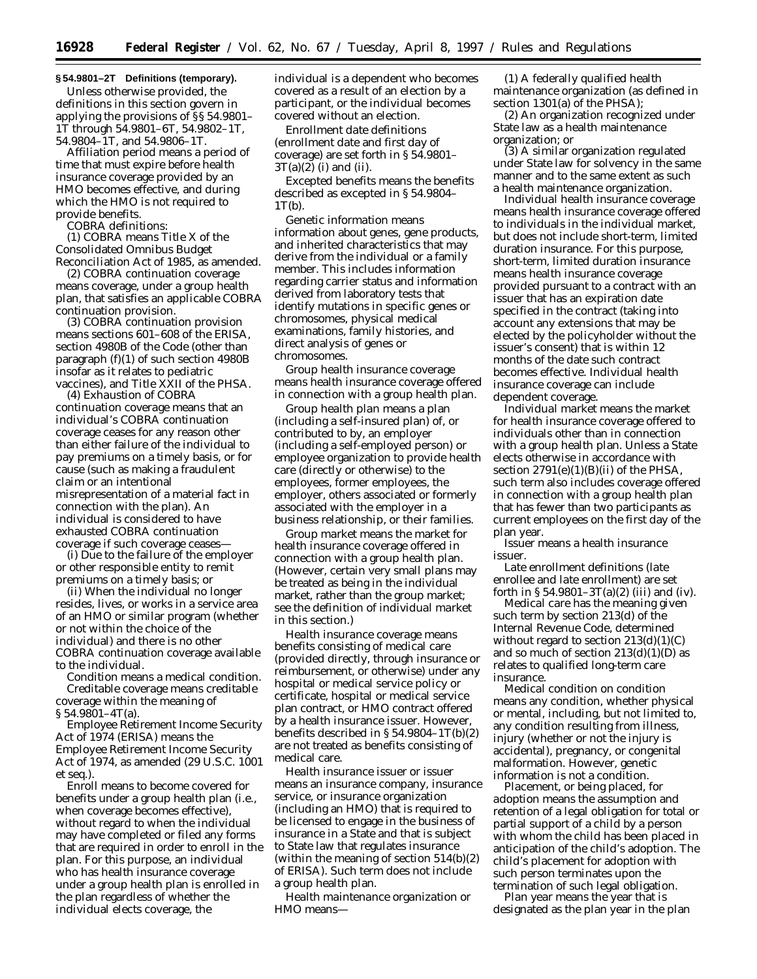## **§ 54.9801–2T Definitions (temporary).**

Unless otherwise provided, the definitions in this section govern in applying the provisions of §§ 54.9801– 1T through 54.9801–6T, 54.9802–1T, 54.9804–1T, and 54.9806–1T.

*Affiliation period* means a period of time that must expire before health insurance coverage provided by an HMO becomes effective, and during which the HMO is not required to provide benefits.

*COBRA* definitions:

(1) *COBRA* means Title X of the Consolidated Omnibus Budget Reconciliation Act of 1985, as amended.

(2) *COBRA continuation coverage* means coverage, under a group health plan, that satisfies an applicable COBRA continuation provision.

(3) *COBRA continuation provision* means sections 601–608 of the ERISA, section 4980B of the Code (other than paragraph (f)(1) of such section 4980B insofar as it relates to pediatric vaccines), and Title XXII of the PHSA.

(4) *Exhaustion of COBRA continuation coverage* means that an individual's COBRA continuation coverage ceases for any reason other than either failure of the individual to pay premiums on a timely basis, or for cause (such as making a fraudulent claim or an intentional misrepresentation of a material fact in connection with the plan). An individual is considered to have exhausted COBRA continuation coverage if such coverage ceases—

(i) Due to the failure of the employer or other responsible entity to remit premiums on a timely basis; or

(ii) When the individual no longer resides, lives, or works in a service area of an HMO or similar program (whether or not within the choice of the individual) and there is no other COBRA continuation coverage available to the individual.

*Condition* means a medical condition. *Creditable coverage* means *creditable coverage* within the meaning of  $§ 54.9801 - 4T(a).$ 

*Employee Retirement Income Security Act of 1974 (ERISA)* means the Employee Retirement Income Security Act of 1974, as amended (29 U.S.C. 1001 *et seq.*).

*Enroll* means to become covered for benefits under a group health plan (i.e., when coverage becomes effective), without regard to when the individual may have completed or filed any forms that are required in order to enroll in the plan. For this purpose, an individual who has health insurance coverage under a group health plan is enrolled in the plan regardless of whether the individual elects coverage, the

individual is a dependent who becomes covered as a result of an election by a participant, or the individual becomes covered without an election.

*Enrollment date definitions (enrollment date* and *first day of coverage)* are set forth in § 54.9801–  $3T(a)(2)$  (i) and (ii).

*Excepted benefits* means the benefits described as excepted in § 54.9804–  $1T(b)$ .

*Genetic information* means information about genes, gene products, and inherited characteristics that may derive from the individual or a family member. This includes information regarding carrier status and information derived from laboratory tests that identify mutations in specific genes or chromosomes, physical medical examinations, family histories, and direct analysis of genes or chromosomes.

*Group health insurance coverage* means health insurance coverage offered in connection with a group health plan.

*Group health plan* means a plan (including a self-insured plan) of, or contributed to by, an employer (including a self-employed person) or employee organization to provide health care (directly or otherwise) to the employees, former employees, the employer, others associated or formerly associated with the employer in a business relationship, or their families.

*Group market* means the market for health insurance coverage offered in connection with a group health plan. (However, certain very small plans may be treated as being in the individual market, rather than the group market; see the definition of *individual market* in this section.)

*Health insurance coverage* means benefits consisting of medical care (provided directly, through insurance or reimbursement, or otherwise) under any hospital or medical service policy or certificate, hospital or medical service plan contract, or HMO contract offered by a health insurance issuer. However, benefits described in § 54.9804–1T(b)(2) are not treated as benefits consisting of medical care.

*Health insurance issuer* or *issuer* means an insurance company, insurance service, or insurance organization (including an HMO) that is required to be licensed to engage in the business of insurance in a State and that is subject to State law that regulates insurance (within the meaning of section 514(b)(2) of ERISA). Such term does not include a group health plan.

*Health maintenance organization* or *HMO* means—

(1) A federally qualified health maintenance organization (as defined in section 1301(a) of the PHSA);

(2) An organization recognized under State law as a health maintenance organization; or

(3) A similar organization regulated under State law for solvency in the same manner and to the same extent as such a health maintenance organization.

*Individual health insurance coverage* means health insurance coverage offered to individuals in the individual market, but does not include short-term, limited duration insurance. For this purpose, short-term, limited duration insurance means health insurance coverage provided pursuant to a contract with an issuer that has an expiration date specified in the contract (taking into account any extensions that may be elected by the policyholder without the issuer's consent) that is within 12 months of the date such contract becomes effective. Individual health insurance coverage can include dependent coverage.

*Individual market* means the market for health insurance coverage offered to individuals other than in connection with a group health plan. Unless a State elects otherwise in accordance with section  $2791(e)(1)(B)(ii)$  of the PHSA, such term also includes coverage offered in connection with a group health plan that has fewer than two participants as current employees on the first day of the plan year.

*Issuer* means a health insurance issuer.

*Late enrollment definitions (late enrollee* and *late enrollment*) are set forth in  $\S 54.9801 - 3T(a)(2)$  (iii) and (iv).

*Medical care* has the meaning given such term by section 213(d) of the Internal Revenue Code, determined without regard to section  $213(d)(1)(C)$ and so much of section  $213(d)(1)(D)$  as relates to qualified long-term care insurance.

*Medical condition* on *condition* means any condition, whether physical or mental, including, but not limited to, any condition resulting from illness, injury (whether or not the injury is accidental), pregnancy, or congenital malformation. However, genetic information is not a condition.

*Placement, or being placed, for adoption* means the assumption and retention of a legal obligation for total or partial support of a child by a person with whom the child has been placed in anticipation of the child's adoption. The child's placement for adoption with such person terminates upon the termination of such legal obligation.

*Plan year* means the year that is designated as the plan year in the plan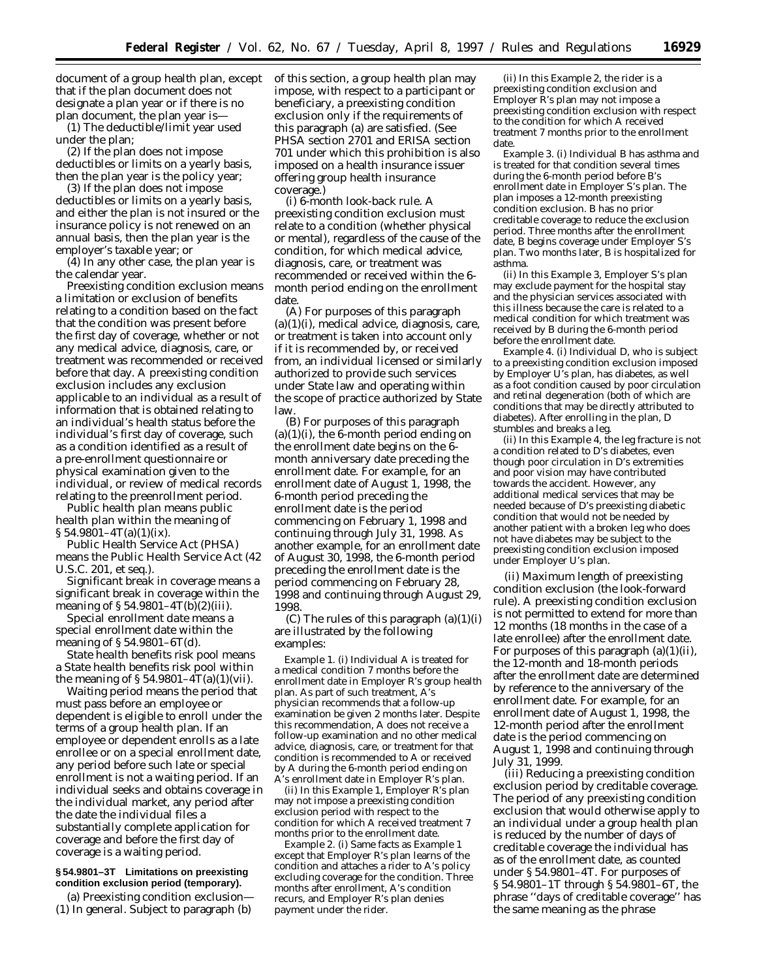document of a group health plan, except that if the plan document does not designate a plan year or if there is no plan document, the plan year is—

(1) The deductible/limit year used under the plan;

(2) If the plan does not impose deductibles or limits on a yearly basis, then the plan year is the policy year;

(3) If the plan does not impose deductibles or limits on a yearly basis, and either the plan is not insured or the insurance policy is not renewed on an annual basis, then the plan year is the employer's taxable year; or

(4) In any other case, the plan year is the calendar year.

*Preexisting condition exclusion* means a limitation or exclusion of benefits relating to a condition based on the fact that the condition was present before the first day of coverage, whether or not any medical advice, diagnosis, care, or treatment was recommended or received before that day. A preexisting condition exclusion includes any exclusion applicable to an individual as a result of information that is obtained relating to an individual's health status before the individual's first day of coverage, such as a condition identified as a result of a pre-enrollment questionnaire or physical examination given to the individual, or review of medical records relating to the preenrollment period.

*Public health plan* means *public health plan* within the meaning of  $\S 54.9801 - 4T(a)(1)(ix)$ .

*Public Health Service Act (PHSA)* means the Public Health Service Act (42 U.S.C. 201, *et seq.*).

*Significant break in coverage* means a *significant break in coverage* within the meaning of  $\S 54.9801 - 4T(b)(2)(iii)$ .

*Special enrollment date* means a *special enrollment date* within the meaning of § 54.9801–6T(d).

*State health benefits risk pool* means a *State health benefits risk pool* within the meaning of  $\S 54.9801 - 4T(a)(1)(vii)$ .

*Waiting period* means the period that must pass before an employee or dependent is eligible to enroll under the terms of a group health plan. If an employee or dependent enrolls as a late enrollee or on a special enrollment date, any period before such late or special enrollment is not a waiting period. If an individual seeks and obtains coverage in the individual market, any period after the date the individual files a substantially complete application for coverage and before the first day of coverage is a waiting period.

## **§ 54.9801–3T Limitations on preexisting condition exclusion period (temporary).**

(a) *Preexisting condition exclusion*— (1) *In general.* Subject to paragraph (b) of this section, a group health plan may impose, with respect to a participant or beneficiary, a preexisting condition exclusion only if the requirements of this paragraph (a) are satisfied. (See PHSA section 2701 and ERISA section 701 under which this prohibition is also imposed on a health insurance issuer offering group health insurance coverage.)

(i) *6-month look-back rule.* A preexisting condition exclusion must relate to a condition (whether physical or mental), regardless of the cause of the condition, for which medical advice, diagnosis, care, or treatment was recommended or received within the 6 month period ending on the enrollment date.

(A) For purposes of this paragraph  $(a)(1)(i)$ , medical advice, diagnosis, care, or treatment is taken into account only if it is recommended by, or received from, an individual licensed or similarly authorized to provide such services under State law and operating within the scope of practice authorized by State law.

(B) For purposes of this paragraph  $(a)(1)(i)$ , the 6-month period ending on the enrollment date begins on the 6 month anniversary date preceding the enrollment date. For example, for an enrollment date of August 1, 1998, the 6-month period preceding the enrollment date is the period commencing on February 1, 1998 and continuing through July 31, 1998. As another example, for an enrollment date of August 30, 1998, the 6-month period preceding the enrollment date is the period commencing on February 28, 1998 and continuing through August 29, 1998.

 $(C)$  The rules of this paragraph  $(a)(1)(i)$ are illustrated by the following examples:

*Example 1.* (i) Individual *A* is treated for a medical condition 7 months before the enrollment date in Employer *R*'s group health plan. As part of such treatment, *A*'s physician recommends that a follow-up examination be given 2 months later. Despite this recommendation, *A* does not receive a follow-up examination and no other medical advice, diagnosis, care, or treatment for that condition is recommended to *A* or received by *A* during the 6-month period ending on *A*'s enrollment date in Employer *R*'s plan.

(ii) In this *Example 1,* Employer *R*'s plan may not impose a preexisting condition exclusion period with respect to the condition for which *A* received treatment 7 months prior to the enrollment date.

*Example 2.* (i) Same facts as *Example 1* except that Employer *R's* plan learns of the condition and attaches a rider to *A*'s policy excluding coverage for the condition. Three months after enrollment, *A*'s condition recurs, and Employer *R*'s plan denies payment under the rider.

(ii) In this *Example 2,* the rider is a preexisting condition exclusion and Employer *R*'s plan may not impose a preexisting condition exclusion with respect to the condition for which *A* received treatment 7 months prior to the enrollment date.

*Example 3.* (i) Individual *B* has asthma and is treated for that condition several times during the 6-month period before *B*'s enrollment date in Employer *S*'s plan. The plan imposes a 12-month preexisting condition exclusion. *B* has no prior creditable coverage to reduce the exclusion period. Three months after the enrollment date, *B* begins coverage under Employer *S*'s plan. Two months later, *B* is hospitalized for asthma.

(ii) In this *Example 3,* Employer *S*'s plan may exclude payment for the hospital stay and the physician services associated with this illness because the care is related to a medical condition for which treatment was received by *B* during the 6-month period before the enrollment date.

*Example 4.* (i) Individual *D,* who is subject to a preexisting condition exclusion imposed by Employer *U*'s plan, has diabetes, as well as a foot condition caused by poor circulation and retinal degeneration (both of which are conditions that may be directly attributed to diabetes). After enrolling in the plan, *D* stumbles and breaks a leg.

(ii) In this *Example 4,* the leg fracture is not a condition related to *D*'s diabetes, even though poor circulation in *D*'s extremities and poor vision may have contributed towards the accident. However, any additional medical services that may be needed because of *D*'s preexisting diabetic condition that would not be needed by another patient with a broken leg who does not have diabetes may be subject to the preexisting condition exclusion imposed under Employer *U*'s plan.

(ii) *Maximum length of preexisting condition exclusion (the look-forward rule).* A preexisting condition exclusion is not permitted to extend for more than 12 months (18 months in the case of a late enrollee) after the enrollment date. For purposes of this paragraph  $(a)(1)(ii)$ , the 12-month and 18-month periods after the enrollment date are determined by reference to the anniversary of the enrollment date. For example, for an enrollment date of August 1, 1998, the 12-month period after the enrollment date is the period commencing on August 1, 1998 and continuing through July 31, 1999.

(iii) *Reducing a preexisting condition exclusion period by creditable coverage.* The period of any preexisting condition exclusion that would otherwise apply to an individual under a group health plan is reduced by the number of days of creditable coverage the individual has as of the enrollment date, as counted under § 54.9801–4T. For purposes of § 54.9801–1T through § 54.9801–6T, the phrase ''days of creditable coverage'' has the same meaning as the phrase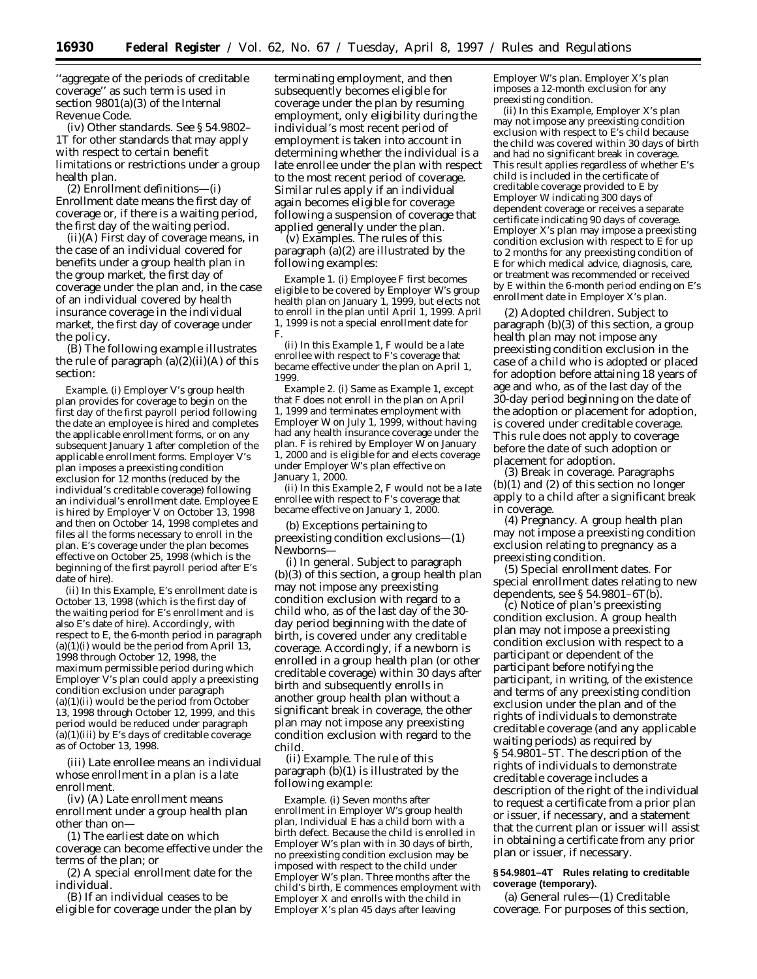''aggregate of the periods of creditable coverage'' as such term is used in section 9801(a)(3) of the Internal Revenue Code.

(iv) *Other standards.* See § 54.9802– 1T for other standards that may apply with respect to certain benefit limitations or restrictions under a group health plan.

(2) *Enrollment definitions—*(i) *Enrollment date* means the first day of coverage or, if there is a waiting period, the first day of the waiting period.

(ii)(A) *First day of coverage* means, in the case of an individual covered for benefits under a group health plan in the group market, the first day of coverage under the plan and, in the case of an individual covered by health insurance coverage in the individual market, the first day of coverage under the policy.

(B) The following example illustrates the rule of paragraph  $(a)(2)(ii)(A)$  of this section:

*Example.* (i) Employer *V*'s group health plan provides for coverage to begin on the first day of the first payroll period following the date an employee is hired and completes the applicable enrollment forms, or on any subsequent January 1 after completion of the applicable enrollment forms. Employer *V*'s plan imposes a preexisting condition exclusion for 12 months (reduced by the individual's creditable coverage) following an individual's enrollment date. Employee *E* is hired by Employer *V* on October 13, 1998 and then on October 14, 1998 completes and files all the forms necessary to enroll in the plan. *E*'s coverage under the plan becomes effective on October 25, 1998 (which is the beginning of the first payroll period after *E*'s date of hire).

(ii) In this *Example, E*'s enrollment date is October 13, 1998 (which is the first day of the waiting period for *E*'s enrollment and is also *E*'s date of hire). Accordingly, with respect to *E,* the 6-month period in paragraph  $(a)(1)(i)$  would be the period from April 13, 1998 through October 12, 1998, the maximum permissible period during which Employer *V*'s plan could apply a preexisting condition exclusion under paragraph  $(a)(1)(ii)$  would be the period from October 13, 1998 through October 12, 1999, and this period would be reduced under paragraph (a)(1)(iii) by *E*'s days of creditable coverage as of October 13, 1998.

(iii) *Late enrollee* means an individual whose enrollment in a plan is a late enrollment.

(iv) (A) *Late enrollment* means enrollment under a group health plan other than on—

(*1*) The earliest date on which coverage can become effective under the terms of the plan; or

(*2*) A special enrollment date for the individual.

(B) If an individual ceases to be eligible for coverage under the plan by

terminating employment, and then subsequently becomes eligible for coverage under the plan by resuming employment, only eligibility during the individual's most recent period of employment is taken into account in determining whether the individual is a late enrollee under the plan with respect to the most recent period of coverage. Similar rules apply if an individual again becomes eligible for coverage following a suspension of coverage that applied generally under the plan.

(v) *Examples.* The rules of this paragraph (a)(2) are illustrated by the following examples:

*Example 1.* (i) Employee *F* first becomes eligible to be covered by Employer *W*'s group health plan on January 1, 1999, but elects not to enroll in the plan until April 1, 1999. April 1, 1999 is not a special enrollment date for *F.*

(ii) In this *Example 1, F* would be a late enrollee with respect to *F*'s coverage that became effective under the plan on April 1, 1999.

*Example 2.* (i) Same as *Example 1,* except that *F* does not enroll in the plan on April 1, 1999 and terminates employment with Employer *W* on July 1, 1999, without having had any health insurance coverage under the plan. *F* is rehired by Employer *W* on January 1, 2000 and is eligible for and elects coverage under Employer *W*'s plan effective on January 1, 2000.

(ii) In this *Example 2, F* would not be a late enrollee with respect to *F*'s coverage that became effective on January 1, 2000.

#### (b) *Exceptions pertaining to preexisting condition exclusions*—(1) *Newborns*—

(i) *In general.* Subject to paragraph (b)(3) of this section, a group health plan may not impose any preexisting condition exclusion with regard to a child who, as of the last day of the 30 day period beginning with the date of birth, is covered under any creditable coverage. Accordingly, if a newborn is enrolled in a group health plan (or other creditable coverage) within 30 days after birth and subsequently enrolls in another group health plan without a significant break in coverage, the other plan may not impose any preexisting condition exclusion with regard to the child.

(ii) *Example.* The rule of this paragraph (b)(1) is illustrated by the following example:

*Example.* (i) Seven months after enrollment in Employer *W'*s group health plan, Individual *E* has a child born with a birth defect. Because the child is enrolled in Employer *W'*s plan with in 30 days of birth, no preexisting condition exclusion may be imposed with respect to the child under Employer *W'*s plan. Three months after the child's birth, *E* commences employment with Employer *X* and enrolls with the child in Employer *X'*s plan 45 days after leaving

Employer *W'*s plan. Employer *X'*s plan imposes a 12-month exclusion for any preexisting condition.

(ii) In this *Example,* Employer *X'*s plan may not impose any preexisting condition exclusion with respect to *E'*s child because the child was covered within 30 days of birth and had no significant break in coverage. This result applies regardless of whether *E'*s child is included in the certificate of creditable coverage provided to *E* by Employer *W* indicating 300 days of dependent coverage or receives a separate certificate indicating 90 days of coverage. Employer *X'*s plan may impose a preexisting condition exclusion with respect to *E* for up to 2 months for any preexisting condition of *E* for which medical advice, diagnosis, care, or treatment was recommended or received by *E* within the 6-month period ending on *E'*s enrollment date in Employer *X'*s plan.

(2) *Adopted children.* Subject to paragraph (b)(3) of this section, a group health plan may not impose any preexisting condition exclusion in the case of a child who is adopted or placed for adoption before attaining 18 years of age and who, as of the last day of the 30-day period beginning on the date of the adoption or placement for adoption, is covered under creditable coverage. This rule does not apply to coverage before the date of such adoption or placement for adoption.

(3) *Break in coverage.* Paragraphs (b)(1) and (2) of this section no longer apply to a child after a significant break in coverage.

(4) *Pregnancy.* A group health plan may not impose a preexisting condition exclusion relating to pregnancy as a preexisting condition.

(5) *Special enrollment dates.* For special enrollment dates relating to new dependents, see § 54.9801–6T(b).

(c) *Notice of plan's preexisting condition exclusion.* A group health plan may not impose a preexisting condition exclusion with respect to a participant or dependent of the participant before notifying the participant, in writing, of the existence and terms of any preexisting condition exclusion under the plan and of the rights of individuals to demonstrate creditable coverage (and any applicable waiting periods) as required by § 54.9801–5T. The description of the rights of individuals to demonstrate creditable coverage includes a description of the right of the individual to request a certificate from a prior plan or issuer, if necessary, and a statement that the current plan or issuer will assist in obtaining a certificate from any prior plan or issuer, if necessary.

## **§ 54.9801–4T Rules relating to creditable coverage (temporary).**

(a) *General rules*—(1) *Creditable coverage.* For purposes of this section,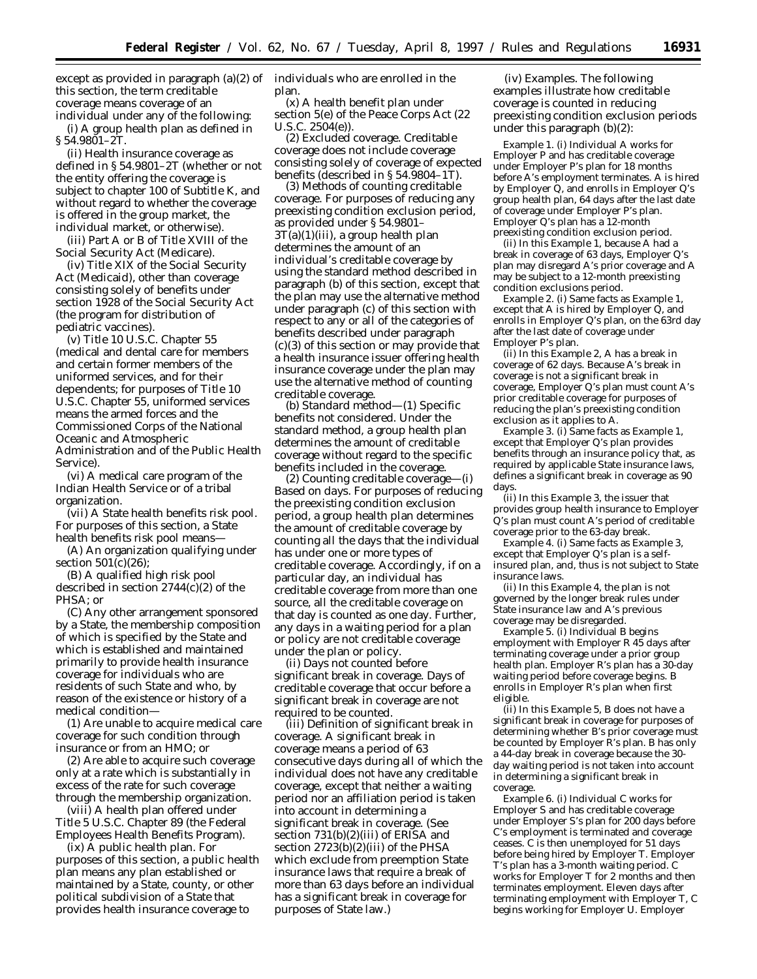except as provided in paragraph (a)(2) of individuals who are enrolled in the this section, the term *creditable coverage* means coverage of an individual under any of the following:

(i) A group health plan as defined in § 54.9801–2T.

(ii) Health insurance coverage as defined in § 54.9801–2T (whether or not the entity offering the coverage is subject to chapter 100 of Subtitle K, and without regard to whether the coverage is offered in the group market, the individual market, or otherwise).

(iii) Part A or B of Title XVIII of the Social Security Act (Medicare).

(iv) Title XIX of the Social Security Act (Medicaid), other than coverage consisting solely of benefits under section 1928 of the Social Security Act (the program for distribution of pediatric vaccines).

(v) Title 10 U.S.C. Chapter 55 (medical and dental care for members and certain former members of the uniformed services, and for their dependents; for purposes of Title 10 U.S.C. Chapter 55, *uniformed services* means the armed forces and the Commissioned Corps of the National Oceanic and Atmospheric Administration and of the Public Health Service).

(vi) A medical care program of the Indian Health Service or of a tribal organization.

(vii) A State health benefits risk pool. For purposes of this section, a State health benefits risk pool means—

(A) An organization qualifying under section 501(c)(26);

(B) A qualified high risk pool described in section 2744(c)(2) of the PHSA; or

(C) Any other arrangement sponsored by a State, the membership composition of which is specified by the State and which is established and maintained primarily to provide health insurance coverage for individuals who are residents of such State and who, by reason of the existence or history of a medical condition—

(*1*) Are unable to acquire medical care coverage for such condition through insurance or from an HMO; or

(*2*) Are able to acquire such coverage only at a rate which is substantially in excess of the rate for such coverage through the membership organization.

(viii) A health plan offered under Title 5 U.S.C. Chapter 89 (the Federal Employees Health Benefits Program).

(ix) A public health plan. For purposes of this section, a public health plan means any plan established or maintained by a State, county, or other political subdivision of a State that provides health insurance coverage to

plan.

(x) A health benefit plan under section 5(e) of the Peace Corps Act (22 U.S.C. 2504(e)).

(2) *Excluded coverage*. Creditable coverage does not include coverage consisting solely of coverage of expected benefits (described in § 54.9804–1T).

(3) *Methods of counting creditable coverage*. For purposes of reducing any preexisting condition exclusion period, as provided under § 54.9801–  $3T(a)(1)(iii)$ , a group health plan determines the amount of an individual's creditable coverage by using the standard method described in paragraph (b) of this section, except that the plan may use the alternative method under paragraph (c) of this section with respect to any or all of the categories of benefits described under paragraph (c)(3) of this section or may provide that a health insurance issuer offering health insurance coverage under the plan may use the alternative method of counting creditable coverage.

(b) *Standard method*—(1) *Specific benefits not considered*. Under the standard method, a group health plan determines the amount of creditable coverage without regard to the specific benefits included in the coverage.

(2) *Counting creditable coverage*—(i) *Based on days*. For purposes of reducing the preexisting condition exclusion period, a group health plan determines the amount of creditable coverage by counting all the days that the individual has under one or more types of creditable coverage. Accordingly, if on a particular day, an individual has creditable coverage from more than one source, all the creditable coverage on that day is counted as one day. Further, any days in a waiting period for a plan or policy are not creditable coverage under the plan or policy.

(ii) *Days not counted before significant break in coverage*. Days of creditable coverage that occur before a significant break in coverage are not required to be counted.

(iii) *Definition of significant break in coverage*. A significant break in coverage means a period of 63 consecutive days during all of which the individual does not have any creditable coverage, except that neither a waiting period nor an affiliation period is taken into account in determining a significant break in coverage. (See section 731(b)(2)(iii) of ERISA and section 2723(b)(2)(iii) of the PHSA which exclude from preemption State insurance laws that require a break of more than 63 days before an individual has a significant break in coverage for purposes of State law.)

(iv) *Examples.* The following examples illustrate how creditable coverage is counted in reducing preexisting condition exclusion periods under this paragraph (b)(2):

*Example 1.* (i) Individual *A* works for Employer *P* and has creditable coverage under Employer *P*'s plan for 18 months before *A*'s employment terminates. *A* is hired by Employer *Q*, and enrolls in Employer *Q*'s group health plan, 64 days after the last date of coverage under Employer *P*'s plan. Employer *Q*'s plan has a 12-month preexisting condition exclusion period.

(ii) In this *Example 1,* because *A* had a break in coverage of 63 days, Employer *Q*'s plan may disregard *A*'s prior coverage and *A* may be subject to a 12-month preexisting condition exclusions period.

*Example 2.* (i) Same facts as *Example 1*, except that *A* is hired by Employer *Q*, and enrolls in Employer *Q*'s plan, on the 63rd day after the last date of coverage under Employer *P*'s plan.

(ii) In this *Example 2*, *A* has a break in coverage of 62 days. Because *A*'s break in coverage is not a significant break in coverage, Employer *Q*'s plan must count *A*'s prior creditable coverage for purposes of reducing the plan's preexisting condition exclusion as it applies to *A*.

*Example 3.* (i) Same facts as *Example 1*, except that Employer *Q*'s plan provides benefits through an insurance policy that, as required by applicable State insurance laws, defines a significant break in coverage as 90 days.

(ii) In this *Example 3*, the issuer that provides group health insurance to Employer *Q*'s plan must count *A*'s period of creditable coverage prior to the 63-day break.

*Example 4.* (i) Same facts as *Example 3*, except that Employer *Q*'s plan is a selfinsured plan, and, thus is not subject to State insurance laws.

(ii) In this *Example 4*, the plan is not governed by the longer break rules under State insurance law and *A*'s previous coverage may be disregarded.

*Example 5.* (i) Individual *B* begins employment with Employer *R* 45 days after terminating coverage under a prior group health plan. Employer *R*'s plan has a 30-day waiting period before coverage begins. *B* enrolls in Employer *R*'s plan when first eligible.

(ii) In this *Example 5*, *B* does not have a significant break in coverage for purposes of determining whether *B*'s prior coverage must be counted by Employer *R*'s plan. *B* has only a 44-day break in coverage because the 30 day waiting period is not taken into account in determining a significant break in coverage.

*Example 6.* (i) Individual *C* works for Employer *S* and has creditable coverage under Employer *S*'s plan for 200 days before *C*'s employment is terminated and coverage ceases. *C* is then unemployed for 51 days before being hired by Employer *T*. Employer *T*'s plan has a 3-month waiting period. *C* works for Employer *T* for 2 months and then terminates employment. Eleven days after terminating employment with Employer *T*, *C* begins working for Employer *U*. Employer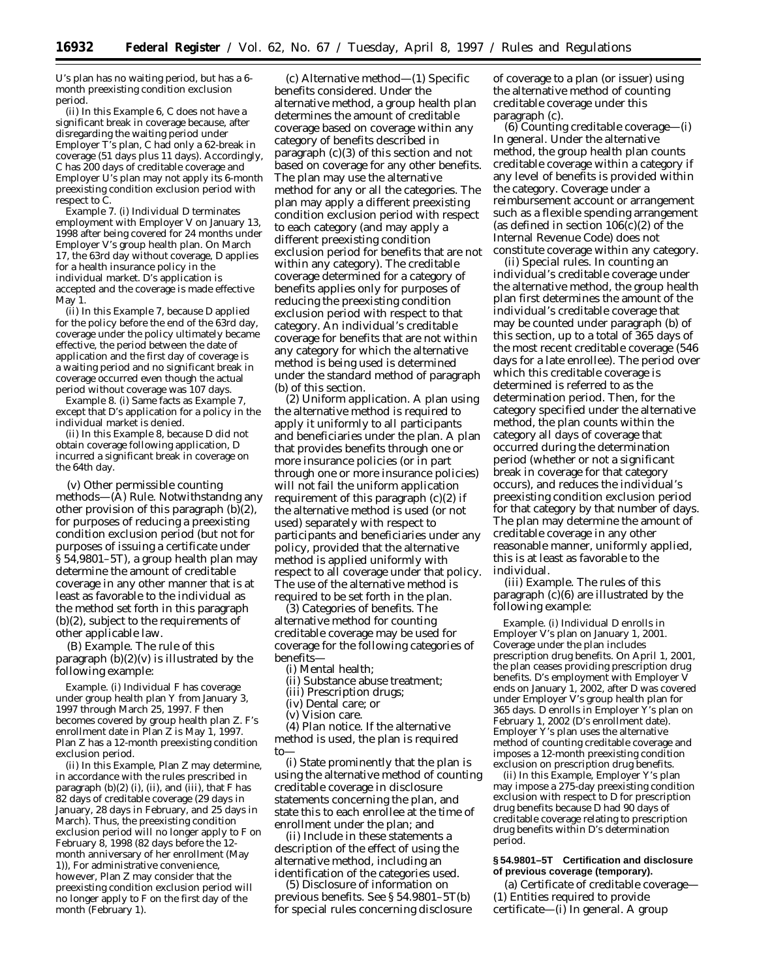*U*'s plan has no waiting period, but has a 6 month preexisting condition exclusion period.

(ii) In this *Example 6*, *C* does not have a significant break in coverage because, after disregarding the waiting period under Employer *T*'s plan, *C* had only a 62-break in coverage (51 days plus 11 days). Accordingly, *C* has 200 days of creditable coverage and Employer *U*'s plan may not apply its 6-month preexisting condition exclusion period with respect to *C*.

*Example 7.* (i) Individual *D* terminates employment with Employer *V* on January 13, 1998 after being covered for 24 months under Employer *V*'s group health plan. On March 17, the 63rd day without coverage, *D* applies for a health insurance policy in the individual market. *D*'s application is accepted and the coverage is made effective May 1.

(ii) In this *Example 7,* because *D* applied for the policy before the end of the 63rd day, coverage under the policy ultimately became effective, the period between the date of application and the first day of coverage is a waiting period and no significant break in coverage occurred even though the actual period without coverage was 107 days.

*Example 8.* (i) Same facts as *Example 7,* except that *D*'s application for a policy in the individual market is denied.

(ii) In this *Example 8,* because *D* did not obtain coverage following application, *D* incurred a significant break in coverage on the 64th day.

(v) *Other permissible counting methods—(A*) *Rule.* Notwithstandng any other provision of this paragraph (b)(2), for purposes of reducing a preexisting condition exclusion period (but not for purposes of issuing a certificate under § 54,9801–5T), a group health plan may determine the amount of creditable coverage in any other manner that is at least as favorable to the individual as the method set forth in this paragraph (b)(2), subject to the requirements of other applicable law.

(B) *Example.* The rule of this paragraph  $(b)(2)(v)$  is illustrated by the following example:

*Example.* (i) Individual *F* has coverage under group health plan *Y* from January 3, 1997 through March 25, 1997. *F* then becomes covered by group health plan *Z*. *F*'s enrollment date in Plan Z is May 1, 1997. Plan *Z* has a 12-month preexisting condition exclusion period.

(ii) In this *Example*, Plan *Z* may determine, in accordance with the rules prescribed in paragraph  $(b)(2)$  (i), (ii), and (iii), that  $F$  has 82 days of creditable coverage (29 days in January, 28 days in February, and 25 days in March). Thus, the preexisting condition exclusion period will no longer apply to *F* on February 8, 1998 (82 days before the 12 month anniversary of her enrollment (May 1)), For administrative convenience, however, Plan *Z* may consider that the preexisting condition exclusion period will no longer apply to *F* on the first day of the month (February 1).

(c) *Alternative method—(1*) *Specific benefits considered.* Under the alternative method, a group health plan determines the amount of creditable coverage based on coverage within any category of benefits described in paragraph (c)(3) of this section and not based on coverage for any other benefits. The plan may use the alternative method for any or all the categories. The plan may apply a different preexisting condition exclusion period with respect to each category (and may apply a different preexisting condition exclusion period for benefits that are not within any category). The creditable coverage determined for a category of benefits applies only for purposes of reducing the preexisting condition exclusion period with respect to that category. An individual's creditable coverage for benefits that are not within any category for which the alternative method is being used is determined under the standard method of paragraph (b) of this section.

(2) *Uniform application.* A plan using the alternative method is required to apply it uniformly to all participants and beneficiaries under the plan. A plan that provides benefits through one or more insurance policies (or in part through one or more insurance policies) will not fail the uniform application requirement of this paragraph (c)(2) if the alternative method is used (or not used) separately with respect to participants and beneficiaries under any policy, provided that the alternative method is applied uniformly with respect to all coverage under that policy. The use of the alternative method is required to be set forth in the plan.

(3) *Categories of benefits.* The alternative method for counting creditable coverage may be used for coverage for the following categories of benefits—

- (i) Mental health;
- (ii) Substance abuse treatment;

(iii) Prescription drugs;

(iv) Dental care; or (v) Vision care.

(4) *Plan notice.* If the alternative method is used, the plan is required to—

(i) State prominently that the plan is using the alternative method of counting creditable coverage in disclosure statements concerning the plan, and state this to each enrollee at the time of enrollment under the plan; and

(ii) Include in these statements a description of the effect of using the alternative method, including an identification of the categories used.

(5) *Disclosure of information on previous benefits.* See § 54.9801–5T(b) for special rules concerning disclosure of coverage to a plan (or issuer) using the alternative method of counting creditable coverage under this paragraph (c).

(6) *Counting creditable coverage—(i*) *In general.* Under the alternative method, the group health plan counts creditable coverage within a category if any level of benefits is provided within the category. Coverage under a reimbursement account or arrangement such as a flexible spending arrangement (as defined in section  $106(c)(2)$  of the Internal Revenue Code) does not constitute coverage within any category.

(ii) *Special rules.* In counting an individual's creditable coverage under the alternative method, the group health plan first determines the amount of the individual's creditable coverage that may be counted under paragraph (b) of this section, up to a total of 365 days of the most recent creditable coverage (546 days for a late enrollee). The period over which this creditable coverage is determined is referred to as the determination period. Then, for the category specified under the alternative method, the plan counts within the category all days of coverage that occurred during the determination period (whether or not a significant break in coverage for that category occurs), and reduces the individual's preexisting condition exclusion period for that category by that number of days. The plan may determine the amount of creditable coverage in any other reasonable manner, uniformly applied, this is at least as favorable to the individual.

(iii) *Example.* The rules of this paragraph (c)(6) are illustrated by the following example:

*Example.* (i) Individual *D* enrolls in Employer *V*'s plan on January 1, 2001. Coverage under the plan includes prescription drug benefits. On April 1, 2001, the plan ceases providing prescription drug benefits. *D*'s employment with Employer *V* ends on January 1, 2002, after *D* was covered under Employer *V*'s group health plan for 365 days. *D* enrolls in Employer *Y*'s plan on February 1, 2002 (*D*'s enrollment date). Employer *Y*'s plan uses the alternative method of counting creditable coverage and imposes a 12-month preexisting condition exclusion on prescription drug benefits.

(ii) In this *Example,* Employer *Y*'s plan may impose a 275-day preexisting condition exclusion with respect to *D* for prescription drug benefits because *D* had 90 days of creditable coverage relating to prescription drug benefits within *D*'s determination period.

## **§ 54.9801–5T Certification and disclosure of previous coverage (temporary).**

(a) *Certificate of creditable coverage—* (1) *Entities required to provide certificate—*(i) *In general.* A group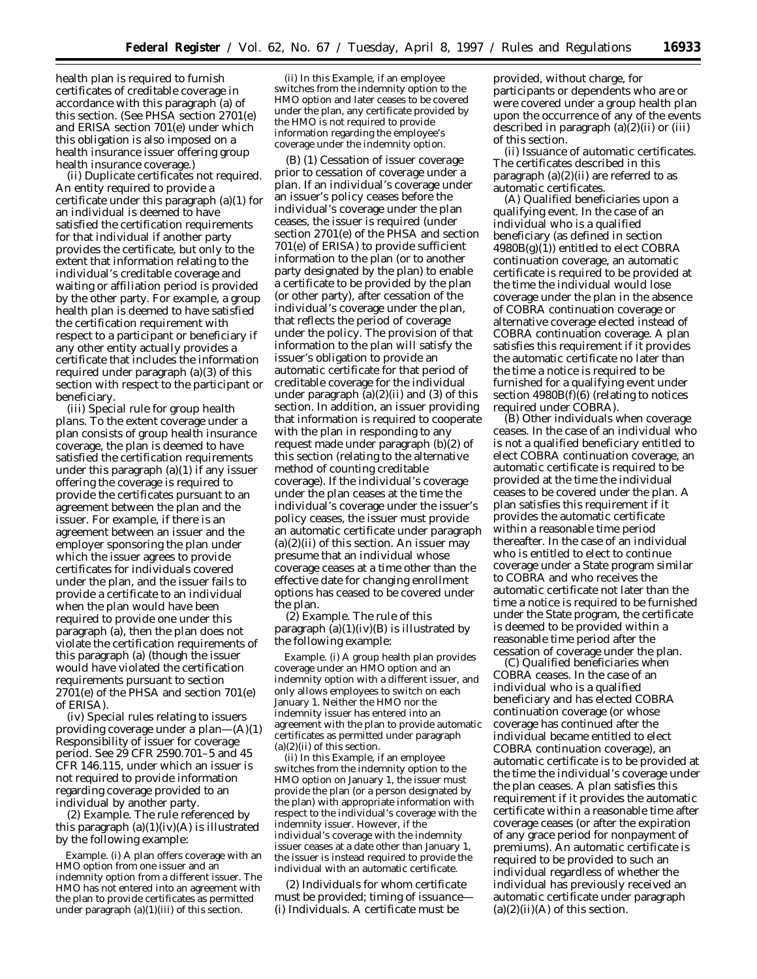health plan is required to furnish certificates of creditable coverage in accordance with this paragraph (a) of this section. (See PHSA section 2701(e) and ERISA section 701(e) under which this obligation is also imposed on a health insurance issuer offering group health insurance coverage.)

(ii) *Duplicate certificates not required.* An entity required to provide a certificate under this paragraph (a)(1) for an individual is deemed to have satisfied the certification requirements for that individual if another party provides the certificate, but only to the extent that information relating to the individual's creditable coverage and waiting or affiliation period is provided by the other party. For example, a group health plan is deemed to have satisfied the certification requirement with respect to a participant or beneficiary if any other entity actually provides a certificate that includes the information required under paragraph (a)(3) of this section with respect to the participant or beneficiary.

(iii) *Special rule for group health plans.* To the extent coverage under a plan consists of group health insurance coverage, the plan is deemed to have satisfied the certification requirements under this paragraph (a)(1) if any issuer offering the coverage is required to provide the certificates pursuant to an agreement between the plan and the issuer. For example, if there is an agreement between an issuer and the employer sponsoring the plan under which the issuer agrees to provide certificates for individuals covered under the plan, and the issuer fails to provide a certificate to an individual when the plan would have been required to provide one under this paragraph (a), then the plan does not violate the certification requirements of this paragraph (a) (though the issuer would have violated the certification requirements pursuant to section 2701(e) of the PHSA and section 701(e) of ERISA).

(iv) *Special rules relating to issuers providing coverage under a plan—*(A)(*1*) *Responsibility of issuer for coverage period.* See 29 CFR 2590.701–5 and 45 CFR 146.115, under which an issuer is not required to provide information regarding coverage provided to an individual by another party.

(*2*) *Example.* The rule referenced by this paragraph  $(a)(1)(iv)(A)$  is illustrated by the following example:

*Example.* (i) A plan offers coverage with an HMO option from one issuer and an indemnity option from a different issuer. The HMO has not entered into an agreement with the plan to provide certificates as permitted under paragraph (a)(1)(iii) of this section.

(ii) In this *Example,* if an employee switches from the indemnity option to the HMO option and later ceases to be covered under the plan, any certificate provided by the HMO is not required to provide information regarding the employee's coverage under the indemnity option.

(B) (*1*) *Cessation of issuer coverage prior to cessation of coverage under a plan.* If an individual's coverage under an issuer's policy ceases before the individual's coverage under the plan ceases, the issuer is required (under section 2701(e) of the PHSA and section 701(e) of ERISA) to provide sufficient information to the plan (or to another party designated by the plan) to enable a certificate to be provided by the plan (or other party), after cessation of the individual's coverage under the plan, that reflects the period of coverage under the policy. The provision of that information to the plan will satisfy the issuer's obligation to provide an automatic certificate for that period of creditable coverage for the individual under paragraph  $(a)(2)(ii)$  and  $(3)$  of this section. In addition, an issuer providing that information is required to cooperate with the plan in responding to any request made under paragraph (b)(2) of this section (relating to the alternative method of counting creditable coverage). If the individual's coverage under the plan ceases at the time the individual's coverage under the issuer's policy ceases, the issuer must provide an automatic certificate under paragraph  $(a)(2)(ii)$  of this section. An issuer may presume that an individual whose coverage ceases at a time other than the effective date for changing enrollment options has ceased to be covered under the plan.

(*2*) *Example.* The rule of this paragraph  $(a)(1)(iv)(B)$  is illustrated by the following example:

*Example.* (i) A group health plan provides coverage under an HMO option and an indemnity option with a different issuer, and only allows employees to switch on each January 1. Neither the HMO nor the indemnity issuer has entered into an agreement with the plan to provide automatic certificates as permitted under paragraph  $(a)(2)(ii)$  of this section.

(ii) In this *Example,* if an employee switches from the indemnity option to the HMO option on January 1, the issuer must provide the plan (or a person designated by the plan) with appropriate information with respect to the individual's coverage with the indemnity issuer. However, if the individual's coverage with the indemnity issuer ceases at a date other than January 1, the issuer is instead required to provide the individual with an automatic certificate.

(2) *Individuals for whom certificate must be provided; timing of issuance— (i) Individuals.* A certificate must be

provided, without charge, for participants or dependents who are or were covered under a group health plan upon the occurrence of any of the events described in paragraph (a)(2)(ii) or (iii) of this section.

(ii) *Issuance of automatic certificates.* The certificates described in this paragraph  $(a)(2)(ii)$  are referred to as automatic certificates.

(A) *Qualified beneficiaries upon a qualifying event.* In the case of an individual who is a qualified beneficiary (as defined in section  $4980B(g)(1)$ ) entitled to elect COBRA continuation coverage, an automatic certificate is required to be provided at the time the individual would lose coverage under the plan in the absence of COBRA continuation coverage or alternative coverage elected instead of COBRA continuation coverage. A plan satisfies this requirement if it provides the automatic certificate no later than the time a notice is required to be furnished for a qualifying event under section  $4980B(f)(6)$  (relating to notices required under COBRA).

(B) *Other individuals when coverage ceases.* In the case of an individual who is not a qualified beneficiary entitled to elect COBRA continuation coverage, an automatic certificate is required to be provided at the time the individual ceases to be covered under the plan. A plan satisfies this requirement if it provides the automatic certificate within a reasonable time period thereafter. In the case of an individual who is entitled to elect to continue coverage under a State program similar to COBRA and who receives the automatic certificate not later than the time a notice is required to be furnished under the State program, the certificate is deemed to be provided within a reasonable time period after the cessation of coverage under the plan.

(C) *Qualified beneficiaries when COBRA ceases.* In the case of an individual who is a qualified beneficiary and has elected COBRA continuation coverage (or whose coverage has continued after the individual became entitled to elect COBRA continuation coverage), an automatic certificate is to be provided at the time the individual's coverage under the plan ceases. A plan satisfies this requirement if it provides the automatic certificate within a reasonable time after coverage ceases (or after the expiration of any grace period for nonpayment of premiums). An automatic certificate is required to be provided to such an individual regardless of whether the individual has previously received an automatic certificate under paragraph  $(a)(2)(ii)(A)$  of this section.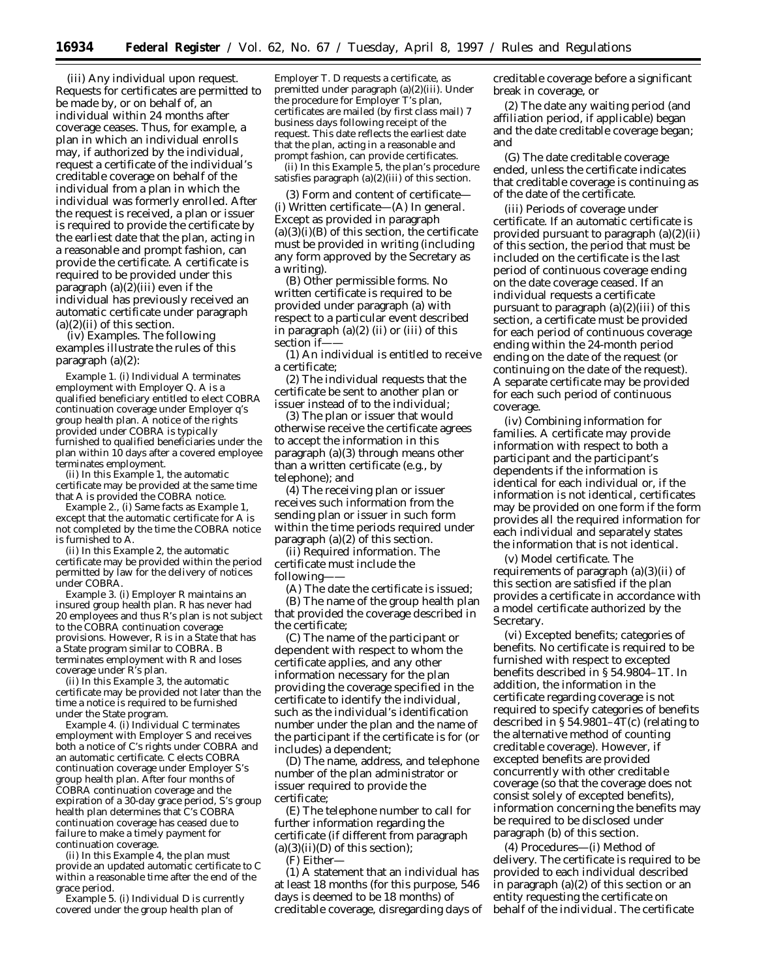(iii) *Any individual upon request.* Requests for certificates are permitted to be made by, or on behalf of, an individual within 24 months after coverage ceases. Thus, for example, a plan in which an individual enrolls may, if authorized by the individual, request a certificate of the individual's creditable coverage on behalf of the individual from a plan in which the individual was formerly enrolled. After the request is received, a plan or issuer is required to provide the certificate by the earliest date that the plan, acting in a reasonable and prompt fashion, can provide the certificate. A certificate is required to be provided under this paragraph  $(a)(2)(iii)$  even if the individual has previously received an automatic certificate under paragraph  $(a)(2)(ii)$  of this section.

(iv) *Examples.* The following examples illustrate the rules of this paragraph (a)(2):

*Example 1.* (i) Individual *A* terminates employment with Employer *Q. A* is a qualified beneficiary entitled to elect COBRA continuation coverage under Employer *q*'s group health plan. A notice of the rights provided under COBRA is typically furnished to qualified beneficiaries under the plan within 10 days after a covered employee terminates employment.

(ii) In this *Example 1*, the automatic certificate may be provided at the same time that *A* is provided the COBRA notice.

*Example 2.*, (i) Same facts as *Example 1*, except that the automatic certificate for *A* is not completed by the time the COBRA notice is furnished to *A*.

(ii) In this *Example 2*, the automatic certificate may be provided within the period permitted by law for the delivery of notices under COBRA.

*Example 3.* (i) Employer *R* maintains an insured group health plan. *R* has never had 20 employees and thus *R*'s plan is not subject to the COBRA continuation coverage provisions. However, *R* is in a State that has a State program similar to COBRA. *B* terminates employment with *R* and loses coverage under *R*'s plan.

(ii) In this *Example 3*, the automatic certificate may be provided not later than the time a notice is required to be furnished under the State program.

*Example 4.* (i) Individual *C* terminates employment with Employer *S* and receives both a notice of *C*'s rights under COBRA and an automatic certificate. *C* elects COBRA continuation coverage under Employer *S*'s group health plan. After four months of COBRA continuation coverage and the expiration of a 30-day grace period, *S*'s group health plan determines that *C*'s COBRA continuation coverage has ceased due to failure to make a timely payment for continuation coverage.

(ii) In this *Example 4*, the plan must provide an updated automatic certificate to *C* within a reasonable time after the end of the grace period.

*Example 5.* (i) Individual *D* is currently covered under the group health plan of

Employer *T*. *D* requests a certificate, as premitted under paragraph (a)(2)(iii). Under the procedure for Employer *T*'s plan, certificates are mailed (by first class mail) 7 business days following receipt of the request. This date reflects the earliest date that the plan, acting in a reasonable and prompt fashion, can provide certificates.

(ii) In this *Example 5*, the plan's procedure satisfies paragraph  $(a)(2)(iii)$  of this section.

(3) *Form and content of certificate—* (i) *Written certificate*—(A) *In general.* Except as provided in paragraph  $(a)(3)(i)(B)$  of this section, the certificate must be provided in writing (including any form approved by the Secretary as a writing).

(B) *Other permissible forms.* No written certificate is required to be provided under paragraph (a) with respect to a particular event described in paragraph  $(a)(2)$  (ii) or (iii) of this section if-

(*1*) An individual is entitled to receive a certificate;

(*2*) The individual requests that the certificate be sent to another plan or issuer instead of to the individual;

(*3*) The plan or issuer that would otherwise receive the certificate agrees to accept the information in this paragraph (a)(3) through means other than a written certificate (e.g., by telephone); and

(*4*) The receiving plan or issuer receives such information from the sending plan or issuer in such form within the time periods required under paragraph (a)(2) of this section.

(ii) *Required information.* The certificate must include the following-

(A) The date the certificate is issued; (B) The name of the group health plan that provided the coverage described in the certificate;

(C) The name of the participant or dependent with respect to whom the certificate applies, and any other information necessary for the plan providing the coverage specified in the certificate to identify the individual, such as the individual's identification number under the plan and the name of the participant if the certificate is for (or includes) a dependent;

(D) The name, address, and telephone number of the plan administrator or issuer required to provide the certificate;

(E) The telephone number to call for further information regarding the certificate (if different from paragraph  $(a)(3)(ii)(D)$  of this section);

(F) Either—

(*1*) A statement that an individual has at least 18 months (for this purpose, 546 days is deemed to be 18 months) of creditable coverage, disregarding days of creditable coverage before a significant break in coverage, or

(*2*) The date any waiting period (and affiliation period, if applicable) began and the date creditable coverage began; and

(G) The date creditable coverage ended, unless the certificate indicates that creditable coverage is continuing as of the date of the certificate.

(iii) *Periods of coverage under certificate.* If an automatic certificate is provided pursuant to paragraph (a)(2)(ii) of this section, the period that must be included on the certificate is the last period of continuous coverage ending on the date coverage ceased. If an individual requests a certificate pursuant to paragraph  $(a)(2)(iii)$  of this section, a certificate must be provided for each period of continuous coverage ending within the 24-month period ending on the date of the request (or continuing on the date of the request). A separate certificate may be provided for each such period of continuous coverage.

(iv) *Combining information for families.* A certificate may provide information with respect to both a participant and the participant's dependents if the information is identical for each individual or, if the information is not identical, certificates may be provided on one form if the form provides all the required information for each individual and separately states the information that is not identical.

(v) *Model certificate.* The requirements of paragraph  $(a)(3)(ii)$  of this section are satisfied if the plan provides a certificate in accordance with a model certificate authorized by the Secretary.

(vi) *Excepted benefits; categories of benefits.* No certificate is required to be furnished with respect to excepted benefits described in § 54.9804–1T. In addition, the information in the certificate regarding coverage is not required to specify categories of benefits described in § 54.9801–4T(c) (relating to the alternative method of counting creditable coverage). However, if excepted benefits are provided concurrently with other creditable coverage (so that the coverage does not consist solely of excepted benefits), information concerning the benefits may be required to be disclosed under paragraph (b) of this section.

(4) *Procedures*—(i) *Method of delivery.* The certificate is required to be provided to each individual described in paragraph (a)(2) of this section or an entity requesting the certificate on behalf of the individual. The certificate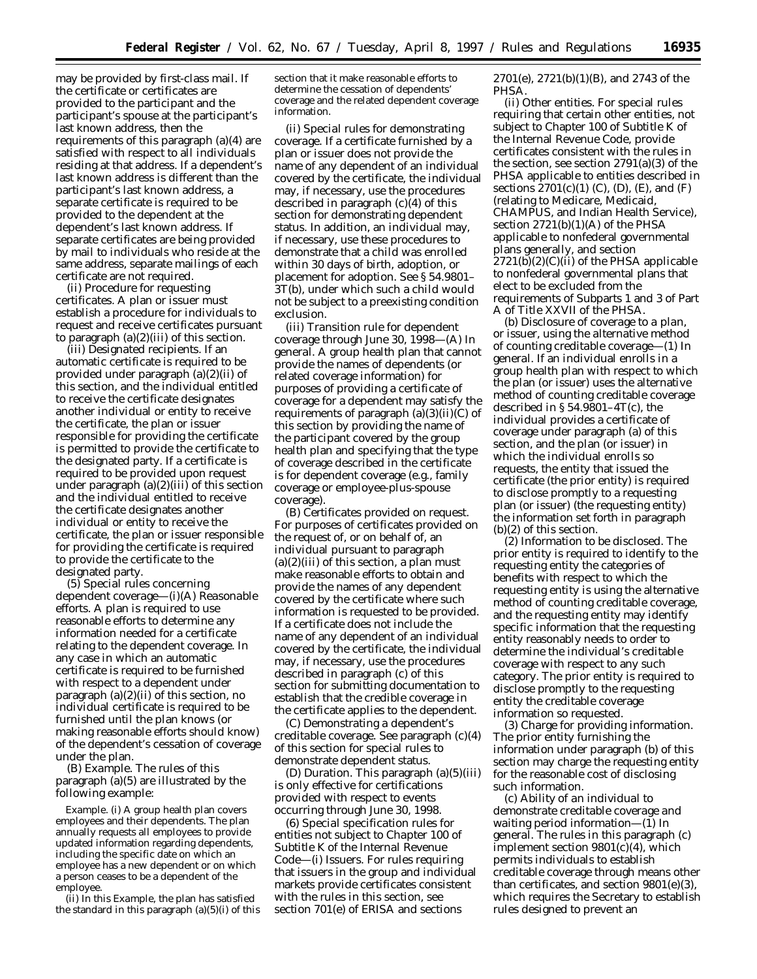may be provided by first-class mail. If the certificate or certificates are provided to the participant and the participant's spouse at the participant's last known address, then the requirements of this paragraph (a)(4) are satisfied with respect to all individuals residing at that address. If a dependent's last known address is different than the participant's last known address, a separate certificate is required to be provided to the dependent at the dependent's last known address. If separate certificates are being provided by mail to individuals who reside at the same address, separate mailings of each certificate are not required.

(ii) *Procedure for requesting certificates.* A plan or issuer must establish a procedure for individuals to request and receive certificates pursuant to paragraph (a)(2)(iii) of this section.

(iii) *Designated recipients.* If an automatic certificate is required to be provided under paragraph (a)(2)(ii) of this section, and the individual entitled to receive the certificate designates another individual or entity to receive the certificate, the plan or issuer responsible for providing the certificate is permitted to provide the certificate to the designated party. If a certificate is required to be provided upon request under paragraph  $(a)(2)(iii)$  of this section and the individual entitled to receive the certificate designates another individual or entity to receive the certificate, the plan or issuer responsible for providing the certificate is required to provide the certificate to the designated party.

(5) *Special rules concerning dependent coverage*—(i)(A) *Reasonable efforts.* A plan is required to use reasonable efforts to determine any information needed for a certificate relating to the dependent coverage. In any case in which an automatic certificate is required to be furnished with respect to a dependent under paragraph (a)(2)(ii) of this section, no individual certificate is required to be furnished until the plan knows (or making reasonable efforts should know) of the dependent's cessation of coverage under the plan.

(B) *Example.* The rules of this paragraph (a)(5) are illustrated by the following example:

*Example.* (i) A group health plan covers employees and their dependents. The plan annually requests all employees to provide updated information regarding dependents, including the specific date on which an employee has a new dependent or on which a person ceases to be a dependent of the employee.

(ii) In this *Example,* the plan has satisfied the standard in this paragraph  $(a)(5)(i)$  of this section that it make reasonable efforts to determine the cessation of dependents' coverage and the related dependent coverage information.

(ii) *Special rules for demonstrating coverage.* If a certificate furnished by a plan or issuer does not provide the name of any dependent of an individual covered by the certificate, the individual may, if necessary, use the procedures described in paragraph (c)(4) of this section for demonstrating dependent status. In addition, an individual may, if necessary, use these procedures to demonstrate that a child was enrolled within 30 days of birth, adoption, or placement for adoption. See § 54.9801– 3T(b), under which such a child would not be subject to a preexisting condition exclusion.

(iii) *Transition rule for dependent coverage through June 30, 1998*—(A) *In general.* A group health plan that cannot provide the names of dependents (or related coverage information) for purposes of providing a certificate of coverage for a dependent may satisfy the requirements of paragraph  $(a)(3)(ii)(C)$  of this section by providing the name of the participant covered by the group health plan and specifying that the type of coverage described in the certificate is for dependent coverage (e.g., family coverage or employee-plus-spouse coverage).

(B) *Certificates provided on request.* For purposes of certificates provided on the request of, or on behalf of, an individual pursuant to paragraph  $(a)(2)(iii)$  of this section, a plan must make reasonable efforts to obtain and provide the names of any dependent covered by the certificate where such information is requested to be provided. If a certificate does not include the name of any dependent of an individual covered by the certificate, the individual may, if necessary, use the procedures described in paragraph (c) of this section for submitting documentation to establish that the credible coverage in the certificate applies to the dependent.

(C) *Demonstrating a dependent's creditable coverage.* See paragraph (c)(4) of this section for special rules to demonstrate dependent status.

(D) *Duration.* This paragraph (a)(5)(iii) is only effective for certifications provided with respect to events occurring through June 30, 1998.

(6) *Special specification rules for entities not subject to Chapter 100 of Subtitle K of the Internal Revenue Code—*(i) *Issuers.* For rules requiring that issuers in the group and individual markets provide certificates consistent with the rules in this section, see section 701(e) of ERISA and sections

2701(e), 2721(b)(1)(B), and 2743 of the PHSA.

(ii) *Other entities.* For special rules requiring that certain other entities, not subject to Chapter 100 of Subtitle K of the Internal Revenue Code, provide certificates consistent with the rules in the section, see section 2791(a)(3) of the PHSA applicable to entities described in sections  $2701(c)(1)$  (C), (D), (E), and (F) (relating to Medicare, Medicaid, CHAMPUS, and Indian Health Service), section  $2721(b)(1)(A)$  of the PHSA applicable to nonfederal governmental plans generally, and section  $2721(b)(2)(C)(ii)$  of the PHSA applicable to nonfederal governmental plans that elect to be excluded from the requirements of Subparts 1 and 3 of Part A of Title XXVII of the PHSA.

(b) *Disclosure of coverage to a plan, or issuer, using the alternative method of counting creditable coverage—*(1) *In general.* If an individual enrolls in a group health plan with respect to which the plan (or issuer) uses the alternative method of counting creditable coverage described in  $\S 54.9801 - 4T(c)$ , the individual provides a certificate of coverage under paragraph (a) of this section, and the plan (or issuer) in which the individual enrolls so requests, the entity that issued the certificate (the prior entity) is required to disclose promptly to a requesting plan (or issuer) (the requesting entity) the information set forth in paragraph (b)(2) of this section.

(2) *Information to be disclosed.* The prior entity is required to identify to the requesting entity the categories of benefits with respect to which the requesting entity is using the alternative method of counting creditable coverage, and the requesting entity may identify specific information that the requesting entity reasonably needs to order to determine the individual's creditable coverage with respect to any such category. The prior entity is required to disclose promptly to the requesting entity the creditable coverage information so requested.

(3) *Charge for providing information.* The prior entity furnishing the information under paragraph (b) of this section may charge the requesting entity for the reasonable cost of disclosing such information.

(c) *Ability of an individual to demonstrate creditable coverage and waiting period information—*(1) *In general.* The rules in this paragraph (c) implement section 9801(c)(4), which permits individuals to establish creditable coverage through means other than certificates, and section 9801(e)(3), which requires the Secretary to establish rules designed to prevent an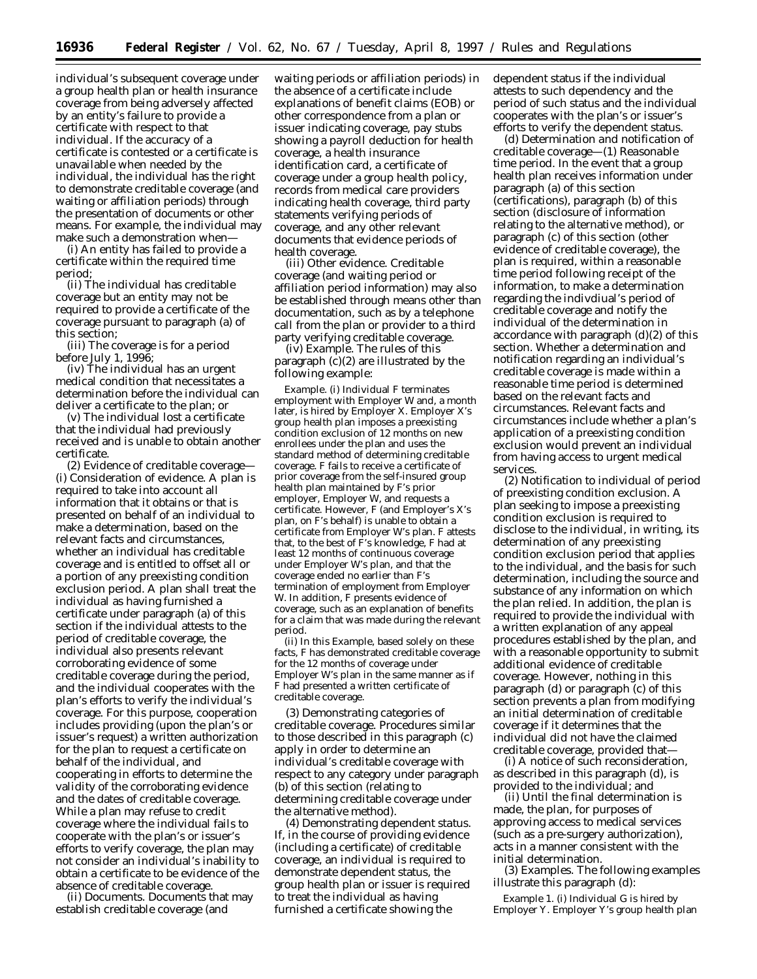individual's subsequent coverage under a group health plan or health insurance coverage from being adversely affected by an entity's failure to provide a certificate with respect to that individual. If the accuracy of a certificate is contested or a certificate is unavailable when needed by the individual, the individual has the right to demonstrate creditable coverage (and waiting or affiliation periods) through the presentation of documents or other means. For example, the individual may make such a demonstration when—

(i) An entity has failed to provide a certificate within the required time period;

(ii) The individual has creditable coverage but an entity may not be required to provide a certificate of the coverage pursuant to paragraph (a) of this section;

(iii) The coverage is for a period before July 1, 1996;

(iv) The individual has an urgent medical condition that necessitates a determination before the individual can deliver a certificate to the plan; or

(v) The individual lost a certificate that the individual had previously received and is unable to obtain another certificate.

(2) *Evidence of creditable coverage—* (i) *Consideration of evidence.* A plan is required to take into account all information that it obtains or that is presented on behalf of an individual to make a determination, based on the relevant facts and circumstances, whether an individual has creditable coverage and is entitled to offset all or a portion of any preexisting condition exclusion period. A plan shall treat the individual as having furnished a certificate under paragraph (a) of this section if the individual attests to the period of creditable coverage, the individual also presents relevant corroborating evidence of some creditable coverage during the period, and the individual cooperates with the plan's efforts to verify the individual's coverage. For this purpose, cooperation includes providing (upon the plan's or issuer's request) a written authorization for the plan to request a certificate on behalf of the individual, and cooperating in efforts to determine the validity of the corroborating evidence and the dates of creditable coverage. While a plan may refuse to credit coverage where the individual fails to cooperate with the plan's or issuer's efforts to verify coverage, the plan may not consider an individual's inability to obtain a certificate to be evidence of the absence of creditable coverage.

(ii) *Documents.* Documents that may establish creditable coverage (and

waiting periods or affiliation periods) in the absence of a certificate include explanations of benefit claims (EOB) or other correspondence from a plan or issuer indicating coverage, pay stubs showing a payroll deduction for health coverage, a health insurance identification card, a certificate of coverage under a group health policy, records from medical care providers indicating health coverage, third party statements verifying periods of coverage, and any other relevant documents that evidence periods of health coverage.

(iii) *Other evidence.* Creditable coverage (and waiting period or affiliation period information) may also be established through means other than documentation, such as by a telephone call from the plan or provider to a third party verifying creditable coverage.

(iv) *Example.* The rules of this paragraph (c)(2) are illustrated by the following example:

*Example.* (i) Individual *F* terminates employment with Employer *W* and, a month later, is hired by Employer *X*. Employer *X*'s group health plan imposes a preexisting condition exclusion of 12 months on new enrollees under the plan and uses the standard method of determining creditable coverage. *F* fails to receive a certificate of prior coverage from the self-insured group health plan maintained by *F*'s prior employer, Employer *W*, and requests a certificate. However, *F* (and Employer's *X*'s plan, on *F*'s behalf) is unable to obtain a certificate from Employer *W*'s plan. *F* attests that, to the best of *F*'s knowledge, *F* had at least 12 months of continuous coverage under Employer *W*'s plan, and that the coverage ended no earlier than *F*'s termination of employment from Employer *W.* In addition, *F* presents evidence of coverage, such as an explanation of benefits for a claim that was made during the relevant period.

(ii) In this *Example,* based solely on these facts, *F* has demonstrated creditable coverage for the 12 months of coverage under Employer *W*'s plan in the same manner as if *F* had presented a written certificate of creditable coverage.

(3) *Demonstrating categories of creditable coverage.* Procedures similar to those described in this paragraph (c) apply in order to determine an individual's creditable coverage with respect to any category under paragraph (b) of this section (relating to determining creditable coverage under the alternative method).

(4) *Demonstrating dependent status.* If, in the course of providing evidence (including a certificate) of creditable coverage, an individual is required to demonstrate dependent status, the group health plan or issuer is required to treat the individual as having furnished a certificate showing the

dependent status if the individual attests to such dependency and the period of such status and the individual cooperates with the plan's or issuer's efforts to verify the dependent status.

(d) *Determination and notification of creditable coverage—*(1) *Reasonable time period.* In the event that a group health plan receives information under paragraph (a) of this section (certifications), paragraph (b) of this section (disclosure of information relating to the alternative method), or paragraph (c) of this section (other evidence of creditable coverage), the plan is required, within a reasonable time period following receipt of the information, to make a determination regarding the indivdiual's period of creditable coverage and notify the individual of the determination in accordance with paragraph (d)(2) of this section. Whether a determination and notification regarding an individual's creditable coverage is made within a reasonable time period is determined based on the relevant facts and circumstances. Relevant facts and circumstances include whether a plan's application of a preexisting condition exclusion would prevent an individual from having access to urgent medical services.

(2) *Notification to individual of period of preexisting condition exclusion.* A plan seeking to impose a preexisting condition exclusion is required to disclose to the individual, in writing, its determination of any preexisting condition exclusion period that applies to the individual, and the basis for such determination, including the source and substance of any information on which the plan relied. In addition, the plan is required to provide the individual with a written explanation of any appeal procedures established by the plan, and with a reasonable opportunity to submit additional evidence of creditable coverage. However, nothing in this paragraph (d) or paragraph (c) of this section prevents a plan from modifying an initial determination of creditable coverage if it determines that the individual did not have the claimed creditable coverage, provided that—

(i) A notice of such reconsideration, as described in this paragraph (d), is provided to the individual; and

(ii) Until the final determination is made, the plan, for purposes of approving access to medical services (such as a pre-surgery authorization), acts in a manner consistent with the initial determination.

(3) *Examples.* The following examples illustrate this paragraph (d):

*Example 1.* (i) Individual *G* is hired by Employer *Y.* Employer *Y*'s group health plan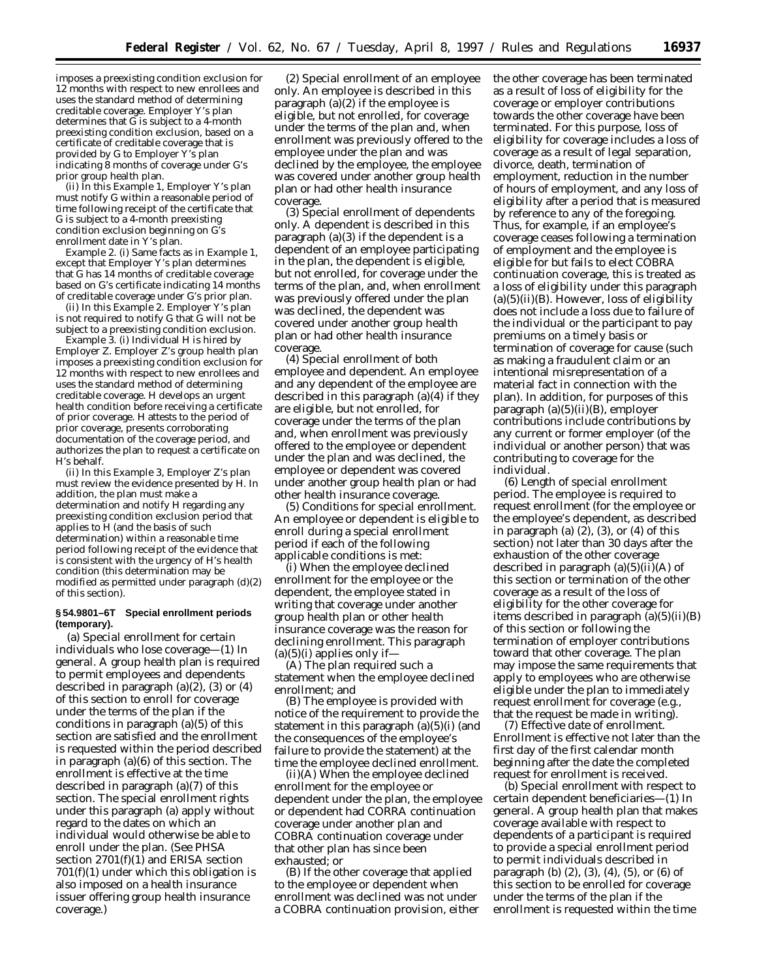imposes a preexisting condition exclusion for 12 months with respect to new enrollees and uses the standard method of determining creditable coverage. Employer *Y*'s plan determines that *G* is subject to a 4-month preexisting condition exclusion, based on a certificate of creditable coverage that is provided by *G* to Employer *Y*'s plan indicating 8 months of coverage under *G*'s prior group health plan.

(ii) In this *Example 1,* Employer *Y*'s plan must notify *G* within a reasonable period of time following receipt of the certificate that *G* is subject to a 4-month preexisting condition exclusion beginning on *G*'s enrollment date in *Y*'s plan.

*Example 2.* (i) Same facts as in *Example 1,* except that Employer *Y*'s plan determines that *G* has 14 months of creditable coverage based on *G*'s certificate indicating 14 months of creditable coverage under *G*'s prior plan.

(ii) In this *Example 2.* Employer *Y*'s plan is not required to notify *G* that *G* will not be subject to a preexisting condition exclusion.

*Example 3.* (i) Individual *H* is hired by Employer *Z*. Employer *Z*'s group health plan imposes a preexisting condition exclusion for 12 months with respect to new enrollees and uses the standard method of determining creditable coverage. *H* develops an urgent health condition before receiving a certificate of prior coverage. *H* attests to the period of prior coverage, presents corroborating documentation of the coverage period, and authorizes the plan to request a certificate on *H*'s behalf.

(ii) In this *Example 3,* Employer *Z*'s plan must review the evidence presented by *H.* In addition, the plan must make a determination and notify *H* regarding any preexisting condition exclusion period that applies to *H* (and the basis of such determination) within a reasonable time period following receipt of the evidence that is consistent with the urgency of *H's health condition* (this determination may be modified as permitted under paragraph (d)(2) of this section).

#### **§ 54.9801–6T Special enrollment periods (temporary).**

(a) *Special enrollment for certain individuals who lose coverage*—(1) *In general.* A group health plan is required to permit employees and dependents described in paragraph (a)(2), (3) or (4) of this section to enroll for coverage under the terms of the plan if the conditions in paragraph (a)(5) of this section are satisfied and the enrollment is requested within the period described in paragraph (a)(6) of this section. The enrollment is effective at the time described in paragraph (a)(7) of this section. The special enrollment rights under this paragraph (a) apply without regard to the dates on which an individual would otherwise be able to enroll under the plan. (See PHSA section 2701(f)(1) and ERISA section  $701(f)(1)$  under which this obligation is also imposed on a health insurance issuer offering group health insurance coverage.)

(2) *Special enrollment of an employee only.* An employee is described in this paragraph (a)(2) if the employee is eligible, but not enrolled, for coverage under the terms of the plan and, when enrollment was previously offered to the employee under the plan and was declined by the employee, the employee was covered under another group health plan or had other health insurance coverage.

(3) *Special enrollment of dependents only.* A dependent is described in this paragraph (a)(3) if the dependent is a dependent of an employee participating in the plan, the dependent is eligible, but not enrolled, for coverage under the terms of the plan, and, when enrollment was previously offered under the plan was declined, the dependent was covered under another group health plan or had other health insurance coverage.

(4) *Special enrollment of both employee and dependent.* An employee and any dependent of the employee are described in this paragraph (a)(4) if they are eligible, but not enrolled, for coverage under the terms of the plan and, when enrollment was previously offered to the employee or dependent under the plan and was declined, the employee or dependent was covered under another group health plan or had other health insurance coverage.

(5) *Conditions for special enrollment.* An employee or dependent is eligible to enroll during a special enrollment period if each of the following applicable conditions is met:

(i) When the employee declined enrollment for the employee or the dependent, the employee stated in writing that coverage under another group health plan or other health insurance coverage was the reason for declining enrollment. This paragraph  $(a)(5)(i)$  applies only if-

(A) The plan required such a statement when the employee declined enrollment; and

(B) The employee is provided with notice of the requirement to provide the statement in this paragraph (a)(5)(i) (and the consequences of the employee's failure to provide the statement) at the time the employee declined enrollment.

(ii)(A) When the employee declined enrollment for the employee or dependent under the plan, the employee or dependent had CORRA continuation coverage under another plan and COBRA continuation coverage under that other plan has since been exhausted; or

(B) If the other coverage that applied to the employee or dependent when enrollment was declined was not under a COBRA continuation provision, either the other coverage has been terminated as a result of loss of eligibility for the coverage or employer contributions towards the other coverage have been terminated. For this purpose, loss of eligibility for coverage includes a loss of coverage as a result of legal separation, divorce, death, termination of employment, reduction in the number of hours of employment, and any loss of eligibility after a period that is measured by reference to any of the foregoing. Thus, for example, if an employee's coverage ceases following a termination of employment and the employee is eligible for but fails to elect COBRA continuation coverage, this is treated as a loss of eligibility under this paragraph  $(a)(5)(ii)(B)$ . However, loss of eligibility does not include a loss due to failure of the individual or the participant to pay premiums on a timely basis or termination of coverage for cause (such as making a fraudulent claim or an intentional misrepresentation of a material fact in connection with the plan). In addition, for purposes of this paragraph (a)(5)(ii)(B), employer contributions include contributions by any current or former employer (of the individual or another person) that was contributing to coverage for the individual.

(6) *Length of special enrollment period.* The employee is required to request enrollment (for the employee or the employee's dependent, as described in paragraph (a)  $(2)$ ,  $(3)$ , or  $(4)$  of this section) not later than 30 days after the exhaustion of the other coverage described in paragraph (a)(5)(ii)(A) of this section or termination of the other coverage as a result of the loss of eligibility for the other coverage for items described in paragraph  $(a)(5)(ii)(B)$ of this section or following the termination of employer contributions toward that other coverage. The plan may impose the same requirements that apply to employees who are otherwise eligible under the plan to immediately request enrollment for coverage (e.g., that the request be made in writing).

(7) *Effective date of enrollment.* Enrollment is effective not later than the first day of the first calendar month beginning after the date the completed request for enrollment is received.

(b) *Special enrollment with respect to certain dependent beneficiaries*—(1) *In general.* A group health plan that makes coverage available with respect to dependents of a participant is required to provide a special enrollment period to permit individuals described in paragraph (b) (2), (3), (4), (5), or (6) of this section to be enrolled for coverage under the terms of the plan if the enrollment is requested within the time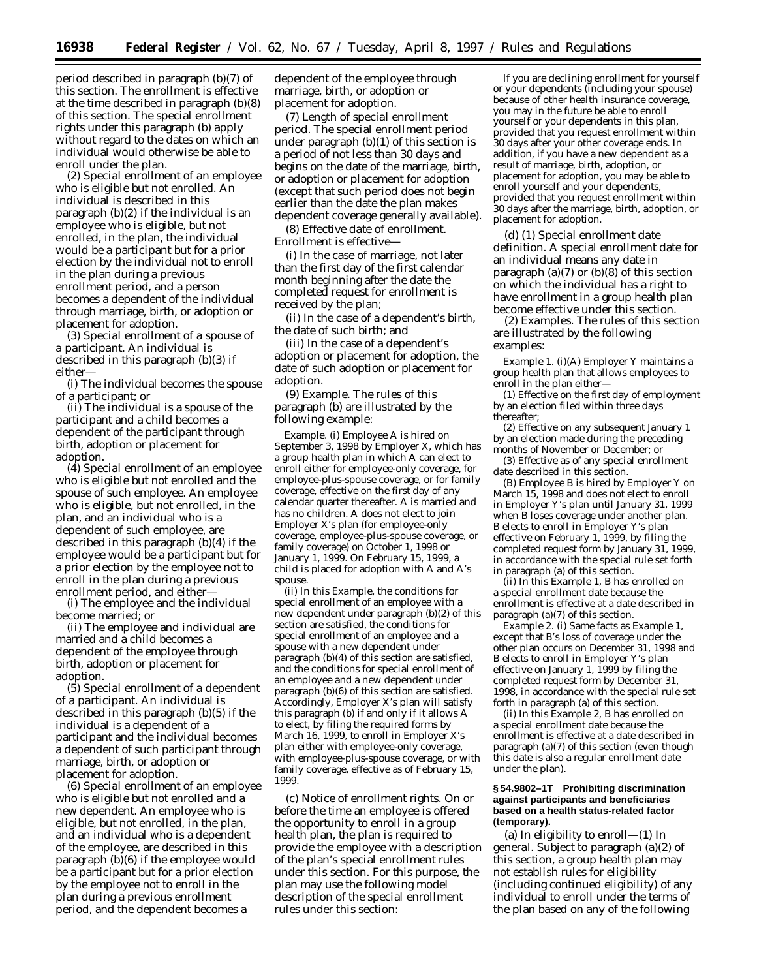period described in paragraph (b)(7) of this section. The enrollment is effective at the time described in paragraph (b)(8) of this section. The special enrollment rights under this paragraph (b) apply without regard to the dates on which an individual would otherwise be able to enroll under the plan.

(2) *Special enrollment of an employee who is eligible but not enrolled.* An individual is described in this paragraph (b)(2) if the individual is an employee who is eligible, but not enrolled, in the plan, the individual would be a participant but for a prior election by the individual not to enroll in the plan during a previous enrollment period, and a person becomes a dependent of the individual through marriage, birth, or adoption or placement for adoption.

(3) *Special enrollment of a spouse of a participant.* An individual is described in this paragraph (b)(3) if either—

(i) The individual becomes the spouse of a participant; or

(ii) The individual is a spouse of the participant and a child becomes a dependent of the participant through birth, adoption or placement for adoption.

(4) *Special enrollment of an employee who is eligible but not enrolled and the spouse of such employee.* An employee who is eligible, but not enrolled, in the plan, and an individual who is a dependent of such employee, are described in this paragraph (b)(4) if the employee would be a participant but for a prior election by the employee not to enroll in the plan during a previous enrollment period, and either—

(i) The employee and the individual become married; or

(ii) The employee and individual are married and a child becomes a dependent of the employee through birth, adoption or placement for adoption.

(5) *Special enrollment of a dependent of a participant.* An individual is described in this paragraph (b)(5) if the individual is a dependent of a participant and the individual becomes a dependent of such participant through marriage, birth, or adoption or placement for adoption.

(6) *Special enrollment of an employee who is eligible but not enrolled and a new dependent.* An employee who is eligible, but not enrolled, in the plan, and an individual who is a dependent of the employee, are described in this paragraph (b)(6) if the employee would be a participant but for a prior election by the employee not to enroll in the plan during a previous enrollment period, and the dependent becomes a

dependent of the employee through marriage, birth, or adoption or placement for adoption.

(7) *Length of special enrollment period.* The special enrollment period under paragraph (b)(1) of this section is a period of not less than 30 days and begins on the date of the marriage, birth, or adoption or placement for adoption (except that such period does not begin earlier than the date the plan makes dependent coverage generally available).

(8) *Effective date of enrollment.* Enrollment is effective—

(i) In the case of marriage, not later than the first day of the first calendar month beginning after the date the completed request for enrollment is received by the plan;

(ii) In the case of a dependent's birth, the date of such birth; and

(iii) In the case of a dependent's adoption or placement for adoption, the date of such adoption or placement for adoption.

(9) *Example.* The rules of this paragraph (b) are illustrated by the following example:

*Example.* (i) Employee *A* is hired on September 3, 1998 by Employer *X,* which has a group health plan in which *A* can elect to enroll either for employee-only coverage, for employee-plus-spouse coverage, or for family coverage, effective on the first day of any calendar quarter thereafter. *A* is married and has no children. *A* does not elect to join Employer *X's* plan (for employee-only coverage, employee-plus-spouse coverage, or family coverage) on October 1, 1998 or January 1, 1999. On February 15, 1999, a child is placed for adoption with *A* and *A*'s spouse.

(ii) In this *Example,* the conditions for special enrollment of an employee with a new dependent under paragraph (b)(2) of this section are satisfied, the conditions for special enrollment of an employee and a spouse with a new dependent under paragraph (b)(4) of this section are satisfied, and the conditions for special enrollment of an employee and a new dependent under paragraph (b)(6) of this section are satisfied. Accordingly, Employer *X*'s plan will satisfy this paragraph (b) if and only if it allows *A* to elect, by filing the required forms by March 16, 1999, to enroll in Employer *X*'s plan either with employee-only coverage, with employee-plus-spouse coverage, or with family coverage, effective as of February 15, 1999.

(c) *Notice of enrollment rights.* On or before the time an employee is offered the opportunity to enroll in a group health plan, the plan is required to provide the employee with a description of the plan's special enrollment rules under this section. For this purpose, the plan may use the following model description of the special enrollment rules under this section:

If you are declining enrollment for yourself or your dependents (including your spouse) because of other health insurance coverage, you may in the future be able to enroll yourself or your dependents in this plan, provided that you request enrollment within 30 days after your other coverage ends. In addition, if you have a new dependent as a result of marriage, birth, adoption, or placement for adoption, you may be able to enroll yourself and your dependents, provided that you request enrollment within 30 days after the marriage, birth, adoption, or placement for adoption.

(d) (1) *Special enrollment date definition.* A special enrollment date for an individual means any date in paragraph  $(a)(7)$  or  $(b)(8)$  of this section on which the individual has a right to have enrollment in a group health plan become effective under this section.

(2) *Examples.* The rules of this section are illustrated by the following examples:

*Example 1.* (i)(A) Employer *Y* maintains a group health plan that allows employees to enroll in the plan either—

(*1*) Effective on the first day of employment by an election filed within three days thereafter;

(*2*) Effective on any subsequent January 1 by an election made during the preceding months of November or December; or

(*3*) Effective as of any special enrollment date described in this section.

(B) Employee *B* is hired by Employer *Y* on March 15, 1998 and does not elect to enroll in Employer *Y*'s plan until January 31, 1999 when *B* loses coverage under another plan. *B* elects to enroll in Employer *Y*'s plan effective on February 1, 1999, by filing the completed request form by January 31, 1999, in accordance with the special rule set forth in paragraph (a) of this section.

(ii) In this *Example 1, B* has enrolled on a special enrollment date because the enrollment is effective at a date described in paragraph (a)(7) of this section.

*Example 2.* (i) Same facts as *Example 1,* except that *B*'s loss of coverage under the other plan occurs on December 31, 1998 and *B* elects to enroll in Employer *Y*'s plan effective on January 1, 1999 by filing the completed request form by December 31, 1998, in accordance with the special rule set forth in paragraph (a) of this section.

(ii) In this *Example 2, B* has enrolled on a special enrollment date because the enrollment is effective at a date described in paragraph (a)(7) of this section (even though this date is also a regular enrollment date under the plan).

## **§ 54.9802–1T Prohibiting discrimination against participants and beneficiaries based on a health status-related factor (temporary).**

(a) *In eligibility to enroll—*(1) *In general.* Subject to paragraph (a)(2) of this section, a group health plan may not establish rules for eligibility (including continued eligibility) of any individual to enroll under the terms of the plan based on any of the following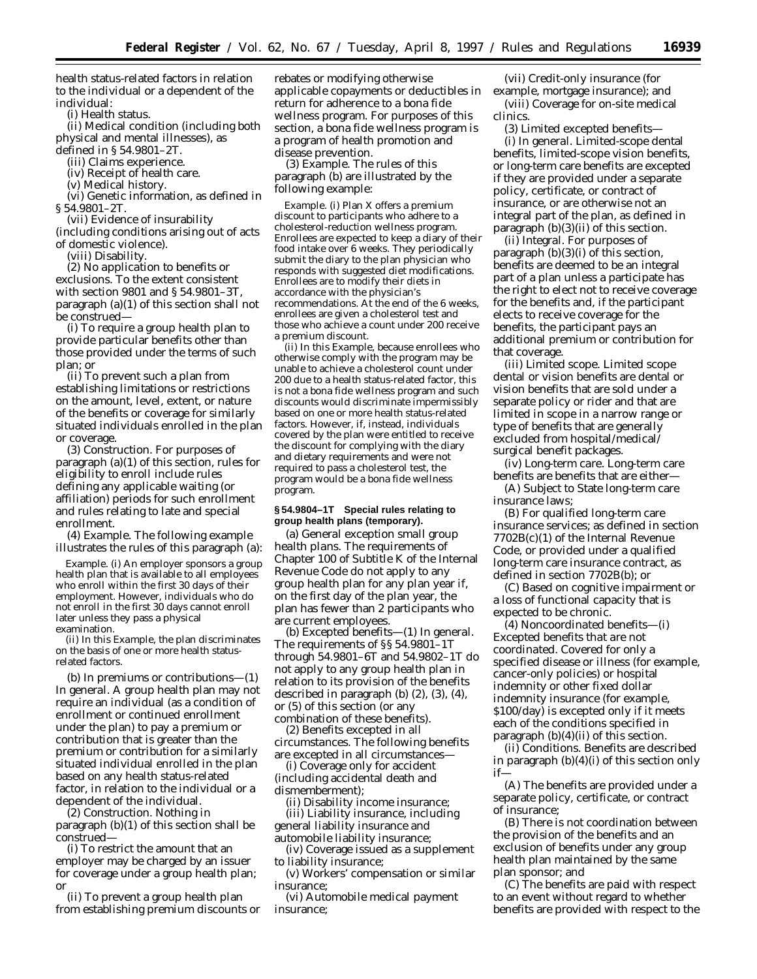health status-related factors in relation to the individual or a dependent of the individual:

(i) Health status.

(ii) Medical condition (including both physical and mental illnesses), as defined in § 54.9801–2T.

(iii) Claims experience.

(iv) Receipt of health care.

(v) Medical history.

(vi) Genetic information, as defined in § 54.9801–2T.

(vii) Evidence of insurability (including conditions arising out of acts of domestic violence).

(viii) Disability.

(2) *No application to benefits or exclusions.* To the extent consistent with section 9801 and § 54.9801–3T, paragraph (a)(1) of this section shall not be construed—

(i) To require a group health plan to provide particular benefits other than those provided under the terms of such plan; or

(ii) To prevent such a plan from establishing limitations or restrictions on the amount, level, extent, or nature of the benefits or coverage for similarly situated individuals enrolled in the plan or coverage.

(3) *Construction.* For purposes of paragraph (a)(1) of this section, rules for eligibility to enroll include rules defining any applicable waiting (or affiliation) periods for such enrollment and rules relating to late and special enrollment.

(4) *Example.* The following example illustrates the rules of this paragraph (a):

*Example.* (i) An employer sponsors a group health plan that is available to all employees who enroll within the first 30 days of their employment. However, individuals who do not enroll in the first 30 days cannot enroll later unless they pass a physical examination.

(ii) In this *Example,* the plan discriminates on the basis of one or more health statusrelated factors.

(b) *In premiums or contributions—*(1) *In general.* A group health plan may not require an individual (as a condition of enrollment or continued enrollment under the plan) to pay a premium or contribution that is greater than the premium or contribution for a similarly situated individual enrolled in the plan based on any health status-related factor, in relation to the individual or a dependent of the individual.

(2) *Construction.* Nothing in paragraph (b)(1) of this section shall be construed—

(i) To restrict the amount that an employer may be charged by an issuer for coverage under a group health plan; or

(ii) To prevent a group health plan from establishing premium discounts or rebates or modifying otherwise applicable copayments or deductibles in return for adherence to a bona fide wellness program. For purposes of this section, a bona fide wellness program is a program of health promotion and disease prevention.

(3) *Example.* The rules of this paragraph (b) are illustrated by the following example:

*Example.* (i) Plan *X* offers a premium discount to participants who adhere to a cholesterol-reduction wellness program. Enrollees are expected to keep a diary of their food intake over 6 weeks. They periodically submit the diary to the plan physician who responds with suggested diet modifications. Enrollees are to modify their diets in accordance with the physician's recommendations. At the end of the 6 weeks, enrollees are given a cholesterol test and those who achieve a count under 200 receive a premium discount.

(ii) In this *Example,* because enrollees who otherwise comply with the program may be unable to achieve a cholesterol count under 200 due to a health status-related factor, this is not a bona fide wellness program and such discounts would discriminate impermissibly based on one or more health status-related factors. However, if, instead, individuals covered by the plan were entitled to receive the discount for complying with the diary and dietary requirements and were not required to pass a cholesterol test, the program would be a bona fide wellness program.

## **§ 54.9804–1T Special rules relating to group health plans (temporary).**

(a) *General exception small group health plans.* The requirements of Chapter 100 of Subtitle K of the Internal Revenue Code do not apply to any group health plan for any plan year if, on the first day of the plan year, the plan has fewer than 2 participants who are current employees.

(b) *Excepted benefits*—(1) *In general.* The requirements of §§ 54.9801–1T through 54.9801–6T and 54.9802–1T do not apply to any group health plan in relation to its provision of the benefits described in paragraph (b) (2), (3), (4), or (5) of this section (or any combination of these benefits).

(2) *Benefits excepted in all circumstances.* The following benefits are excepted in all circumstances-

(i) Coverage only for accident (including accidental death and dismemberment);

(ii) Disability income insurance; (iii) Liability insurance, including general liability insurance and

automobile liability insurance; (iv) Coverage issued as a supplement

to liability insurance; (v) Workers' compensation or similar insurance;

(vi) Automobile medical payment insurance;

(vii) Credit-only insurance (for example, mortgage insurance); and (viii) Coverage for on-site medical clinics.

(3) *Limited excepted benefits*— (i) *In general.* Limited-scope dental benefits, limited-scope vision benefits, or long-term care benefits are excepted if they are provided under a separate policy, certificate, or contract of insurance, or are otherwise not an integral part of the plan, as defined in paragraph  $(b)(3)(ii)$  of this section.

(ii) *Integral.* For purposes of paragraph (b)(3)(i) of this section, benefits are deemed to be an integral part of a plan unless a participate has the right to elect not to receive coverage for the benefits and, if the participant elects to receive coverage for the benefits, the participant pays an additional premium or contribution for that coverage.

(iii) *Limited scope.* Limited scope dental or vision benefits are dental or vision benefits that are sold under a separate policy or rider and that are limited in scope in a narrow range or type of benefits that are generally excluded from hospital/medical/ surgical benefit packages.

(iv) *Long-term care.* Long-term care benefits are benefits that are either—

(A) Subject to State long-term care insurance laws;

(B) For qualified long-term care insurance services; as defined in section 7702B(c)(1) of the Internal Revenue Code, or provided under a qualified long-term care insurance contract, as defined in section 7702B(b); or

(C) Based on cognitive impairment or a loss of functional capacity that is expected to be chronic.

(4) *Noncoordinated benefits*—(i) *Excepted benefits that are not coordinated.* Covered for only a specified disease or illness (for example, cancer-only policies) or hospital indemnity or other fixed dollar indemnity insurance (for example, \$100/day) is excepted only if it meets each of the conditions specified in paragraph (b)(4)(ii) of this section.

(ii) *Conditions.* Benefits are described in paragraph (b)(4)(i) of this section only if—

(A) The benefits are provided under a separate policy, certificate, or contract of insurance;

(B) There is not coordination between the provision of the benefits and an exclusion of benefits under any group health plan maintained by the same plan sponsor; and

(C) The benefits are paid with respect to an event without regard to whether benefits are provided with respect to the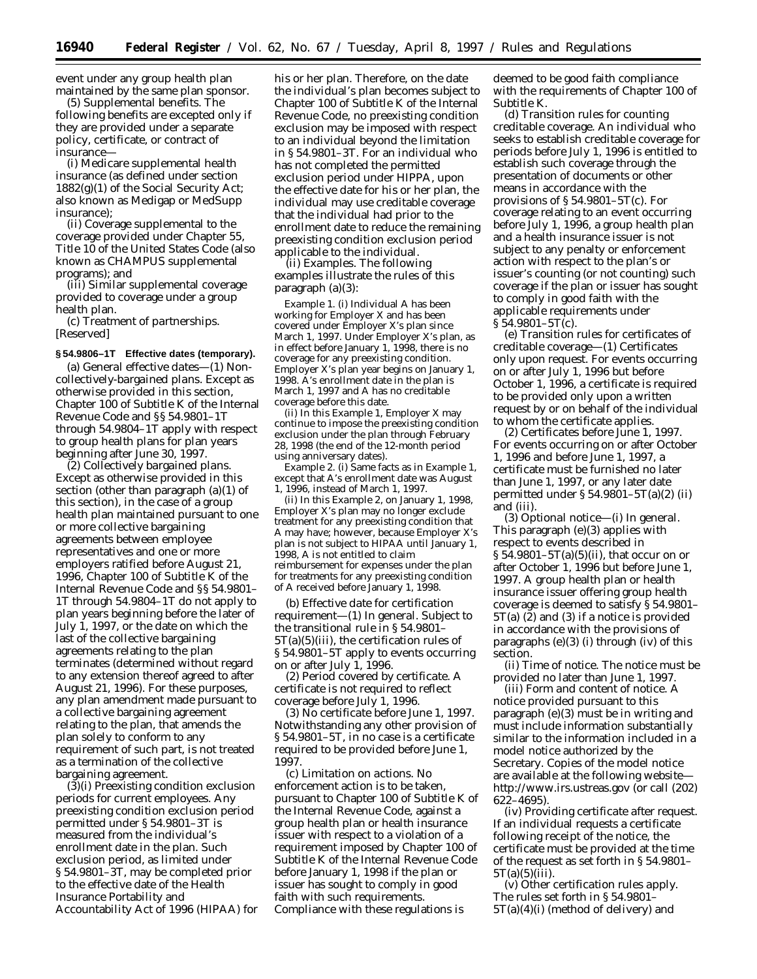event under any group health plan maintained by the same plan sponsor.

(5) *Supplemental benefits.* The following benefits are excepted only if they are provided under a separate policy, certificate, or contract of insurance—

(i) Medicare supplemental health insurance (as defined under section 1882(g)(1) of the Social Security Act; also known as Medigap or MedSupp insurance);

(ii) Coverage supplemental to the coverage provided under Chapter 55, Title 10 of the United States Code (also known as CHAMPUS supplemental programs); and

(iii) Similar supplemental coverage provided to coverage under a group health plan.

(c) *Treatment of partnerships.* [Reserved]

#### **§ 54.9806–1T Effective dates (temporary).**

(a) *General effective dates—*(1) *Noncollectively-bargained plans.* Except as otherwise provided in this section, Chapter 100 of Subtitle K of the Internal Revenue Code and §§ 54.9801–1T through 54.9804–1T apply with respect to group health plans for plan years beginning after June 30, 1997.

(2) *Collectively bargained plans.* Except as otherwise provided in this section (other than paragraph (a)(1) of this section), in the case of a group health plan maintained pursuant to one or more collective bargaining agreements between employee representatives and one or more employers ratified before August 21, 1996, Chapter 100 of Subtitle K of the Internal Revenue Code and §§ 54.9801– 1T through 54.9804–1T do not apply to plan years beginning before the later of July 1, 1997, or the date on which the last of the collective bargaining agreements relating to the plan terminates (determined without regard to any extension thereof agreed to after August 21, 1996). For these purposes, any plan amendment made pursuant to a collective bargaining agreement relating to the plan, that amends the plan solely to conform to any requirement of such part, is not treated as a termination of the collective bargaining agreement.

(3)(i) *Preexisting condition exclusion periods for current employees.* Any preexisting condition exclusion period permitted under § 54.9801–3T is measured from the individual's enrollment date in the plan. Such exclusion period, as limited under § 54.9801–3T, may be completed prior to the effective date of the Health Insurance Portability and Accountability Act of 1996 (HIPAA) for his or her plan. Therefore, on the date the individual's plan becomes subject to Chapter 100 of Subtitle K of the Internal Revenue Code, no preexisting condition exclusion may be imposed with respect to an individual beyond the limitation in § 54.9801–3T. For an individual who has not completed the permitted exclusion period under HIPPA, upon the effective date for his or her plan, the individual may use creditable coverage that the individual had prior to the enrollment date to reduce the remaining preexisting condition exclusion period applicable to the individual.

(ii) *Examples.* The following examples illustrate the rules of this paragraph (a)(3):

*Example 1.* (i) Individual *A* has been working for Employer *X* and has been covered under Employer *X*'s plan since March 1, 1997. Under Employer *X*'s plan, as in effect before January 1, 1998, there is no coverage for any preexisting condition. Employer *X*'s plan year begins on January 1, 1998. *A*'s enrollment date in the plan is March 1, 1997 and *A* has no creditable coverage before this date.

(ii) In this *Example 1*, Employer *X* may continue to impose the preexisting condition exclusion under the plan through February 28, 1998 (the end of the 12-month period using anniversary dates).

*Example 2.* (i) Same facts as in *Example 1,* except that *A*'s enrollment date was August 1, 1996, instead of March 1, 1997.

(ii) In this *Example 2,* on January 1, 1998, Employer *X*'s plan may no longer exclude treatment for any preexisting condition that *A* may have; however, because Employer *X*'s plan is not subject to HIPAA until January 1, 1998, *A* is not entitled to claim reimbursement for expenses under the plan for treatments for any preexisting condition of *A* received before January 1, 1998.

(b) *Effective date for certification requirement—*(1) *In general.* Subject to the transitional rule in § 54.9801–  $5T(a)(5)(iii)$ , the certification rules of § 54.9801–5T apply to events occurring on or after July 1, 1996.

(2) *Period covered by certificate.* A certificate is not required to reflect coverage before July 1, 1996.

(3) *No certificate before June 1, 1997.* Notwithstanding any other provision of § 54.9801–5T, in no case is a certificate required to be provided before June 1, 1997.

(c) *Limitation on actions.* No enforcement action is to be taken, pursuant to Chapter 100 of Subtitle K of the Internal Revenue Code, against a group health plan or health insurance issuer with respect to a violation of a requirement imposed by Chapter 100 of Subtitle K of the Internal Revenue Code before January 1, 1998 if the plan or issuer has sought to comply in good faith with such requirements. Compliance with these regulations is

deemed to be good faith compliance with the requirements of Chapter 100 of Subtitle K.

(d) *Transition rules for counting creditable coverage.* An individual who seeks to establish creditable coverage for periods before July 1, 1996 is entitled to establish such coverage through the presentation of documents or other means in accordance with the provisions of § 54.9801–5T(c). For coverage relating to an event occurring before July 1, 1996, a group health plan and a health insurance issuer is not subject to any penalty or enforcement action with respect to the plan's or issuer's counting (or not counting) such coverage if the plan or issuer has sought to comply in good faith with the applicable requirements under  $\S 54.9801 - 5T(c)$ .

(e) *Transition rules for certificates of creditable coverage—*(1) *Certificates only upon request.* For events occurring on or after July 1, 1996 but before October 1, 1996, a certificate is required to be provided only upon a written request by or on behalf of the individual to whom the certificate applies.

(2) *Certificates before June 1, 1997.* For events occurring on or after October 1, 1996 and before June 1, 1997, a certificate must be furnished no later than June 1, 1997, or any later date permitted under § 54.9801–5T(a)(2) (ii) and (iii).

(3) *Optional notice—*(i) *In general.* This paragraph (e)(3) applies with respect to events described in  $\S 54.9801 - 5T(a)(5)(ii)$ , that occur on or after October 1, 1996 but before June 1, 1997. A group health plan or health insurance issuer offering group health coverage is deemed to satisfy § 54.9801–  $5T(a)$   $(\bar{2})$  and  $(3)$  if a notice is provided in accordance with the provisions of paragraphs  $(e)(3)$  (i) through (iv) of this section.

(ii) *Time of notice.* The notice must be provided no later than June 1, 1997.

(iii) *Form and content of notice.* A notice provided pursuant to this paragraph (e)(3) must be in writing and must include information substantially similar to the information included in a model notice authorized by the Secretary. Copies of the model notice are available at the following website http://www.irs.ustreas.gov (or call (202) 622–4695).

(iv) *Providing certificate after request.* If an individual requests a certificate following receipt of the notice, the certificate must be provided at the time of the request as set forth in § 54.9801–  $5T(a)(5)(iii)$ .

(v) *Other certification rules apply.* The rules set forth in § 54.9801–  $5T(a)(4)(i)$  (method of delivery) and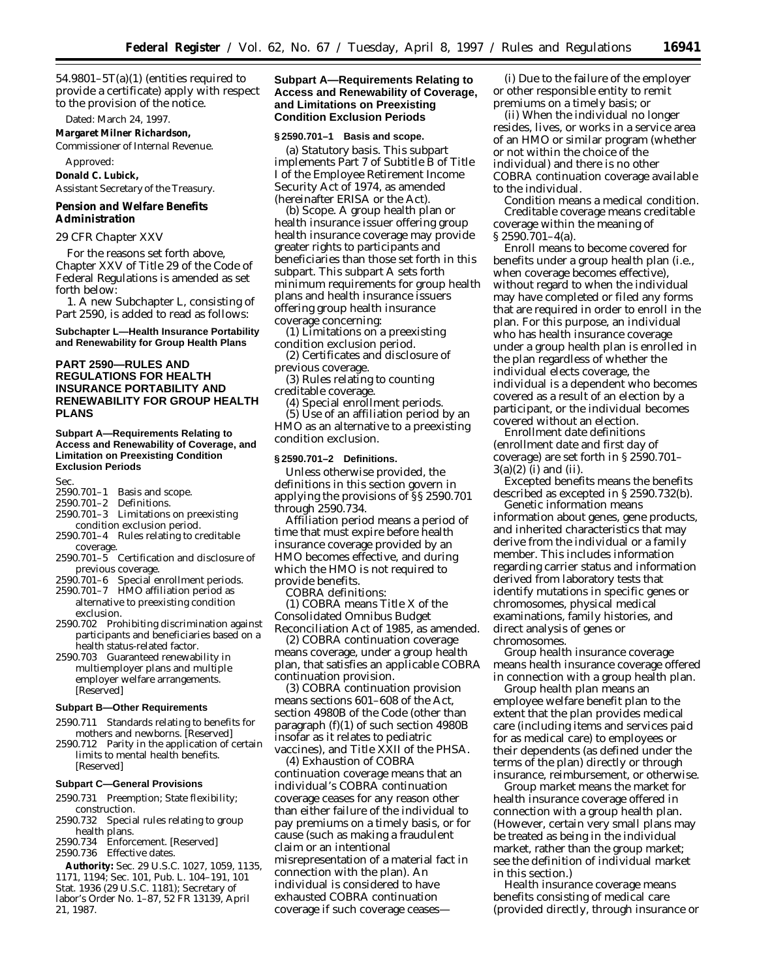54.9801–5T(a)(1) (entities required to provide a certificate) apply with respect to the provision of the notice.

Dated: March 24, 1997.

## **Margaret Milner Richardson,**

*Commissioner of Internal Revenue.*

Approved:

**Donald C. Lubick,** *Assistant Secretary of the Treasury.*

#### **Pension and Welfare Benefits Administration**

## *29 CFR Chapter XXV*

For the reasons set forth above, Chapter XXV of Title 29 of the Code of Federal Regulations is amended as set forth below:

1. A new Subchapter L, consisting of Part 2590, is added to read as follows:

#### **Subchapter L—Health Insurance Portability and Renewability for Group Health Plans**

# **PART 2590—RULES AND REGULATIONS FOR HEALTH INSURANCE PORTABILITY AND RENEWABILITY FOR GROUP HEALTH PLANS**

#### **Subpart A—Requirements Relating to Access and Renewability of Coverage, and Limitation on Preexisting Condition Exclusion Periods**

Sec.

- 2590.701–1 Basis and scope.
- 2590.701–2 Definitions.
- 2590.701–3 Limitations on preexisting condition exclusion period.
- 2590.701–4 Rules relating to creditable coverage.
- $2590.701 5$  Certification and disclosure of previous coverage.<br>2590.701-6 Special e
- Special enrollment periods. 2590.701–7 HMO affiliation period as alternative to preexisting condition
- exclusion. 2590.702 Prohibiting discrimination against participants and beneficiaries based on a health status-related factor.
- 2590.703 Guaranteed renewability in multiemployer plans and multiple employer welfare arrangements. [Reserved]

## **Subpart B—Other Requirements**

- 2590.711 Standards relating to benefits for mothers and newborns. [Reserved]
- 2590.712 Parity in the application of certain limits to mental health benefits. [Reserved]

## **Subpart C—General Provisions**

- 2590.731 Preemption; State flexibility; construction.
- 2590.732 Special rules relating to group health plans.
- 2590.734 Enforcement. [Reserved]

2590.736 Effective dates.

**Authority:** Sec. 29 U.S.C. 1027, 1059, 1135, 1171, 1194; Sec. 101, Pub. L. 104–191, 101 Stat. 1936 (29 U.S.C. 1181); Secretary of labor's Order No. 1–87, 52 FR 13139, April 21, 1987.

## **Subpart A—Requirements Relating to Access and Renewability of Coverage, and Limitations on Preexisting Condition Exclusion Periods**

#### **§ 2590.701–1 Basis and scope.**

(a) *Statutory basis.* This subpart implements Part 7 of Subtitle B of Title I of the Employee Retirement Income Security Act of 1974, as amended (hereinafter ERISA or the Act).

(b) *Scope.* A group health plan or health insurance issuer offering group health insurance coverage may provide greater rights to participants and beneficiaries than those set forth in this subpart. This subpart A sets forth minimum requirements for group health plans and health insurance issuers offering group health insurance coverage concerning:

(1) Limitations on a preexisting condition exclusion period.

(2) Certificates and disclosure of previous coverage.

(3) Rules relating to counting creditable coverage.

(4) Special enrollment periods.

(5) Use of an affiliation period by an HMO as an alternative to a preexisting condition exclusion.

#### **§ 2590.701–2 Definitions.**

Unless otherwise provided, the definitions in this section govern in applying the provisions of §§ 2590.701 through 2590.734.

*Affiliation period* means a period of time that must expire before health insurance coverage provided by an HMO becomes effective, and during which the HMO is not required to provide benefits.

*COBRA* definitions:

(1) *COBRA* means Title X of the Consolidated Omnibus Budget Reconciliation Act of 1985, as amended.

(2) *COBRA continuation coverage* means coverage, under a group health plan, that satisfies an applicable COBRA continuation provision.

(3) *COBRA continuation provision* means sections 601–608 of the Act, section 4980B of the Code (other than paragraph (f)(1) of such section 4980B insofar as it relates to pediatric vaccines), and Title XXII of the PHSA.

(4) *Exhaustion of COBRA continuation coverage* means that an individual's COBRA continuation coverage ceases for any reason other than either failure of the individual to pay premiums on a timely basis, or for cause (such as making a fraudulent claim or an intentional misrepresentation of a material fact in connection with the plan). An individual is considered to have exhausted COBRA continuation coverage if such coverage ceases—

(i) Due to the failure of the employer or other responsible entity to remit premiums on a timely basis; or

(ii) When the individual no longer resides, lives, or works in a service area of an HMO or similar program (whether or not within the choice of the individual) and there is no other COBRA continuation coverage available to the individual.

*Condition* means a medical condition. *Creditable coverage* means creditable coverage within the meaning of § 2590.701–4(a).

*Enroll* means to become covered for benefits under a group health plan (i.e., when coverage becomes effective), without regard to when the individual may have completed or filed any forms that are required in order to enroll in the plan. For this purpose, an individual who has health insurance coverage under a group health plan is enrolled in the plan regardless of whether the individual elects coverage, the individual is a dependent who becomes covered as a result of an election by a participant, or the individual becomes covered without an election.

*Enrollment date definitions* (*enrollment date* and *first day of coverage*) are set forth in § 2590.701–  $3(a)(2)$  (i) and (ii).

*Excepted benefits* means the benefits described as excepted in § 2590.732(b). *Genetic information* means

information about genes, gene products, and inherited characteristics that may derive from the individual or a family member. This includes information regarding carrier status and information derived from laboratory tests that identify mutations in specific genes or chromosomes, physical medical examinations, family histories, and direct analysis of genes or chromosomes.

*Group health insurance coverage* means health insurance coverage offered in connection with a group health plan.

*Group health plan* means an employee welfare benefit plan to the extent that the plan provides medical care (including items and services paid for as medical care) to employees or their dependents (as defined under the terms of the plan) directly or through insurance, reimbursement, or otherwise.

*Group market* means the market for health insurance coverage offered in connection with a group health plan. (However, certain very small plans may be treated as being in the individual market, rather than the group market; see the definition of individual market in this section.)

*Health insurance coverage* means benefits consisting of medical care (provided directly, through insurance or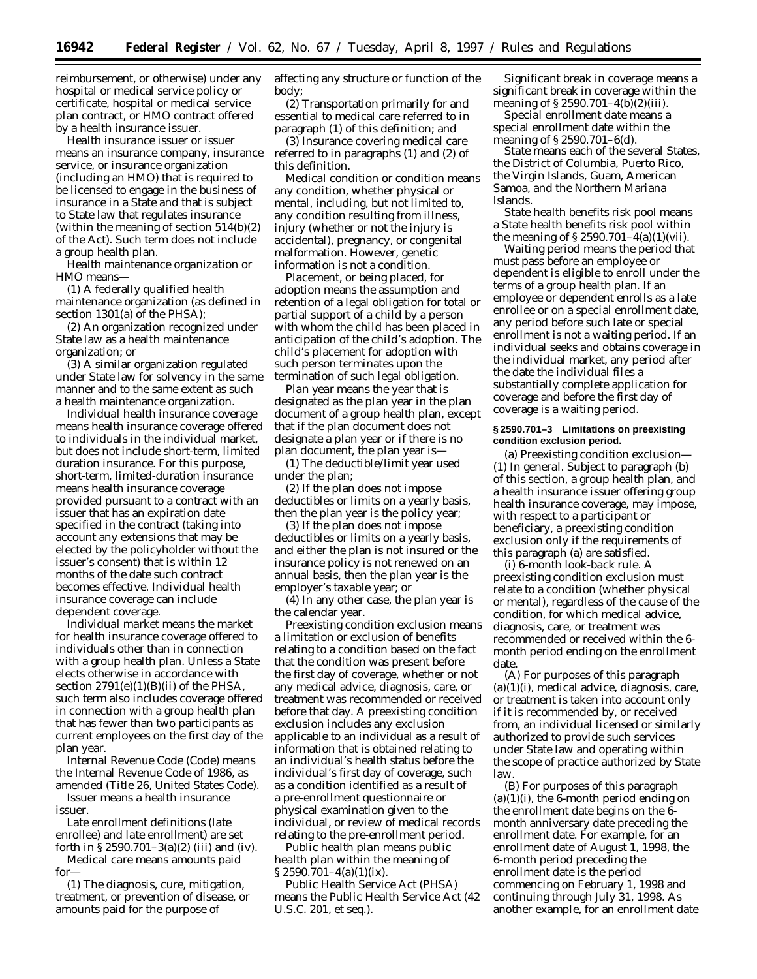reimbursement, or otherwise) under any hospital or medical service policy or certificate, hospital or medical service plan contract, or HMO contract offered by a health insurance issuer.

*Health insurance issuer* or *issuer* means an insurance company, insurance service, or insurance organization (including an HMO) that is required to be licensed to engage in the business of insurance in a State and that is subject to State law that regulates insurance (within the meaning of section 514(b)(2) of the Act). Such term does not include a group health plan.

*Health maintenance organization* or *HMO* means—

(1) A federally qualified health maintenance organization (as defined in section 1301(a) of the PHSA);

(2) An organization recognized under State law as a health maintenance organization; or

(3) A similar organization regulated under State law for solvency in the same manner and to the same extent as such a health maintenance organization.

*Individual health insurance coverage* means health insurance coverage offered to individuals in the individual market, but does not include short-term, limited duration insurance. For this purpose, short-term, limited-duration insurance means health insurance coverage provided pursuant to a contract with an issuer that has an expiration date specified in the contract (taking into account any extensions that may be elected by the policyholder without the issuer's consent) that is within 12 months of the date such contract becomes effective. Individual health insurance coverage can include dependent coverage.

*Individual market* means the market for health insurance coverage offered to individuals other than in connection with a group health plan. Unless a State elects otherwise in accordance with section 2791(e)(1)(B)(ii) of the PHSA, such term also includes coverage offered in connection with a group health plan that has fewer than two participants as current employees on the first day of the plan year.

*Internal Revenue Code (Code)* means the Internal Revenue Code of 1986, as amended (Title 26, United States Code). *Issuer* means a health insurance

issuer.

*Late enrollment definitions (late enrollee)* and *late enrollment)* are set forth in  $\S 2590.701 - 3(a)(2)$  (iii) and (iv). *Medical care* means amounts paid

for—

(1) The diagnosis, cure, mitigation, treatment, or prevention of disease, or amounts paid for the purpose of

affecting any structure or function of the body;

(2) Transportation primarily for and essential to medical care referred to in paragraph (1) of this definition; and

(3) Insurance covering medical care referred to in paragraphs (1) and (2) of this definition.

*Medical condition* or *condition* means any condition, whether physical or mental, including, but not limited to, any condition resulting from illness, injury (whether or not the injury is accidental), pregnancy, or congenital malformation. However, genetic information is not a condition.

*Placement, or being placed, for adoption* means the assumption and retention of a legal obligation for total or partial support of a child by a person with whom the child has been placed in anticipation of the child's adoption. The child's placement for adoption with such person terminates upon the termination of such legal obligation.

*Plan year* means the year that is designated as the plan year in the plan document of a group health plan, except that if the plan document does not designate a plan year or if there is no plan document, the plan year is—

(1) The deductible/limit year used under the plan;

(2) If the plan does not impose deductibles or limits on a yearly basis, then the plan year is the policy year;

(3) If the plan does not impose deductibles or limits on a yearly basis, and either the plan is not insured or the insurance policy is not renewed on an annual basis, then the plan year is the employer's taxable year; or

(4) In any other case, the plan year is the calendar year.

*Preexisting condition exclusion* means a limitation or exclusion of benefits relating to a condition based on the fact that the condition was present before the first day of coverage, whether or not any medical advice, diagnosis, care, or treatment was recommended or received before that day. A preexisting condition exclusion includes any exclusion applicable to an individual as a result of information that is obtained relating to an individual's health status before the individual's first day of coverage, such as a condition identified as a result of a pre-enrollment questionnaire or physical examination given to the individual, or review of medical records relating to the pre-enrollment period.

*Public health plan* means *public health plan* within the meaning of  $\S 2590.701 - 4(a)(1)(ix)$ .

*Public Health Service Act (PHSA)* means the Public Health Service Act (42 U.S.C. 201, *et seq.).*

*Significant break in coverage* means a significant break in coverage within the meaning of § 2590.701–4(b)(2)(iii).

*Special enrollment date* means a special enrollment date within the meaning of § 2590.701–6(d).

*State* means each of the several States, the District of Columbia, Puerto Rico, the Virgin Islands, Guam, American Samoa, and the Northern Mariana Islands.

*State health benefits risk pool* means a State health benefits risk pool within the meaning of  $\S 2590.701 - 4(a)(1)(vii)$ .

*Waiting period* means the period that must pass before an employee or dependent is eligible to enroll under the terms of a group health plan. If an employee or dependent enrolls as a late enrollee or on a special enrollment date, any period before such late or special enrollment is not a waiting period. If an individual seeks and obtains coverage in the individual market, any period after the date the individual files a substantially complete application for coverage and before the first day of coverage is a waiting period.

#### **§ 2590.701–3 Limitations on preexisting condition exclusion period.**

(a) *Preexisting condition exclusion*— (1) *In general.* Subject to paragraph (b) of this section, a group health plan, and a health insurance issuer offering group health insurance coverage, may impose, with respect to a participant or beneficiary, a preexisting condition exclusion only if the requirements of this paragraph (a) are satisfied.

(i) *6-month look-back rule.* A preexisting condition exclusion must relate to a condition (whether physical or mental), regardless of the cause of the condition, for which medical advice, diagnosis, care, or treatment was recommended or received within the 6 month period ending on the enrollment date.

(A) For purposes of this paragraph (a)(1)(i), medical advice, diagnosis, care, or treatment is taken into account only if it is recommended by, or received from, an individual licensed or similarly authorized to provide such services under State law and operating within the scope of practice authorized by State law.

(B) For purposes of this paragraph  $(a)(1)(i)$ , the 6-month period ending on the enrollment date begins on the 6 month anniversary date preceding the enrollment date. For example, for an enrollment date of August 1, 1998, the 6-month period preceding the enrollment date is the period commencing on February 1, 1998 and continuing through July 31, 1998. As another example, for an enrollment date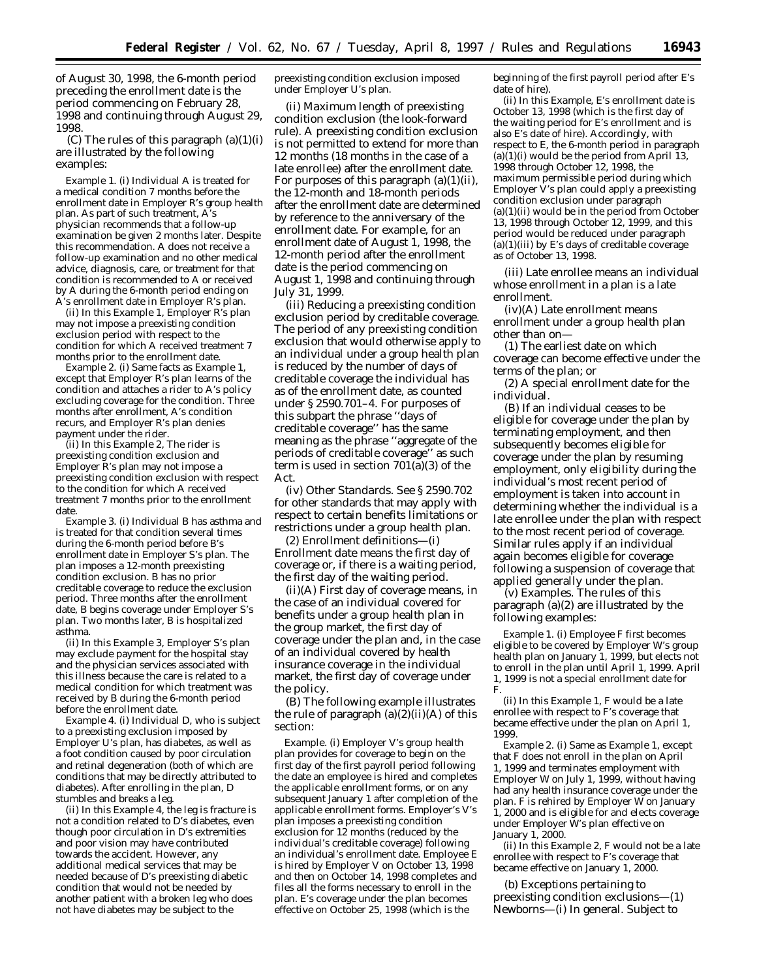of August 30, 1998, the 6-month period preceding the enrollment date is the period commencing on February 28, 1998 and continuing through August 29, 1998.

(C) The rules of this paragraph  $(a)(1)(i)$ are illustrated by the following examples:

*Example 1.* (i) Individual *A* is treated for a medical condition 7 months before the enrollment date in Employer *R*'s group health plan. As part of such treatment, *A*'s physician recommends that a follow-up examination be given 2 months later. Despite this recommendation. *A* does not receive a follow-up examination and no other medical advice, diagnosis, care, or treatment for that condition is recommended to *A* or received by *A* during the 6-month period ending on *A*'s enrollment date in Employer *R*'s plan.

(ii) In this *Example 1,* Employer *R*'s plan may not impose a preexisting condition exclusion period with respect to the condition for which *A* received treatment 7 months prior to the enrollment date.

*Example 2.* (i) Same facts as *Example 1,* except that Employer *R*'s plan learns of the condition and attaches a rider to *A*'s policy excluding coverage for the condition. Three months after enrollment, *A*'s condition recurs, and Employer *R*'s plan denies payment under the rider.

(ii) In this *Example 2,* The rider is preexisting condition exclusion and Employer  $\overline{R}$ 's plan may not impose a preexisting condition exclusion with respect to the condition for which *A* received treatment 7 months prior to the enrollment date.

*Example 3.* (i) Individual *B* has asthma and is treated for that condition several times during the 6-month period before *B*'s enrollment date in Employer *S*'s plan. The plan imposes a 12-month preexisting condition exclusion. *B* has no prior creditable coverage to reduce the exclusion period. Three months after the enrollment date, *B* begins coverage under Employer *S*'s plan. Two months later, *B* is hospitalized asthma.

(ii) In this *Example 3,* Employer *S*'s plan may exclude payment for the hospital stay and the physician services associated with this illness because the care is related to a medical condition for which treatment was received by *B* during the 6-month period before the enrollment date.

*Example 4.* (i) Individual *D,* who is subject to a preexisting exclusion imposed by Employer *U*'s plan, has diabetes, as well as a foot condition caused by poor circulation and retinal degeneration (both of which are conditions that may be directly attributed to diabetes). After enrolling in the plan, *D* stumbles and breaks a leg.

(ii) In this *Example 4,* the leg is fracture is not a condition related to *D*'s diabetes, even though poor circulation in *D*'s extremities and poor vision may have contributed towards the accident. However, any additional medical services that may be needed because of *D*'s preexisting diabetic condition that would not be needed by another patient with a broken leg who does not have diabetes may be subject to the

preexisting condition exclusion imposed under Employer *U*'s plan.

(ii) *Maximum length of preexisting condition exclusion (the look-forward rule).* A preexisting condition exclusion is not permitted to extend for more than 12 months (18 months in the case of a late enrollee) after the enrollment date. For purposes of this paragraph  $(a)(1)(ii)$ , the 12-month and 18-month periods after the enrollment date are determined by reference to the anniversary of the enrollment date. For example, for an enrollment date of August 1, 1998, the 12-month period after the enrollment date is the period commencing on August 1, 1998 and continuing through July 31, 1999.

(iii) *Reducing a preexisting condition exclusion period by creditable coverage.* The period of any preexisting condition exclusion that would otherwise apply to an individual under a group health plan is reduced by the number of days of creditable coverage the individual has as of the enrollment date, as counted under § 2590.701–4. For purposes of this subpart the phrase ''days of creditable coverage'' has the same meaning as the phrase ''aggregate of the periods of creditable coverage'' as such term is used in section 701(a)(3) of the Act.

(iv) *Other Standards.* See § 2590.702 for other standards that may apply with respect to certain benefits limitations or restrictions under a group health plan.

(2) *Enrollment definitions*—(i) *Enrollment date* means the first day of coverage or, if there is a waiting period, the first day of the waiting period.

(ii)(A) *First day of coverage* means, in the case of an individual covered for benefits under a group health plan in the group market, the first day of coverage under the plan and, in the case of an individual covered by health insurance coverage in the individual market, the first day of coverage under the policy.

(B) The following example illustrates the rule of paragraph  $(a)(2)(ii)(A)$  of this section:

*Example.* (i) Employer *V*'s group health plan provides for coverage to begin on the first day of the first payroll period following the date an employee is hired and completes the applicable enrollment forms, or on any subsequent January 1 after completion of the applicable enrollment forms. Employer's *V*'s plan imposes a preexisting condition exclusion for 12 months (reduced by the individual's creditable coverage) following an individual's enrollment date. Employee *E* is hired by Employer *V* on October 13, 1998 and then on October 14, 1998 completes and files all the forms necessary to enroll in the plan. *E*'s coverage under the plan becomes effective on October 25, 1998 (which is the

beginning of the first payroll period after *E*'s date of hire).

(ii) In this *Example,* E's enrollment date is October 13, 1998 (which is the first day of the waiting period for *E*'s enrollment and is also *E*'s date of hire). Accordingly, with respect to *E,* the 6-month period in paragraph  $(a)(1)(i)$  would be the period from April 13, 1998 through October 12, 1998, the maximum permissible period during which Employer *V*'s plan could apply a preexisting condition exclusion under paragraph  $(a)(1)(ii)$  would be in the period from October 13, 1998 through October 12, 1999, and this period would be reduced under paragraph (a)(1)(iii) by  $E$ s days of creditable coverage as of October 13, 1998.

(iii) *Late enrollee* means an individual whose enrollment in a plan is a late enrollment.

(iv)(A) *Late enrollment* means enrollment under a group health plan other than on—

(*1*) The earliest date on which coverage can become effective under the terms of the plan; or

(*2*) A special enrollment date for the individual.

(B) If an individual ceases to be eligible for coverage under the plan by terminating employment, and then subsequently becomes eligible for coverage under the plan by resuming employment, only eligibility during the individual's most recent period of employment is taken into account in determining whether the individual is a late enrollee under the plan with respect to the most recent period of coverage. Similar rules apply if an individual again becomes eligible for coverage following a suspension of coverage that applied generally under the plan.

(v) *Examples.* The rules of this paragraph (a)(2) are illustrated by the following examples:

*Example 1.* (i) Employee *F* first becomes eligible to be covered by Employer *W's* group health plan on January 1, 1999, but elects not to enroll in the plan until April 1, 1999. April 1, 1999 is not a special enrollment date for *F*.

(ii) In this *Example 1, F* would be a late enrollee with respect to *F's* coverage that became effective under the plan on April 1, 1999.

*Example 2.* (i) Same as *Example 1,* except that *F* does not enroll in the plan on April 1, 1999 and terminates employment with Employer *W* on July 1, 1999, without having had any health insurance coverage under the plan. *F* is rehired by Employer *W* on January 1, 2000 and is eligible for and elects coverage under Employer *W's* plan effective on January 1, 2000.

(ii) In this *Example 2, F* would not be a late enrollee with respect to *F's* coverage that became effective on January 1, 2000.

(b) *Exceptions pertaining to preexisting condition exclusions—(1) Newborns—*(i) *In general.* Subject to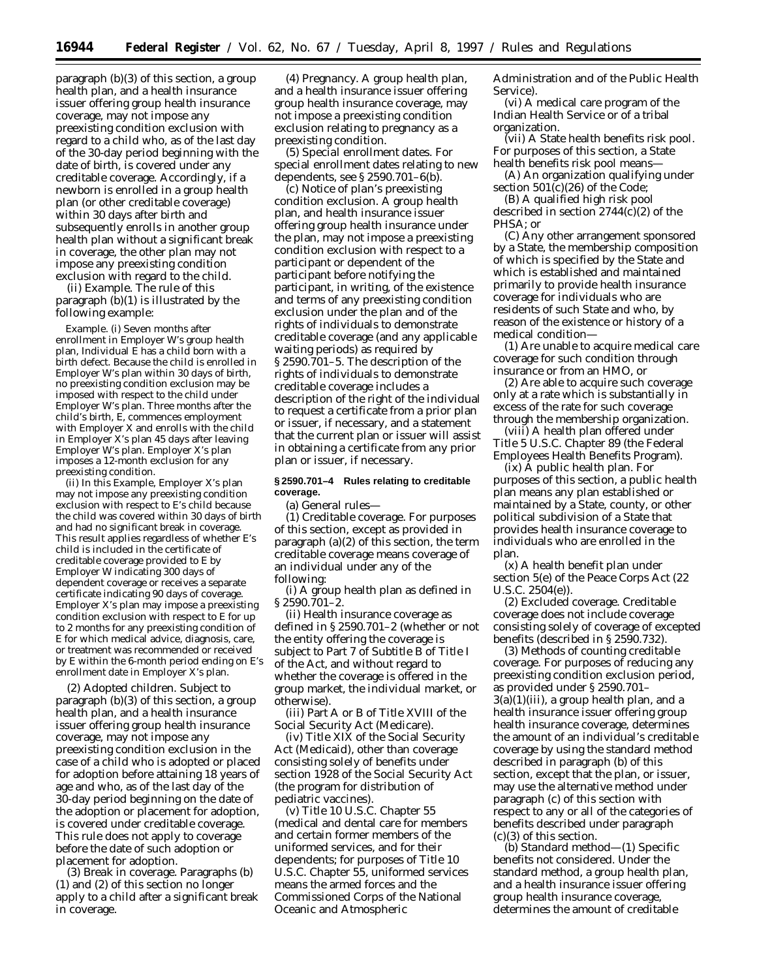paragraph (b)(3) of this section, a group health plan, and a health insurance issuer offering group health insurance coverage, may not impose any preexisting condition exclusion with regard to a child who, as of the last day of the 30-day period beginning with the date of birth, is covered under any creditable coverage. Accordingly, if a newborn is enrolled in a group health plan (or other creditable coverage) within 30 days after birth and subsequently enrolls in another group health plan without a significant break in coverage, the other plan may not impose any preexisting condition exclusion with regard to the child.

(ii) *Example.* The rule of this paragraph (b)(1) is illustrated by the following example:

*Example.* (i) Seven months after enrollment in Employer *W's* group health plan, Individual *E* has a child born with a birth defect. Because the child is enrolled in Employer *W's* plan within 30 days of birth, no preexisting condition exclusion may be imposed with respect to the child under Employer *W's* plan. Three months after the child's birth, *E,* commences employment with Employer *X* and enrolls with the child in Employer *X's* plan 45 days after leaving Employer *W's* plan. Employer *X's* plan imposes a 12-month exclusion for any preexisting condition.

(ii) In this *Example,* Employer *X's* plan may not impose any preexisting condition exclusion with respect to *E's* child because the child was covered within 30 days of birth and had no significant break in coverage. This result applies regardless of whether *E's* child is included in the certificate of creditable coverage provided to *E* by Employer *W* indicating 300 days of dependent coverage or receives a separate certificate indicating 90 days of coverage. Employer *X's* plan may impose a preexisting condition exclusion with respect to *E* for up to 2 months for any preexisting condition of *E* for which medical advice, diagnosis, care, or treatment was recommended or received by *E* within the 6-month period ending on *E's* enrollment date in Employer *X's* plan.

(2) *Adopted children.* Subject to paragraph (b)(3) of this section, a group health plan, and a health insurance issuer offering group health insurance coverage, may not impose any preexisting condition exclusion in the case of a child who is adopted or placed for adoption before attaining 18 years of age and who, as of the last day of the 30-day period beginning on the date of the adoption or placement for adoption, is covered under creditable coverage. This rule does not apply to coverage before the date of such adoption or placement for adoption.

(3) *Break in coverage.* Paragraphs (b) (1) and (2) of this section no longer apply to a child after a significant break in coverage.

(4) *Pregnancy.* A group health plan, and a health insurance issuer offering group health insurance coverage, may not impose a preexisting condition exclusion relating to pregnancy as a preexisting condition.

(5) *Special enrollment dates.* For special enrollment dates relating to new dependents, see § 2590.701–6(b).

(c) *Notice of plan's preexisting condition exclusion.* A group health plan, and health insurance issuer offering group health insurance under the plan, may not impose a preexisting condition exclusion with respect to a participant or dependent of the participant before notifying the participant, in writing, of the existence and terms of any preexisting condition exclusion under the plan and of the rights of individuals to demonstrate creditable coverage (and any applicable waiting periods) as required by § 2590.701–5. The description of the rights of individuals to demonstrate creditable coverage includes a description of the right of the individual to request a certificate from a prior plan or issuer, if necessary, and a statement that the current plan or issuer will assist in obtaining a certificate from any prior plan or issuer, if necessary.

# **§ 2590.701–4 Rules relating to creditable coverage.**

(a) *General rules—* (1) *Creditable coverage.* For purposes of this section, except as provided in paragraph (a)(2) of this section, the term *creditable coverage* means coverage of an individual under any of the following:

(i) A group health plan as defined in § 2590.701–2.

(ii) Health insurance coverage as defined in § 2590.701–2 (whether or not the entity offering the coverage is subject to Part 7 of Subtitle B of Title I of the Act, and without regard to whether the coverage is offered in the group market, the individual market, or otherwise).

(iii) Part A or B of Title XVIII of the Social Security Act (Medicare).

(iv) Title XIX of the Social Security Act (Medicaid), other than coverage consisting solely of benefits under section 1928 of the Social Security Act (the program for distribution of pediatric vaccines).

(v) Title 10 U.S.C. Chapter 55 (medical and dental care for members and certain former members of the uniformed services, and for their dependents; for purposes of Title 10 U.S.C. Chapter 55, *uniformed services* means the armed forces and the Commissioned Corps of the National Oceanic and Atmospheric

Administration and of the Public Health Service).

(vi) A medical care program of the Indian Health Service or of a tribal organization.

(vii) A State health benefits risk pool. For purposes of this section, a State health benefits risk pool means—

(A) An organization qualifying under section 501(c)(26) of the Code;

(B) A qualified high risk pool described in section 2744(c)(2) of the PHSA; or

(C) Any other arrangement sponsored by a State, the membership composition of which is specified by the State and which is established and maintained primarily to provide health insurance coverage for individuals who are residents of such State and who, by reason of the existence or history of a medical condition—

(*1*) Are unable to acquire medical care coverage for such condition through insurance or from an HMO, or

(*2*) Are able to acquire such coverage only at a rate which is substantially in excess of the rate for such coverage through the membership organization.

(viii) A health plan offered under Title 5 U.S.C. Chapter 89 (the Federal Employees Health Benefits Program).

(ix) A public health plan. For purposes of this section, a public health plan means any plan established or maintained by a State, county, or other political subdivision of a State that provides health insurance coverage to individuals who are enrolled in the plan.

(x) A health benefit plan under section 5(e) of the Peace Corps Act (22 U.S.C. 2504(e)).

(2) *Excluded coverage.* Creditable coverage does not include coverage consisting solely of coverage of excepted benefits (described in § 2590.732).

(3) *Methods of counting creditable coverage.* For purposes of reducing any preexisting condition exclusion period, as provided under § 2590.701–  $3(a)(1)(iii)$ , a group health plan, and a health insurance issuer offering group health insurance coverage, determines the amount of an individual's creditable coverage by using the standard method described in paragraph (b) of this section, except that the plan, or issuer, may use the alternative method under paragraph (c) of this section with respect to any or all of the categories of benefits described under paragraph (c)(3) of this section.

(b) *Standard method*—(1) *Specific benefits not considered.* Under the standard method, a group health plan, and a health insurance issuer offering group health insurance coverage, determines the amount of creditable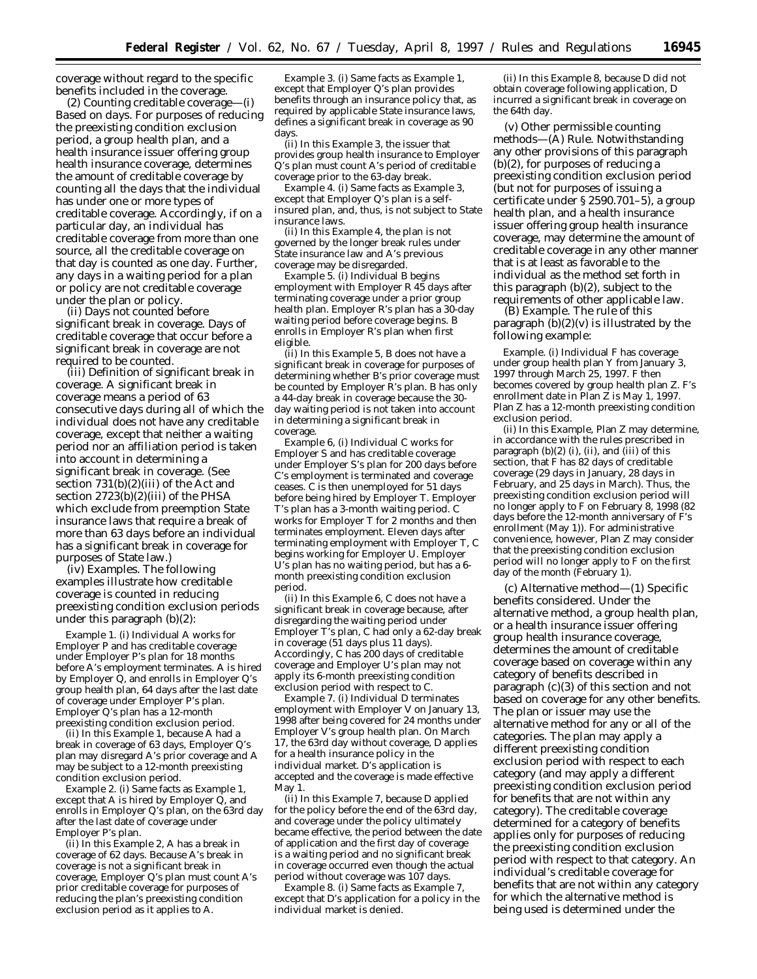coverage without regard to the specific benefits included in the coverage.

(2) *Counting creditable coverage*—(i) *Based on days.* For purposes of reducing the preexisting condition exclusion period, a group health plan, and a health insurance issuer offering group health insurance coverage, determines the amount of creditable coverage by counting all the days that the individual has under one or more types of creditable coverage. Accordingly, if on a particular day, an individual has creditable coverage from more than one source, all the creditable coverage on that day is counted as one day. Further, any days in a waiting period for a plan or policy are not creditable coverage under the plan or policy.

(ii) *Days not counted before significant break in coverage.* Days of creditable coverage that occur before a significant break in coverage are not required to be counted.

(iii) *Definition of significant break in coverage.* A significant break in coverage means a period of 63 consecutive days during all of which the individual does not have any creditable coverage, except that neither a waiting period nor an affiliation period is taken into account in determining a significant break in coverage. (See section 731(b)(2)(iii) of the Act and section 2723(b)(2)(iii) of the PHSA which exclude from preemption State insurance laws that require a break of more than 63 days before an individual has a significant break in coverage for purposes of State law.)

(iv) *Examples.* The following examples illustrate how creditable coverage is counted in reducing preexisting condition exclusion periods under this paragraph (b)(2):

*Example 1.* (i) Individual *A* works for Employer *P* and has creditable coverage under Employer *P*'s plan for 18 months before *A*'s employment terminates. *A* is hired by Employer *Q*, and enrolls in Employer *Q*'s group health plan, 64 days after the last date of coverage under Employer *P*'s plan. Employer *Q*'s plan has a 12-month preexisting condition exclusion period.

(ii) In this *Example 1,* because *A* had a break in coverage of 63 days, Employer *Q*'s plan may disregard *A*'s prior coverage and *A* may be subject to a 12-month preexisting condition exclusion period.

*Example 2.* (i) Same facts as *Example 1,* except that *A* is hired by Employer *Q,* and enrolls in Employer *Q*'s plan, on the 63rd day after the last date of coverage under Employer *P*'s plan.

(ii) In this *Example 2, A* has a break in coverage of 62 days. Because *A*'s break in coverage is not a significant break in coverage, Employer *Q*'s plan must count *A*'s prior creditable coverage for purposes of reducing the plan's preexisting condition exclusion period as it applies to *A*.

*Example 3.* (i) Same facts as *Example 1,* except that Employer *Q*'s plan provides benefits through an insurance policy that, as required by applicable State insurance laws, defines a significant break in coverage as 90 days.

(ii) In this *Example 3,* the issuer that provides group health insurance to Employer *Q*'s plan must count *A*'s period of creditable coverage prior to the 63-day break.

*Example 4.* (i) Same facts as *Example 3,* except that Employer *Q*'s plan is a selfinsured plan, and, thus, is not subject to State insurance laws.

(ii) In this *Example 4,* the plan is not governed by the longer break rules under State insurance law and *A*'s previous coverage may be disregarded.

*Example 5.* (i) Individual *B* begins employment with Employer *R* 45 days after terminating coverage under a prior group health plan. Employer *R*'s plan has a 30-day waiting period before coverage begins. *B* enrolls in Employer *R*'s plan when first eligible.

(ii) In this *Example 5, B* does not have a significant break in coverage for purposes of determining whether *B*'s prior coverage must be counted by Employer *R*'s plan. *B* has only a 44-day break in coverage because the 30 day waiting period is not taken into account in determining a significant break in coverage.

*Example 6,* (i) Individual *C* works for Employer *S* and has creditable coverage under Employer *S*'s plan for 200 days before *C*'s employment is terminated and coverage ceases. *C* is then unemployed for 51 days before being hired by Employer *T*. Employer *T*'s plan has a 3-month waiting period. *C* works for Employer *T* for 2 months and then terminates employment. Eleven days after terminating employment with Employer *T, C* begins working for Employer *U.* Employer *U*'s plan has no waiting period, but has a 6 month preexisting condition exclusion period.

(ii) In this *Example 6, C* does not have a significant break in coverage because, after disregarding the waiting period under Employer *T*'s plan, *C* had only a 62-day break in coverage (51 days plus 11 days). Accordingly, C has 200 days of creditable coverage and Employer *U*'s plan may not apply its 6-month preexisting condition exclusion period with respect to *C.*

*Example 7.* (i) Individual *D* terminates employment with Employer *V* on January 13, 1998 after being covered for 24 months under Employer *V*'s group health plan. On March 17, the 63rd day without coverage, *D* applies for a health insurance policy in the individual market. *D*'s application is accepted and the coverage is made effective  $M$ av $1.$ 

(ii) In this *Example 7,* because *D* applied for the policy before the end of the 63rd day, and coverage under the policy ultimately became effective, the period between the date of application and the first day of coverage is a waiting period and no significant break in coverage occurred even though the actual period without coverage was 107 days.

*Example 8.* (i) Same facts as *Example 7,* except that *D*'s application for a policy in the individual market is denied.

(ii) In this *Example 8,* because *D* did not obtain coverage following application, *D* incurred a significant break in coverage on the 64th day.

(v) *Other permissible counting methods*—(A) *Rule.* Notwithstanding any other provisions of this paragraph (b)(2), for purposes of reducing a preexisting condition exclusion period (but not for purposes of issuing a certificate under § 2590.701–5), a group health plan, and a health insurance issuer offering group health insurance coverage, may determine the amount of creditable coverage in any other manner that is at least as favorable to the individual as the method set forth in this paragraph (b)(2), subject to the requirements of other applicable law.

(B) *Example.* The rule of this paragraph (b)(2)(v) is illustrated by the following example:

*Example.* (i) Individual *F* has coverage under group health plan *Y* from January 3, 1997 through March 25, 1997. *F* then becomes covered by group health plan *Z. F*'s enrollment date in Plan *Z* is May 1, 1997. Plan *Z* has a 12-month preexisting condition exclusion period.

(ii) In this *Example*, Plan *Z* may determine, in accordance with the rules prescribed in paragraph (b)(2) (i), (ii), and (iii) of this section, that *F* has 82 days of creditable coverage (29 days in January, 28 days in February, and 25 days in March). Thus, the preexisting condition exclusion period will no longer apply to *F* on February 8, 1998 (82 days before the 12-month anniversary of *F*'s enrollment (May 1)). For administrative convenience, however, Plan *Z* may consider that the preexisting condition exclusion period will no longer apply to *F* on the first day of the month (February 1).

(c) *Alternative method*—(1) *Specific benefits considered.* Under the alternative method, a group health plan, or a health insurance issuer offering group health insurance coverage, determines the amount of creditable coverage based on coverage within any category of benefits described in paragraph (c)(3) of this section and not based on coverage for any other benefits. The plan or issuer may use the alternative method for any or all of the categories. The plan may apply a different preexisting condition exclusion period with respect to each category (and may apply a different preexisting condition exclusion period for benefits that are not within any category). The creditable coverage determined for a category of benefits applies only for purposes of reducing the preexisting condition exclusion period with respect to that category. An individual's creditable coverage for benefits that are not within any category for which the alternative method is being used is determined under the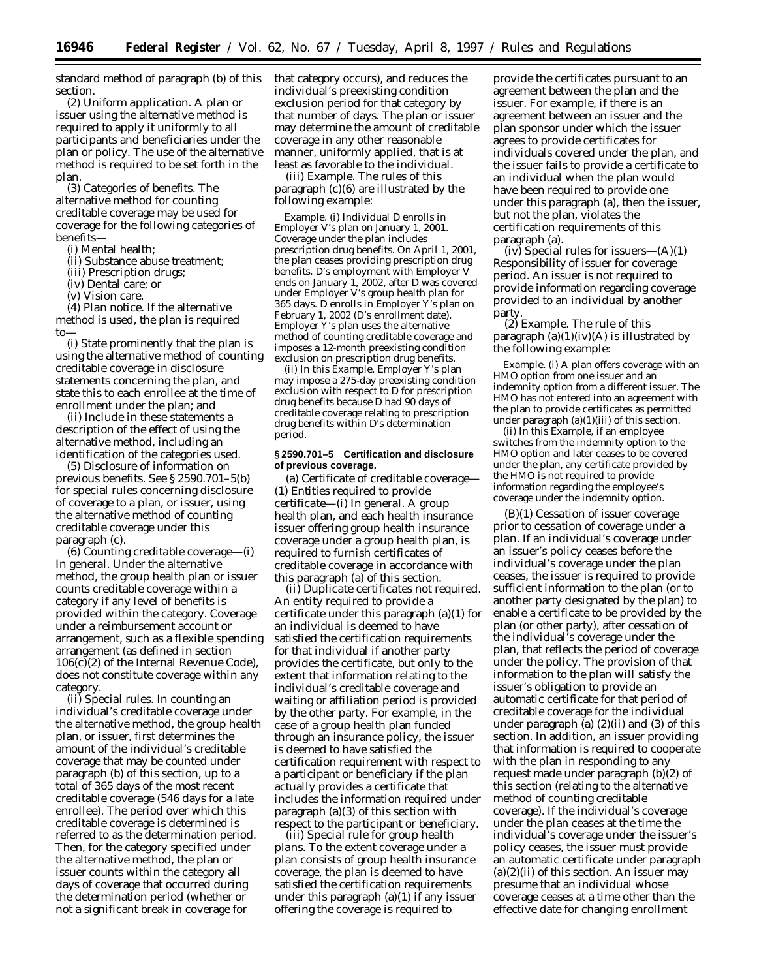standard method of paragraph (b) of this section.

(2) *Uniform application.* A plan or issuer using the alternative method is required to apply it uniformly to all participants and beneficiaries under the plan or policy. The use of the alternative method is required to be set forth in the plan.

(3) *Categories of benefits.* The alternative method for counting creditable coverage may be used for coverage for the following categories of benefits—

(i) Mental health;

(ii) Substance abuse treatment;

(iii) Prescription drugs;

(iv) Dental care; or

(v) Vision care.

(4) *Plan notice.* If the alternative method is used, the plan is required to—

(i) State prominently that the plan is using the alternative method of counting creditable coverage in disclosure statements concerning the plan, and state this to each enrollee at the time of enrollment under the plan; and

(ii) Include in these statements a description of the effect of using the alternative method, including an identification of the categories used.

(5) *Disclosure of information on previous benefits.* See § 2590.701–5(b) for special rules concerning disclosure of coverage to a plan, or issuer, using the alternative method of counting creditable coverage under this paragraph (c).

(6) *Counting creditable coverage*—(i) *In general.* Under the alternative method, the group health plan or issuer counts creditable coverage within a category if any level of benefits is provided within the category. Coverage under a reimbursement account or arrangement, such as a flexible spending arrangement (as defined in section 106(c)(2) of the Internal Revenue Code), does not constitute coverage within any category.

(ii) *Special rules.* In counting an individual's creditable coverage under the alternative method, the group health plan, or issuer, first determines the amount of the individual's creditable coverage that may be counted under paragraph (b) of this section, up to a total of 365 days of the most recent creditable coverage (546 days for a late enrollee). The period over which this creditable coverage is determined is referred to as the determination period. Then, for the category specified under the alternative method, the plan or issuer counts within the category all days of coverage that occurred during the determination period (whether or not a significant break in coverage for

that category occurs), and reduces the individual's preexisting condition exclusion period for that category by that number of days. The plan or issuer may determine the amount of creditable coverage in any other reasonable manner, uniformly applied, that is at least as favorable to the individual.

(iii) *Example.* The rules of this paragraph (c)(6) are illustrated by the following example:

*Example.* (i) Individual *D* enrolls in Employer *V*'s plan on January 1, 2001. Coverage under the plan includes prescription drug benefits. On April 1, 2001, the plan ceases providing prescription drug benefits. *D*'s employment with Employer *V* ends on January 1, 2002, after *D* was covered under Employer *V*'s group health plan for 365 days. *D* enrolls in Employer *Y*'s plan on February 1, 2002 (*D*'s enrollment date). Employer *Y*'s plan uses the alternative method of counting creditable coverage and imposes a 12-month preexisting condition exclusion on prescription drug benefits.

(ii) In this *Example,* Employer *Y*'s plan may impose a 275-day preexisting condition exclusion with respect to *D* for prescription drug benefits because *D* had 90 days of creditable coverage relating to prescription drug benefits within *D*'s determination period.

## **§ 2590.701–5 Certification and disclosure of previous coverage.**

(a) *Certificate of creditable coverage*— (1) *Entities required to provide certificate*—(i) *In general.* A group health plan, and each health insurance issuer offering group health insurance coverage under a group health plan, is required to furnish certificates of creditable coverage in accordance with this paragraph (a) of this section.

(ii) *Duplicate certificates not required.* An entity required to provide a certificate under this paragraph (a)(1) for an individual is deemed to have satisfied the certification requirements for that individual if another party provides the certificate, but only to the extent that information relating to the individual's creditable coverage and waiting or affiliation period is provided by the other party. For example, in the case of a group health plan funded through an insurance policy, the issuer is deemed to have satisfied the certification requirement with respect to a participant or beneficiary if the plan actually provides a certificate that includes the information required under paragraph (a)(3) of this section with respect to the participant or beneficiary.

(iii) *Special rule for group health plans.* To the extent coverage under a plan consists of group health insurance coverage, the plan is deemed to have satisfied the certification requirements under this paragraph (a)(1) if any issuer offering the coverage is required to

provide the certificates pursuant to an agreement between the plan and the issuer. For example, if there is an agreement between an issuer and the plan sponsor under which the issuer agrees to provide certificates for individuals covered under the plan, and the issuer fails to provide a certificate to an individual when the plan would have been required to provide one under this paragraph (a), then the issuer, but not the plan, violates the certification requirements of this paragraph (a).

(iv) *Special rules for issuers*—(A)(*1*) *Responsibility of issuer for coverage period.* An issuer is not required to provide information regarding coverage provided to an individual by another party

(*2*) *Example.* The rule of this paragraph  $(a)(1)(iv)(A)$  is illustrated by the following example:

*Example.* (i) A plan offers coverage with an HMO option from one issuer and an indemnity option from a different issuer. The HMO has not entered into an agreement with the plan to provide certificates as permitted under paragraph (a)(1)(iii) of this section.

(ii) In this *Example*, if an employee switches from the indemnity option to the HMO option and later ceases to be covered under the plan, any certificate provided by the HMO is not required to provide information regarding the employee's coverage under the indemnity option.

(B)(*1*) *Cessation of issuer coverage prior to cessation of coverage under a plan.* If an individual's coverage under an issuer's policy ceases before the individual's coverage under the plan ceases, the issuer is required to provide sufficient information to the plan (or to another party designated by the plan) to enable a certificate to be provided by the plan (or other party), after cessation of the individual's coverage under the plan, that reflects the period of coverage under the policy. The provision of that information to the plan will satisfy the issuer's obligation to provide an automatic certificate for that period of creditable coverage for the individual under paragraph (a) (2)(ii) and (3) of this section. In addition, an issuer providing that information is required to cooperate with the plan in responding to any request made under paragraph (b)(2) of this section (relating to the alternative method of counting creditable coverage). If the individual's coverage under the plan ceases at the time the individual's coverage under the issuer's policy ceases, the issuer must provide an automatic certificate under paragraph  $(a)(2)(ii)$  of this section. An issuer may presume that an individual whose coverage ceases at a time other than the effective date for changing enrollment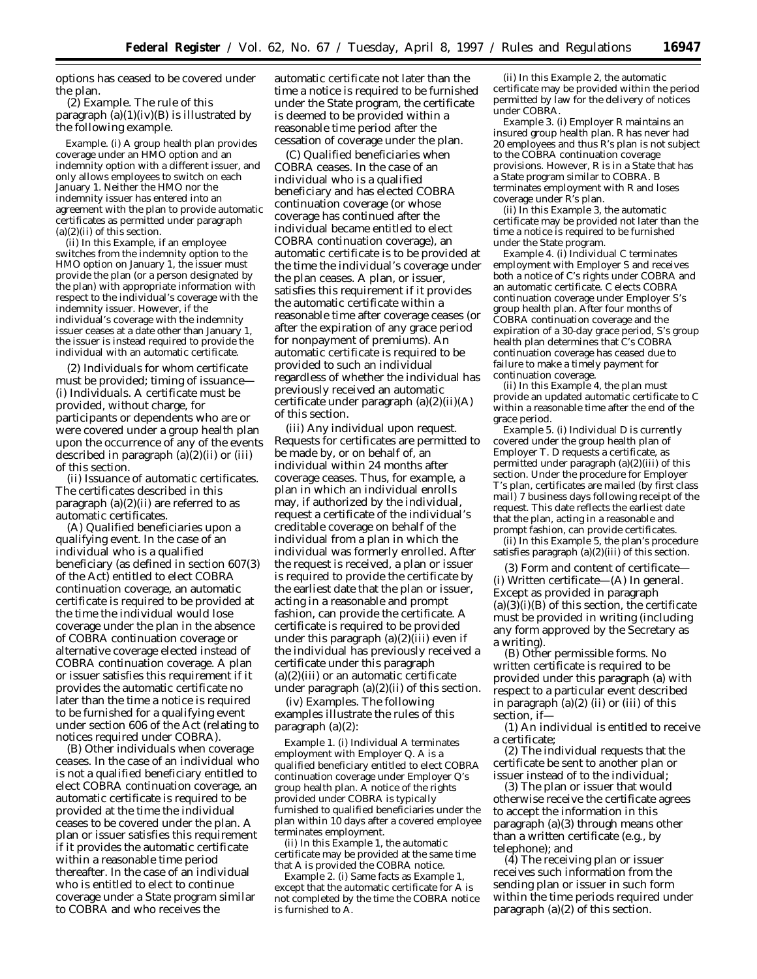options has ceased to be covered under the plan.

(*2*) *Example.* The rule of this paragraph  $(a)(1)(iv)(B)$  is illustrated by the following example.

*Example.* (i) A group health plan provides coverage under an HMO option and an indemnity option with a different issuer, and only allows employees to switch on each January 1. Neither the HMO nor the indemnity issuer has entered into an agreement with the plan to provide automatic certificates as permitted under paragraph  $(a)(2)(ii)$  of this section.

(ii) In this *Example,* if an employee switches from the indemnity option to the HMO option on January 1, the issuer must provide the plan (or a person designated by the plan) with appropriate information with respect to the individual's coverage with the indemnity issuer. However, if the individual's coverage with the indemnity issuer ceases at a date other than January 1, the issuer is instead required to provide the individual with an automatic certificate.

(2) *Individuals for whom certificate must be provided; timing of issuance*— (i) *Individuals.* A certificate must be provided, without charge, for participants or dependents who are or were covered under a group health plan upon the occurrence of any of the events described in paragraph (a)(2)(ii) or (iii) of this section.

(ii) *Issuance of automatic certificates.* The certificates described in this paragraph (a)(2)(ii) are referred to as automatic certificates.

(A) *Qualified beneficiaries upon a qualifying event.* In the case of an individual who is a qualified beneficiary (as defined in section 607(3) of the Act) entitled to elect COBRA continuation coverage, an automatic certificate is required to be provided at the time the individual would lose coverage under the plan in the absence of COBRA continuation coverage or alternative coverage elected instead of COBRA continuation coverage. A plan or issuer satisfies this requirement if it provides the automatic certificate no later than the time a notice is required to be furnished for a qualifying event under section 606 of the Act (relating to notices required under COBRA).

(B) *Other individuals when coverage ceases.* In the case of an individual who is not a qualified beneficiary entitled to elect COBRA continuation coverage, an automatic certificate is required to be provided at the time the individual ceases to be covered under the plan. A plan or issuer satisfies this requirement if it provides the automatic certificate within a reasonable time period thereafter. In the case of an individual who is entitled to elect to continue coverage under a State program similar to COBRA and who receives the

automatic certificate not later than the time a notice is required to be furnished under the State program, the certificate is deemed to be provided within a reasonable time period after the cessation of coverage under the plan.

(C) *Qualified beneficiaries when COBRA ceases.* In the case of an individual who is a qualified beneficiary and has elected COBRA continuation coverage (or whose coverage has continued after the individual became entitled to elect COBRA continuation coverage), an automatic certificate is to be provided at the time the individual's coverage under the plan ceases. A plan, or issuer, satisfies this requirement if it provides the automatic certificate within a reasonable time after coverage ceases (or after the expiration of any grace period for nonpayment of premiums). An automatic certificate is required to be provided to such an individual regardless of whether the individual has previously received an automatic certificate under paragraph (a)(2)(ii)(A) of this section.

(iii) *Any individual upon request.* Requests for certificates are permitted to be made by, or on behalf of, an individual within 24 months after coverage ceases. Thus, for example, a plan in which an individual enrolls may, if authorized by the individual, request a certificate of the individual's creditable coverage on behalf of the individual from a plan in which the individual was formerly enrolled. After the request is received, a plan or issuer is required to provide the certificate by the earliest date that the plan or issuer, acting in a reasonable and prompt fashion, can provide the certificate. A certificate is required to be provided under this paragraph  $(a)(2)(iii)$  even if the individual has previously received a certificate under this paragraph (a)(2)(iii) or an automatic certificate under paragraph (a)(2)(ii) of this section.

(iv) *Examples.* The following examples illustrate the rules of this paragraph (a)(2):

*Example 1.* (i) Individual *A* terminates employment with Employer *Q*. *A* is a qualified beneficiary entitled to elect COBRA continuation coverage under Employer *Q*'s group health plan. A notice of the rights provided under COBRA is typically furnished to qualified beneficiaries under the plan within 10 days after a covered employee terminates employment.

(ii) In this *Example 1,* the automatic certificate may be provided at the same time that *A* is provided the COBRA notice.

*Example 2.* (i) Same facts as *Example 1,* except that the automatic certificate for *A* is not completed by the time the COBRA notice is furnished to *A*.

(ii) In this *Example 2,* the automatic certificate may be provided within the period permitted by law for the delivery of notices under COBRA.

*Example 3.* (i) Employer *R* maintains an insured group health plan. R has never had 20 employees and thus *R*'s plan is not subject to the COBRA continuation coverage provisions. However, *R* is in a State that has a State program similar to COBRA. *B* terminates employment with *R* and loses coverage under *R*'s plan.

(ii) In this *Example 3,* the automatic certificate may be provided not later than the time a notice is required to be furnished under the State program.

*Example 4.* (i) Individual *C* terminates employment with Employer *S* and receives both a notice of *C*'s rights under COBRA and an automatic certificate. *C* elects COBRA continuation coverage under Employer *S*'s group health plan. After four months of COBRA continuation coverage and the expiration of a 30-day grace period, *S*'s group health plan determines that *C*'s COBRA continuation coverage has ceased due to failure to make a timely payment for continuation coverage.

(ii) In this *Example 4,* the plan must provide an updated automatic certificate to *C* within a reasonable time after the end of the grace period.

*Example 5.* (i) Individual *D* is currently covered under the group health plan of Employer *T. D* requests a certificate, as permitted under paragraph (a)(2)(iii) of this section. Under the procedure for Employer *T*'s plan, certificates are mailed (by first class mail) 7 business days following receipt of the request. This date reflects the earliest date that the plan, acting in a reasonable and prompt fashion, can provide certificates.

(ii) In this *Example 5,* the plan's procedure satisfies paragraph (a)(2)(iii) of this section.

(3) *Form and content of certificate—* (i) *Written certificate*—(A) *In general.* Except as provided in paragraph  $(a)(3)(i)(B)$  of this section, the certificate must be provided in writing (including any form approved by the Secretary as a writing).

(B) *Other permissible forms.* No written certificate is required to be provided under this paragraph (a) with respect to a particular event described in paragraph  $(a)(2)$  (ii) or (iii) of this section, if—

(*1*) An individual is entitled to receive a certificate;

(*2*) The individual requests that the certificate be sent to another plan or issuer instead of to the individual;

(*3*) The plan or issuer that would otherwise receive the certificate agrees to accept the information in this paragraph (a)(3) through means other than a written certificate (e.g., by telephone); and

(*4*) The receiving plan or issuer receives such information from the sending plan or issuer in such form within the time periods required under paragraph (a)(2) of this section.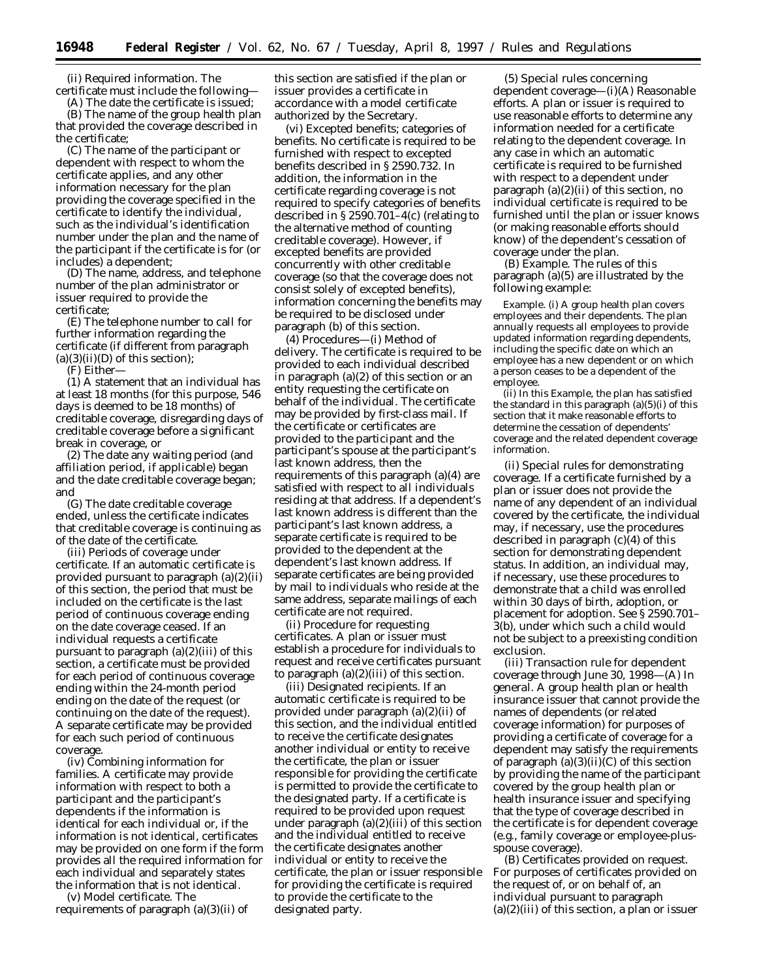(ii) *Required information.* The certificate must include the following—

(A) The date the certificate is issued; (B) The name of the group health plan that provided the coverage described in the certificate;

(C) The name of the participant or dependent with respect to whom the certificate applies, and any other information necessary for the plan providing the coverage specified in the certificate to identify the individual, such as the individual's identification number under the plan and the name of the participant if the certificate is for (or includes) a dependent;

(D) The name, address, and telephone number of the plan administrator or issuer required to provide the certificate;

(E) The telephone number to call for further information regarding the certificate (if different from paragraph  $(a)(3)(ii)(D)$  of this section);

(F) Either—

(*1*) A statement that an individual has at least 18 months (for this purpose, 546 days is deemed to be 18 months) of creditable coverage, disregarding days of creditable coverage before a significant break in coverage, or

(*2*) The date any waiting period (and affiliation period, if applicable) began and the date creditable coverage began; and

(G) The date creditable coverage ended, unless the certificate indicates that creditable coverage is continuing as of the date of the certificate.

(iii) *Periods of coverage under certificate.* If an automatic certificate is provided pursuant to paragraph (a)(2)(ii) of this section, the period that must be included on the certificate is the last period of continuous coverage ending on the date coverage ceased. If an individual requests a certificate pursuant to paragraph  $(a)(2)(iii)$  of this section, a certificate must be provided for each period of continuous coverage ending within the 24-month period ending on the date of the request (or continuing on the date of the request). A separate certificate may be provided for each such period of continuous coverage.

(iv) *Combining information for families.* A certificate may provide information with respect to both a participant and the participant's dependents if the information is identical for each individual or, if the information is not identical, certificates may be provided on one form if the form provides all the required information for each individual and separately states the information that is not identical.

(v) *Model certificate.* The requirements of paragraph (a)(3)(ii) of

this section are satisfied if the plan or issuer provides a certificate in accordance with a model certificate authorized by the Secretary.

(vi) *Excepted benefits; categories of benefits.* No certificate is required to be furnished with respect to excepted benefits described in § 2590.732. In addition, the information in the certificate regarding coverage is not required to specify categories of benefits described in § 2590.701–4(c) (relating to the alternative method of counting creditable coverage). However, if excepted benefits are provided concurrently with other creditable coverage (so that the coverage does not consist solely of excepted benefits), information concerning the benefits may be required to be disclosed under paragraph (b) of this section.

(4) *Procedures*—(i) *Method of delivery.* The certificate is required to be provided to each individual described in paragraph (a)(2) of this section or an entity requesting the certificate on behalf of the individual. The certificate may be provided by first-class mail. If the certificate or certificates are provided to the participant and the participant's spouse at the participant's last known address, then the requirements of this paragraph (a)(4) are satisfied with respect to all individuals residing at that address. If a dependent's last known address is different than the participant's last known address, a separate certificate is required to be provided to the dependent at the dependent's last known address. If separate certificates are being provided by mail to individuals who reside at the same address, separate mailings of each certificate are not required.

(ii) *Procedure for requesting certificates.* A plan or issuer must establish a procedure for individuals to request and receive certificates pursuant to paragraph  $(a)(2)(iii)$  of this section.

(iii) *Designated recipients.* If an automatic certificate is required to be provided under paragraph (a)(2)(ii) of this section, and the individual entitled to receive the certificate designates another individual or entity to receive the certificate, the plan or issuer responsible for providing the certificate is permitted to provide the certificate to the designated party. If a certificate is required to be provided upon request under paragraph  $(a)(2)(iii)$  of this section and the individual entitled to receive the certificate designates another individual or entity to receive the certificate, the plan or issuer responsible for providing the certificate is required to provide the certificate to the designated party.

(5) *Special rules concerning dependent coverage*—(i)(A) *Reasonable efforts.* A plan or issuer is required to use reasonable efforts to determine any information needed for a certificate relating to the dependent coverage. In any case in which an automatic certificate is required to be furnished with respect to a dependent under paragraph (a)(2)(ii) of this section, no individual certificate is required to be furnished until the plan or issuer knows (or making reasonable efforts should know) of the dependent's cessation of coverage under the plan.

(B) *Example.* The rules of this paragraph (a)(5) are illustrated by the following example:

*Example.* (i) A group health plan covers employees and their dependents. The plan annually requests all employees to provide updated information regarding dependents, including the specific date on which an employee has a new dependent or on which a person ceases to be a dependent of the employee.

(ii) In this *Example,* the plan has satisfied the standard in this paragraph (a)(5)(i) of this section that it make reasonable efforts to determine the cessation of dependents' coverage and the related dependent coverage information.

(ii) *Special rules for demonstrating coverage.* If a certificate furnished by a plan or issuer does not provide the name of any dependent of an individual covered by the certificate, the individual may, if necessary, use the procedures described in paragraph (c)(4) of this section for demonstrating dependent status. In addition, an individual may, if necessary, use these procedures to demonstrate that a child was enrolled within 30 days of birth, adoption, or placement for adoption. See § 2590.701– 3(b), under which such a child would not be subject to a preexisting condition exclusion.

(iii) *Transaction rule for dependent coverage through June 30, 1998*—(A) *In general.* A group health plan or health insurance issuer that cannot provide the names of dependents (or related coverage information) for purposes of providing a certificate of coverage for a dependent may satisfy the requirements of paragraph  $(a)(3)(ii)(C)$  of this section by providing the name of the participant covered by the group health plan or health insurance issuer and specifying that the type of coverage described in the certificate is for dependent coverage (e.g., family coverage or employee-plusspouse coverage).

(B) *Certificates provided on request.* For purposes of certificates provided on the request of, or on behalf of, an individual pursuant to paragraph  $(a)(2)(iii)$  of this section, a plan or issuer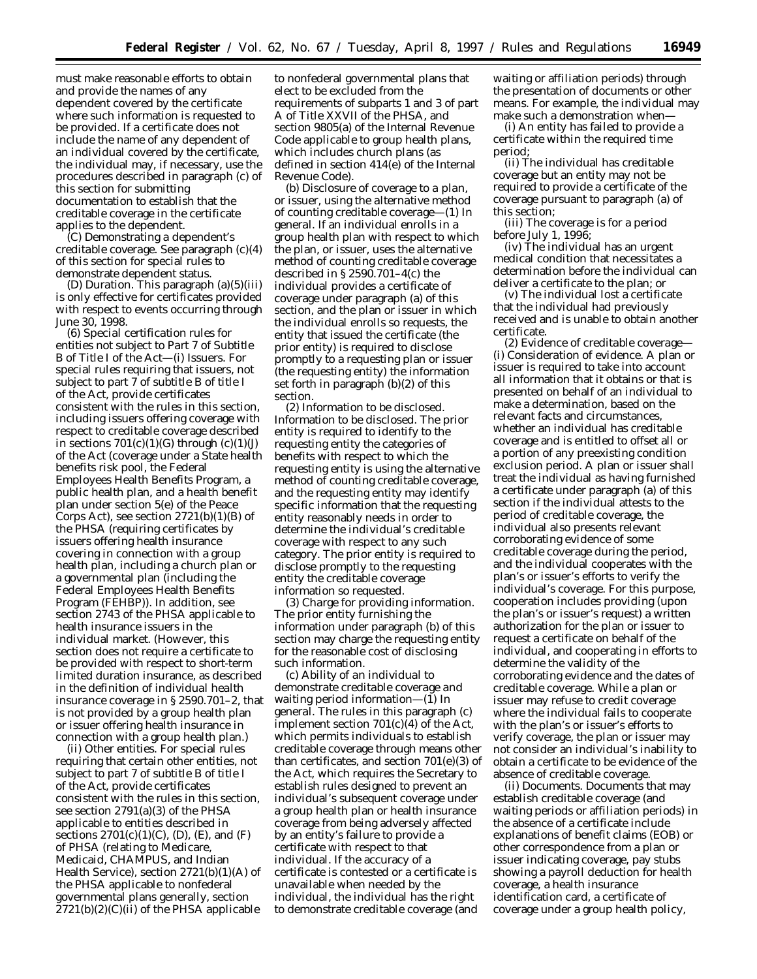must make reasonable efforts to obtain and provide the names of any dependent covered by the certificate where such information is requested to be provided. If a certificate does not include the name of any dependent of an individual covered by the certificate, the individual may, if necessary, use the procedures described in paragraph (c) of this section for submitting documentation to establish that the creditable coverage in the certificate applies to the dependent.

(C) *Demonstrating a dependent's creditable coverage.* See paragraph (c)(4) of this section for special rules to demonstrate dependent status.

(D) *Duration.* This paragraph (a)(5)(iii) is only effective for certificates provided with respect to events occurring through June 30, 1998.

(6) *Special certification rules for entities not subject to Part 7 of Subtitle B of Title I of the Act*—(i) *Issuers.* For special rules requiring that issuers, not subject to part 7 of subtitle B of title I of the Act, provide certificates consistent with the rules in this section, including issuers offering coverage with respect to creditable coverage described in sections  $701(c)(1)(G)$  through  $(c)(1)(J)$ of the Act (coverage under a State health benefits risk pool, the Federal Employees Health Benefits Program, a public health plan, and a health benefit plan under section 5(e) of the Peace Corps Act), see section  $2721(b)(1)(B)$  of the PHSA (requiring certificates by issuers offering health insurance covering in connection with a group health plan, including a church plan or a governmental plan (including the Federal Employees Health Benefits Program (FEHBP)). In addition, see section 2743 of the PHSA applicable to health insurance issuers in the individual market. (However, this section does not require a certificate to be provided with respect to short-term limited duration insurance, as described in the definition of *individual health insurance coverage* in § 2590.701–2, that is not provided by a group health plan or issuer offering health insurance in connection with a group health plan.)

(ii) *Other entities.* For special rules requiring that certain other entities, not subject to part 7 of subtitle B of title I of the Act, provide certificates consistent with the rules in this section, see section 2791(a)(3) of the PHSA applicable to entities described in sections  $2701(c)(1)(C)$ , (D), (E), and (F) of PHSA (relating to Medicare, Medicaid, CHAMPUS, and Indian Health Service), section 2721(b)(1)(A) of the PHSA applicable to nonfederal governmental plans generally, section 2721(b)(2)(C)(ii) of the PHSA applicable

to nonfederal governmental plans that elect to be excluded from the requirements of subparts 1 and 3 of part A of Title XXVII of the PHSA, and section 9805(a) of the Internal Revenue Code applicable to group health plans, which includes church plans (as defined in section 414(e) of the Internal Revenue Code).

(b) *Disclosure of coverage to a plan, or issuer, using the alternative method of counting creditable coverage*—(1) *In general.* If an individual enrolls in a group health plan with respect to which the plan, or issuer, uses the alternative method of counting creditable coverage described in § 2590.701–4(c) the individual provides a certificate of coverage under paragraph (a) of this section, and the plan or issuer in which the individual enrolls so requests, the entity that issued the certificate (the prior entity) is required to disclose promptly to a requesting plan or issuer (the requesting entity) the information set forth in paragraph (b)(2) of this section.

(2) *Information to be disclosed.* Information to be disclosed. The prior entity is required to identify to the requesting entity the categories of benefits with respect to which the requesting entity is using the alternative method of counting creditable coverage, and the requesting entity may identify specific information that the requesting entity reasonably needs in order to determine the individual's creditable coverage with respect to any such category. The prior entity is required to disclose promptly to the requesting entity the creditable coverage information so requested.

(3) *Charge for providing information.* The prior entity furnishing the information under paragraph (b) of this section may charge the requesting entity for the reasonable cost of disclosing such information.

(c) *Ability of an individual to demonstrate creditable coverage and waiting period information*—(1) *In general.* The rules in this paragraph (c) implement section  $701(c)(4)$  of the Act, which permits individuals to establish creditable coverage through means other than certificates, and section 701(e)(3) of the Act, which requires the Secretary to establish rules designed to prevent an individual's subsequent coverage under a group health plan or health insurance coverage from being adversely affected by an entity's failure to provide a certificate with respect to that individual. If the accuracy of a certificate is contested or a certificate is unavailable when needed by the individual, the individual has the right to demonstrate creditable coverage (and

waiting or affiliation periods) through the presentation of documents or other means. For example, the individual may make such a demonstration when—

(i) An entity has failed to provide a certificate within the required time period;

(ii) The individual has creditable coverage but an entity may not be required to provide a certificate of the coverage pursuant to paragraph (a) of this section;

(iii) The coverage is for a period before July 1, 1996;

(iv) The individual has an urgent medical condition that necessitates a determination before the individual can deliver a certificate to the plan; or

(v) The individual lost a certificate that the individual had previously received and is unable to obtain another certificate.

(2) *Evidence of creditable coverage*— (i) *Consideration of evidence.* A plan or issuer is required to take into account all information that it obtains or that is presented on behalf of an individual to make a determination, based on the relevant facts and circumstances, whether an individual has creditable coverage and is entitled to offset all or a portion of any preexisting condition exclusion period. A plan or issuer shall treat the individual as having furnished a certificate under paragraph (a) of this section if the individual attests to the period of creditable coverage, the individual also presents relevant corroborating evidence of some creditable coverage during the period, and the individual cooperates with the plan's or issuer's efforts to verify the individual's coverage. For this purpose, cooperation includes providing (upon the plan's or issuer's request) a written authorization for the plan or issuer to request a certificate on behalf of the individual, and cooperating in efforts to determine the validity of the corroborating evidence and the dates of creditable coverage. While a plan or issuer may refuse to credit coverage where the individual fails to cooperate with the plan's or issuer's efforts to verify coverage, the plan or issuer may not consider an individual's inability to obtain a certificate to be evidence of the absence of creditable coverage.

(ii) *Documents.* Documents that may establish creditable coverage (and waiting periods or affiliation periods) in the absence of a certificate include explanations of benefit claims (EOB) or other correspondence from a plan or issuer indicating coverage, pay stubs showing a payroll deduction for health coverage, a health insurance identification card, a certificate of coverage under a group health policy,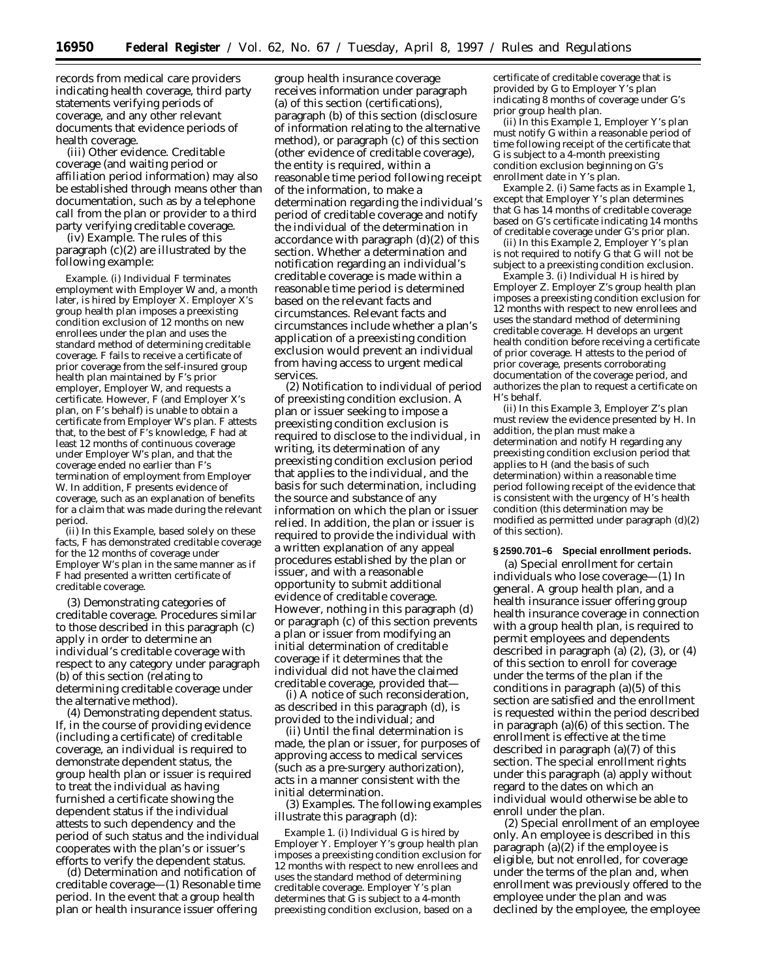records from medical care providers indicating health coverage, third party statements verifying periods of coverage, and any other relevant documents that evidence periods of health coverage.

(iii) *Other evidence.* Creditable coverage (and waiting period or affiliation period information) may also be established through means other than documentation, such as by a telephone call from the plan or provider to a third party verifying creditable coverage.

(iv) *Example.* The rules of this paragraph (c)(2) are illustrated by the following example:

*Example.* (i) Individual *F* terminates employment with Employer *W* and, a month later, is hired by Employer *X*. Employer *X*'s group health plan imposes a preexisting condition exclusion of 12 months on new enrollees under the plan and uses the standard method of determining creditable coverage. *F* fails to receive a certificate of prior coverage from the self-insured group health plan maintained by *F*'s prior employer, Employer *W*, and requests a certificate. However, *F* (and Employer *X*'s plan, on *F*'s behalf) is unable to obtain a certificate from Employer *W*'s plan. *F* attests that, to the best of *F*'s knowledge, *F* had at least 12 months of continuous coverage under Employer *W*'s plan, and that the coverage ended no earlier than *F*'s termination of employment from Employer *W*. In addition, *F* presents evidence of coverage, such as an explanation of benefits for a claim that was made during the relevant period.

(ii) In this *Example*, based solely on these facts, *F* has demonstrated creditable coverage for the 12 months of coverage under Employer *W*'s plan in the same manner as if *F* had presented a written certificate of creditable coverage.

(3) *Demonstrating categories of creditable coverage.* Procedures similar to those described in this paragraph (c) apply in order to determine an individual's creditable coverage with respect to any category under paragraph (b) of this section (relating to determining creditable coverage under the alternative method).

(4) *Demonstrating dependent status.* If, in the course of providing evidence (including a certificate) of creditable coverage, an individual is required to demonstrate dependent status, the group health plan or issuer is required to treat the individual as having furnished a certificate showing the dependent status if the individual attests to such dependency and the period of such status and the individual cooperates with the plan's or issuer's efforts to verify the dependent status.

(d) *Determination and notification of creditable coverage*—(1) *Resonable time period.* In the event that a group health plan or health insurance issuer offering

group health insurance coverage receives information under paragraph (a) of this section (certifications), paragraph (b) of this section (disclosure of information relating to the alternative method), or paragraph (c) of this section (other evidence of creditable coverage), the entity is required, within a reasonable time period following receipt of the information, to make a determination regarding the individual's period of creditable coverage and notify the individual of the determination in accordance with paragraph (d)(2) of this section. Whether a determination and notification regarding an individual's creditable coverage is made within a reasonable time period is determined based on the relevant facts and circumstances. Relevant facts and circumstances include whether a plan's application of a preexisting condition exclusion would prevent an individual from having access to urgent medical services.

(2) *Notification to individual of period of preexisting condition exclusion.* A plan or issuer seeking to impose a preexisting condition exclusion is required to disclose to the individual, in writing, its determination of any preexisting condition exclusion period that applies to the individual, and the basis for such determination, including the source and substance of any information on which the plan or issuer relied. In addition, the plan or issuer is required to provide the individual with a written explanation of any appeal procedures established by the plan or issuer, and with a reasonable opportunity to submit additional evidence of creditable coverage. However, nothing in this paragraph (d) or paragraph (c) of this section prevents a plan or issuer from modifying an initial determination of creditable coverage if it determines that the individual did not have the claimed creditable coverage, provided that—

(i) A notice of such reconsideration, as described in this paragraph (d), is provided to the individual; and

(ii) Until the final determination is made, the plan or issuer, for purposes of approving access to medical services (such as a pre-surgery authorization), acts in a manner consistent with the initial determination.

(3) *Examples.* The following examples illustrate this paragraph (d):

*Example 1.* (i) Individual *G* is hired by Employer *Y*. Employer *Y*'s group health plan imposes a preexisting condition exclusion for 12 months with respect to new enrollees and uses the standard method of determining creditable coverage. Employer *Y*'s plan determines that *G* is subject to a 4-month preexisting condition exclusion, based on a

certificate of creditable coverage that is provided by *G* to Employer *Y*'s plan indicating 8 months of coverage under *G*'s prior group health plan.

(ii) In this *Example 1,* Employer *Y*'s plan must notify *G* within a reasonable period of time following receipt of the certificate that *G* is subject to a 4-month preexisting condition exclusion beginning on *G*'s enrollment date in *Y*'s plan.

*Example 2.* (i) Same facts as in *Example 1,* except that Employer *Y*'s plan determines that *G* has 14 months of creditable coverage based on *G*'s certificate indicating 14 months of creditable coverage under *G*'s prior plan.

(ii) In this *Example 2,* Employer *Y*'s plan is not required to notify *G* that *G* will not be subject to a preexisting condition exclusion.

*Example 3.* (i) Individual *H* is hired by Employer *Z*. Employer *Z*'s group health plan imposes a preexisting condition exclusion for 12 months with respect to new enrollees and uses the standard method of determining creditable coverage. *H* develops an urgent health condition before receiving a certificate of prior coverage. *H* attests to the period of prior coverage, presents corroborating documentation of the coverage period, and authorizes the plan to request a certificate on *H*'s behalf.

(ii) In this *Example 3*, Employer *Z*'s plan must review the evidence presented by *H*. In addition, the plan must make a determination and notify *H* regarding any preexisting condition exclusion period that applies to *H* (and the basis of such determination) within a reasonable time period following receipt of the evidence that is consistent with the urgency of *H*'s health condition (this determination may be modified as permitted under paragraph (d)(2) of this section).

## **§ 2590.701–6 Special enrollment periods.**

(a) *Special enrollment for certain individuals who lose coverage*—(1) *In general.* A group health plan, and a health insurance issuer offering group health insurance coverage in connection with a group health plan, is required to permit employees and dependents described in paragraph (a) (2), (3), or (4) of this section to enroll for coverage under the terms of the plan if the conditions in paragraph  $(a)(5)$  of this section are satisfied and the enrollment is requested within the period described in paragraph (a)(6) of this section. The enrollment is effective at the time described in paragraph (a)(7) of this section. The special enrollment rights under this paragraph (a) apply without regard to the dates on which an individual would otherwise be able to enroll under the plan.

(2) *Special enrollment of an employee only.* An employee is described in this paragraph  $(a)(2)$  if the employee is eligible, but not enrolled, for coverage under the terms of the plan and, when enrollment was previously offered to the employee under the plan and was declined by the employee, the employee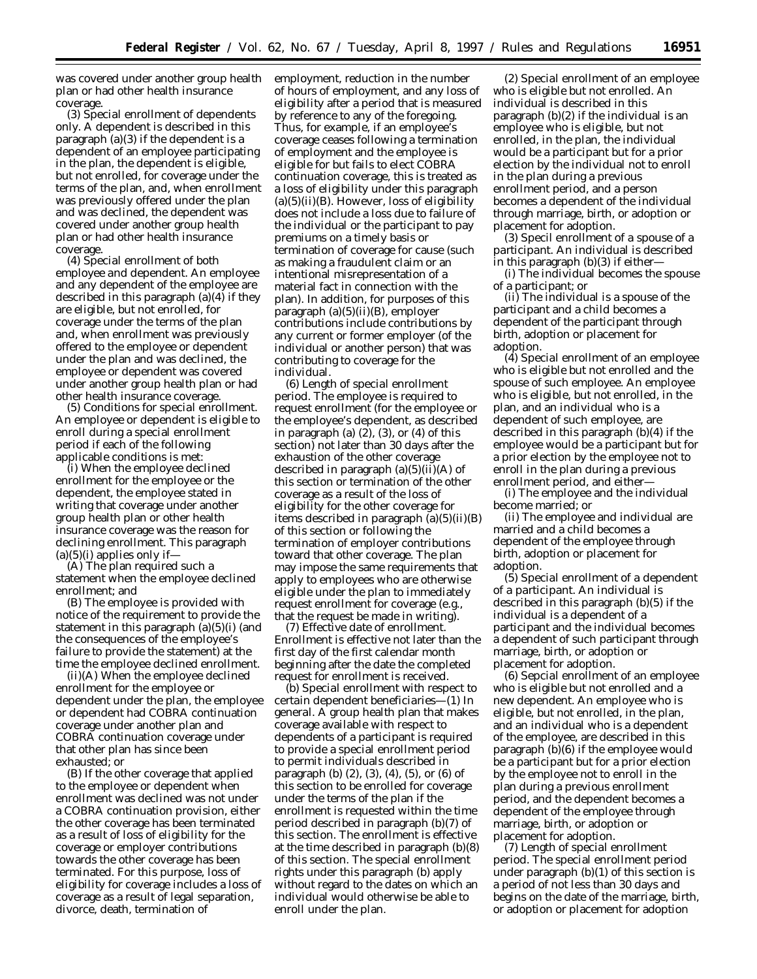was covered under another group health plan or had other health insurance coverage.

(3) *Special enrollment of dependents only.* A dependent is described in this paragraph (a)(3) if the dependent is a dependent of an employee participating in the plan, the dependent is eligible, but not enrolled, for coverage under the terms of the plan, and, when enrollment was previously offered under the plan and was declined, the dependent was covered under another group health plan or had other health insurance coverage.

(4) *Special enrollment of both employee and dependent.* An employee and any dependent of the employee are described in this paragraph (a)(4) if they are eligible, but not enrolled, for coverage under the terms of the plan and, when enrollment was previously offered to the employee or dependent under the plan and was declined, the employee or dependent was covered under another group health plan or had other health insurance coverage.

(5) *Conditions for special enrollment.* An employee or dependent is eligible to enroll during a special enrollment period if each of the following applicable conditions is met:

(i) When the employee declined enrollment for the employee or the dependent, the employee stated in writing that coverage under another group health plan or other health insurance coverage was the reason for declining enrollment. This paragraph  $(a)(5)(i)$  applies only if-

(A) The plan required such a statement when the employee declined enrollment; and

(B) The employee is provided with notice of the requirement to provide the statement in this paragraph (a)(5)(i) (and the consequences of the employee's failure to provide the statement) at the time the employee declined enrollment.

(ii)(A) When the employee declined enrollment for the employee or dependent under the plan, the employee or dependent had COBRA continuation coverage under another plan and COBRA continuation coverage under that other plan has since been exhausted; or

(B) If the other coverage that applied to the employee or dependent when enrollment was declined was not under a COBRA continuation provision, either the other coverage has been terminated as a result of loss of eligibility for the coverage or employer contributions towards the other coverage has been terminated. For this purpose, loss of eligibility for coverage includes a loss of coverage as a result of legal separation, divorce, death, termination of

employment, reduction in the number of hours of employment, and any loss of eligibility after a period that is measured by reference to any of the foregoing. Thus, for example, if an employee's coverage ceases following a termination of employment and the employee is eligible for but fails to elect COBRA continuation coverage, this is treated as a loss of eligibility under this paragraph  $(a)(5)(ii)(B)$ . However, loss of eligibility does not include a loss due to failure of the individual or the participant to pay premiums on a timely basis or termination of coverage for cause (such as making a fraudulent claim or an intentional misrepresentation of a material fact in connection with the plan). In addition, for purposes of this paragraph (a)(5)(ii)(B), employer contributions include contributions by any current or former employer (of the individual or another person) that was contributing to coverage for the individual.

(6) *Length of special enrollment period.* The employee is required to request enrollment (for the employee or the employee's dependent, as described in paragraph (a)  $(2)$ ,  $(3)$ , or  $(4)$  of this section) not later than 30 days after the exhaustion of the other coverage described in paragraph  $(a)(5)(ii)(A)$  of this section or termination of the other coverage as a result of the loss of eligibility for the other coverage for items described in paragraph  $(a)(5)(ii)(B)$ of this section or following the termination of employer contributions toward that other coverage. The plan may impose the same requirements that apply to employees who are otherwise eligible under the plan to immediately request enrollment for coverage (e.g., that the request be made in writing).

(7) *Effective date of enrollment.* Enrollment is effective not later than the first day of the first calendar month beginning after the date the completed request for enrollment is received.

(b) *Special enrollment with respect to certain dependent beneficiaries*—(1) *In general.* A group health plan that makes coverage available with respect to dependents of a participant is required to provide a special enrollment period to permit individuals described in paragraph (b) (2), (3), (4), (5), or (6) of this section to be enrolled for coverage under the terms of the plan if the enrollment is requested within the time period described in paragraph (b)(7) of this section. The enrollment is effective at the time described in paragraph (b)(8) of this section. The special enrollment rights under this paragraph (b) apply without regard to the dates on which an individual would otherwise be able to enroll under the plan.

(2) *Special enrollment of an employee who is eligible but not enrolled.* An individual is described in this paragraph (b)(2) if the individual is an employee who is eligible, but not enrolled, in the plan, the individual would be a participant but for a prior election by the individual not to enroll in the plan during a previous enrollment period, and a person becomes a dependent of the individual through marriage, birth, or adoption or placement for adoption.

(3) *Specil enrollment of a spouse of a participant.* An individual is described in this paragraph (b)(3) if either—

(i) The individual becomes the spouse of a participant; or

(ii) The individual is a spouse of the participant and a child becomes a dependent of the participant through birth, adoption or placement for adoption.

(4) *Special enrollment of an employee who is eligible but not enrolled and the spouse of such employee.* An employee who is eligible, but not enrolled, in the plan, and an individual who is a dependent of such employee, are described in this paragraph (b)(4) if the employee would be a participant but for a prior election by the employee not to enroll in the plan during a previous enrollment period, and either—

(i) The employee and the individual become married; or

(ii) The employee and individual are married and a child becomes a dependent of the employee through birth, adoption or placement for adoption.

(5) *Special enrollment of a dependent of a participant*. An individual is described in this paragraph (b)(5) if the individual is a dependent of a participant and the individual becomes a dependent of such participant through marriage, birth, or adoption or placement for adoption.

(6) *Sepcial enrollment of an employee who is eligible but not enrolled and a new dependent*. An employee who is eligible, but not enrolled, in the plan, and an individual who is a dependent of the employee, are described in this paragraph (b)(6) if the employee would be a participant but for a prior election by the employee not to enroll in the plan during a previous enrollment period, and the dependent becomes a dependent of the employee through marriage, birth, or adoption or placement for adoption.

(7) *Length of special enrollment period*. The special enrollment period under paragraph (b)(1) of this section is a period of not less than 30 days and begins on the date of the marriage, birth, or adoption or placement for adoption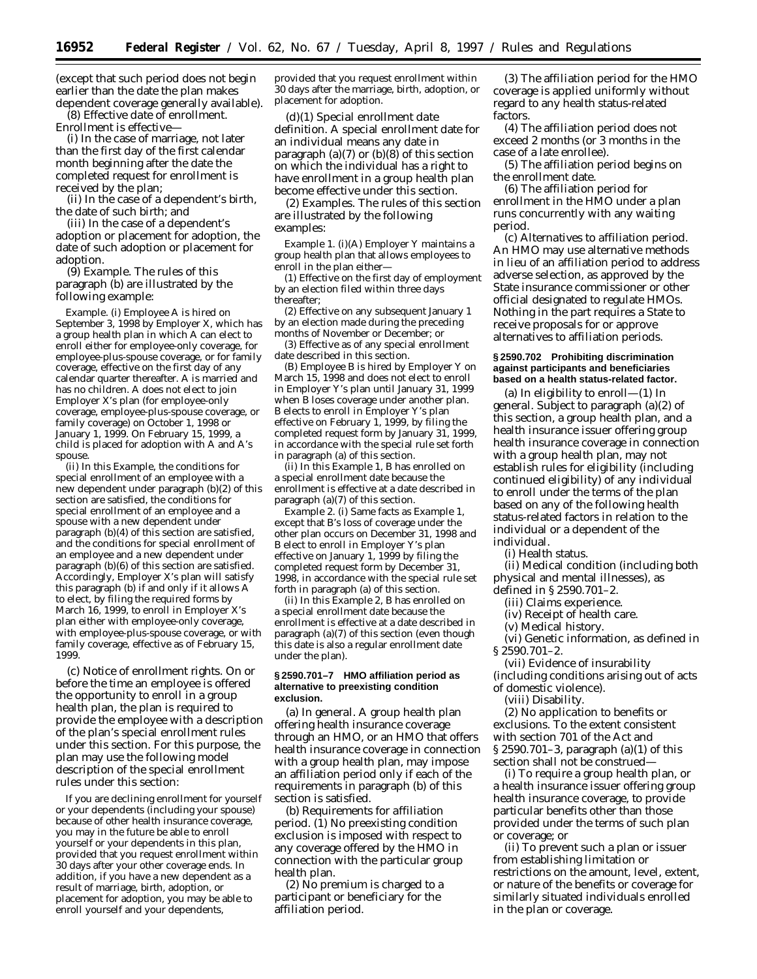(except that such period does not begin earlier than the date the plan makes dependent coverage generally available).

(8) *Effective date of enrollment*. Enrollment is effective—

(i) In the case of marriage, not later than the first day of the first calendar month beginning after the date the completed request for enrollment is received by the plan;

(ii) In the case of a dependent's birth, the date of such birth; and

(iii) In the case of a dependent's adoption or placement for adoption, the date of such adoption or placement for adoption.

(9) *Example*. The rules of this paragraph (b) are illustrated by the following example:

*Example*. (i) Employee *A* is hired on September 3, 1998 by Employer *X*, which has a group health plan in which *A* can elect to enroll either for employee-only coverage, for employee-plus-spouse coverage, or for family coverage, effective on the first day of any calendar quarter thereafter. *A* is married and has no children. *A* does not elect to join Employer *X*'s plan (for employee-only coverage, employee-plus-spouse coverage, or family coverage) on October 1, 1998 or January 1, 1999. On February 15, 1999, a child is placed for adoption with *A* and *A*'s spouse.

(ii) In this *Example,* the conditions for special enrollment of an employee with a new dependent under paragraph (b)(2) of this section are satisfied, the conditions for special enrollment of an employee and a spouse with a new dependent under paragraph (b)(4) of this section are satisfied, and the conditions for special enrollment of an employee and a new dependent under paragraph (b)(6) of this section are satisfied. Accordingly, Employer *X*'s plan will satisfy this paragraph (b) if and only if it allows *A* to elect, by filing the required forms by March 16, 1999, to enroll in Employer *X*'s plan either with employee-only coverage, with employee-plus-spouse coverage, or with family coverage, effective as of February 15, 1999.

(c) *Notice of enrollment rights*. On or before the time an employee is offered the opportunity to enroll in a group health plan, the plan is required to provide the employee with a description of the plan's special enrollment rules under this section. For this purpose, the plan may use the following model description of the special enrollment rules under this section:

If you are declining enrollment for yourself or your dependents (including your spouse) because of other health insurance coverage, you may in the future be able to enroll yourself or your dependents in this plan, provided that you request enrollment within 30 days after your other coverage ends. In addition, if you have a new dependent as a result of marriage, birth, adoption, or placement for adoption, you may be able to enroll yourself and your dependents,

provided that you request enrollment within 30 days after the marriage, birth, adoption, or placement for adoption.

(d)(1) *Special enrollment date definition*. A special enrollment date for an individual means any date in paragraph (a)(7) or (b)(8) of this section on which the individual has a right to have enrollment in a group health plan become effective under this section.

(2) *Examples*. The rules of this section are illustrated by the following examples:

*Example 1*. (i)(A) Employer *Y* maintains a group health plan that allows employees to enroll in the plan either-

(*1*) Effective on the first day of employment by an election filed within three days thereafter;

(*2*) Effective on any subsequent January 1 by an election made during the preceding months of November or December; or

(*3*) Effective as of any special enrollment date described in this section.

(B) Employee *B* is hired by Employer *Y* on March 15, 1998 and does not elect to enroll in Employer *Y*'s plan until January 31, 1999 when *B* loses coverage under another plan. *B* elects to enroll in Employer *Y*'s plan effective on February 1, 1999, by filing the completed request form by January 31, 1999, in accordance with the special rule set forth in paragraph (a) of this section.

(ii) In this *Example 1, B* has enrolled on a special enrollment date because the enrollment is effective at a date described in paragraph (a)(7) of this section.

*Example 2*. (i) Same facts as *Example 1,* except that *B*'s loss of coverage under the other plan occurs on December 31, 1998 and *B* elect to enroll in Employer *Y*'s plan effective on January 1, 1999 by filing the completed request form by December 31, 1998, in accordance with the special rule set forth in paragraph (a) of this section.

(ii) In this *Example 2, B* has enrolled on a special enrollment date because the enrollment is effective at a date described in paragraph (a)(7) of this section (even though this date is also a regular enrollment date under the plan).

#### **§ 2590.701–7 HMO affiliation period as alternative to preexisting condition exclusion.**

(a) *In general*. A group health plan offering health insurance coverage through an HMO, or an HMO that offers health insurance coverage in connection with a group health plan, may impose an affiliation period only if each of the requirements in paragraph (b) of this section is satisfied.

(b) *Requirements for affiliation period.* (1) No preexisting condition exclusion is imposed with respect to any coverage offered by the HMO in connection with the particular group health plan.

(2) No premium is charged to a participant or beneficiary for the affiliation period.

(3) The affiliation period for the HMO coverage is applied uniformly without regard to any health status-related factors.

(4) The affiliation period does not exceed 2 months (or 3 months in the case of a late enrollee).

(5) The affiliation period begins on the enrollment date.

(6) The affiliation period for enrollment in the HMO under a plan runs concurrently with any waiting period.

(c) *Alternatives to affiliation period.* An HMO may use alternative methods in lieu of an affiliation period to address adverse selection, as approved by the State insurance commissioner or other official designated to regulate HMOs. Nothing in the part requires a State to receive proposals for or approve alternatives to affiliation periods.

## **§ 2590.702 Prohibiting discrimination against participants and beneficiaries based on a health status-related factor.**

(a) *In eligibility to enroll*—(1) *In general.* Subject to paragraph (a)(2) of this section, a group health plan, and a health insurance issuer offering group health insurance coverage in connection with a group health plan, may not establish rules for eligibility (including continued eligibility) of any individual to enroll under the terms of the plan based on any of the following health status-related factors in relation to the individual or a dependent of the individual.

(i) Health status.

(ii) Medical condition (including both physical and mental illnesses), as

defined in § 2590.701–2.

(iii) Claims experience.

(iv) Receipt of health care.

(v) Medical history.

(vi) Genetic information, as defined in § 2590.701–2.

(vii) Evidence of insurability (including conditions arising out of acts of domestic violence).

(viii) Disability.

(2) *No application to benefits or exclusions.* To the extent consistent with section 701 of the Act and § 2590.701–3, paragraph (a)(1) of this section shall not be construed—

(i) To require a group health plan, or a health insurance issuer offering group health insurance coverage, to provide particular benefits other than those provided under the terms of such plan or coverage; or

(ii) To prevent such a plan or issuer from establishing limitation or restrictions on the amount, level, extent, or nature of the benefits or coverage for similarly situated individuals enrolled in the plan or coverage.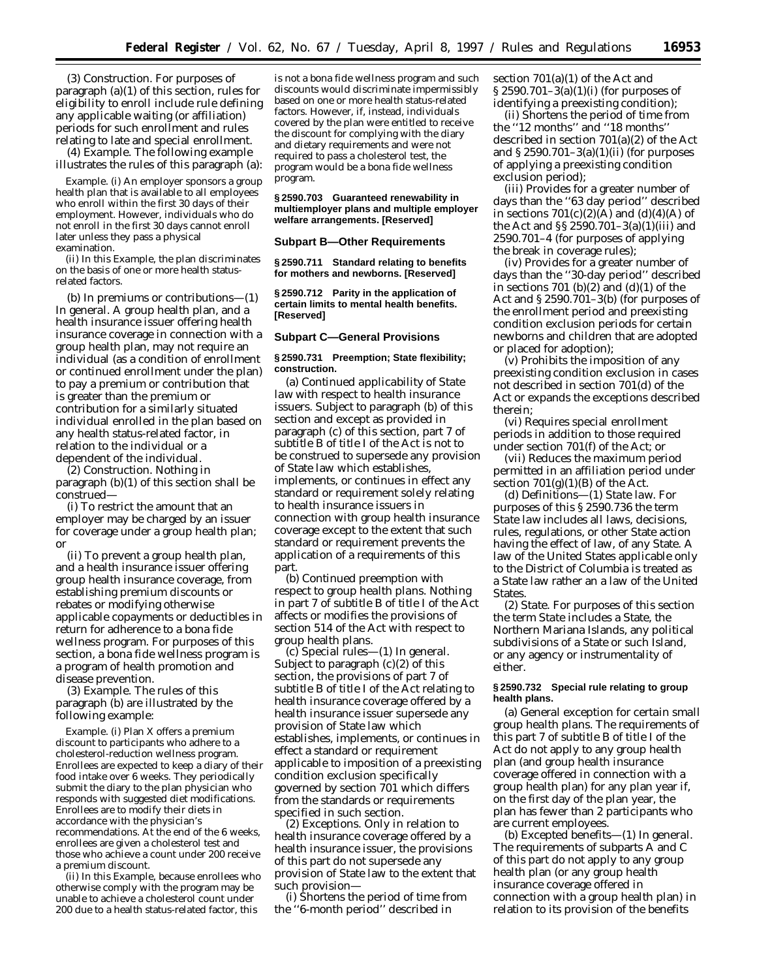(3) *Construction.* For purposes of paragraph (a)(1) of this section, rules for eligibility to enroll include rule defining any applicable waiting (or affiliation) periods for such enrollment and rules relating to late and special enrollment.

(4) *Example.* The following example illustrates the rules of this paragraph (a):

*Example.* (i) An employer sponsors a group health plan that is available to all employees who enroll within the first 30 days of their employment. However, individuals who do not enroll in the first 30 days cannot enroll later unless they pass a physical examination.

(ii) In this *Example,* the plan discriminates on the basis of one or more health statusrelated factors.

(b) *In premiums or contributions—*(1) *In general.* A group health plan, and a health insurance issuer offering health insurance coverage in connection with a group health plan, may not require an individual (as a condition of enrollment or continued enrollment under the plan) to pay a premium or contribution that is greater than the premium or contribution for a similarly situated individual enrolled in the plan based on any health status-related factor, in relation to the individual or a dependent of the individual.

(2) *Construction.* Nothing in paragraph (b)(1) of this section shall be construed—

(i) To restrict the amount that an employer may be charged by an issuer for coverage under a group health plan; or

(ii) To prevent a group health plan, and a health insurance issuer offering group health insurance coverage, from establishing premium discounts or rebates or modifying otherwise applicable copayments or deductibles in return for adherence to a bona fide wellness program. For purposes of this section, a bona fide wellness program is a program of health promotion and disease prevention.

(3) *Example.* The rules of this paragraph (b) are illustrated by the following example:

*Example.* (i) Plan *X* offers a premium discount to participants who adhere to a cholesterol-reduction wellness program. Enrollees are expected to keep a diary of their food intake over 6 weeks. They periodically submit the diary to the plan physician who responds with suggested diet modifications. Enrollees are to modify their diets in accordance with the physician's recommendations. At the end of the 6 weeks, enrollees are given a cholesterol test and those who achieve a count under 200 receive a premium discount.

(ii) In this *Example,* because enrollees who otherwise comply with the program may be unable to achieve a cholesterol count under 200 due to a health status-related factor, this

is not a bona fide wellness program and such discounts would discriminate impermissibly based on one or more health status-related factors. However, if, instead, individuals covered by the plan were entitled to receive the discount for complying with the diary and dietary requirements and were not required to pass a cholesterol test, the program would be a bona fide wellness program.

**§ 2590.703 Guaranteed renewability in multiemployer plans and multiple employer welfare arrangements. [Reserved]**

## **Subpart B—Other Requirements**

**§ 2590.711 Standard relating to benefits for mothers and newborns. [Reserved]**

**§ 2590.712 Parity in the application of certain limits to mental health benefits. [Reserved]**

#### **Subpart C—General Provisions**

#### **§ 2590.731 Preemption; State flexibility; construction.**

(a) *Continued applicability of State law with respect to health insurance issuers.* Subject to paragraph (b) of this section and except as provided in paragraph (c) of this section, part 7 of subtitle B of title I of the Act is not to be construed to supersede any provision of State law which establishes, implements, or continues in effect any standard or requirement solely relating to health insurance issuers in connection with group health insurance coverage except to the extent that such standard or requirement prevents the application of a requirements of this part.

(b) *Continued preemption with respect to group health plans.* Nothing in part 7 of subtitle B of title I of the Act affects or modifies the provisions of section 514 of the Act with respect to group health plans.

(c) *Special rules*—(1) *In general.* Subject to paragraph  $(c)(2)$  of this section, the provisions of part 7 of subtitle B of title I of the Act relating to health insurance coverage offered by a health insurance issuer supersede any provision of State law which establishes, implements, or continues in effect a standard or requirement applicable to imposition of a preexisting condition exclusion specifically governed by section 701 which differs from the standards or requirements specified in such section.

(2) *Exceptions.* Only in relation to health insurance coverage offered by a health insurance issuer, the provisions of this part do not supersede any provision of State law to the extent that such provision—

(i) Shortens the period of time from the ''6-month period'' described in

section 701(a)(1) of the Act and § 2590.701–3(a)(1)(i) (for purposes of identifying a preexisting condition);

(ii) Shortens the period of time from the ''12 months'' and ''18 months'' described in section 701(a)(2) of the Act and  $\S 2590.701 - 3(a)(1)(ii)$  (for purposes of applying a preexisting condition exclusion period);

(iii) Provides for a greater number of days than the ''63 day period'' described in sections  $701(c)(2)(A)$  and  $(d)(4)(A)$  of the Act and §§ 2590.701–3(a)(1)(iii) and 2590.701–4 (for purposes of applying the break in coverage rules);

(iv) Provides for a greater number of days than the ''30-day period'' described in sections 701 (b)(2) and (d)(1) of the Act and § 2590.701–3(b) (for purposes of the enrollment period and preexisting condition exclusion periods for certain newborns and children that are adopted or placed for adoption);

(v) Prohibits the imposition of any preexisting condition exclusion in cases not described in section 701(d) of the Act or expands the exceptions described therein;

(vi) Requires special enrollment periods in addition to those required under section 701(f) of the Act; or

(vii) Reduces the maximum period permitted in an affiliation period under section  $701(g)(1)(B)$  of the Act.

(d) *Definitions*—(1) *State law.* For purposes of this § 2590.736 the term *State law* includes all laws, decisions, rules, regulations, or other State action having the effect of law, of any State. A law of the United States applicable only to the District of Columbia is treated as a State law rather an a law of the United States.

(2) *State.* For purposes of this section the term *State* includes a State, the Northern Mariana Islands, any political subdivisions of a State or such Island, or any agency or instrumentality of either.

## **§ 2590.732 Special rule relating to group health plans.**

(a) *General exception for certain small group health plans.* The requirements of this part 7 of subtitle B of title I of the Act do not apply to any group health plan (and group health insurance coverage offered in connection with a group health plan) for any plan year if, on the first day of the plan year, the plan has fewer than 2 participants who are current employees.

(b) *Excepted benefits*—(1) *In general.* The requirements of subparts A and C of this part do not apply to any group health plan (or any group health insurance coverage offered in connection with a group health plan) in relation to its provision of the benefits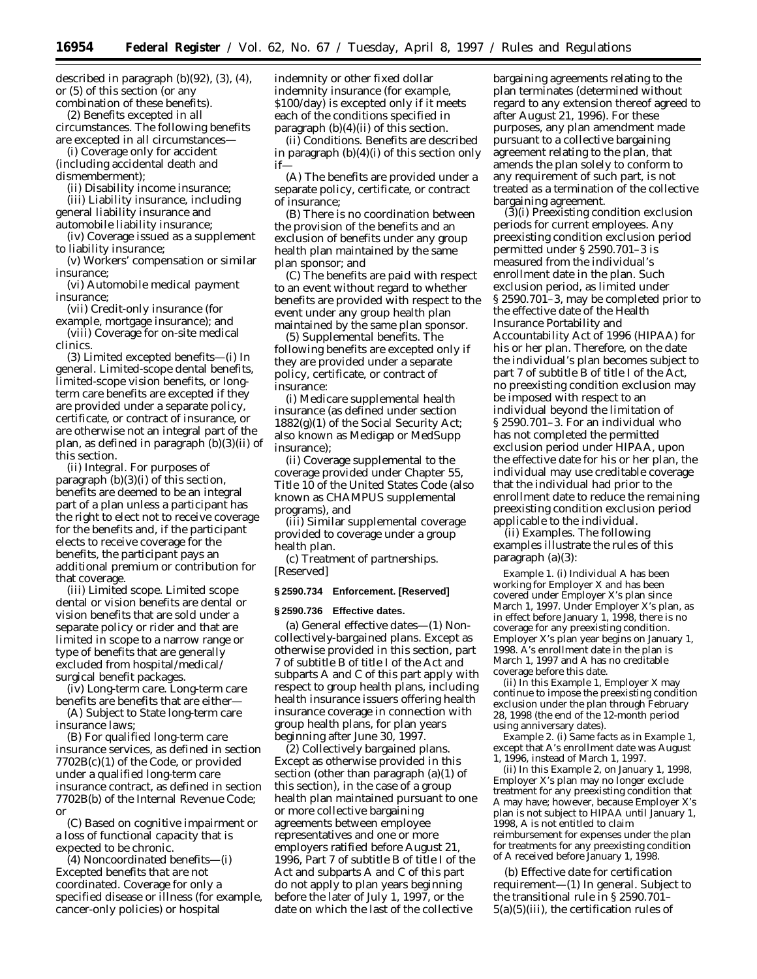described in paragraph (b)(92), (3), (4), or (5) of this section (or any combination of these benefits).

(2) *Benefits excepted in all circumstances.* The following benefits are excepted in all circumstances—

(i) Coverage only for accident (including accidental death and

dismemberment);

(ii) Disability income insurance; (iii) Liability insurance, including general liability insurance and automobile liability insurance;

(iv) Coverage issued as a supplement to liability insurance;

(v) Workers' compensation or similar insurance;

(vi) Automobile medical payment insurance;

(vii) Credit-only insurance (for example, mortgage insurance); and

(viii) Coverage for on-site medical clinics.

(3) *Limited excepted benefits*—(i) *In general.* Limited-scope dental benefits, limited-scope vision benefits, or longterm care benefits are excepted if they are provided under a separate policy, certificate, or contract of insurance, or are otherwise not an integral part of the plan, as defined in paragraph (b)(3)(ii) of this section.

(ii) *Integral.* For purposes of paragraph (b)(3)(i) of this section, benefits are deemed to be an integral part of a plan unless a participant has the right to elect not to receive coverage for the benefits and, if the participant elects to receive coverage for the benefits, the participant pays an additional premium or contribution for that coverage.

(iii) *Limited scope.* Limited scope dental or vision benefits are dental or vision benefits that are sold under a separate policy or rider and that are limited in scope to a narrow range or type of benefits that are generally excluded from hospital/medical/ surgical benefit packages.

(iv) *Long-term care.* Long-term care benefits are benefits that are either—

(A) Subject to State long-term care insurance laws;

(B) For qualified long-term care insurance services, as defined in section 7702B(c)(1) of the Code, or provided under a qualified long-term care insurance contract, as defined in section 7702B(b) of the Internal Revenue Code; or

(C) Based on cognitive impairment or a loss of functional capacity that is expected to be chronic.

(4) *Noncoordinated benefits*—(i) *Excepted benefits that are not coordinated.* Coverage for only a specified disease or illness (for example, cancer-only policies) or hospital

indemnity or other fixed dollar indemnity insurance (for example, \$100/day) is excepted only if it meets each of the conditions specified in paragraph (b)(4)(ii) of this section.

(ii) *Conditions.* Benefits are described in paragraph (b)(4)(i) of this section only if—

(A) The benefits are provided under a separate policy, certificate, or contract of insurance;

(B) There is no coordination between the provision of the benefits and an exclusion of benefits under any group health plan maintained by the same plan sponsor; and

(C) The benefits are paid with respect to an event without regard to whether benefits are provided with respect to the event under any group health plan maintained by the same plan sponsor.

(5) *Supplemental benefits.* The following benefits are excepted only if they are provided under a separate policy, certificate, or contract of insurance:

(i) Medicare supplemental health insurance (as defined under section 1882(g)(1) of the Social Security Act; also known as Medigap or MedSupp insurance);

(ii) Coverage supplemental to the coverage provided under Chapter 55, Title 10 of the United States Code (also known as CHAMPUS supplemental programs), and

(iii) Similar supplemental coverage provided to coverage under a group health plan.

(c) *Treatment of partnerships.* [Reserved]

#### **§ 2590.734 Enforcement. [Reserved]**

#### **§ 2590.736 Effective dates.**

(a) *General effective dates—*(1) *Noncollectively-bargained plans.* Except as otherwise provided in this section, part 7 of subtitle B of title I of the Act and subparts A and C of this part apply with respect to group health plans, including health insurance issuers offering health insurance coverage in connection with group health plans, for plan years beginning after June 30, 1997.

(2) *Collectively bargained plans.* Except as otherwise provided in this section (other than paragraph (a)(1) of this section), in the case of a group health plan maintained pursuant to one or more collective bargaining agreements between employee representatives and one or more employers ratified before August 21, 1996, Part 7 of subtitle B of title I of the Act and subparts A and C of this part do not apply to plan years beginning before the later of July 1, 1997, or the date on which the last of the collective

bargaining agreements relating to the plan terminates (determined without regard to any extension thereof agreed to after August 21, 1996). For these purposes, any plan amendment made pursuant to a collective bargaining agreement relating to the plan, that amends the plan solely to conform to any requirement of such part, is not treated as a termination of the collective bargaining agreement.

(3)(i) *Preexisting condition exclusion periods for current employees.* Any preexisting condition exclusion period permitted under § 2590.701–3 is measured from the individual's enrollment date in the plan. Such exclusion period, as limited under § 2590.701–3, may be completed prior to the effective date of the Health Insurance Portability and Accountability Act of 1996 (HIPAA) for his or her plan. Therefore, on the date the individual's plan becomes subject to part 7 of subtitle B of title I of the Act, no preexisting condition exclusion may be imposed with respect to an individual beyond the limitation of § 2590.701–3. For an individual who has not completed the permitted exclusion period under HIPAA, upon the effective date for his or her plan, the individual may use creditable coverage that the individual had prior to the enrollment date to reduce the remaining preexisting condition exclusion period applicable to the individual.

(ii) *Examples.* The following examples illustrate the rules of this paragraph (a)(3):

*Example 1.* (i) Individual *A* has been working for Employer *X* and has been covered under Employer *X*'s plan since March 1, 1997. Under Employer *X*'s plan, as in effect before January 1, 1998, there is no coverage for any preexisting condition. Employer *X*'s plan year begins on January 1, 1998. *A*'s enrollment date in the plan is March 1, 1997 and *A* has no creditable coverage before this date.

(ii) In this *Example 1,* Employer *X* may continue to impose the preexisting condition exclusion under the plan through February 28, 1998 (the end of the 12-month period using anniversary dates).

*Example 2.* (i) Same facts as in *Example 1,* except that *A*'s enrollment date was August 1, 1996, instead of March 1, 1997.

(ii) In this *Example 2,* on January 1, 1998, Employer *X*'s plan may no longer exclude treatment for any preexisting condition that *A* may have; however, because Employer *X*'s plan is not subject to HIPAA until January 1, 1998, *A* is not entitled to claim reimbursement for expenses under the plan for treatments for any preexisting condition of *A* received before January 1, 1998.

(b) *Effective date for certification requirement*—(1) *In general.* Subject to the transitional rule in § 2590.701– 5(a)(5)(iii), the certification rules of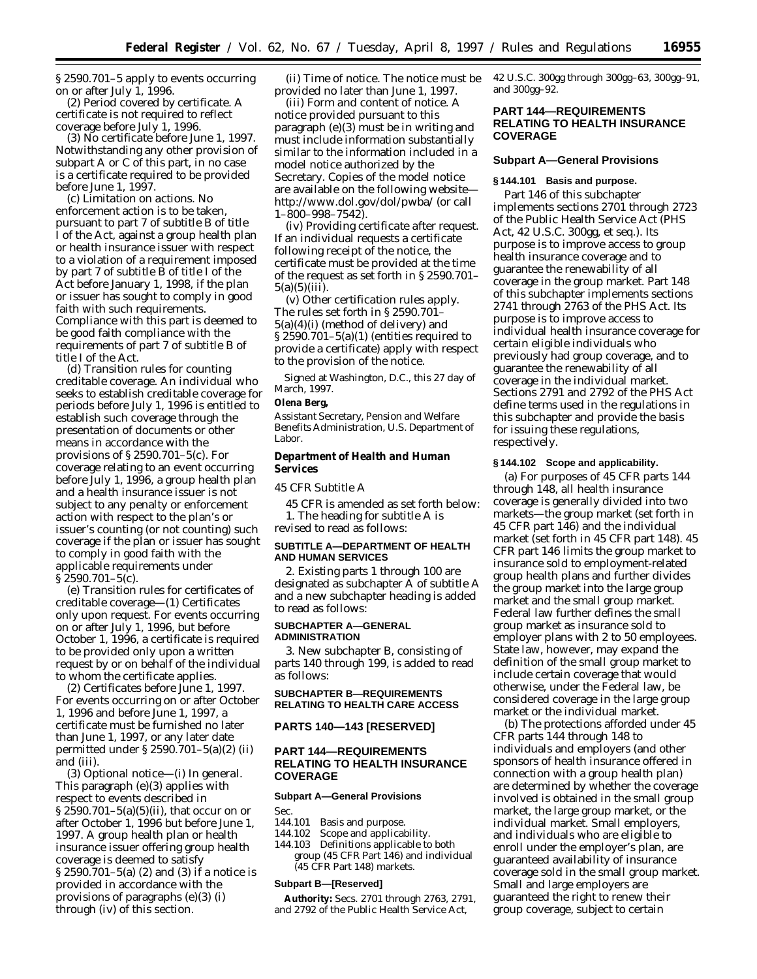§ 2590.701–5 apply to events occurring on or after July 1, 1996.

(2) *Period covered by certificate.* A certificate is not required to reflect coverage before July 1, 1996.

(3) *No certificate before June 1, 1997.* Notwithstanding any other provision of subpart A or C of this part, in no case is a certificate required to be provided before June 1, 1997.

(c) *Limitation on actions.* No enforcement action is to be taken, pursuant to part 7 of subtitle B of title I of the Act, against a group health plan or health insurance issuer with respect to a violation of a requirement imposed by part 7 of subtitle B of title I of the Act before January 1, 1998, if the plan or issuer has sought to comply in good faith with such requirements. Compliance with this part is deemed to be good faith compliance with the requirements of part 7 of subtitle B of title I of the Act.

(d) *Transition rules for counting creditable coverage.* An individual who seeks to establish creditable coverage for periods before July 1, 1996 is entitled to establish such coverage through the presentation of documents or other means in accordance with the provisions of § 2590.701–5(c). For coverage relating to an event occurring before July 1, 1996, a group health plan and a health insurance issuer is not subject to any penalty or enforcement action with respect to the plan's or issuer's counting (or not counting) such coverage if the plan or issuer has sought to comply in good faith with the applicable requirements under  $\S 2590.701 - 5(c)$ .

(e) *Transition rules for certificates of creditable coverage—*(1) *Certificates only upon request.* For events occurring on or after July 1, 1996, but before October 1, 1996, a certificate is required to be provided only upon a written request by or on behalf of the individual to whom the certificate applies.

(2) *Certificates before June 1, 1997.* For events occurring on or after October 1, 1996 and before June 1, 1997, a certificate must be furnished no later than June 1, 1997, or any later date permitted under § 2590.701–5(a)(2) (ii) and (iii).

(3) *Optional notice*—(i) *In general.* This paragraph (e)(3) applies with respect to events described in § 2590.701–5(a)(5)(ii), that occur on or after October 1, 1996 but before June 1, 1997. A group health plan or health insurance issuer offering group health coverage is deemed to satisfy § 2590.701–5(a) (2) and (3) if a notice is provided in accordance with the provisions of paragraphs (e)(3) (i) through (iv) of this section.

(ii) *Time of notice.* The notice must be provided no later than June 1, 1997.

(iii) *Form and content of notice.* A notice provided pursuant to this paragraph (e)(3) must be in writing and must include information substantially similar to the information included in a model notice authorized by the Secretary. Copies of the model notice are available on the following website http://www.dol.gov/dol/pwba/ (or call 1–800–998–7542).

(iv) *Providing certificate after request.* If an individual requests a certificate following receipt of the notice, the certificate must be provided at the time of the request as set forth in § 2590.701–  $5(a)(5)(iii)$ .

(v) *Other certification rules apply.* The rules set forth in § 2590.701– 5(a)(4)(i) (method of delivery) and § 2590.701–5(a)(1) (entities required to provide a certificate) apply with respect to the provision of the notice.

Signed at Washington, D.C., this 27 day of March, 1997.

## **Olena Berg,**

*Assistant Secretary, Pension and Welfare Benefits Administration, U.S. Department of Labor.*

## **Department of Health and Human Services**

# *45 CFR Subtitle A*

45 CFR is amended as set forth below: 1. The heading for subtitle A is revised to read as follows:

#### **SUBTITLE A—DEPARTMENT OF HEALTH AND HUMAN SERVICES**

2. Existing parts 1 through 100 are designated as subchapter A of subtitle A and a new subchapter heading is added to read as follows:

#### **SUBCHAPTER A—GENERAL ADMINISTRATION**

3. New subchapter B, consisting of parts 140 through 199, is added to read as follows:

#### **SUBCHAPTER B—REQUIREMENTS RELATING TO HEALTH CARE ACCESS**

## **PARTS 140—143 [RESERVED]**

## **PART 144—REQUIREMENTS RELATING TO HEALTH INSURANCE COVERAGE**

# **Subpart A—General Provisions** Sec.

- 144.101 Basis and purpose.
- 144.102 Scope and applicability.
- 144.103 Definitions applicable to both group (45 CFR Part 146) and individual (45 CFR Part 148) markets.

#### **Subpart B—[Reserved]**

**Authority:** Secs. 2701 through 2763, 2791, and 2792 of the Public Health Service Act,

42 U.S.C. 300gg through 300gg–63, 300gg–91, and 300gg–92.

## **PART 144—REQUIREMENTS RELATING TO HEALTH INSURANCE COVERAGE**

## **Subpart A—General Provisions**

# **§ 144.101 Basis and purpose.**

Part 146 of this subchapter implements sections 2701 through 2723 of the Public Health Service Act (PHS Act, 42 U.S.C. 300gg, *et seq.*). Its purpose is to improve access to group health insurance coverage and to guarantee the renewability of all coverage in the group market. Part 148 of this subchapter implements sections 2741 through 2763 of the PHS Act. Its purpose is to improve access to individual health insurance coverage for certain eligible individuals who previously had group coverage, and to guarantee the renewability of all coverage in the individual market. Sections 2791 and 2792 of the PHS Act define terms used in the regulations in this subchapter and provide the basis for issuing these regulations, respectively.

## **§ 144.102 Scope and applicability.**

(a) For purposes of 45 CFR parts 144 through 148, all health insurance coverage is generally divided into two markets—the group market (set forth in 45 CFR part 146) and the individual market (set forth in 45 CFR part 148). 45 CFR part 146 limits the group market to insurance sold to employment-related group health plans and further divides the group market into the large group market and the small group market. Federal law further defines the small group market as insurance sold to employer plans with 2 to 50 employees. State law, however, may expand the definition of the small group market to include certain coverage that would otherwise, under the Federal law, be considered coverage in the large group market or the individual market.

(b) The protections afforded under 45 CFR parts 144 through 148 to individuals and employers (and other sponsors of health insurance offered in connection with a group health plan) are determined by whether the coverage involved is obtained in the small group market, the large group market, or the individual market. Small employers, and individuals who are eligible to enroll under the employer's plan, are guaranteed availability of insurance coverage sold in the small group market. Small and large employers are guaranteed the right to renew their group coverage, subject to certain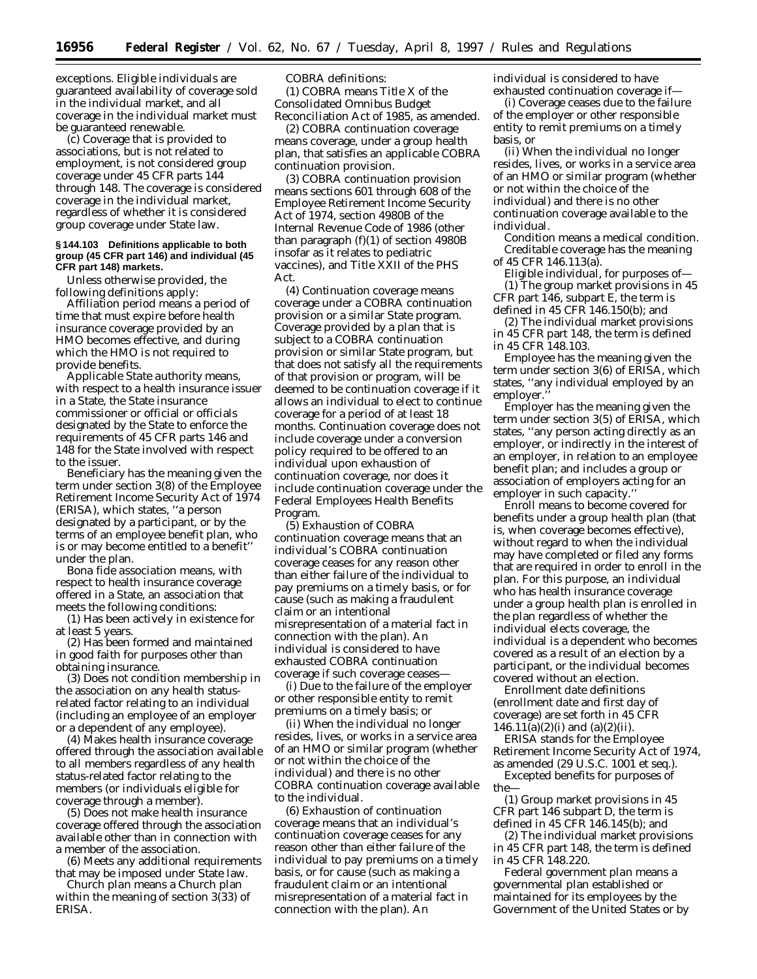exceptions. Eligible individuals are guaranteed availability of coverage sold in the individual market, and all coverage in the individual market must be guaranteed renewable.

(c) Coverage that is provided to associations, but is not related to employment, is not considered group coverage under 45 CFR parts 144 through 148. The coverage is considered coverage in the individual market, regardless of whether it is considered group coverage under State law.

#### **§ 144.103 Definitions applicable to both group (45 CFR part 146) and individual (45 CFR part 148) markets.**

Unless otherwise provided, the following definitions apply:

*Affiliation period* means a period of time that must expire before health insurance coverage provided by an HMO becomes effective, and during which the HMO is not required to provide benefits.

*Applicable State authority* means, with respect to a health insurance issuer in a State, the State insurance commissioner or official or officials designated by the State to enforce the requirements of 45 CFR parts 146 and 148 for the State involved with respect to the issuer.

*Beneficiary* has the meaning given the term under section 3(8) of the Employee Retirement Income Security Act of 1974 (ERISA), which states, ''a person designated by a participant, or by the terms of an employee benefit plan, who is or may become entitled to a benefit'' under the plan.

*Bona fide association* means, with respect to health insurance coverage offered in a State, an association that meets the following conditions:

(1) Has been actively in existence for at least 5 years.

(2) Has been formed and maintained in good faith for purposes other than obtaining insurance.

(3) Does not condition membership in the association on any health statusrelated factor relating to an individual (including an employee of an employer or a dependent of any employee).

(4) Makes health insurance coverage offered through the association available to all members regardless of any health status-related factor relating to the members (or individuals eligible for coverage through a member).

(5) Does not make health insurance coverage offered through the association available other than in connection with a member of the association.

(6) Meets any additional requirements that may be imposed under State law.

*Church plan* means a Church plan within the meaning of section 3(33) of ERISA.

*COBRA* definitions: (1) *COBRA* means Title X of the Consolidated Omnibus Budget Reconciliation Act of 1985, as amended.

(2) *COBRA continuation coverage* means coverage, under a group health plan, that satisfies an applicable COBRA continuation provision.

(3) *COBRA continuation provision* means sections 601 through 608 of the Employee Retirement Income Security Act of 1974, section 4980B of the Internal Revenue Code of 1986 (other than paragraph (f)(1) of section 4980B insofar as it relates to pediatric vaccines), and Title XXII of the PHS Act.

(4) *Continuation coverage* means coverage under a COBRA continuation provision or a similar State program. Coverage provided by a plan that is subject to a COBRA continuation provision or similar State program, but that does not satisfy all the requirements of that provision or program, will be deemed to be continuation coverage if it allows an individual to elect to continue coverage for a period of at least 18 months. Continuation coverage does not include coverage under a conversion policy required to be offered to an individual upon exhaustion of continuation coverage, nor does it include continuation coverage under the Federal Employees Health Benefits Program.

(5) *Exhaustion of COBRA continuation coverage* means that an individual's COBRA continuation coverage ceases for any reason other than either failure of the individual to pay premiums on a timely basis, or for cause (such as making a fraudulent claim or an intentional misrepresentation of a material fact in connection with the plan). An individual is considered to have exhausted COBRA continuation coverage if such coverage ceases—

(i) Due to the failure of the employer or other responsible entity to remit premiums on a timely basis; or

(ii) When the individual no longer resides, lives, or works in a service area of an HMO or similar program (whether or not within the choice of the individual) and there is no other COBRA continuation coverage available to the individual.

(6) *Exhaustion of continuation coverage* means that an individual's continuation coverage ceases for any reason other than either failure of the individual to pay premiums on a timely basis, or for cause (such as making a fraudulent claim or an intentional misrepresentation of a material fact in connection with the plan). An

individual is considered to have exhausted continuation coverage if—

(i) Coverage ceases due to the failure of the employer or other responsible entity to remit premiums on a timely basis, or

(ii) When the individual no longer resides, lives, or works in a service area of an HMO or similar program (whether or not within the choice of the individual) and there is no other continuation coverage available to the individual.

*Condition* means a medical condition. *Creditable coverage* has the meaning of 45 CFR 146.113(a).

*Eligible individual*, for purposes of— (1) The group market provisions in 45 CFR part 146, subpart E, the term is

defined in 45 CFR 146.150(b); and (2) The individual market provisions

in 45 CFR part 148, the term is defined in 45 CFR 148.103.

*Employee* has the meaning given the term under section 3(6) of ERISA, which states, ''any individual employed by an employer.''

*Employer* has the meaning given the term under section 3(5) of ERISA, which states, ''any person acting directly as an employer, or indirectly in the interest of an employer, in relation to an employee benefit plan; and includes a group or association of employers acting for an employer in such capacity.''

*Enroll* means to become covered for benefits under a group health plan (that is, when coverage becomes effective), without regard to when the individual may have completed or filed any forms that are required in order to enroll in the plan. For this purpose, an individual who has health insurance coverage under a group health plan is enrolled in the plan regardless of whether the individual elects coverage, the individual is a dependent who becomes covered as a result of an election by a participant, or the individual becomes covered without an election.

*Enrollment date definitions* (*enrollment date* and *first day of coverage*) are set forth in 45 CFR  $146.11(a)(2)(i)$  and  $(a)(2)(ii)$ .

*ERISA* stands for the Employee Retirement Income Security Act of 1974, as amended (29 U.S.C. 1001 *et seq.*).

(1) Group market provisions in 45 CFR part 146 subpart D, the term is defined in 45 CFR 146.145(b); and

(2) The individual market provisions in 45 CFR part 148, the term is defined in 45 CFR 148.220.

*Federal government plan* means a governmental plan established or maintained for its employees by the Government of the United States or by

*Excepted benefits* for purposes of the—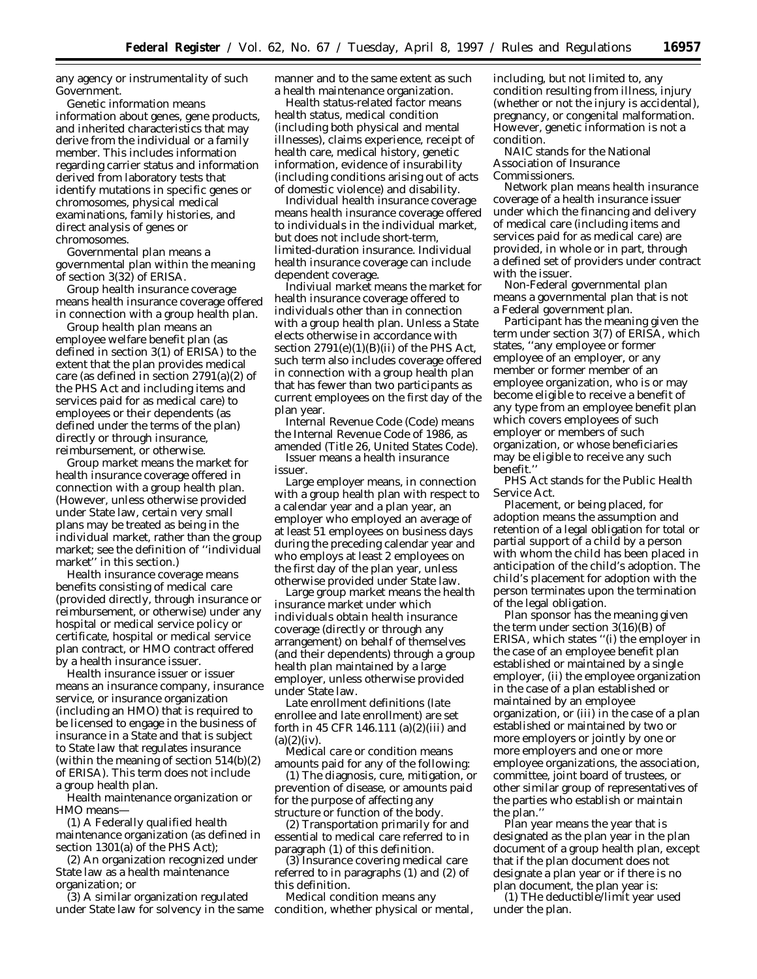any agency or instrumentality of such Government.

*Genetic information* means information about genes, gene products, and inherited characteristics that may derive from the individual or a family member. This includes information regarding carrier status and information derived from laboratory tests that identify mutations in specific genes or chromosomes, physical medical examinations, family histories, and direct analysis of genes or chromosomes.

*Governmental plan* means a governmental plan within the meaning of section 3(32) of ERISA.

*Group health insurance coverage* means health insurance coverage offered in connection with a group health plan.

*Group health plan* means an employee welfare benefit plan (as defined in section 3(1) of ERISA) to the extent that the plan provides medical care (as defined in section 2791(a)(2) of the PHS Act and including items and services paid for as medical care) to employees or their dependents (as defined under the terms of the plan) directly or through insurance, reimbursement, or otherwise.

*Group market* means the market for health insurance coverage offered in connection with a group health plan. (However, unless otherwise provided under State law, certain very small plans may be treated as being in the individual market, rather than the group market; see the definition of ''individual market'' in this section.)

*Health insurance coverage* means benefits consisting of medical care (provided directly, through insurance or reimbursement, or otherwise) under any hospital or medical service policy or certificate, hospital or medical service plan contract, or HMO contract offered by a health insurance issuer.

*Health insurance issuer* or *issuer* means an insurance company, insurance service, or insurance organization (including an HMO) that is required to be licensed to engage in the business of insurance in a State and that is subject to State law that regulates insurance (within the meaning of section 514(b)(2) of ERISA). This term does not include a group health plan.

*Health maintenance organization* or *HMO* means—

(1) A Federally qualified health maintenance organization (as defined in section 1301(a) of the PHS Act);

(2) An organization recognized under State law as a health maintenance organization; or

(3) A similar organization regulated under State law for solvency in the same manner and to the same extent as such a health maintenance organization.

*Health status-related factor* means health status, medical condition (including both physical and mental illnesses), claims experience, receipt of health care, medical history, genetic information, evidence of insurability (including conditions arising out of acts of domestic violence) and disability.

*Individual health insurance coverage* means health insurance coverage offered to individuals in the individual market, but does not include short-term, limited-duration insurance. Individual health insurance coverage can include dependent coverage.

*Indiviual market* means the market for health insurance coverage offered to individuals other than in connection with a group health plan. Unless a State elects otherwise in accordance with section  $2791(e)(1)(B)(ii)$  of the PHS Act, such term also includes coverage offered in connection with a group health plan that has fewer than two participants as current employees on the first day of the plan year.

*Internal Revenue Code (Code)* means the Internal Revenue Code of 1986, as amended (Title 26, United States Code).

*Issuer* means a health insurance issuer.

*Large employer* means, in connection with a group health plan with respect to a calendar year and a plan year, an employer who employed an average of at least 51 employees on business days during the preceding calendar year and who employs at least 2 employees on the first day of the plan year, unless otherwise provided under State law.

*Large group market* means the health insurance market under which individuals obtain health insurance coverage (directly or through any arrangement) on behalf of themselves (and their dependents) through a group health plan maintained by a large employer, unless otherwise provided under State law.

*Late enrollment definitions* (*late enrollee* and *late enrollment*) are set forth in 45 CFR 146.111 (a)(2)(iii) and  $(a)(2)(iv)$ .

*Medical care* or *condition* means amounts paid for any of the following:

(1) The diagnosis, cure, mitigation, or prevention of disease, or amounts paid for the purpose of affecting any structure or function of the body.

(2) Transportation primarily for and essential to medical care referred to in paragraph (1) of this definition.

(3) Insurance covering medical care referred to in paragraphs (1) and (2) of this definition.

*Medical condition* means any condition, whether physical or mental, including, but not limited to, any condition resulting from illness, injury (whether or not the injury is accidental), pregnancy, or congenital malformation. However, genetic information is not a condition.

*NAIC* stands for the National Association of Insurance Commissioners.

*Network plan* means health insurance coverage of a health insurance issuer under which the financing and delivery of medical care (including items and services paid for as medical care) are provided, in whole or in part, through a defined set of providers under contract with the issuer.

*Non-Federal governmental plan* means a governmental plan that is not a Federal government plan.

*Participant* has the meaning given the term under section 3(7) of ERISA, which states, ''any employee or former employee of an employer, or any member or former member of an employee organization, who is or may become eligible to receive a benefit of any type from an employee benefit plan which covers employees of such employer or members of such organization, or whose beneficiaries may be eligible to receive any such benefit.''

*PHS Act* stands for the Public Health Service Act.

*Placement, or being placed, for adoption* means the assumption and retention of a legal obligation for total or partial support of a child by a person with whom the child has been placed in anticipation of the child's adoption. The child's placement for adoption with the person terminates upon the termination of the legal obligation.

*Plan sponsor* has the meaning given the term under section 3(16)(B) of ERISA, which states ''(i) the employer in the case of an employee benefit plan established or maintained by a single employer, (ii) the employee organization in the case of a plan established or maintained by an employee organization, or (iii) in the case of a plan established or maintained by two or more employers or jointly by one or more employers and one or more employee organizations, the association, committee, joint board of trustees, or other similar group of representatives of the parties who establish or maintain the plan.''

*Plan year* means the year that is designated as the plan year in the plan document of a group health plan, except that if the plan document does not designate a plan year or if there is no plan document, the plan year is:

(1) THe deductible/limit year used under the plan.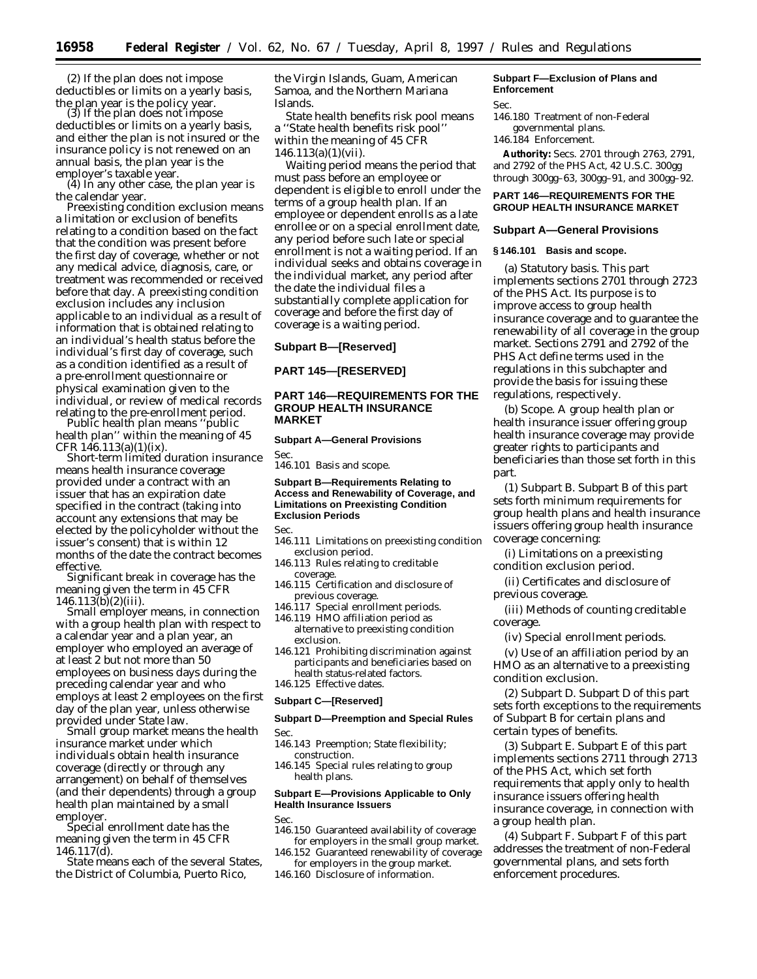(2) If the plan does not impose deductibles or limits on a yearly basis, the plan year is the policy year. (3) If the plan does not impose

deductibles or limits on a yearly basis, and either the plan is not insured or the insurance policy is not renewed on an annual basis, the plan year is the

employer's taxable year.<br>
(4) In any other case, the plan year is<br>
the calendar year.

**Preexisting condition exclusion means** a limitation or exclusion of benefits relating to a condition based on the fact that the condition was present before the first day of coverage, whether or not any medical advice, diagnosis, care, or treatment was recommended or received before that day. A preexisting condition exclusion includes any inclusion applicable to an individual as a result of information that is obtained relating to an individual's health status before the individual's first day of coverage, such as a condition identified as a result of a pre-enrollment questionnaire or physical examination given to the individual, or review of medical records relating to the pre-enrollment period. *Public health plan* means ''public

health plan'' within the meaning of 45 CFR 146.113(a)(1)(ix).

*Short-term limited duration insurance* means health insurance coverage provided under a contract with an issuer that has an expiration date specified in the contract (taking into account any extensions that may be elected by the policyholder without the issuer's consent) that is within 12 months of the date the contract becomes effective.

*Significant break in coverage* has the meaning given the term in 45 CFR 146.113(b)(2)(iii).

*Small employer* means, in connection with a group health plan with respect to a calendar year and a plan year, an employer who employed an average of at least 2 but not more than 50 employees on business days during the preceding calendar year and who employs at least 2 employees on the first day of the plan year, unless otherwise<br>provided under State law.

Small group market means the health insurance market under which individuals obtain health insurance coverage (directly or through any arrangement) on behalf of themselves (and their dependents) through a group health plan maintained by a small

Special enrollment date has the meaning given the term in 45 CFR 146.117(d).

*State means each of the several States.* the District of Columbia, Puerto Rico,

the Virgin Islands, Guam, American Samoa, and the Northern Mariana Islands.

*State health benefits risk pool* means a ''State health benefits risk pool'' within the meaning of 45 CFR  $146.113(a)(1)(vii)$ .

*Waiting period* means the period that must pass before an employee or dependent is eligible to enroll under the terms of a group health plan. If an employee or dependent enrolls as a late enrollee or on a special enrollment date, any period before such late or special enrollment is not a waiting period. If an individual seeks and obtains coverage in the individual market, any period after the date the individual files a substantially complete application for coverage and before the first day of coverage is a waiting period.

**Subpart B—[Reserved]**

**PART 145—[RESERVED]**

## **PART 146—REQUIREMENTS FOR THE GROUP HEALTH INSURANCE MARKET**

#### **Subpart A—General Provisions**

Sec. 146.101 Basis and scope.

#### **Subpart B—Requirements Relating to Access and Renewability of Coverage, and Limitations on Preexisting Condition Exclusion Periods**

Sec.

- 146.111 Limitations on preexisting condition exclusion period.
- 146.113 Rules relating to creditable coverage.
- 146.115 Certification and disclosure of previous coverage.
- 146.117 Special enrollment periods.
- 146.119 HMO affiliation period as alternative to preexisting condition exclusion.
- 146.121 Prohibiting discrimination against participants and beneficiaries based on health status-related factors.
- 146.125 Effective dates.

## **Subpart C—[Reserved]**

# **Subpart D—Preemption and Special Rules**

- 146.143 Preemption; State flexibility; construction.
- 146.145 Special rules relating to group health plans.

# **Subpart E—Provisions Applicable to Only Health Insurance Issuers**

#### Sec.

- 146.150 Guaranteed availability of coverage for employers in the small group market.
- 146.152 Guaranteed renewability of coverage for employers in the group market.
- 146.160 Disclosure of information.

# **Subpart F—Exclusion of Plans and Enforcement**

# Sec.

- 146.180 Treatment of non-Federal governmental plans.
- 146.184 Enforcement.

**Authority:** Secs. 2701 through 2763, 2791, and 2792 of the PHS Act, 42 U.S.C. 300gg through 300gg–63, 300gg–91, and 300gg–92.

# **PART 146—REQUIREMENTS FOR THE GROUP HEALTH INSURANCE MARKET**

## **Subpart A—General Provisions**

# **§ 146.101 Basis and scope.**

(a) *Statutory basis.* This part implements sections 2701 through 2723 of the PHS Act. Its purpose is to improve access to group health insurance coverage and to guarantee the renewability of all coverage in the group market. Sections 2791 and 2792 of the PHS Act define terms used in the regulations in this subchapter and provide the basis for issuing these regulations, respectively.

(b) *Scope.* A group health plan or health insurance issuer offering group health insurance coverage may provide greater rights to participants and beneficiaries than those set forth in this part.

(1) *Subpart B.* Subpart B of this part sets forth minimum requirements for group health plans and health insurance issuers offering group health insurance coverage concerning:

(i) Limitations on a preexisting condition exclusion period.

(ii) Certificates and disclosure of previous coverage.

(iii) Methods of counting creditable coverage.

(iv) Special enrollment periods.

(v) Use of an affiliation period by an HMO as an alternative to a preexisting condition exclusion.

(2) *Subpart D.* Subpart D of this part sets forth exceptions to the requirements of Subpart B for certain plans and certain types of benefits.

(3) *Subpart E.* Subpart E of this part implements sections 2711 through 2713 of the PHS Act, which set forth requirements that apply only to health insurance issuers offering health insurance coverage, in connection with a group health plan.

(4) *Subpart F.* Subpart F of this part addresses the treatment of non-Federal governmental plans, and sets forth enforcement procedures.

Sec.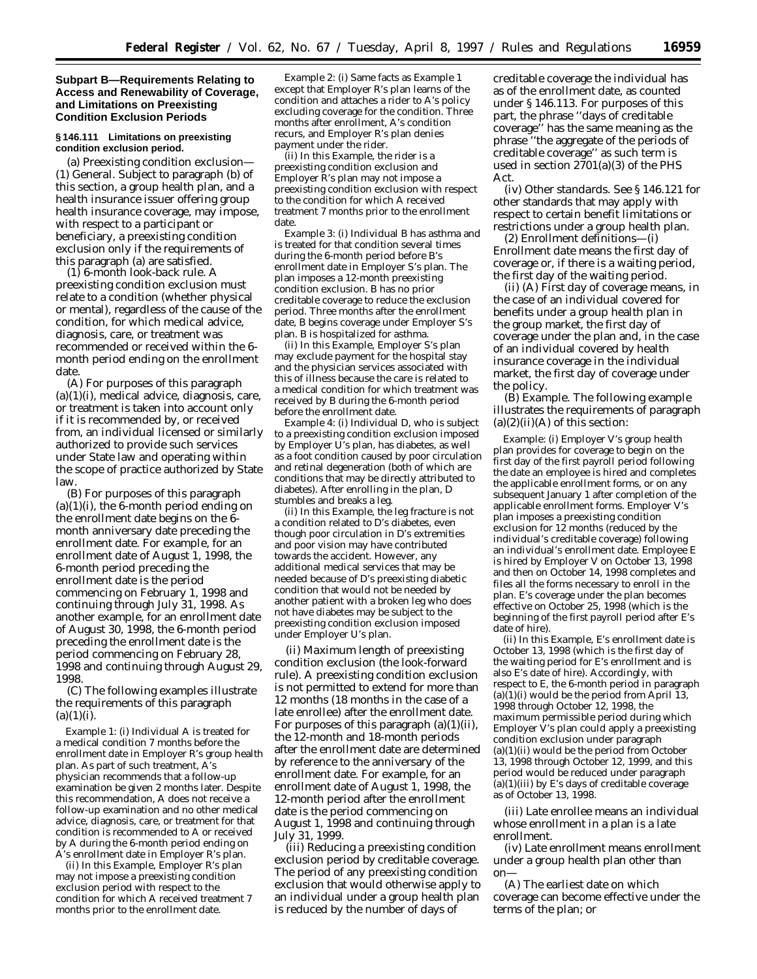## **Subpart B—Requirements Relating to Access and Renewability of Coverage, and Limitations on Preexisting Condition Exclusion Periods**

## **§ 146.111 Limitations on preexisting condition exclusion period.**

(a) *Preexisting condition exclusion—* (1) *General.* Subject to paragraph (b) of this section, a group health plan, and a health insurance issuer offering group health insurance coverage, may impose, with respect to a participant or beneficiary, a preexisting condition exclusion only if the requirements of this paragraph (a) are satisfied.

(1) *6-month look-back rule.* A preexisting condition exclusion must relate to a condition (whether physical or mental), regardless of the cause of the condition, for which medical advice, diagnosis, care, or treatment was recommended or received within the 6 month period ending on the enrollment date.

(A) For purposes of this paragraph  $(a)(1)(i)$ , medical advice, diagnosis, care, or treatment is taken into account only if it is recommended by, or received from, an individual licensed or similarly authorized to provide such services under State law and operating within the scope of practice authorized by State law.

(B) For purposes of this paragraph  $(a)(1)(i)$ , the 6-month period ending on the enrollment date begins on the 6 month anniversary date preceding the enrollment date. For example, for an enrollment date of August 1, 1998, the 6-month period preceding the enrollment date is the period commencing on February 1, 1998 and continuing through July 31, 1998. As another example, for an enrollment date of August 30, 1998, the 6-month period preceding the enrollment date is the period commencing on February 28, 1998 and continuing through August 29, 1998.

(C) The following examples illustrate the requirements of this paragraph  $(a)(1)(i)$ .

*Example 1:* (i) Individual *A* is treated for a medical condition 7 months before the enrollment date in Employer *R*'s group health plan. As part of such treatment, *A*'s physician recommends that a follow-up examination be given 2 months later. Despite this recommendation, *A* does not receive a follow-up examination and no other medical advice, diagnosis, care, or treatment for that condition is recommended to *A* or received by *A* during the 6-month period ending on *A*'s enrollment date in Employer *R*'s plan.

(ii) In this *Example,* Employer *R*'s plan may not impose a preexisting condition exclusion period with respect to the condition for which *A* received treatment 7 months prior to the enrollment date.

*Example 2:* (i) Same facts as *Example 1* except that Employer *R*'s plan learns of the condition and attaches a rider to *A*'s policy excluding coverage for the condition. Three months after enrollment, *A*'s condition recurs, and Employer *R*'s plan denies payment under the rider.

(ii) In this *Example,* the rider is a preexisting condition exclusion and Employer *R*'s plan may not impose a preexisting condition exclusion with respect to the condition for which *A* received treatment 7 months prior to the enrollment date.

*Example 3:* (i) Individual *B* has asthma and is treated for that condition several times during the 6-month period before *B*'s enrollment date in Employer *S*'s plan. The plan imposes a 12-month preexisting condition exclusion. *B* has no prior creditable coverage to reduce the exclusion period. Three months after the enrollment date, *B* begins coverage under Employer *S*'s plan. *B* is hospitalized for asthma.

(ii) In this *Example,* Employer *S*'s plan may exclude payment for the hospital stay and the physician services associated with this of illness because the care is related to a medical condition for which treatment was received by *B* during the 6-month period before the enrollment date.

*Example 4:* (i) Individual *D,* who is subject to a preexisting condition exclusion imposed by Employer *U*'s plan, has diabetes, as well as a foot condition caused by poor circulation and retinal degeneration (both of which are conditions that may be directly attributed to diabetes). After enrolling in the plan, *D* stumbles and breaks a leg.

(ii) In this *Example,* the leg fracture is not a condition related to *D*'s diabetes, even though poor circulation in *D*'s extremities and poor vision may have contributed towards the accident. However, any additional medical services that may be needed because of *D*'s preexisting diabetic condition that would not be needed by another patient with a broken leg who does not have diabetes may be subject to the preexisting condition exclusion imposed under Employer *U*'s plan.

(ii) *Maximum length of preexisting condition exclusion (the look-forward rule).* A preexisting condition exclusion is not permitted to extend for more than 12 months (18 months in the case of a late enrollee) after the enrollment date. For purposes of this paragraph  $(a)(1)(ii)$ , the 12-month and 18-month periods after the enrollment date are determined by reference to the anniversary of the enrollment date. For example, for an enrollment date of August 1, 1998, the 12-month period after the enrollment date is the period commencing on August 1, 1998 and continuing through July 31, 1999.

(iii) *Reducing a preexisting condition exclusion period by creditable coverage.* The period of any preexisting condition exclusion that would otherwise apply to an individual under a group health plan is reduced by the number of days of

creditable coverage the individual has as of the enrollment date, as counted under § 146.113. For purposes of this part, the phrase ''days of creditable coverage'' has the same meaning as the phrase ''the aggregate of the periods of creditable coverage'' as such term is used in section 2701(a)(3) of the PHS Act.

(iv) *Other standards.* See § 146.121 for other standards that may apply with respect to certain benefit limitations or restrictions under a group health plan.

(2) *Enrollment definitions*—(i) *Enrollment date* means the first day of coverage or, if there is a waiting period, the first day of the waiting period.

(ii) (A) *First day of coverage* means, in the case of an individual covered for benefits under a group health plan in the group market, the first day of coverage under the plan and, in the case of an individual covered by health insurance coverage in the individual market, the first day of coverage under the policy.

(B) *Example.* The following example illustrates the requirements of paragraph  $(a)(2)(ii)(A)$  of this section:

*Example:* (i) Employer *V*'s group health plan provides for coverage to begin on the first day of the first payroll period following the date an employee is hired and completes the applicable enrollment forms, or on any subsequent January 1 after completion of the applicable enrollment forms. Employer *V*'s plan imposes a preexisting condition exclusion for 12 months (reduced by the individual's creditable coverage) following an individual's enrollment date. Employee *E* is hired by Employer *V* on October 13, 1998 and then on October 14, 1998 completes and files all the forms necessary to enroll in the plan. *E*'s coverage under the plan becomes effective on October 25, 1998 (which is the beginning of the first payroll period after *E*'s date of hire).

(ii) In this *Example, E*'s enrollment date is October 13, 1998 (which is the first day of the waiting period for *E*'s enrollment and is also *E*'s date of hire). Accordingly, with respect to *E,* the 6-month period in paragraph  $(a)(1)(i)$  would be the period from April 13, 1998 through October 12, 1998, the maximum permissible period during which Employer *V*'s plan could apply a preexisting condition exclusion under paragraph (a)(1)(ii) would be the period from October 13, 1998 through October 12, 1999, and this period would be reduced under paragraph (a)(1)(iii) by *E*'s days of creditable coverage as of October 13, 1998.

(iii) *Late enrollee* means an individual whose enrollment in a plan is a late enrollment.

(iv) *Late enrollment* means enrollment under a group health plan other than on—

(A) The earliest date on which coverage can become effective under the terms of the plan; or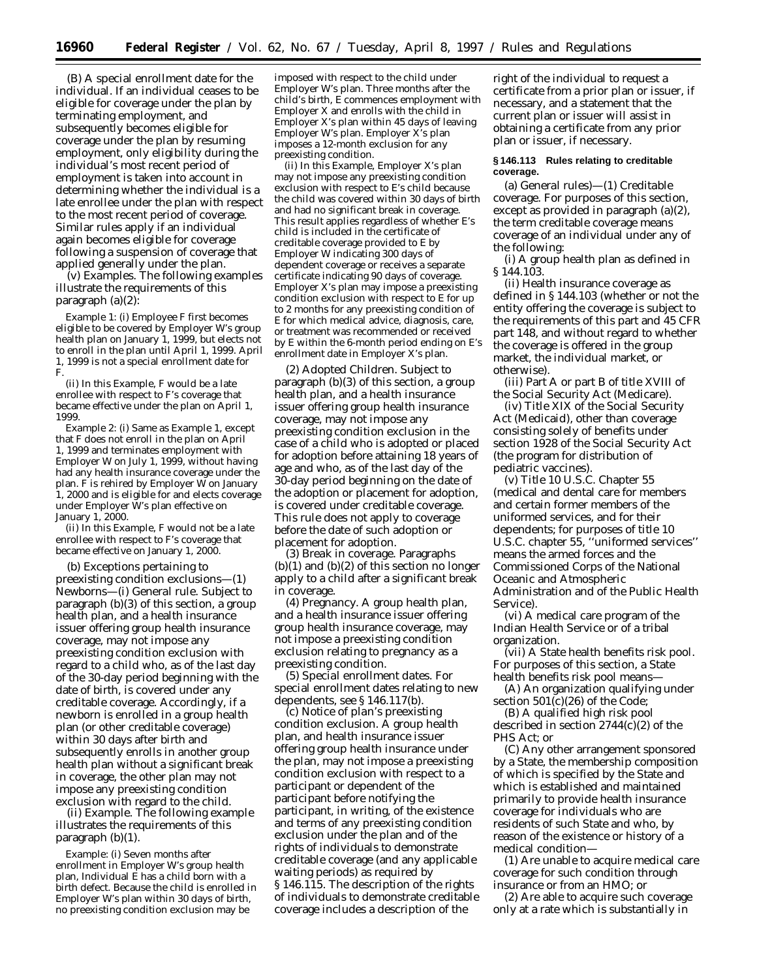(B) A special enrollment date for the individual. If an individual ceases to be eligible for coverage under the plan by terminating employment, and subsequently becomes eligible for coverage under the plan by resuming employment, only eligibility during the individual's most recent period of employment is taken into account in determining whether the individual is a late enrollee under the plan with respect to the most recent period of coverage. Similar rules apply if an individual again becomes eligible for coverage following a suspension of coverage that applied generally under the plan.

(v) *Examples.* The following examples illustrate the requirements of this paragraph (a)(2):

*Example 1:* (i) Employee *F* first becomes eligible to be covered by Employer *W*'s group health plan on January 1, 1999, but elects not to enroll in the plan until April 1, 1999. April 1, 1999 is not a special enrollment date for *F.*

(ii) In this *Example, F* would be a late enrollee with respect to *F*'s coverage that became effective under the plan on April 1, 1999.

*Example 2:* (i) Same as *Example 1,* except that *F* does not enroll in the plan on April 1, 1999 and terminates employment with Employer *W* on July 1, 1999, without having had any health insurance coverage under the plan. *F* is rehired by Employer *W* on January 1, 2000 and is eligible for and elects coverage under Employer *W*'s plan effective on January 1, 2000.

(ii) In this *Example, F* would not be a late enrollee with respect to *F*'s coverage that became effective on January 1, 2000.

(b) *Exceptions pertaining to preexisting condition exclusions*—(1) *Newborns*—(i) *General rule.* Subject to paragraph (b)(3) of this section, a group health plan, and a health insurance issuer offering group health insurance coverage, may not impose any preexisting condition exclusion with regard to a child who, as of the last day of the 30-day period beginning with the date of birth, is covered under any creditable coverage. Accordingly, if a newborn is enrolled in a group health plan (or other creditable coverage) within 30 days after birth and subsequently enrolls in another group health plan without a significant break in coverage, the other plan may not impose any preexisting condition exclusion with regard to the child.

(ii) *Example.* The following example illustrates the requirements of this paragraph (b)(1).

*Example:* (i) Seven months after enrollment in Employer *W*'s group health plan, Individual *E* has a child born with a birth defect. Because the child is enrolled in Employer *W*'s plan within 30 days of birth, no preexisting condition exclusion may be

imposed with respect to the child under Employer *W*'s plan. Three months after the child's birth, *E* commences employment with Employer *X* and enrolls with the child in Employer *X*'s plan within 45 days of leaving Employer *W*'s plan. Employer *X*'s plan imposes a 12-month exclusion for any preexisting condition.

(ii) In this *Example*, Employer *X*'s plan may not impose any preexisting condition exclusion with respect to *E*'s child because the child was covered within 30 days of birth and had no significant break in coverage. This result applies regardless of whether *E*'s child is included in the certificate of creditable coverage provided to *E* by Employer *W* indicating 300 days of dependent coverage or receives a separate certificate indicating 90 days of coverage. Employer *X*'s plan may impose a preexisting condition exclusion with respect to *E* for up to 2 months for any preexisting condition of *E* for which medical advice, diagnosis, care, or treatment was recommended or received by *E* within the 6-month period ending on *E*'s enrollment date in Employer *X*'s plan.

(2) *Adopted Children*. Subject to paragraph (b)(3) of this section, a group health plan, and a health insurance issuer offering group health insurance coverage, may not impose any preexisting condition exclusion in the case of a child who is adopted or placed for adoption before attaining 18 years of age and who, as of the last day of the 30-day period beginning on the date of the adoption or placement for adoption, is covered under creditable coverage. This rule does not apply to coverage before the date of such adoption or placement for adoption.

(3) *Break in coverage*. Paragraphs  $(b)(1)$  and  $(b)(2)$  of this section no longer apply to a child after a significant break in coverage.

(4) *Pregnancy*. A group health plan, and a health insurance issuer offering group health insurance coverage, may not impose a preexisting condition exclusion relating to pregnancy as a preexisting condition.

(5) *Special enrollment dates.* For special enrollment dates relating to new dependents, see § 146.117(b).

(c) *Notice of plan's preexisting condition exclusion.* A group health plan, and health insurance issuer offering group health insurance under the plan, may not impose a preexisting condition exclusion with respect to a participant or dependent of the participant before notifying the participant, in writing, of the existence and terms of any preexisting condition exclusion under the plan and of the rights of individuals to demonstrate creditable coverage (and any applicable waiting periods) as required by § 146.115. The description of the rights of individuals to demonstrate creditable coverage includes a description of the

right of the individual to request a certificate from a prior plan or issuer, if necessary, and a statement that the current plan or issuer will assist in obtaining a certificate from any prior plan or issuer, if necessary.

## **§ 146.113 Rules relating to creditable coverage.**

(a) *General rules*)—(1) *Creditable coverage*. For purposes of this section, except as provided in paragraph (a)(2), the term creditable coverage means coverage of an individual under any of the following:

(i) A group health plan as defined in § 144.103.

(ii) Health insurance coverage as defined in § 144.103 (whether or not the entity offering the coverage is subject to the requirements of this part and 45 CFR part 148, and without regard to whether the coverage is offered in the group market, the individual market, or otherwise).

(iii) Part A or part B of title XVIII of the Social Security Act (Medicare).

(iv) Title XIX of the Social Security Act (Medicaid), other than coverage consisting solely of benefits under section 1928 of the Social Security Act (the program for distribution of pediatric vaccines).

(v) Title 10 U.S.C. Chapter 55 (medical and dental care for members and certain former members of the uniformed services, and for their dependents; for purposes of title 10 U.S.C. chapter 55, ''uniformed services'' means the armed forces and the Commissioned Corps of the National Oceanic and Atmospheric Administration and of the Public Health Service).

(vi) A medical care program of the Indian Health Service or of a tribal organization.

(vii) A State health benefits risk pool. For purposes of this section, a State health benefits risk pool means—

(A) An organization qualifying under section 501(c)(26) of the Code;

(B) A qualified high risk pool described in section 2744(c)(2) of the PHS Act; or

(C) Any other arrangement sponsored by a State, the membership composition of which is specified by the State and which is established and maintained primarily to provide health insurance coverage for individuals who are residents of such State and who, by reason of the existence or history of a medical condition—

(*1*) Are unable to acquire medical care coverage for such condition through insurance or from an HMO; or

(*2*) Are able to acquire such coverage only at a rate which is substantially in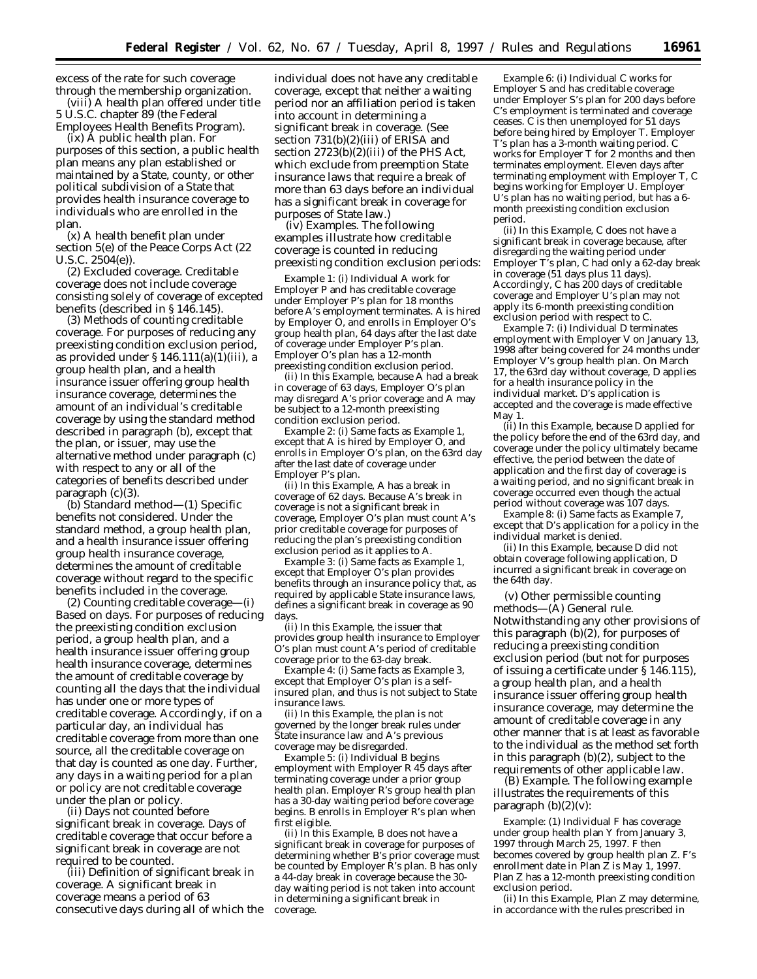excess of the rate for such coverage through the membership organization.

(viii) A health plan offered under title 5 U.S.C. chapter 89 (the Federal Employees Health Benefits Program).

(ix) A public health plan. For purposes of this section, a public health plan means any plan established or maintained by a State, county, or other political subdivision of a State that provides health insurance coverage to individuals who are enrolled in the plan.

(x) A health benefit plan under section 5(e) of the Peace Corps Act (22 U.S.C. 2504(e)).

(2) *Excluded coverage.* Creditable coverage does not include coverage consisting solely of coverage of excepted benefits (described in § 146.145).

(3) *Methods of counting creditable coverage.* For purposes of reducing any preexisting condition exclusion period, as provided under § 146.111(a)(1)(iii), a group health plan, and a health insurance issuer offering group health insurance coverage, determines the amount of an individual's creditable coverage by using the standard method described in paragraph (b), except that the plan, or issuer, may use the alternative method under paragraph (c) with respect to any or all of the categories of benefits described under paragraph (c)(3).

(b) *Standard method*—(1) *Specific benefits not considered.* Under the standard method, a group health plan, and a health insurance issuer offering group health insurance coverage, determines the amount of creditable coverage without regard to the specific benefits included in the coverage.

(2) *Counting creditable coverage—*(i) *Based on days.* For purposes of reducing the preexisting condition exclusion period, a group health plan, and a health insurance issuer offering group health insurance coverage, determines the amount of creditable coverage by counting all the days that the individual has under one or more types of creditable coverage. Accordingly, if on a particular day, an individual has creditable coverage from more than one source, all the creditable coverage on that day is counted as one day. Further, any days in a waiting period for a plan or policy are not creditable coverage under the plan or policy.

(ii) *Days not counted before significant break in coverage.* Days of creditable coverage that occur before a significant break in coverage are not required to be counted.

(iii) *Definition of significant break in coverage.* A significant break in coverage means a period of 63 consecutive days during all of which the

individual does not have any creditable coverage, except that neither a waiting period nor an affiliation period is taken into account in determining a significant break in coverage. (See section 731(b)(2)(iii) of ERISA and section 2723(b)(2)(iii) of the PHS Act, which exclude from preemption State insurance laws that require a break of more than 63 days before an individual has a significant break in coverage for purposes of State law.)

(iv) *Examples.* The following examples illustrate how creditable coverage is counted in reducing preexisting condition exclusion periods:

*Example 1:* (i) Individual *A* work for Employer *P* and has creditable coverage under Employer *P*'s plan for 18 months before *A*'s employment terminates. *A* is hired by Employer *O*, and enrolls in Employer *O*'s group health plan, 64 days after the last date of coverage under Employer *P*'s plan. Employer *O*'s plan has a 12-month preexisting condition exclusion period.

(ii) In this *Example*, because *A* had a break in coverage of 63 days, Employer *O*'s plan may disregard *A*'s prior coverage and *A* may be subject to a 12-month preexisting condition exclusion period.

*Example 2:* (i) Same facts as *Example 1*, except that *A* is hired by Employer *O*, and enrolls in Employer *O*'s plan, on the 63rd day after the last date of coverage under Employer *P*'s plan.

(ii) In this *Example*, *A* has a break in coverage of 62 days. Because *A*'s break in coverage is not a significant break in coverage, Employer *O*'s plan must count *A*'s prior creditable coverage for purposes of reducing the plan's preexisting condition exclusion period as it applies to *A*.

*Example 3:* (i) Same facts as *Example 1*, except that Employer *O*'s plan provides benefits through an insurance policy that, as required by applicable State insurance laws, defines a significant break in coverage as 90 days.

(ii) In this *Example*, the issuer that provides group health insurance to Employer *O's* plan must count *A's* period of creditable coverage prior to the 63-day break.

*Example 4:* (i) Same facts as *Example 3*, except that Employer *O*'s plan is a selfinsured plan, and thus is not subject to State insurance laws.

(ii) In this *Example*, the plan is not governed by the longer break rules under State insurance law and *A*'s previous coverage may be disregarded.

*Example 5:* (i) Individual *B* begins employment with Employer *R* 45 days after terminating coverage under a prior group health plan. Employer *R*'s group health plan has a 30-day waiting period before coverage begins. *B* enrolls in Employer *R*'s plan when first eligible.

(ii) In this *Example*, *B* does not have a significant break in coverage for purposes of determining whether *B*'s prior coverage must be counted by Employer *R*'s plan. *B* has only a 44-day break in coverage because the 30 day waiting period is not taken into account in determining a significant break in coverage.

*Example 6:* (i) Individual *C* works for Employer *S* and has creditable coverage under Employer *S*'s plan for 200 days before *C*'s employment is terminated and coverage ceases. *C* is then unemployed for 51 days before being hired by Employer *T*. Employer *T*'s plan has a 3-month waiting period. *C* works for Employer *T* for 2 months and then terminates employment. Eleven days after terminating employment with Employer *T, C* begins working for Employer *U*. Employer *U*'s plan has no waiting period, but has a 6 month preexisting condition exclusion period.

(ii) In this *Example*, *C* does not have a significant break in coverage because, after disregarding the waiting period under Employer *T*'s plan, *C* had only a 62-day break in coverage (51 days plus 11 days). Accordingly, *C* has 200 days of creditable coverage and Employer *U*'s plan may not apply its 6-month preexisting condition exclusion period with respect to *C*.

*Example 7:* (i) Individual *D* terminates employment with Employer *V* on January 13, 1998 after being covered for 24 months under Employer *V*'s group health plan. On March 17, the 63rd day without coverage, *D* applies for a health insurance policy in the individual market. *D*'s application is accepted and the coverage is made effective May 1.

(ii) In this *Example,* because *D* applied for the policy before the end of the 63rd day, and coverage under the policy ultimately became effective, the period between the date of application and the first day of coverage is a waiting period, and no significant break in coverage occurred even though the actual period without coverage was 107 days.

*Example 8:* (i) Same facts as *Example 7,* except that *D*'s application for a policy in the individual market is denied.

(ii) In this *Example*, because *D* did not obtain coverage following application, *D* incurred a significant break in coverage on the 64th day.

(v) *Other permissible counting methods—*(A) *General rule.* Notwithstanding any other provisions of this paragraph (b)(2), for purposes of reducing a preexisting condition exclusion period (but not for purposes of issuing a certificate under § 146.115), a group health plan, and a health insurance issuer offering group health insurance coverage, may determine the amount of creditable coverage in any other manner that is at least as favorable to the individual as the method set forth in this paragraph (b)(2), subject to the requirements of other applicable law.

(B) *Example.* The following example illustrates the requirements of this paragraph  $(b)(2)(v)$ :

*Example*: (1) Individual F has coverage under group health plan *Y* from January 3, 1997 through March 25, 1997. *F* then becomes covered by group health plan *Z*. *F*'s enrollment date in Plan *Z* is May 1, 1997. Plan *Z* has a 12-month preexisting condition exclusion period.

(ii) In this *Example*, Plan *Z* may determine, in accordance with the rules prescribed in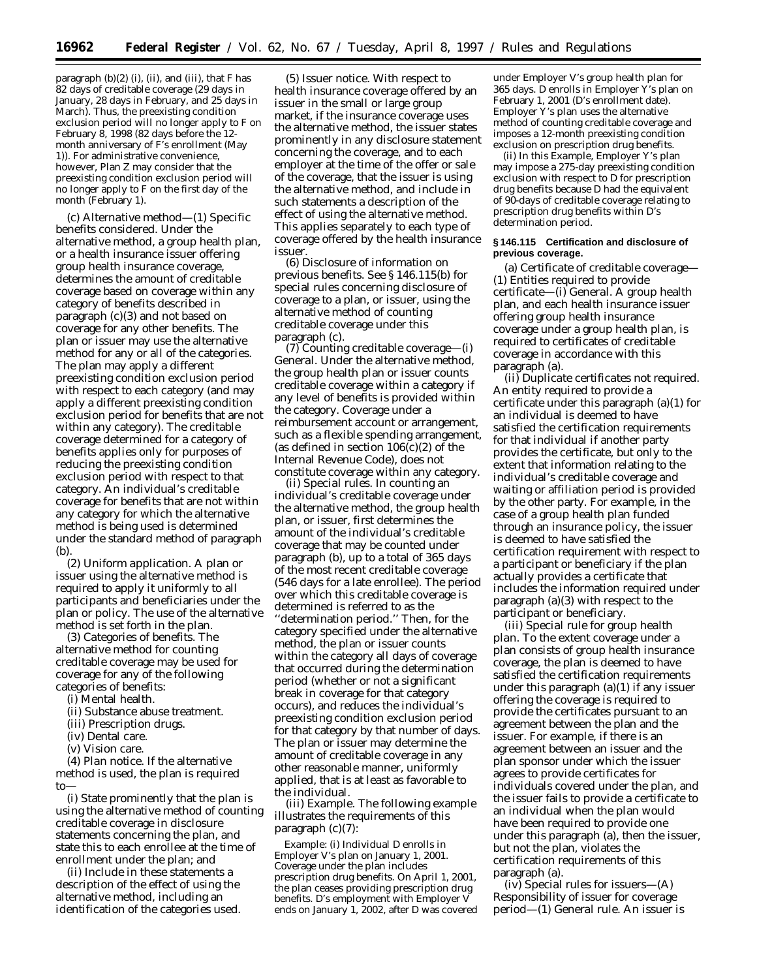paragraph (b)(2) (i), (ii), and (iii), that *F* has 82 days of creditable coverage (29 days in January, 28 days in February, and 25 days in March). Thus, the preexisting condition exclusion period will no longer apply to *F* on February 8, 1998 (82 days before the 12 month anniversary of *F*'s enrollment (May 1)). For administrative convenience, however, Plan *Z* may consider that the preexisting condition exclusion period will no longer apply to *F* on the first day of the month (February 1).

(c) *Alternative method*—(1) *Specific benefits considered.* Under the alternative method, a group health plan, or a health insurance issuer offering group health insurance coverage, determines the amount of creditable coverage based on coverage within any category of benefits described in paragraph (c)(3) and not based on coverage for any other benefits. The plan or issuer may use the alternative method for any or all of the categories. The plan may apply a different preexisting condition exclusion period with respect to each category (and may apply a different preexisting condition exclusion period for benefits that are not within any category). The creditable coverage determined for a category of benefits applies only for purposes of reducing the preexisting condition exclusion period with respect to that category. An individual's creditable coverage for benefits that are not within any category for which the alternative method is being used is determined under the standard method of paragraph  $(b)$ 

(2) *Uniform application.* A plan or issuer using the alternative method is required to apply it uniformly to all participants and beneficiaries under the plan or policy. The use of the alternative method is set forth in the plan.

(3) *Categories of benefits.* The alternative method for counting creditable coverage may be used for coverage for any of the following categories of benefits:

(i) Mental health.

(ii) Substance abuse treatment.

- (iii) Prescription drugs.
- (iv) Dental care.
- (v) Vision care.

(4) *Plan notice.* If the alternative method is used, the plan is required to—

(i) State prominently that the plan is using the alternative method of counting creditable coverage in disclosure statements concerning the plan, and state this to each enrollee at the time of enrollment under the plan; and

(ii) Include in these statements a description of the effect of using the alternative method, including an identification of the categories used.

(5) *Issuer notice.* With respect to health insurance coverage offered by an issuer in the small or large group market, if the insurance coverage uses the alternative method, the issuer states prominently in any disclosure statement concerning the coverage, and to each employer at the time of the offer or sale of the coverage, that the issuer is using the alternative method, and include in such statements a description of the effect of using the alternative method. This applies separately to each type of coverage offered by the health insurance issuer.

(6) *Disclosure of information on previous benefits.* See § 146.115(b) for special rules concerning disclosure of coverage to a plan, or issuer, using the alternative method of counting creditable coverage under this paragraph (c).

(7) *Counting creditable coverage—*(i) *General.* Under the alternative method, the group health plan or issuer counts creditable coverage within a category if any level of benefits is provided within the category. Coverage under a reimbursement account or arrangement, such as a flexible spending arrangement, (as defined in section  $106(c)(2)$  of the Internal Revenue Code), does not constitute coverage within any category.

(ii) *Special rules.* In counting an individual's creditable coverage under the alternative method, the group health plan, or issuer, first determines the amount of the individual's creditable coverage that may be counted under paragraph (b), up to a total of 365 days of the most recent creditable coverage (546 days for a late enrollee). The period over which this creditable coverage is determined is referred to as the ''determination period.'' Then, for the category specified under the alternative method, the plan or issuer counts within the category all days of coverage that occurred during the determination period (whether or not a significant break in coverage for that category occurs), and reduces the individual's preexisting condition exclusion period for that category by that number of days. The plan or issuer may determine the amount of creditable coverage in any other reasonable manner, uniformly applied, that is at least as favorable to the individual.

(iii) *Example.* The following example illustrates the requirements of this paragraph (c)(7):

*Example:* (i) Individual *D* enrolls in Employer *V*'s plan on January 1, 2001. Coverage under the plan includes prescription drug benefits. On April 1, 2001, the plan ceases providing prescription drug benefits. *D*'s employment with Employer *V* ends on January 1, 2002, after *D* was covered

under Employer *V*'s group health plan for 365 days. *D* enrolls in Employer *Y*'s plan on February 1, 2001 (*D*'s enrollment date). Employer *Y*'s plan uses the alternative method of counting creditable coverage and imposes a 12-month preexisting condition exclusion on prescription drug benefits.

(ii) In this *Example,* Employer *Y*'s plan may impose a 275-day preexisting condition exclusion with respect to *D* for prescription drug benefits because *D* had the equivalent of 90-days of creditable coverage relating to prescription drug benefits within *D*'s determination period.

#### **§ 146.115 Certification and disclosure of previous coverage.**

(a) *Certificate of creditable coverage*— (1) *Entities required to provide certificate*—(i) *General.* A group health plan, and each health insurance issuer offering group health insurance coverage under a group health plan, is required to certificates of creditable coverage in accordance with this paragraph (a).

(ii) *Duplicate certificates not required.* An entity required to provide a certificate under this paragraph (a)(1) for an individual is deemed to have satisfied the certification requirements for that individual if another party provides the certificate, but only to the extent that information relating to the individual's creditable coverage and waiting or affiliation period is provided by the other party. For example, in the case of a group health plan funded through an insurance policy, the issuer is deemed to have satisfied the certification requirement with respect to a participant or beneficiary if the plan actually provides a certificate that includes the information required under paragraph (a)(3) with respect to the participant or beneficiary.

(iii) *Special rule for group health plan.* To the extent coverage under a plan consists of group health insurance coverage, the plan is deemed to have satisfied the certification requirements under this paragraph (a)(1) if any issuer offering the coverage is required to provide the certificates pursuant to an agreement between the plan and the issuer. For example, if there is an agreement between an issuer and the plan sponsor under which the issuer agrees to provide certificates for individuals covered under the plan, and the issuer fails to provide a certificate to an individual when the plan would have been required to provide one under this paragraph (a), then the issuer, but not the plan, violates the certification requirements of this paragraph (a).

(iv) *Special rules for issuers—*(A) *Responsibility of issuer for coverage period*—(*1*) *General rule.* An issuer is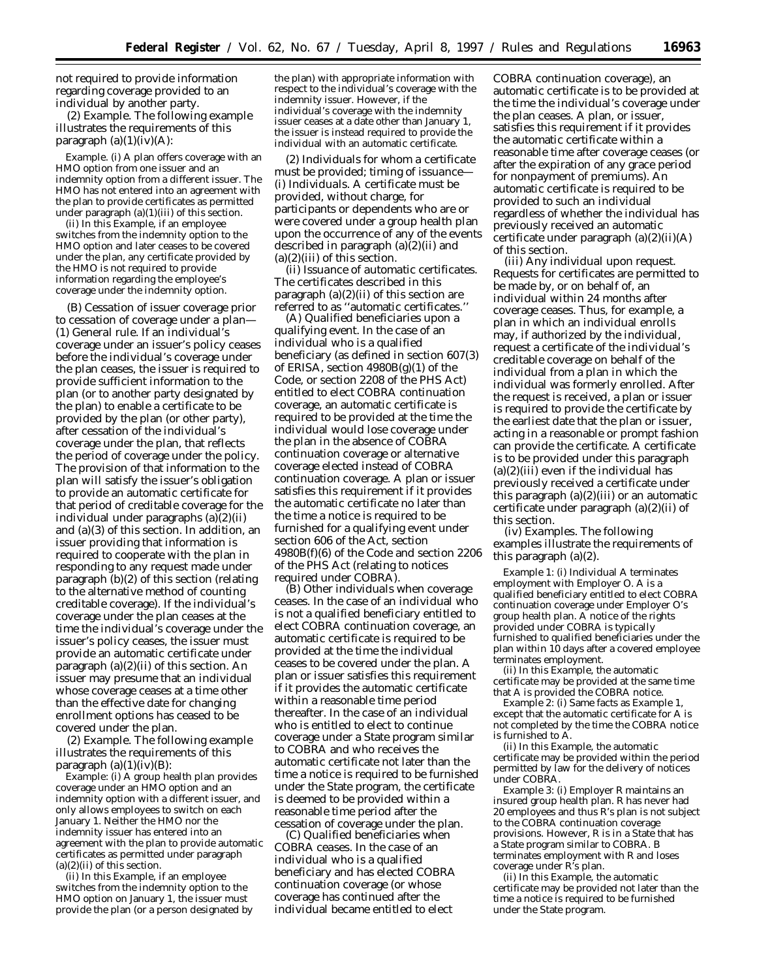not required to provide information regarding coverage provided to an individual by another party.

(2) *Example.* The following example illustrates the requirements of this paragraph  $(a)(1)(iv)(A)$ :

*Example.* (i) A plan offers coverage with an HMO option from one issuer and an indemnity option from a different issuer. The HMO has not entered into an agreement with the plan to provide certificates as permitted under paragraph (a)(1)(iii) of this section.

(ii) In this *Example,* if an employee switches from the indemnity option to the HMO option and later ceases to be covered under the plan, any certificate provided by the HMO is not required to provide information regarding the employee's coverage under the indemnity option.

(B) *Cessation of issuer coverage prior to cessation of coverage under a plan—* (*1*) *General rule.* If an individual's coverage under an issuer's policy ceases before the individual's coverage under the plan ceases, the issuer is required to provide sufficient information to the plan (or to another party designated by the plan) to enable a certificate to be provided by the plan (or other party), after cessation of the individual's coverage under the plan, that reflects the period of coverage under the policy. The provision of that information to the plan will satisfy the issuer's obligation to provide an automatic certificate for that period of creditable coverage for the individual under paragraphs (a)(2)(ii) and (a)(3) of this section. In addition, an issuer providing that information is required to cooperate with the plan in responding to any request made under paragraph (b)(2) of this section (relating to the alternative method of counting creditable coverage). If the individual's coverage under the plan ceases at the time the individual's coverage under the issuer's policy ceases, the issuer must provide an automatic certificate under paragraph (a)(2)(ii) of this section. An issuer may presume that an individual whose coverage ceases at a time other than the effective date for changing enrollment options has ceased to be covered under the plan.

(*2*) *Example.* The following example illustrates the requirements of this paragraph  $(a)(1)(iv)(B)$ :

*Example:* (i) A group health plan provides coverage under an HMO option and an indemnity option with a different issuer, and only allows employees to switch on each January 1. Neither the HMO nor the indemnity issuer has entered into an agreement with the plan to provide automatic certificates as permitted under paragraph  $(a)(2)(ii)$  of this section.

(ii) In this *Example*, if an employee switches from the indemnity option to the HMO option on January 1, the issuer must provide the plan (or a person designated by the plan) with appropriate information with respect to the individual's coverage with the indemnity issuer. However, if the individual's coverage with the indemnity issuer ceases at a date other than January 1, the issuer is instead required to provide the individual with an automatic certificate.

(2) *Individuals for whom a certificate must be provided; timing of issuance*— (i) *Individuals.* A certificate must be provided, without charge, for participants or dependents who are or were covered under a group health plan upon the occurrence of any of the events described in paragraph (a)(2)(ii) and  $(a)(2)(iii)$  of this section.

(ii) *Issuance of automatic certificates.* The certificates described in this paragraph (a)(2)(ii) of this section are referred to as ''automatic certificates.''

(A) *Qualified beneficiaries upon a qualifying event.* In the case of an individual who is a qualified beneficiary (as defined in section 607(3) of ERISA, section 4980B(g)(1) of the Code, or section 2208 of the PHS Act) entitled to elect COBRA continuation coverage, an automatic certificate is required to be provided at the time the individual would lose coverage under the plan in the absence of COBRA continuation coverage or alternative coverage elected instead of COBRA continuation coverage. A plan or issuer satisfies this requirement if it provides the automatic certificate no later than the time a notice is required to be furnished for a qualifying event under section 606 of the Act, section 4980B(f)(6) of the Code and section 2206 of the PHS Act (relating to notices required under COBRA).

(B) *Other individuals when coverage ceases.* In the case of an individual who is not a qualified beneficiary entitled to elect COBRA continuation coverage, an automatic certificate is required to be provided at the time the individual ceases to be covered under the plan. A plan or issuer satisfies this requirement if it provides the automatic certificate within a reasonable time period thereafter. In the case of an individual who is entitled to elect to continue coverage under a State program similar to COBRA and who receives the automatic certificate not later than the time a notice is required to be furnished under the State program, the certificate is deemed to be provided within a reasonable time period after the cessation of coverage under the plan.

(C) *Qualified beneficiaries when COBRA ceases.* In the case of an individual who is a qualified beneficiary and has elected COBRA continuation coverage (or whose coverage has continued after the individual became entitled to elect

COBRA continuation coverage), an automatic certificate is to be provided at the time the individual's coverage under the plan ceases. A plan, or issuer, satisfies this requirement if it provides the automatic certificate within a reasonable time after coverage ceases (or after the expiration of any grace period for nonpayment of premiums). An automatic certificate is required to be provided to such an individual regardless of whether the individual has previously received an automatic certificate under paragraph (a)(2)(ii)(A) of this section.

(iii) *Any individual upon request.* Requests for certificates are permitted to be made by, or on behalf of, an individual within 24 months after coverage ceases. Thus, for example, a plan in which an individual enrolls may, if authorized by the individual, request a certificate of the individual's creditable coverage on behalf of the individual from a plan in which the individual was formerly enrolled. After the request is received, a plan or issuer is required to provide the certificate by the earliest date that the plan or issuer, acting in a reasonable or prompt fashion can provide the certificate. A certificate is to be provided under this paragraph  $(a)(2)(iii)$  even if the individual has previously received a certificate under this paragraph  $(a)(2)(iii)$  or an automatic certificate under paragraph (a)(2)(ii) of this section.

(iv) *Examples.* The following examples illustrate the requirements of this paragraph (a)(2).

*Example 1:* (i) Individual *A* terminates employment with Employer *O*. *A* is a qualified beneficiary entitled to elect COBRA continuation coverage under Employer *O*'s group health plan. A notice of the rights provided under COBRA is typically furnished to qualified beneficiaries under the plan within 10 days after a covered employee terminates employment.

(ii) In this *Example*, the automatic certificate may be provided at the same time that *A* is provided the COBRA notice.

*Example 2:* (i) Same facts as *Example 1*, except that the automatic certificate for *A* is not completed by the time the COBRA notice is furnished to *A.*

(ii) In this *Example*, the automatic certificate may be provided within the period permitted by law for the delivery of notices under COBRA.

*Example 3:* (i) Employer *R* maintains an insured group health plan. *R* has never had 20 employees and thus *R*'s plan is not subject to the COBRA continuation coverage provisions. However, *R* is in a State that has a State program similar to COBRA. *B* terminates employment with *R* and loses coverage under *R*'s plan.

(ii) In this *Example*, the automatic certificate may be provided not later than the time a notice is required to be furnished under the State program.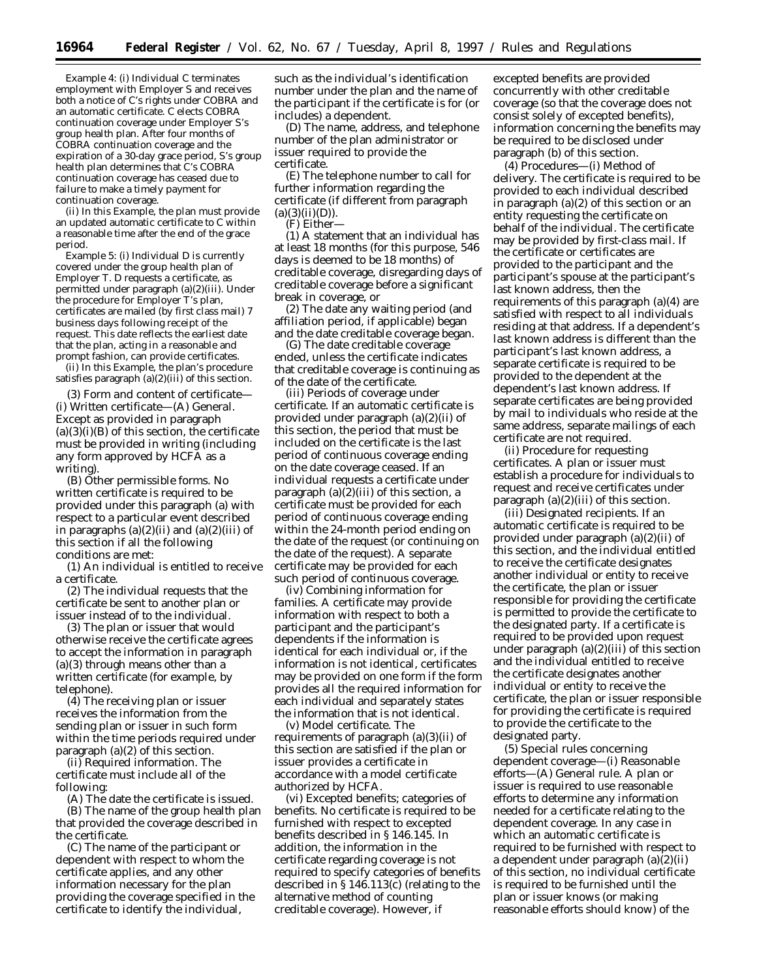*Example 4:* (i) Individual *C* terminates employment with Employer *S* and receives both a notice of *C*'s rights under COBRA and an automatic certificate. *C* elects COBRA continuation coverage under Employer *S*'s group health plan. After four months of COBRA continuation coverage and the expiration of a 30-day grace period, *S*'s group health plan determines that *C*'s COBRA continuation coverage has ceased due to failure to make a timely payment for continuation coverage.

(ii) In this *Example,* the plan must provide an updated automatic certificate to *C* within a reasonable time after the end of the grace period.

*Example 5:* (i) Individual *D* is currently covered under the group health plan of Employer *T*. *D* requests a certificate, as permitted under paragraph (a)(2)(iii). Under the procedure for Employer *T*'s plan, certificates are mailed (by first class mail) 7 business days following receipt of the request. This date reflects the earliest date that the plan, acting in a reasonable and prompt fashion, can provide certificates.

(ii) In this *Example*, the plan's procedure satisfies paragraph  $(a)(2)(iii)$  of this section.

(3) *Form and content of certificate*— (i) *Written certificate*—(A) *General*. Except as provided in paragraph  $(a)(3)(i)(B)$  of this section, the certificate must be provided in writing (including any form approved by HCFA as a writing).

(B) *Other permissible forms*. No written certificate is required to be provided under this paragraph (a) with respect to a particular event described in paragraphs  $(a)(2)(ii)$  and  $(a)(2)(iii)$  of this section if all the following conditions are met:

(*1*) An individual is entitled to receive a certificate.

(*2*) The individual requests that the certificate be sent to another plan or issuer instead of to the individual.

(*3*) The plan or issuer that would otherwise receive the certificate agrees to accept the information in paragraph (a)(3) through means other than a written certificate (for example, by telephone).

(*4*) The receiving plan or issuer receives the information from the sending plan or issuer in such form within the time periods required under paragraph (a)(2) of this section.

(ii) *Required information.* The certificate must include all of the following:

(A) The date the certificate is issued. (B) The name of the group health plan that provided the coverage described in the certificate.

(C) The name of the participant or dependent with respect to whom the certificate applies, and any other information necessary for the plan providing the coverage specified in the certificate to identify the individual,

such as the individual's identification number under the plan and the name of the participant if the certificate is for (or includes) a dependent.

(D) The name, address, and telephone number of the plan administrator or issuer required to provide the certificate.

(E) The telephone number to call for further information regarding the certificate (if different from paragraph  $(a)(3)(ii)(D)).$ 

(F) Either—

(*1*) A statement that an individual has at least 18 months (for this purpose, 546 days is deemed to be 18 months) of creditable coverage, disregarding days of creditable coverage before a significant break in coverage, or

(*2*) The date any waiting period (and affiliation period, if applicable) began and the date creditable coverage began.

(G) The date creditable coverage ended, unless the certificate indicates that creditable coverage is continuing as of the date of the certificate.

(iii) *Periods of coverage under certificate*. If an automatic certificate is provided under paragraph (a)(2)(ii) of this section, the period that must be included on the certificate is the last period of continuous coverage ending on the date coverage ceased. If an individual requests a certificate under paragraph  $(a)(2)(iii)$  of this section, a certificate must be provided for each period of continuous coverage ending within the 24-month period ending on the date of the request (or continuing on the date of the request). A separate certificate may be provided for each such period of continuous coverage.

(iv) *Combining information for families*. A certificate may provide information with respect to both a participant and the participant's dependents if the information is identical for each individual or, if the information is not identical, certificates may be provided on one form if the form provides all the required information for each individual and separately states the information that is not identical.

(v) *Model certificate*. The requirements of paragraph (a)(3)(ii) of this section are satisfied if the plan or issuer provides a certificate in accordance with a model certificate authorized by HCFA.

(vi) *Excepted benefits; categories of benefits*. No certificate is required to be furnished with respect to excepted benefits described in § 146.145. In addition, the information in the certificate regarding coverage is not required to specify categories of benefits described in § 146.113(c) (relating to the alternative method of counting creditable coverage). However, if

excepted benefits are provided concurrently with other creditable coverage (so that the coverage does not consist solely of excepted benefits), information concerning the benefits may be required to be disclosed under paragraph (b) of this section.

(4) *Procedures*—(i) *Method of delivery*. The certificate is required to be provided to each individual described in paragraph (a)(2) of this section or an entity requesting the certificate on behalf of the individual. The certificate may be provided by first-class mail. If the certificate or certificates are provided to the participant and the participant's spouse at the participant's last known address, then the requirements of this paragraph (a)(4) are satisfied with respect to all individuals residing at that address. If a dependent's last known address is different than the participant's last known address, a separate certificate is required to be provided to the dependent at the dependent's last known address. If separate certificates are being provided by mail to individuals who reside at the same address, separate mailings of each certificate are not required.

(ii) *Procedure for requesting certificates.* A plan or issuer must establish a procedure for individuals to request and receive certificates under paragraph  $(a)(2)(iii)$  of this section.

(iii) *Designated recipients.* If an automatic certificate is required to be provided under paragraph (a)(2)(ii) of this section, and the individual entitled to receive the certificate designates another individual or entity to receive the certificate, the plan or issuer responsible for providing the certificate is permitted to provide the certificate to the designated party. If a certificate is required to be provided upon request under paragraph  $(a)(2)(iii)$  of this section and the individual entitled to receive the certificate designates another individual or entity to receive the certificate, the plan or issuer responsible for providing the certificate is required to provide the certificate to the designated party.

(5) *Special rules concerning dependent coverage*—(i) *Reasonable efforts*—(A) *General rule*. A plan or issuer is required to use reasonable efforts to determine any information needed for a certificate relating to the dependent coverage. In any case in which an automatic certificate is required to be furnished with respect to a dependent under paragraph (a)(2)(ii) of this section, no individual certificate is required to be furnished until the plan or issuer knows (or making reasonable efforts should know) of the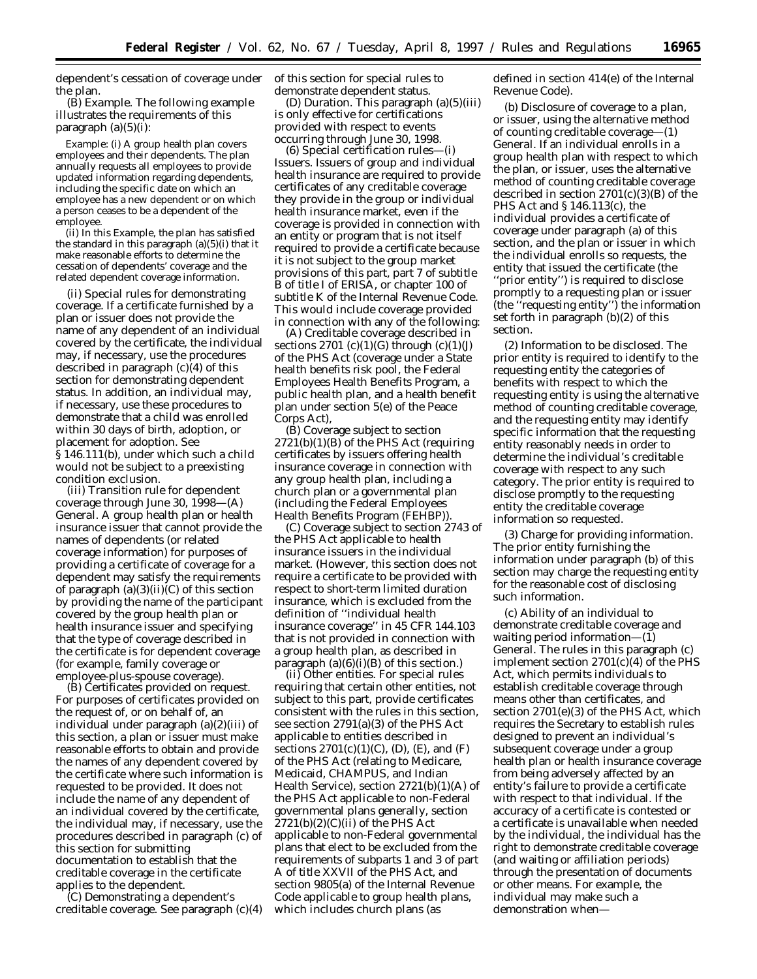dependent's cessation of coverage under the plan.

(B) *Example*. The following example illustrates the requirements of this paragraph (a)(5)(i):

*Example:* (i) A group health plan covers employees and their dependents. The plan annually requests all employees to provide updated information regarding dependents, including the specific date on which an employee has a new dependent or on which a person ceases to be a dependent of the employee.

(ii) In this *Example*, the plan has satisfied the standard in this paragraph (a)(5)(i) that it make reasonable efforts to determine the cessation of dependents' coverage and the related dependent coverage information.

(ii) *Special rules for demonstrating coverage.* If a certificate furnished by a plan or issuer does not provide the name of any dependent of an individual covered by the certificate, the individual may, if necessary, use the procedures described in paragraph (c)(4) of this section for demonstrating dependent status. In addition, an individual may, if necessary, use these procedures to demonstrate that a child was enrolled within 30 days of birth, adoption, or placement for adoption. See § 146.111(b), under which such a child would not be subject to a preexisting condition exclusion.

(iii) *Transition rule for dependent coverage through June 30, 1998*—(A) *General.* A group health plan or health insurance issuer that cannot provide the names of dependents (or related coverage information) for purposes of providing a certificate of coverage for a dependent may satisfy the requirements of paragraph  $(a)(3)(ii)(C)$  of this section by providing the name of the participant covered by the group health plan or health insurance issuer and specifying that the type of coverage described in the certificate is for dependent coverage (for example, family coverage or employee-plus-spouse coverage).

(B) *Certificates provided on request.* For purposes of certificates provided on the request of, or on behalf of, an individual under paragraph (a)(2)(iii) of this section, a plan or issuer must make reasonable efforts to obtain and provide the names of any dependent covered by the certificate where such information is requested to be provided. It does not include the name of any dependent of an individual covered by the certificate, the individual may, if necessary, use the procedures described in paragraph (c) of this section for submitting documentation to establish that the creditable coverage in the certificate applies to the dependent.

(C) *Demonstrating a dependent's creditable coverage.* See paragraph (c)(4) of this section for special rules to demonstrate dependent status.

(D) *Duration.* This paragraph (a)(5)(iii) is only effective for certifications provided with respect to events occurring through June 30, 1998.

(6) *Special certification rules*—(i) *Issuers.* Issuers of group and individual health insurance are required to provide certificates of any creditable coverage they provide in the group or individual health insurance market, even if the coverage is provided in connection with an entity or program that is not itself required to provide a certificate because it is not subject to the group market provisions of this part, part 7 of subtitle B of title I of ERISA, or chapter 100 of subtitle K of the Internal Revenue Code. This would include coverage provided in connection with any of the following:

(A) Creditable coverage described in sections  $2701$  (c)(1)(G) through (c)(1)(J) of the PHS Act (coverage under a State health benefits risk pool, the Federal Employees Health Benefits Program, a public health plan, and a health benefit plan under section 5(e) of the Peace Corps Act),

(B) Coverage subject to section 2721(b)(1)(B) of the PHS Act (requiring certificates by issuers offering health insurance coverage in connection with any group health plan, including a church plan or a governmental plan (including the Federal Employees Health Benefits Program (FEHBP)).

(C) Coverage subject to section 2743 of the PHS Act applicable to health insurance issuers in the individual market. (However, this section does not require a certificate to be provided with respect to short-term limited duration insurance, which is excluded from the definition of ''individual health insurance coverage'' in 45 CFR 144.103 that is not provided in connection with a group health plan, as described in paragraph  $(a)(6)(i)(B)$  of this section.)

(ii) *Other entities*. For special rules requiring that certain other entities, not subject to this part, provide certificates consistent with the rules in this section, see section 2791(a)(3) of the PHS Act applicable to entities described in sections  $2701(c)(1)(C)$ , (D), (E), and (F) of the PHS Act (relating to Medicare, Medicaid, CHAMPUS, and Indian Health Service), section 2721(b)(1)(A) of the PHS Act applicable to non-Federal governmental plans generally, section  $2721(b)(2)(C)(ii)$  of the PHS Act applicable to non-Federal governmental plans that elect to be excluded from the requirements of subparts 1 and 3 of part A of title XXVII of the PHS Act, and section 9805(a) of the Internal Revenue Code applicable to group health plans, which includes church plans (as

defined in section 414(e) of the Internal Revenue Code).

(b) *Disclosure of coverage to a plan, or issuer, using the alternative method of counting creditable coverage*—(1) *General*. If an individual enrolls in a group health plan with respect to which the plan, or issuer, uses the alternative method of counting creditable coverage described in section 2701(c)(3)(B) of the PHS Act and § 146.113(c), the individual provides a certificate of coverage under paragraph (a) of this section, and the plan or issuer in which the individual enrolls so requests, the entity that issued the certificate (the ''prior entity'') is required to disclose promptly to a requesting plan or issuer (the ''requesting entity'') the information set forth in paragraph (b)(2) of this section.

(2) *Information to be disclosed*. The prior entity is required to identify to the requesting entity the categories of benefits with respect to which the requesting entity is using the alternative method of counting creditable coverage, and the requesting entity may identify specific information that the requesting entity reasonably needs in order to determine the individual's creditable coverage with respect to any such category. The prior entity is required to disclose promptly to the requesting entity the creditable coverage information so requested.

(3) *Charge for providing information*. The prior entity furnishing the information under paragraph (b) of this section may charge the requesting entity for the reasonable cost of disclosing such information.

(c) *Ability of an individual to demonstrate creditable coverage and waiting period information*—(1) *General*. The rules in this paragraph (c) implement section 2701(c)(4) of the PHS Act, which permits individuals to establish creditable coverage through means other than certificates, and section 2701(e)(3) of the PHS Act, which requires the Secretary to establish rules designed to prevent an individual's subsequent coverage under a group health plan or health insurance coverage from being adversely affected by an entity's failure to provide a certificate with respect to that individual. If the accuracy of a certificate is contested or a certificate is unavailable when needed by the individual, the individual has the right to demonstrate creditable coverage (and waiting or affiliation periods) through the presentation of documents or other means. For example, the individual may make such a demonstration when—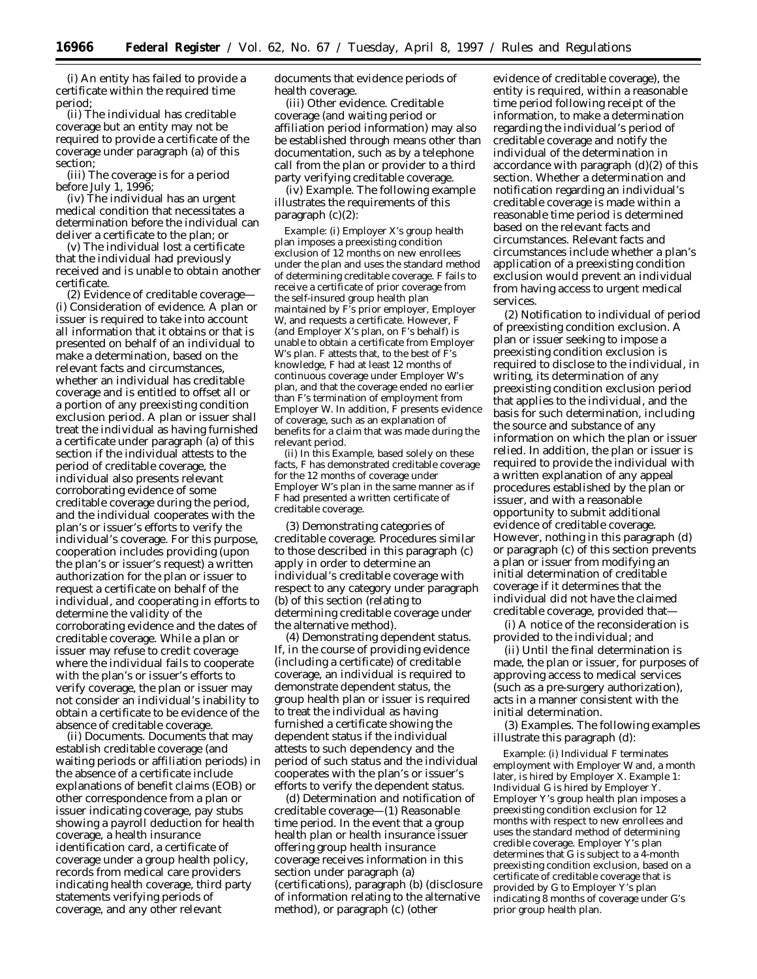(i) An entity has failed to provide a certificate within the required time period;

(ii) The individual has creditable coverage but an entity may not be required to provide a certificate of the coverage under paragraph (a) of this section;

(iii) The coverage is for a period before July 1, 1996;

(iv) The individual has an urgent medical condition that necessitates a determination before the individual can deliver a certificate to the plan; or

(v) The individual lost a certificate that the individual had previously received and is unable to obtain another certificate.

(2) *Evidence of creditable coverage—* (i) *Consideration of evidence.* A plan or issuer is required to take into account all information that it obtains or that is presented on behalf of an individual to make a determination, based on the relevant facts and circumstances, whether an individual has creditable coverage and is entitled to offset all or a portion of any preexisting condition exclusion period. A plan or issuer shall treat the individual as having furnished a certificate under paragraph (a) of this section if the individual attests to the period of creditable coverage, the individual also presents relevant corroborating evidence of some creditable coverage during the period, and the individual cooperates with the plan's or issuer's efforts to verify the individual's coverage. For this purpose, cooperation includes providing (upon the plan's or issuer's request) a written authorization for the plan or issuer to request a certificate on behalf of the individual, and cooperating in efforts to determine the validity of the corroborating evidence and the dates of creditable coverage. While a plan or issuer may refuse to credit coverage where the individual fails to cooperate with the plan's or issuer's efforts to verify coverage, the plan or issuer may not consider an individual's inability to obtain a certificate to be evidence of the absence of creditable coverage.

(ii) *Documents.* Documents that may establish creditable coverage (and waiting periods or affiliation periods) in the absence of a certificate include explanations of benefit claims (EOB) or other correspondence from a plan or issuer indicating coverage, pay stubs showing a payroll deduction for health coverage, a health insurance identification card, a certificate of coverage under a group health policy, records from medical care providers indicating health coverage, third party statements verifying periods of coverage, and any other relevant

documents that evidence periods of health coverage.

(iii) *Other evidence.* Creditable coverage (and waiting period or affiliation period information) may also be established through means other than documentation, such as by a telephone call from the plan or provider to a third party verifying creditable coverage.

(iv) *Example.* The following example illustrates the requirements of this paragraph (c)(2):

*Example:* (i) Employer *X*'s group health plan imposes a preexisting condition exclusion of 12 months on new enrollees under the plan and uses the standard method of determining creditable coverage. *F* fails to receive a certificate of prior coverage from the self-insured group health plan maintained by *F*'s prior employer, Employer *W,* and requests a certificate. However, *F* (and Employer *X*'s plan, on *F*'s behalf) is unable to obtain a certificate from Employer *W*'s plan. *F* attests that, to the best of *F*'s knowledge, *F* had at least 12 months of continuous coverage under Employer *W*'s plan, and that the coverage ended no earlier than *F*'s termination of employment from Employer *W.* In addition, *F* presents evidence of coverage, such as an explanation of benefits for a claim that was made during the relevant period.

(ii) In this *Example,* based solely on these facts, *F* has demonstrated creditable coverage for the 12 months of coverage under Employer *W*'s plan in the same manner as if *F* had presented a written certificate of creditable coverage.

(3) *Demonstrating categories of creditable coverage.* Procedures similar to those described in this paragraph (c) apply in order to determine an individual's creditable coverage with respect to any category under paragraph (b) of this section (relating to determining creditable coverage under the alternative method).

(4) *Demonstrating dependent status.* If, in the course of providing evidence (including a certificate) of creditable coverage, an individual is required to demonstrate dependent status, the group health plan or issuer is required to treat the individual as having furnished a certificate showing the dependent status if the individual attests to such dependency and the period of such status and the individual cooperates with the plan's or issuer's efforts to verify the dependent status.

(d) *Determination and notification of creditable coverage*—(1) *Reasonable time period.* In the event that a group health plan or health insurance issuer offering group health insurance coverage receives information in this section under paragraph (a) (certifications), paragraph (b) (disclosure of information relating to the alternative method), or paragraph (c) (other

evidence of creditable coverage), the entity is required, within a reasonable time period following receipt of the information, to make a determination regarding the individual's period of creditable coverage and notify the individual of the determination in accordance with paragraph (d)(2) of this section. Whether a determination and notification regarding an individual's creditable coverage is made within a reasonable time period is determined based on the relevant facts and circumstances. Relevant facts and circumstances include whether a plan's application of a preexisting condition exclusion would prevent an individual from having access to urgent medical services.

(2) *Notification to individual of period of preexisting condition exclusion.* A plan or issuer seeking to impose a preexisting condition exclusion is required to disclose to the individual, in writing, its determination of any preexisting condition exclusion period that applies to the individual, and the basis for such determination, including the source and substance of any information on which the plan or issuer relied. In addition, the plan or issuer is required to provide the individual with a written explanation of any appeal procedures established by the plan or issuer, and with a reasonable opportunity to submit additional evidence of creditable coverage. However, nothing in this paragraph (d) or paragraph (c) of this section prevents a plan or issuer from modifying an initial determination of creditable coverage if it determines that the individual did not have the claimed creditable coverage, provided that—

(i) A notice of the reconsideration is provided to the individual; and

(ii) Until the final determination is made, the plan or issuer, for purposes of approving access to medical services (such as a pre-surgery authorization), acts in a manner consistent with the initial determination.

(3) *Examples.* The following examples illustrate this paragraph (d):

*Example:* (i) Individual *F* terminates employment with Employer *W* and, a month later, is hired by Employer *X*. *Example 1:* Individual *G* is hired by Employer *Y*. Employer *Y*'s group health plan imposes a preexisting condition exclusion for 12 months with respect to new enrollees and uses the standard method of determining credible coverage. Employer *Y*'s plan determines that *G* is subject to a 4-month preexisting condition exclusion, based on a certificate of creditable coverage that is provided by *G* to Employer *Y*'s plan indicating 8 months of coverage under *G*'s prior group health plan.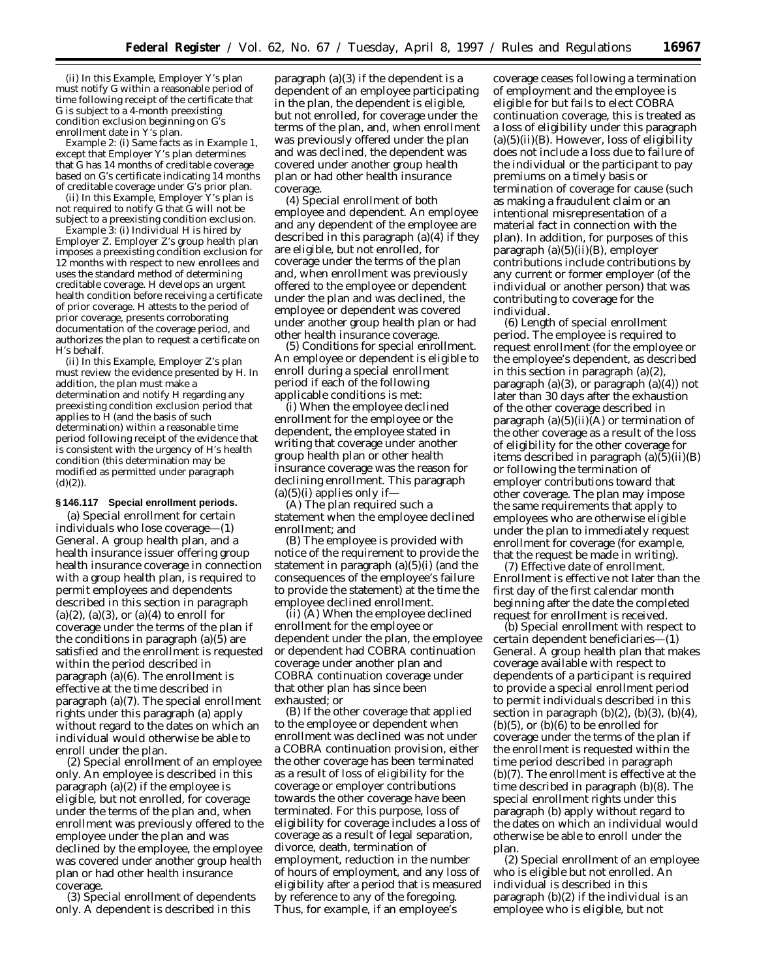(ii) In this *Example,* Employer *Y*'s plan must notify *G* within a reasonable period of time following receipt of the certificate that *G* is subject to a 4-month preexisting condition exclusion beginning on *G*'s enrollment date in *Y*'s plan.

*Example 2:* (i) Same facts as in *Example 1,* except that Employer *Y*'s plan determines that *G* has 14 months of creditable coverage based on *G*'s certificate indicating 14 months of creditable coverage under *G*'s prior plan.

(ii) In this *Example,* Employer *Y*'s plan is not required to notify *G* that *G* will not be subject to a preexisting condition exclusion.

*Example 3:* (i) Individual *H* is hired by Employer *Z*. Employer *Z*'s group health plan imposes a preexisting condition exclusion for 12 months with respect to new enrollees and uses the standard method of determining creditable coverage. *H* develops an urgent health condition before receiving a certificate of prior coverage. *H* attests to the period of prior coverage, presents corroborating documentation of the coverage period, and authorizes the plan to request a certificate on *H*'s behalf.

(ii) In this *Example,* Employer *Z*'s plan must review the evidence presented by *H*. In addition, the plan must make a determination and notify *H* regarding any preexisting condition exclusion period that applies to *H* (and the basis of such determination) within a reasonable time period following receipt of the evidence that is consistent with the urgency of *H*'s health condition (this determination may be modified as permitted under paragraph  $(d)(2)$ ).

## **§ 146.117 Special enrollment periods.**

(a) *Special enrollment for certain individuals who lose coverage*—(1) *General.* A group health plan, and a health insurance issuer offering group health insurance coverage in connection with a group health plan, is required to permit employees and dependents described in this section in paragraph  $(a)(2)$ ,  $(a)(3)$ , or  $(a)(4)$  to enroll for coverage under the terms of the plan if the conditions in paragraph  $(a)(5)$  are satisfied and the enrollment is requested within the period described in paragraph (a)(6). The enrollment is effective at the time described in paragraph (a)(7). The special enrollment rights under this paragraph (a) apply without regard to the dates on which an individual would otherwise be able to enroll under the plan.

(2) *Special enrollment of an employee only*. An employee is described in this paragraph (a)(2) if the employee is eligible, but not enrolled, for coverage under the terms of the plan and, when enrollment was previously offered to the employee under the plan and was declined by the employee, the employee was covered under another group health plan or had other health insurance coverage.

(3) *Special enrollment of dependents only*. A dependent is described in this

paragraph (a)(3) if the dependent is a dependent of an employee participating in the plan, the dependent is eligible, but not enrolled, for coverage under the terms of the plan, and, when enrollment was previously offered under the plan and was declined, the dependent was covered under another group health plan or had other health insurance coverage.

(4) *Special enrollment of both employee and dependent*. An employee and any dependent of the employee are described in this paragraph (a)(4) if they are eligible, but not enrolled, for coverage under the terms of the plan and, when enrollment was previously offered to the employee or dependent under the plan and was declined, the employee or dependent was covered under another group health plan or had other health insurance coverage.

(5) *Conditions for special enrollment*. An employee or dependent is eligible to enroll during a special enrollment period if each of the following applicable conditions is met:

(i) When the employee declined enrollment for the employee or the dependent, the employee stated in writing that coverage under another group health plan or other health insurance coverage was the reason for declining enrollment. This paragraph  $(a)(5)(i)$  applies only if —

(A) The plan required such a statement when the employee declined enrollment; and

(B) The employee is provided with notice of the requirement to provide the statement in paragraph (a)(5)(i) (and the consequences of the employee's failure to provide the statement) at the time the employee declined enrollment.

(ii) (A) When the employee declined enrollment for the employee or dependent under the plan, the employee or dependent had COBRA continuation coverage under another plan and COBRA continuation coverage under that other plan has since been exhausted; or

(B) If the other coverage that applied to the employee or dependent when enrollment was declined was not under a COBRA continuation provision, either the other coverage has been terminated as a result of loss of eligibility for the coverage or employer contributions towards the other coverage have been terminated. For this purpose, loss of eligibility for coverage includes a loss of coverage as a result of legal separation, divorce, death, termination of employment, reduction in the number of hours of employment, and any loss of eligibility after a period that is measured by reference to any of the foregoing. Thus, for example, if an employee's

coverage ceases following a termination of employment and the employee is eligible for but fails to elect COBRA continuation coverage, this is treated as a loss of eligibility under this paragraph  $(a)(5)(ii)(B)$ . However, loss of eligibility does not include a loss due to failure of the individual or the participant to pay premiums on a timely basis or termination of coverage for cause (such as making a fraudulent claim or an intentional misrepresentation of a material fact in connection with the plan). In addition, for purposes of this paragraph (a)(5)(ii)(B), employer contributions include contributions by any current or former employer (of the individual or another person) that was contributing to coverage for the individual.

(6) *Length of special enrollment period.* The employee is required to request enrollment (for the employee or the employee's dependent, as described in this section in paragraph  $(a)(2)$ , paragraph  $(a)(3)$ , or paragraph  $(a)(4)$  not later than 30 days after the exhaustion of the other coverage described in paragraph  $(a)(5)(ii)(A)$  or termination of the other coverage as a result of the loss of eligibility for the other coverage for items described in paragraph (a)(5)(ii)(B) or following the termination of employer contributions toward that other coverage. The plan may impose the same requirements that apply to employees who are otherwise eligible under the plan to immediately request enrollment for coverage (for example, that the request be made in writing).

(7) *Effective date of enrollment.* Enrollment is effective not later than the first day of the first calendar month beginning after the date the completed request for enrollment is received.

(b) *Special enrollment with respect to certain dependent beneficiaries*—(1) *General.* A group health plan that makes coverage available with respect to dependents of a participant is required to provide a special enrollment period to permit individuals described in this section in paragraph  $(b)(2)$ ,  $(b)(3)$ ,  $(b)(4)$ ,  $(b)(5)$ , or  $(b)(6)$  to be enrolled for coverage under the terms of the plan if the enrollment is requested within the time period described in paragraph (b)(7). The enrollment is effective at the time described in paragraph (b)(8). The special enrollment rights under this paragraph (b) apply without regard to the dates on which an individual would otherwise be able to enroll under the plan.

(2) *Special enrollment of an employee who is eligible but not enrolled.* An individual is described in this paragraph (b)(2) if the individual is an employee who is eligible, but not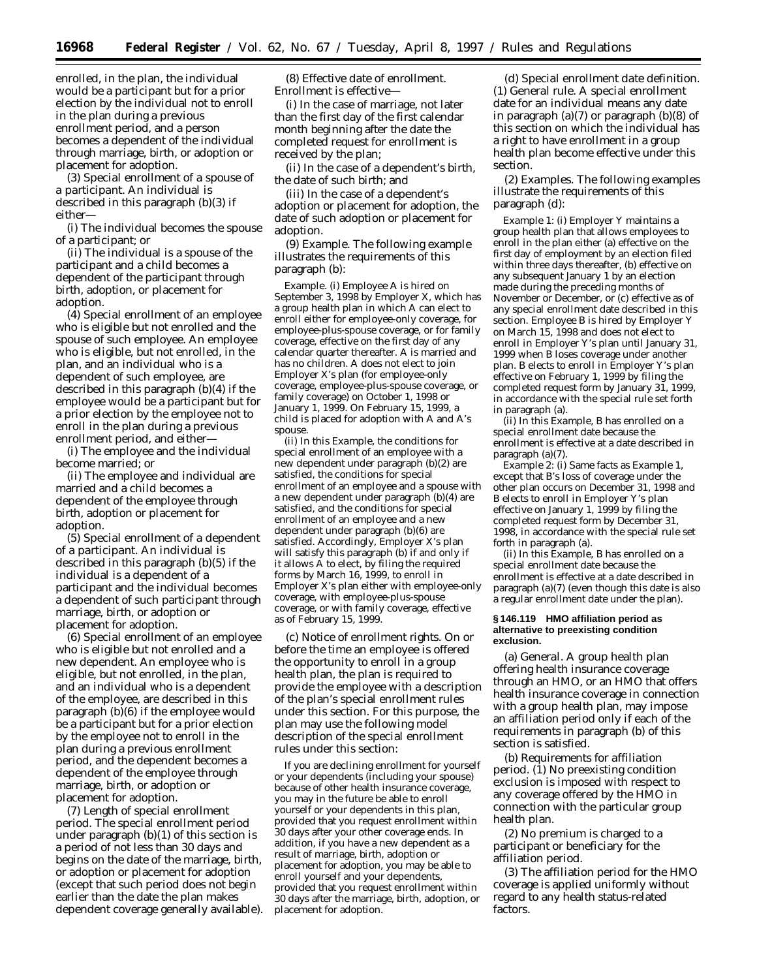enrolled, in the plan, the individual would be a participant but for a prior election by the individual not to enroll in the plan during a previous enrollment period, and a person becomes a dependent of the individual through marriage, birth, or adoption or placement for adoption.

(3) *Special enrollment of a spouse of a participant.* An individual is described in this paragraph (b)(3) if either—

(i) The individual becomes the spouse of a participant; or

(ii) The individual is a spouse of the participant and a child becomes a dependent of the participant through birth, adoption, or placement for adoption.

(4) *Special enrollment of an employee who is eligible but not enrolled and the spouse of such employee.* An employee who is eligible, but not enrolled, in the plan, and an individual who is a dependent of such employee, are described in this paragraph (b)(4) if the employee would be a participant but for a prior election by the employee not to enroll in the plan during a previous enrollment period, and either—

(i) The employee and the individual become married; or

(ii) The employee and individual are married and a child becomes a dependent of the employee through birth, adoption or placement for adoption.

(5) *Special enrollment of a dependent of a participant.* An individual is described in this paragraph (b)(5) if the individual is a dependent of a participant and the individual becomes a dependent of such participant through marriage, birth, or adoption or placement for adoption.

(6) *Special enrollment of an employee who is eligible but not enrolled and a new dependent.* An employee who is eligible, but not enrolled, in the plan, and an individual who is a dependent of the employee, are described in this paragraph (b)(6) if the employee would be a participant but for a prior election by the employee not to enroll in the plan during a previous enrollment period, and the dependent becomes a dependent of the employee through marriage, birth, or adoption or placement for adoption.

(7) *Length of special enrollment period.* The special enrollment period under paragraph (b)(1) of this section is a period of not less than 30 days and begins on the date of the marriage, birth, or adoption or placement for adoption (except that such period does not begin earlier than the date the plan makes dependent coverage generally available).

(8) *Effective date of enrollment.* Enrollment is effective—

(i) In the case of marriage, not later than the first day of the first calendar month beginning after the date the completed request for enrollment is received by the plan;

(ii) In the case of a dependent's birth, the date of such birth; and

(iii) In the case of a dependent's adoption or placement for adoption, the date of such adoption or placement for adoption.

(9) *Example.* The following example illustrates the requirements of this paragraph (b):

*Example.* (i) Employee *A* is hired on September 3, 1998 by Employer *X*, which has a group health plan in which *A* can elect to enroll either for employee-only coverage, for employee-plus-spouse coverage, or for family coverage, effective on the first day of any calendar quarter thereafter. *A* is married and has no children. *A* does not elect to join Employer *X*'s plan (for employee-only coverage, employee-plus-spouse coverage, or family coverage) on October 1, 1998 or January 1, 1999. On February 15, 1999, a child is placed for adoption with *A* and *A*'s spouse.

(ii) In this *Example*, the conditions for special enrollment of an employee with a new dependent under paragraph (b)(2) are satisfied, the conditions for special enrollment of an employee and a spouse with a new dependent under paragraph (b)(4) are satisfied, and the conditions for special enrollment of an employee and a new dependent under paragraph (b)(6) are satisfied. Accordingly, Employer *X*'s plan will satisfy this paragraph (b) if and only if it allows *A* to elect, by filing the required forms by March 16, 1999, to enroll in Employer *X*'s plan either with employee-only coverage, with employee-plus-spouse coverage, or with family coverage, effective as of February 15, 1999.

(c) *Notice of enrollment rights.* On or before the time an employee is offered the opportunity to enroll in a group health plan, the plan is required to provide the employee with a description of the plan's special enrollment rules under this section. For this purpose, the plan may use the following model description of the special enrollment rules under this section:

If you are declining enrollment for yourself or your dependents (including your spouse) because of other health insurance coverage, you may in the future be able to enroll yourself or your dependents in this plan, provided that you request enrollment within 30 days after your other coverage ends. In addition, if you have a new dependent as a result of marriage, birth, adoption or placement for adoption, you may be able to enroll yourself and your dependents, provided that you request enrollment within 30 days after the marriage, birth, adoption, or placement for adoption.

(d) *Special enrollment date definition.* (1) *General rule.* A special enrollment date for an individual means any date in paragraph (a)(7) or paragraph (b)(8) of this section on which the individual has a right to have enrollment in a group health plan become effective under this section.

(2) *Examples.* The following examples illustrate the requirements of this paragraph (d):

*Example 1:* (i) Employer *Y* maintains a group health plan that allows employees to enroll in the plan either (a) effective on the first day of employment by an election filed within three days thereafter, (b) effective on any subsequent January 1 by an election made during the preceding months of November or December, or (c) effective as of any special enrollment date described in this section. Employee *B* is hired by Employer *Y* on March 15, 1998 and does not elect to enroll in Employer *Y*'s plan until January 31, 1999 when *B* loses coverage under another plan. *B* elects to enroll in Employer *Y*'s plan effective on February 1, 1999 by filing the completed request form by January 31, 1999, in accordance with the special rule set forth in paragraph (a).

(ii) In this *Example*, *B* has enrolled on a special enrollment date because the enrollment is effective at a date described in paragraph (a)(7).

*Example 2:* (i) Same facts as *Example 1,* except that *B*'s loss of coverage under the other plan occurs on December 31, 1998 and *B* elects to enroll in Employer *Y*'s plan effective on January 1, 1999 by filing the completed request form by December 31, 1998, in accordance with the special rule set forth in paragraph (a).

(ii) In this *Example, B* has enrolled on a special enrollment date because the enrollment is effective at a date described in paragraph (a)(7) (even though this date is also a regular enrollment date under the plan).

## **§ 146.119 HMO affiliation period as alternative to preexisting condition exclusion.**

(a) *General.* A group health plan offering health insurance coverage through an HMO, or an HMO that offers health insurance coverage in connection with a group health plan, may impose an affiliation period only if each of the requirements in paragraph (b) of this section is satisfied.

(b) *Requirements for affiliation period.* (1) No preexisting condition exclusion is imposed with respect to any coverage offered by the HMO in connection with the particular group health plan.

(2) No premium is charged to a participant or beneficiary for the affiliation period.

(3) The affiliation period for the HMO coverage is applied uniformly without regard to any health status-related factors.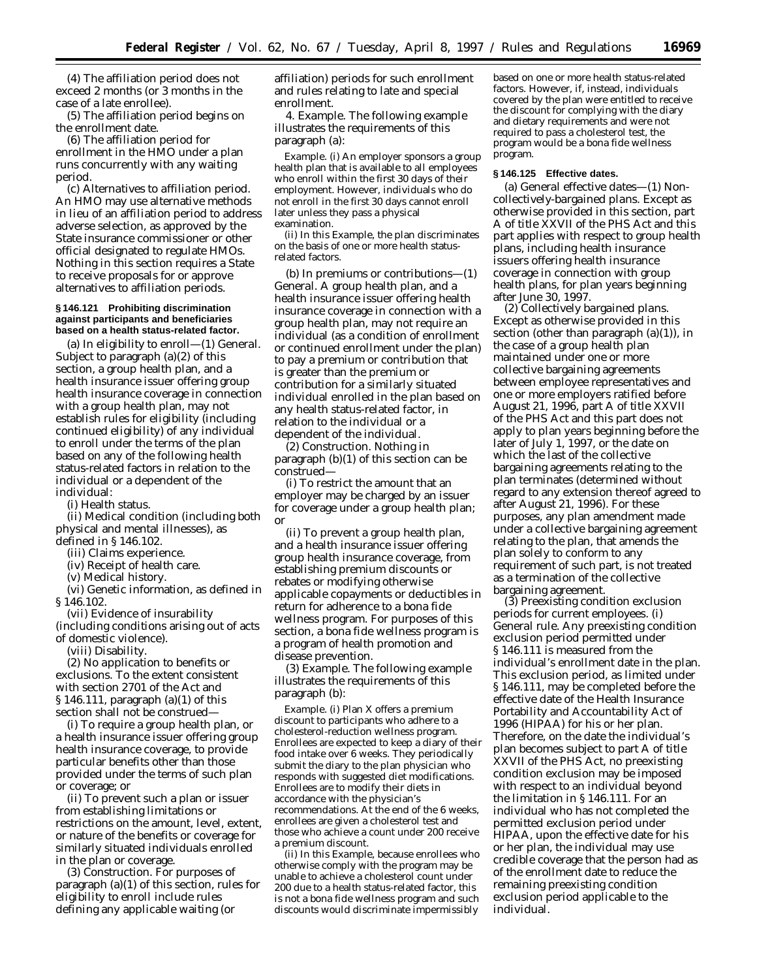(4) The affiliation period does not exceed 2 months (or 3 months in the case of a late enrollee).

(5) The affiliation period begins on the enrollment date.

(6) The affiliation period for enrollment in the HMO under a plan runs concurrently with any waiting period.

(c) *Alternatives to affiliation period.* An HMO may use alternative methods in lieu of an affiliation period to address adverse selection, as approved by the State insurance commissioner or other official designated to regulate HMOs. Nothing in this section requires a State to receive proposals for or approve alternatives to affiliation periods.

### **§ 146.121 Prohibiting discrimination against participants and beneficiaries based on a health status-related factor.**

(a) *In eligibility to enroll*—(1) *General.* Subject to paragraph (a)(2) of this section, a group health plan, and a health insurance issuer offering group health insurance coverage in connection with a group health plan, may not establish rules for eligibility (including continued eligibility) of any individual to enroll under the terms of the plan based on any of the following health status-related factors in relation to the individual or a dependent of the individual:

(i) Health status.

(ii) Medical condition (including both physical and mental illnesses), as defined in § 146.102.

(iii) Claims experience.

(iv) Receipt of health care.

(v) Medical history. (vi) Genetic information, as defined in

§ 146.102.

(vii) Evidence of insurability (including conditions arising out of acts of domestic violence).

(viii) Disability.

(2) *No application to benefits or exclusions.* To the extent consistent with section 2701 of the Act and § 146.111, paragraph (a)(1) of this section shall not be construed—

(i) To require a group health plan, or a health insurance issuer offering group health insurance coverage, to provide particular benefits other than those provided under the terms of such plan or coverage; or

(ii) To prevent such a plan or issuer from establishing limitations or restrictions on the amount, level, extent, or nature of the benefits or coverage for similarly situated individuals enrolled in the plan or coverage.

(3) *Construction.* For purposes of paragraph (a)(1) of this section, rules for eligibility to enroll include rules defining any applicable waiting (or

affiliation) periods for such enrollment and rules relating to late and special enrollment.

4. *Example.* The following example illustrates the requirements of this paragraph (a):

*Example.* (i) An employer sponsors a group health plan that is available to all employees who enroll within the first 30 days of their employment. However, individuals who do not enroll in the first 30 days cannot enroll later unless they pass a physical examination.

(ii) In this *Example,* the plan discriminates on the basis of one or more health statusrelated factors.

(b) *In premiums or contributions*—(1) *General.* A group health plan, and a health insurance issuer offering health insurance coverage in connection with a group health plan, may not require an individual (as a condition of enrollment or continued enrollment under the plan) to pay a premium or contribution that is greater than the premium or contribution for a similarly situated individual enrolled in the plan based on any health status-related factor, in relation to the individual or a dependent of the individual.

(2) *Construction.* Nothing in paragraph (b)(1) of this section can be construed—

(i) To restrict the amount that an employer may be charged by an issuer for coverage under a group health plan; or

(ii) To prevent a group health plan, and a health insurance issuer offering group health insurance coverage, from establishing premium discounts or rebates or modifying otherwise applicable copayments or deductibles in return for adherence to a bona fide wellness program. For purposes of this section, a bona fide wellness program is a program of health promotion and disease prevention.

(3) *Example.* The following example illustrates the requirements of this paragraph (b):

*Example.* (i) Plan *X* offers a premium discount to participants who adhere to a cholesterol-reduction wellness program. Enrollees are expected to keep a diary of their food intake over 6 weeks. They periodically submit the diary to the plan physician who responds with suggested diet modifications. Enrollees are to modify their diets in accordance with the physician's recommendations. At the end of the 6 weeks, enrollees are given a cholesterol test and those who achieve a count under 200 receive a premium discount.

(ii) In this *Example*, because enrollees who otherwise comply with the program may be unable to achieve a cholesterol count under 200 due to a health status-related factor, this is not a bona fide wellness program and such discounts would discriminate impermissibly

based on one or more health status-related factors. However, if, instead, individuals covered by the plan were entitled to receive the discount for complying with the diary and dietary requirements and were not required to pass a cholesterol test, the program would be a bona fide wellness program.

## **§ 146.125 Effective dates.**

(a) *General effective dates*—(1) *Noncollectively-bargained plans.* Except as otherwise provided in this section, part A of title XXVII of the PHS Act and this part applies with respect to group health plans, including health insurance issuers offering health insurance coverage in connection with group health plans, for plan years beginning after June 30, 1997.

(2) *Collectively bargained plans.* Except as otherwise provided in this section (other than paragraph  $(a)(1)$ ), in the case of a group health plan maintained under one or more collective bargaining agreements between employee representatives and one or more employers ratified before August 21, 1996, part A of title XXVII of the PHS Act and this part does not apply to plan years beginning before the later of July 1, 1997, or the date on which the last of the collective bargaining agreements relating to the plan terminates (determined without regard to any extension thereof agreed to after August 21, 1996). For these purposes, any plan amendment made under a collective bargaining agreement relating to the plan, that amends the plan solely to conform to any requirement of such part, is not treated as a termination of the collective bargaining agreement.

(3) *Preexisting condition exclusion periods for current employees.* (i) *General rule.* Any preexisting condition exclusion period permitted under § 146.111 is measured from the individual's enrollment date in the plan. This exclusion period, as limited under § 146.111, may be completed before the effective date of the Health Insurance Portability and Accountability Act of 1996 (HIPAA) for his or her plan. Therefore, on the date the individual's plan becomes subject to part A of title XXVII of the PHS Act, no preexisting condition exclusion may be imposed with respect to an individual beyond the limitation in § 146.111. For an individual who has not completed the permitted exclusion period under HIPAA, upon the effective date for his or her plan, the individual may use credible coverage that the person had as of the enrollment date to reduce the remaining preexisting condition exclusion period applicable to the individual.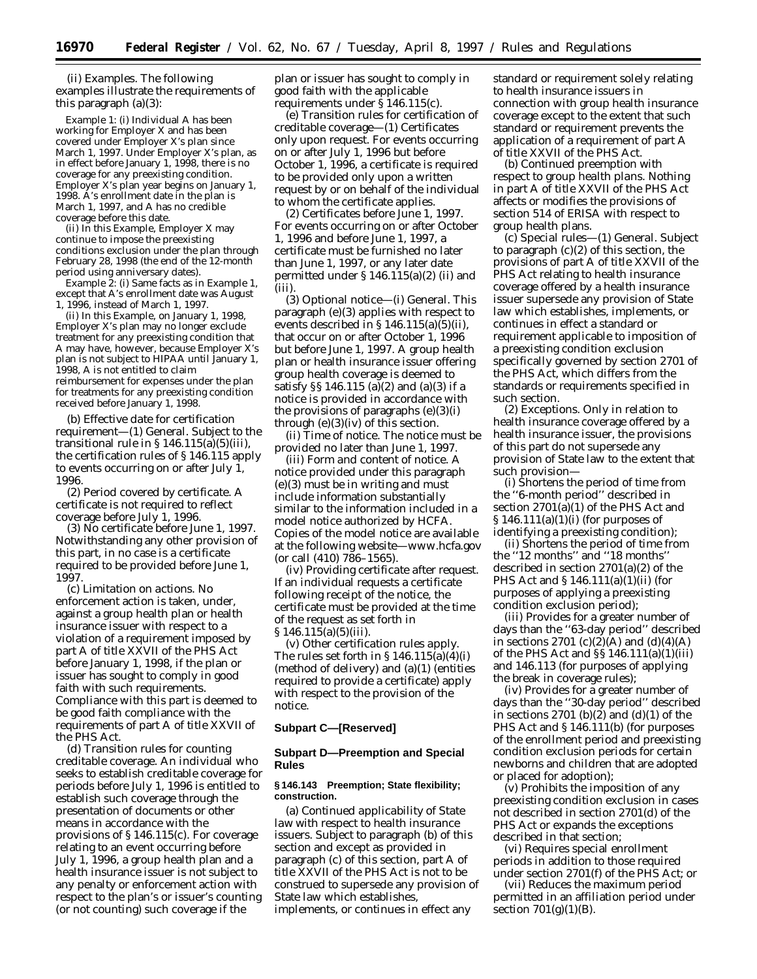(ii) *Examples.* The following examples illustrate the requirements of this paragraph (a)(3):

*Example 1:* (i) Individual *A* has been working for Employer *X* and has been covered under Employer *X*'s plan since March 1, 1997. Under Employer *X*'s plan, as in effect before January 1, 1998, there is no coverage for any preexisting condition. Employer *X*'s plan year begins on January 1, 1998. *A*'s enrollment date in the plan is March 1, 1997, and *A* has no credible coverage before this date.

(ii) In this *Example,* Employer *X* may continue to impose the preexisting conditions exclusion under the plan through February 28, 1998 (the end of the 12-month period using anniversary dates).

*Example 2:* (i) Same facts as in *Example 1*, except that *A*'s enrollment date was August 1, 1996, instead of March 1, 1997.

(ii) In this *Example*, on January 1, 1998, Employer *X*'s plan may no longer exclude treatment for any preexisting condition that *A* may have, however, because Employer *X*'s plan is not subject to HIPAA until January 1, 1998, *A* is not entitled to claim reimbursement for expenses under the plan for treatments for any preexisting condition received before January 1, 1998.

(b) *Effective date for certification requirement*—(1) *General.* Subject to the transitional rule in  $\S 146.115(a)(5)(iii)$ , the certification rules of § 146.115 apply to events occurring on or after July 1, 1996.

(2) *Period covered by certificate.* A certificate is not required to reflect coverage before July 1, 1996.

(3) *No certificate before June 1, 1997.* Notwithstanding any other provision of this part, in no case is a certificate required to be provided before June 1, 1997.

(c) *Limitation on actions.* No enforcement action is taken, under, against a group health plan or health insurance issuer with respect to a violation of a requirement imposed by part A of title XXVII of the PHS Act before January 1, 1998, if the plan or issuer has sought to comply in good faith with such requirements. Compliance with this part is deemed to be good faith compliance with the requirements of part A of title XXVII of the PHS Act.

(d) *Transition rules for counting creditable coverage.* An individual who seeks to establish creditable coverage for periods before July 1, 1996 is entitled to establish such coverage through the presentation of documents or other means in accordance with the provisions of § 146.115(c). For coverage relating to an event occurring before July 1, 1996, a group health plan and a health insurance issuer is not subject to any penalty or enforcement action with respect to the plan's or issuer's counting (or not counting) such coverage if the

plan or issuer has sought to comply in good faith with the applicable requirements under § 146.115(c).

(e) *Transition rules for certification of creditable coverage*—(1) *Certificates only upon request.* For events occurring on or after July 1, 1996 but before October 1, 1996, a certificate is required to be provided only upon a written request by or on behalf of the individual to whom the certificate applies.

(2) *Certificates before June 1, 1997.* For events occurring on or after October 1, 1996 and before June 1, 1997, a certificate must be furnished no later than June 1, 1997, or any later date permitted under  $\S 146.115(a)(2)$  (ii) and (iii).

(3) *Optional notice*—(i) *General.* This paragraph (e)(3) applies with respect to events described in § 146.115(a)(5)(ii), that occur on or after October 1, 1996 but before June 1, 1997. A group health plan or health insurance issuer offering group health coverage is deemed to satisfy §§ 146.115 (a)(2) and (a)(3) if a notice is provided in accordance with the provisions of paragraphs  $(e)(3)(i)$ through  $(e)(3)(iv)$  of this section.

(ii) *Time of notice.* The notice must be provided no later than June 1, 1997.

(iii) *Form and content of notice.* A notice provided under this paragraph (e)(3) must be in writing and must include information substantially similar to the information included in a model notice authorized by HCFA. Copies of the model notice are available at the following website—www.hcfa.gov (or call  $(410)$   $786-1565$ ).

(iv) *Providing certificate after request.* If an individual requests a certificate following receipt of the notice, the certificate must be provided at the time of the request as set forth in § 146.115(a)(5)(iii).

(v) *Other certification rules apply.* The rules set forth in  $\S 146.115(a)(4)(i)$ (method of delivery) and (a)(1) (entities required to provide a certificate) apply with respect to the provision of the notice.

## **Subpart C—[Reserved]**

# **Subpart D—Preemption and Special Rules**

## **§ 146.143 Preemption; State flexibility; construction.**

(a) *Continued applicability of State law with respect to health insurance issuers.* Subject to paragraph (b) of this section and except as provided in paragraph (c) of this section, part A of title XXVII of the PHS Act is not to be construed to supersede any provision of State law which establishes, implements, or continues in effect any

standard or requirement solely relating to health insurance issuers in connection with group health insurance coverage except to the extent that such standard or requirement prevents the application of a requirement of part A of title XXVII of the PHS Act.

(b) *Continued preemption with respect to group health plans.* Nothing in part A of title XXVII of the PHS Act affects or modifies the provisions of section 514 of ERISA with respect to group health plans.

(c) *Special rules*—(1) *General.* Subject to paragraph (c)(2) of this section, the provisions of part A of title XXVII of the PHS Act relating to health insurance coverage offered by a health insurance issuer supersede any provision of State law which establishes, implements, or continues in effect a standard or requirement applicable to imposition of a preexisting condition exclusion specifically governed by section 2701 of the PHS Act, which differs from the standards or requirements specified in such section.

(2) *Exceptions.* Only in relation to health insurance coverage offered by a health insurance issuer, the provisions of this part do not supersede any provision of State law to the extent that such provision—

(i) Shortens the period of time from the ''6-month period'' described in section 2701(a)(1) of the PHS Act and § 146.111(a)(1)(i) (for purposes of identifying a preexisting condition);

(ii) Shortens the period of time from the ''12 months'' and ''18 months'' described in section 2701(a)(2) of the PHS Act and § 146.111(a)(1)(ii) (for purposes of applying a preexisting condition exclusion period);

(iii) Provides for a greater number of days than the ''63-day period'' described in sections 2701 (c)(2)(A) and (d)(4)(A) of the PHS Act and §§ 146.111(a)(1)(iii) and 146.113 (for purposes of applying the break in coverage rules);

(iv) Provides for a greater number of days than the ''30-day period'' described in sections 2701 (b)(2) and (d)(1) of the PHS Act and § 146.111(b) (for purposes of the enrollment period and preexisting condition exclusion periods for certain newborns and children that are adopted or placed for adoption);

(v) Prohibits the imposition of any preexisting condition exclusion in cases not described in section 2701(d) of the PHS Act or expands the exceptions described in that section;

(vi) Requires special enrollment periods in addition to those required under section 2701(f) of the PHS Act; or

(vii) Reduces the maximum period permitted in an affiliation period under section  $701(g)(1)(B)$ .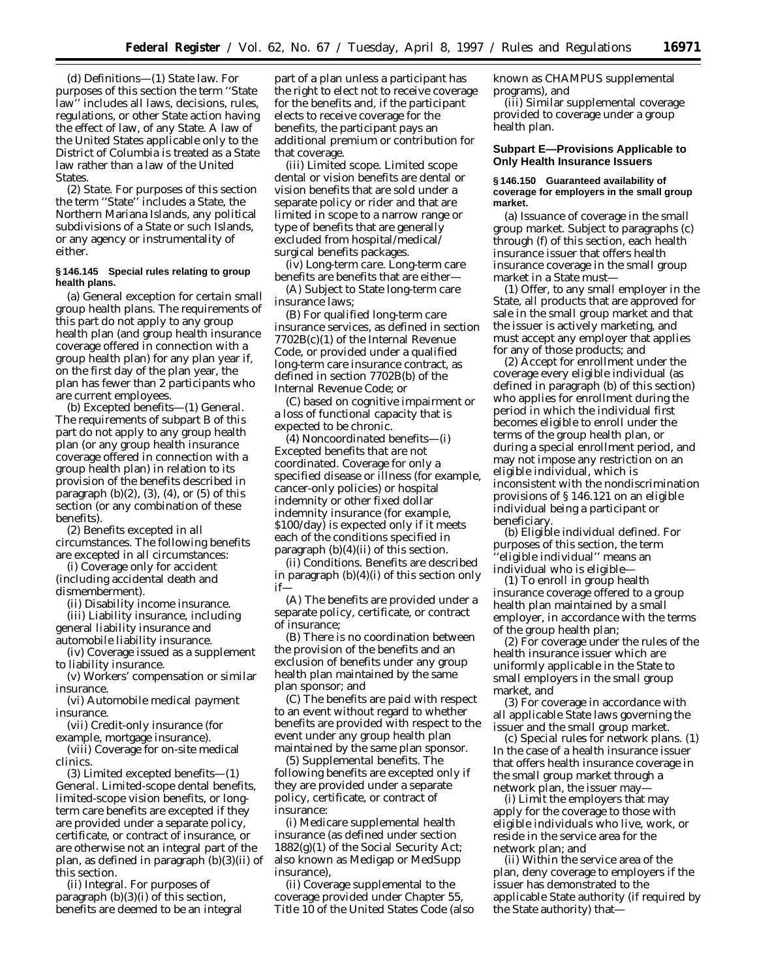(d) *Definitions*—(1) *State law.* For purposes of this section the term ''State law'' includes all laws, decisions, rules, regulations, or other State action having the effect of law, of any State. A law of the United States applicable only to the District of Columbia is treated as a State law rather than a law of the United States.

(2) *State.* For purposes of this section the term ''State'' includes a State, the Northern Mariana Islands, any political subdivisions of a State or such Islands, or any agency or instrumentality of either.

# **§ 146.145 Special rules relating to group health plans.**

(a) *General exception for certain small group health plans.* The requirements of this part do not apply to any group health plan (and group health insurance coverage offered in connection with a group health plan) for any plan year if, on the first day of the plan year, the plan has fewer than 2 participants who are current employees.

(b) *Excepted benefits*—(1) *General.* The requirements of subpart B of this part do not apply to any group health plan (or any group health insurance coverage offered in connection with a group health plan) in relation to its provision of the benefits described in paragraph  $(b)(2)$ ,  $(3)$ ,  $(4)$ , or  $(5)$  of this section (or any combination of these benefits).

(2) *Benefits excepted in all circumstances.* The following benefits are excepted in all circumstances:

(i) Coverage only for accident (including accidental death and dismemberment).

(ii) Disability income insurance.

(iii) Liability insurance, including general liability insurance and automobile liability insurance.

(iv) Coverage issued as a supplement to liability insurance.

(v) Workers' compensation or similar insurance.

(vi) Automobile medical payment insurance.

(vii) Credit-only insurance (for example, mortgage insurance).

(viii) Coverage for on-site medical clinics.

(3) *Limited excepted benefits*—(1) *General.* Limited-scope dental benefits, limited-scope vision benefits, or longterm care benefits are excepted if they are provided under a separate policy, certificate, or contract of insurance, or are otherwise not an integral part of the plan, as defined in paragraph (b)(3)(ii) of this section.

(ii) *Integral.* For purposes of paragraph  $(b)(3)(i)$  of this section, benefits are deemed to be an integral

part of a plan unless a participant has the right to elect not to receive coverage for the benefits and, if the participant elects to receive coverage for the benefits, the participant pays an additional premium or contribution for that coverage.

(iii) *Limited scope.* Limited scope dental or vision benefits are dental or vision benefits that are sold under a separate policy or rider and that are limited in scope to a narrow range or type of benefits that are generally excluded from hospital/medical/ surgical benefits packages.

(iv) *Long-term care.* Long-term care benefits are benefits that are either—

(A) Subject to State long-term care insurance laws;

(B) For qualified long-term care insurance services, as defined in section 7702B(c)(1) of the Internal Revenue Code, or provided under a qualified long-term care insurance contract, as defined in section 7702B(b) of the Internal Revenue Code; or

(C) based on cognitive impairment or a loss of functional capacity that is expected to be chronic.

(4) *Noncoordinated benefits*—(i) *Excepted benefits that are not coordinated.* Coverage for only a specified disease or illness (for example, cancer-only policies) or hospital indemnity or other fixed dollar indemnity insurance (for example, \$100/day) is expected only if it meets each of the conditions specified in paragraph (b)(4)(ii) of this section.

(ii) *Conditions.* Benefits are described in paragraph (b)(4)(i) of this section only if—

(A) The benefits are provided under a separate policy, certificate, or contract of insurance;

(B) There is no coordination between the provision of the benefits and an exclusion of benefits under any group health plan maintained by the same plan sponsor; and

(C) The benefits are paid with respect to an event without regard to whether benefits are provided with respect to the event under any group health plan maintained by the same plan sponsor.

(5) *Supplemental benefits.* The following benefits are excepted only if they are provided under a separate policy, certificate, or contract of insurance:

(i) Medicare supplemental health insurance (as defined under section 1882(g)(1) of the Social Security Act; also known as Medigap or MedSupp insurance),

(ii) Coverage supplemental to the coverage provided under Chapter 55, Title 10 of the United States Code (also known as CHAMPUS supplemental programs), and

(iii) Similar supplemental coverage provided to coverage under a group health plan.

# **Subpart E—Provisions Applicable to Only Health Insurance Issuers**

# **§ 146.150 Guaranteed availability of coverage for employers in the small group market.**

(a) *Issuance of coverage in the small group market.* Subject to paragraphs (c) through (f) of this section, each health insurance issuer that offers health insurance coverage in the small group market in a State must—

(1) Offer, to any small employer in the State, all products that are approved for sale in the small group market and that the issuer is actively marketing, and must accept any employer that applies for any of those products; and

(2) Accept for enrollment under the coverage every eligible individual (as defined in paragraph (b) of this section) who applies for enrollment during the period in which the individual first becomes eligible to enroll under the terms of the group health plan, or during a special enrollment period, and may not impose any restriction on an eligible individual, which is inconsistent with the nondiscrimination provisions of § 146.121 on an eligible individual being a participant or beneficiary.

(b) *Eligible individual defined.* For purposes of this section, the term 'eligible individual" means an individual who is eligible—

(1) To enroll in group health insurance coverage offered to a group health plan maintained by a small employer, in accordance with the terms of the group health plan;

(2) For coverage under the rules of the health insurance issuer which are uniformly applicable in the State to small employers in the small group market, and

(3) For coverage in accordance with all applicable State laws governing the issuer and the small group market.

(c) *Special rules for network plans.* (1) In the case of a health insurance issuer that offers health insurance coverage in the small group market through a network plan, the issuer may—

(i) Limit the employers that may apply for the coverage to those with eligible individuals who live, work, or reside in the service area for the network plan; and

(ii) Within the service area of the plan, deny coverage to employers if the issuer has demonstrated to the applicable State authority (if required by the State authority) that—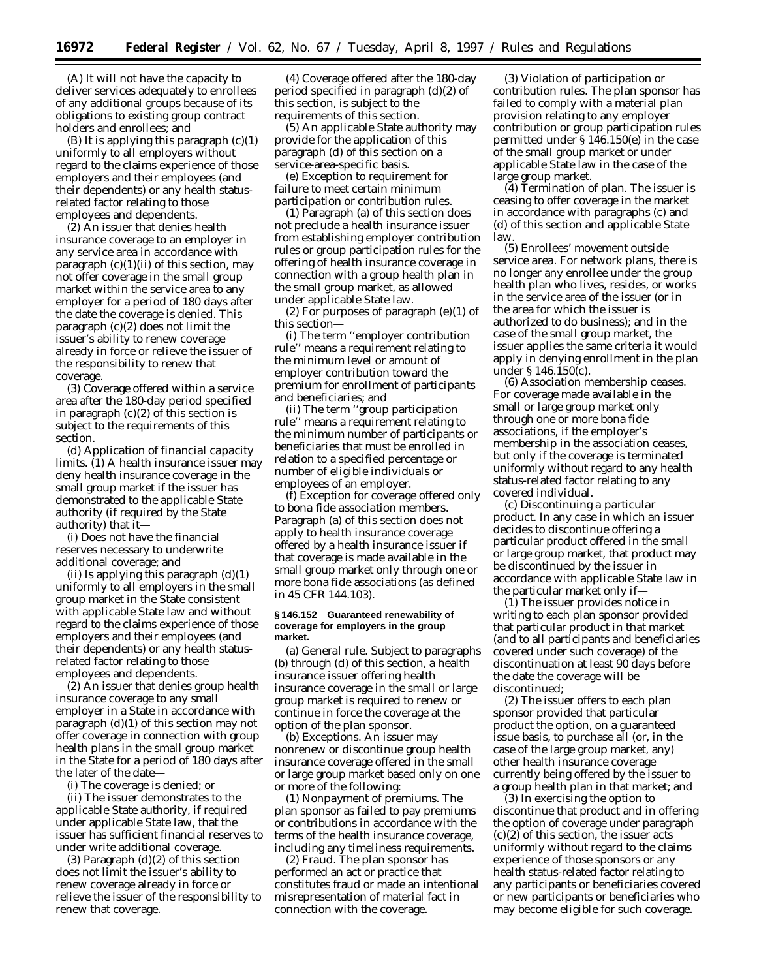(A) It will not have the capacity to deliver services adequately to enrollees of any additional groups because of its obligations to existing group contract holders and enrollees; and

 $(B)$  It is applying this paragraph  $(c)(1)$ uniformly to all employers without regard to the claims experience of those employers and their employees (and their dependents) or any health statusrelated factor relating to those employees and dependents.

(2) An issuer that denies health insurance coverage to an employer in any service area in accordance with paragraph  $(c)(1)(ii)$  of this section, may not offer coverage in the small group market within the service area to any employer for a period of 180 days after the date the coverage is denied. This paragraph (c)(2) does not limit the issuer's ability to renew coverage already in force or relieve the issuer of the responsibility to renew that coverage.

(3) Coverage offered within a service area after the 180-day period specified in paragraph  $(c)(2)$  of this section is subject to the requirements of this section.

(d) *Application of financial capacity limits.* (1) A health insurance issuer may deny health insurance coverage in the small group market if the issuer has demonstrated to the applicable State authority (if required by the State authority) that it—

(i) Does not have the financial reserves necessary to underwrite additional coverage; and

(ii) Is applying this paragraph (d)(1) uniformly to all employers in the small group market in the State consistent with applicable State law and without regard to the claims experience of those employers and their employees (and their dependents) or any health statusrelated factor relating to those employees and dependents.

(2) An issuer that denies group health insurance coverage to any small employer in a State in accordance with paragraph (d)(1) of this section may not offer coverage in connection with group health plans in the small group market in the State for a period of 180 days after the later of the date—

(i) The coverage is denied; or

(ii) The issuer demonstrates to the applicable State authority, if required under applicable State law, that the issuer has sufficient financial reserves to under write additional coverage.

(3) Paragraph (d)(2) of this section does not limit the issuer's ability to renew coverage already in force or relieve the issuer of the responsibility to renew that coverage.

(4) Coverage offered after the 180-day period specified in paragraph (d)(2) of this section, is subject to the requirements of this section.

(5) An applicable State authority may provide for the application of this paragraph (d) of this section on a service-area-specific basis.

(e) *Exception to requirement for failure to meet certain minimum participation or contribution rules.*

(1) Paragraph (a) of this section does not preclude a health insurance issuer from establishing employer contribution rules or group participation rules for the offering of health insurance coverage in connection with a group health plan in the small group market, as allowed under applicable State law.

(2) For purposes of paragraph  $(e)(1)$  of this section—

(i) The term ''employer contribution rule'' means a requirement relating to the minimum level or amount of employer contribution toward the premium for enrollment of participants and beneficiaries; and

(ii) The term ''group participation rule'' means a requirement relating to the minimum number of participants or beneficiaries that must be enrolled in relation to a specified percentage or number of eligible individuals or employees of an employer.

(f) *Exception for coverage offered only to bona fide association members.* Paragraph (a) of this section does not apply to health insurance coverage offered by a health insurance issuer if that coverage is made available in the small group market only through one or more bona fide associations (as defined in 45 CFR 144.103).

#### **§ 146.152 Guaranteed renewability of coverage for employers in the group market.**

(a) *General rule.* Subject to paragraphs (b) through (d) of this section, a health insurance issuer offering health insurance coverage in the small or large group market is required to renew or continue in force the coverage at the option of the plan sponsor.

(b) *Exceptions.* An issuer may nonrenew or discontinue group health insurance coverage offered in the small or large group market based only on one or more of the following:

(1) *Nonpayment of premiums.* The plan sponsor as failed to pay premiums or contributions in accordance with the terms of the health insurance coverage, including any timeliness requirements.

(2) *Fraud.* The plan sponsor has performed an act or practice that constitutes fraud or made an intentional misrepresentation of material fact in connection with the coverage.

(3) *Violation of participation or contribution rules.* The plan sponsor has failed to comply with a material plan provision relating to any employer contribution or group participation rules permitted under § 146.150(e) in the case of the small group market or under applicable State law in the case of the large group market.

(4) *Termination of plan.* The issuer is ceasing to offer coverage in the market in accordance with paragraphs (c) and (d) of this section and applicable State law.

(5) *Enrollees' movement outside service area.* For network plans, there is no longer any enrollee under the group health plan who lives, resides, or works in the service area of the issuer (or in the area for which the issuer is authorized to do business); and in the case of the small group market, the issuer applies the same criteria it would apply in denying enrollment in the plan under § 146.150(c).

(6) *Association membership ceases.* For coverage made available in the small or large group market only through one or more bona fide associations, if the employer's membership in the association ceases, but only if the coverage is terminated uniformly without regard to any health status-related factor relating to any covered individual.

(c) *Discontinuing a particular product.* In any case in which an issuer decides to discontinue offering a particular product offered in the small or large group market, that product may be discontinued by the issuer in accordance with applicable State law in the particular market only if—

(1) The issuer provides notice in writing to each plan sponsor provided that particular product in that market (and to all participants and beneficiaries covered under such coverage) of the discontinuation at least 90 days before the date the coverage will be discontinued;

(2) The issuer offers to each plan sponsor provided that particular product the option, on a guaranteed issue basis, to purchase all (or, in the case of the large group market, any) other health insurance coverage currently being offered by the issuer to a group health plan in that market; and

(3) In exercising the option to discontinue that product and in offering the option of coverage under paragraph (c)(2) of this section, the issuer acts uniformly without regard to the claims experience of those sponsors or any health status-related factor relating to any participants or beneficiaries covered or new participants or beneficiaries who may become eligible for such coverage.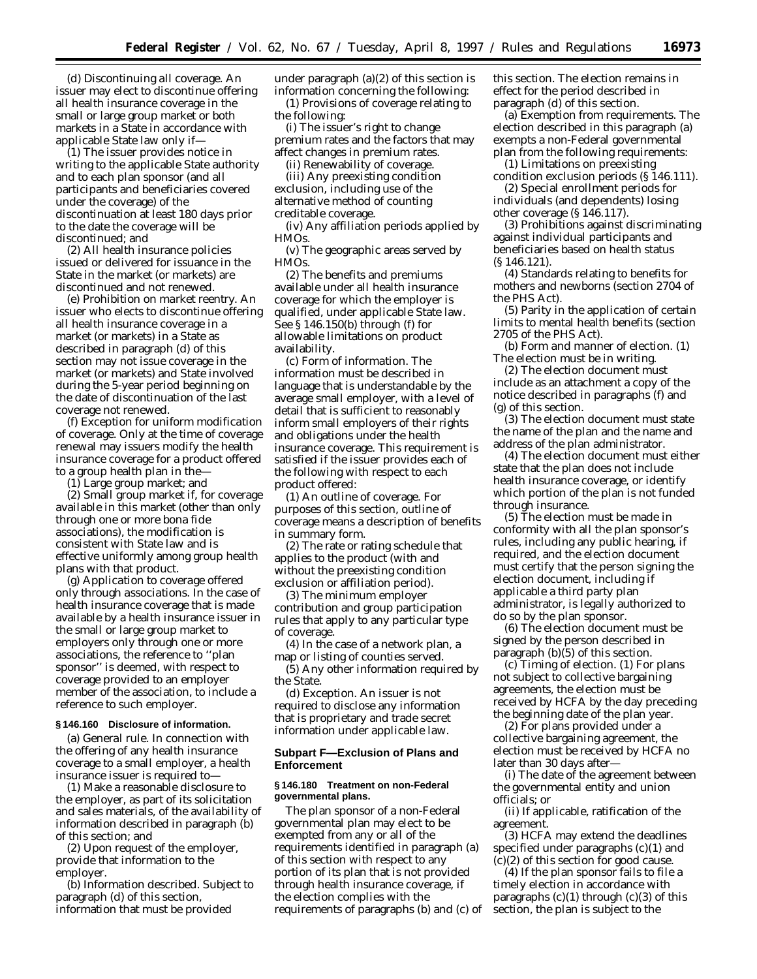(d) *Discontinuing all coverage.* An issuer may elect to discontinue offering all health insurance coverage in the small or large group market or both markets in a State in accordance with applicable State law only if—

(1) The issuer provides notice in writing to the applicable State authority and to each plan sponsor (and all participants and beneficiaries covered under the coverage) of the discontinuation at least 180 days prior to the date the coverage will be discontinued; and

(2) All health insurance policies issued or delivered for issuance in the State in the market (or markets) are discontinued and not renewed.

(e) *Prohibition on market reentry.* An issuer who elects to discontinue offering all health insurance coverage in a market (or markets) in a State as described in paragraph (d) of this section may not issue coverage in the market (or markets) and State involved during the 5-year period beginning on the date of discontinuation of the last coverage not renewed.

(f) *Exception for uniform modification of coverage.* Only at the time of coverage renewal may issuers modify the health insurance coverage for a product offered to a group health plan in the—

(1) Large group market; and

(2) Small group market if, for coverage available in this market (other than only through one or more bona fide associations), the modification is consistent with State law and is effective uniformly among group health plans with that product.

(g) *Application to coverage offered only through associations.* In the case of health insurance coverage that is made available by a health insurance issuer in the small or large group market to employers only through one or more associations, the reference to ''plan sponsor'' is deemed, with respect to coverage provided to an employer member of the association, to include a reference to such employer.

# **§ 146.160 Disclosure of information.**

(a) *General rule.* In connection with the offering of any health insurance coverage to a small employer, a health insurance issuer is required to—

(1) Make a reasonable disclosure to the employer, as part of its solicitation and sales materials, of the availability of information described in paragraph (b) of this section; and

(2) Upon request of the employer, provide that information to the employer.

(b) *Information described.* Subject to paragraph (d) of this section, information that must be provided

under paragraph (a)(2) of this section is information concerning the following: (1) Provisions of coverage relating to the following:

(i) The issuer's right to change premium rates and the factors that may affect changes in premium rates.

(ii) Renewability of coverage.

(iii) Any preexisting condition exclusion, including use of the alternative method of counting creditable coverage.

(iv) Any affiliation periods applied by HMOs.

(v) The geographic areas served by HMOs.

(2) The benefits and premiums available under all health insurance coverage for which the employer is qualified, under applicable State law. See § 146.150(b) through (f) for allowable limitations on product availability.

(c) *Form of information.* The information must be described in language that is understandable by the average small employer, with a level of detail that is sufficient to reasonably inform small employers of their rights and obligations under the health insurance coverage. This requirement is satisfied if the issuer provides each of the following with respect to each product offered:

(1) An outline of coverage. For purposes of this section, outline of coverage means a description of benefits in summary form.

(2) The rate or rating schedule that applies to the product (with and without the preexisting condition exclusion or affiliation period).

(3) The minimum employer contribution and group participation rules that apply to any particular type of coverage.

(4) In the case of a network plan, a map or listing of counties served.

(5) Any other information required by the State.

(d) *Exception.* An issuer is not required to disclose any information that is proprietary and trade secret information under applicable law.

# **Subpart F—Exclusion of Plans and Enforcement**

## **§ 146.180 Treatment on non-Federal governmental plans.**

The plan sponsor of a non-Federal governmental plan may elect to be exempted from any or all of the requirements identified in paragraph (a) of this section with respect to any portion of its plan that is not provided through health insurance coverage, if the election complies with the requirements of paragraphs (b) and (c) of this section. The election remains in effect for the period described in paragraph (d) of this section.

(a) *Exemption from requirements.* The election described in this paragraph (a) exempts a non-Federal governmental plan from the following requirements:

(1) Limitations on preexisting condition exclusion periods (§ 146.111).

(2) Special enrollment periods for individuals (and dependents) losing other coverage (§ 146.117).

(3) Prohibitions against discriminating against individual participants and beneficiaries based on health status (§ 146.121).

(4) Standards relating to benefits for mothers and newborns (section 2704 of the PHS Act).

(5) Parity in the application of certain limits to mental health benefits (section 2705 of the PHS Act).

(b) *Form and manner of election.* (1) The election must be in writing.

(2) The election document must include as an attachment a copy of the notice described in paragraphs (f) and (g) of this section.

(3) The election document must state the name of the plan and the name and address of the plan administrator.

(4) The election document must either state that the plan does not include health insurance coverage, or identify which portion of the plan is not funded through insurance.

(5) The election must be made in conformity with all the plan sponsor's rules, including any public hearing, if required, and the election document must certify that the person signing the election document, including if applicable a third party plan administrator, is legally authorized to do so by the plan sponsor.

(6) The election document must be signed by the person described in paragraph (b)(5) of this section.

(c) *Timing of election.* (1) For plans not subject to collective bargaining agreements, the election must be received by HCFA by the day preceding the beginning date of the plan year.

(2) For plans provided under a collective bargaining agreement, the election must be received by HCFA no later than 30 days after—

(i) The date of the agreement between the governmental entity and union officials; or

(ii) If applicable, ratification of the agreement.

(3) HCFA may extend the deadlines specified under paragraphs (c)(1) and  $(c)(2)$  of this section for good cause.

(4) If the plan sponsor fails to file a timely election in accordance with paragraphs  $(c)(1)$  through  $(c)(3)$  of this section, the plan is subject to the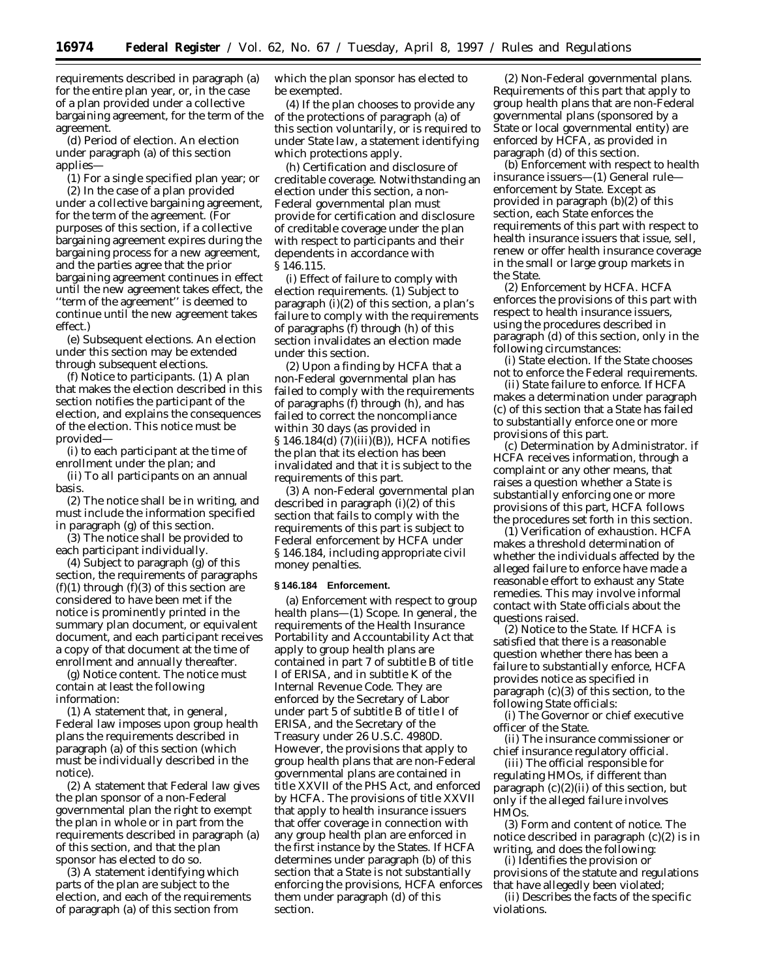requirements described in paragraph (a) for the entire plan year, or, in the case of a plan provided under a collective bargaining agreement, for the term of the agreement.

(d) *Period of election.* An election under paragraph (a) of this section applies—

(1) For a single specified plan year; or (2) In the case of a plan provided under a collective bargaining agreement, for the term of the agreement. (For purposes of this section, if a collective bargaining agreement expires during the bargaining process for a new agreement, and the parties agree that the prior bargaining agreement continues in effect until the new agreement takes effect, the ''term of the agreement'' is deemed to continue until the new agreement takes effect.)

(e) *Subsequent elections.* An election under this section may be extended through subsequent elections.

(f) *Notice to participants.* (1) A plan that makes the election described in this section notifies the participant of the election, and explains the consequences of the election. This notice must be provided—

(i) to each participant at the time of enrollment under the plan; and

(ii) To all participants on an annual basis.

(2) The notice shall be in writing, and must include the information specified in paragraph (g) of this section.

(3) The notice shall be provided to each participant individually.

(4) Subject to paragraph (g) of this section, the requirements of paragraphs  $(f)(1)$  through  $(f)(3)$  of this section are considered to have been met if the notice is prominently printed in the summary plan document, or equivalent document, and each participant receives a copy of that document at the time of enrollment and annually thereafter.

(g) *Notice content.* The notice must contain at least the following information:

(1) A statement that, in general, Federal law imposes upon group health plans the requirements described in paragraph (a) of this section (which must be individually described in the notice).

(2) A statement that Federal law gives the plan sponsor of a non-Federal governmental plan the right to exempt the plan in whole or in part from the requirements described in paragraph (a) of this section, and that the plan sponsor has elected to do so.

(3) A statement identifying which parts of the plan are subject to the election, and each of the requirements of paragraph (a) of this section from

which the plan sponsor has elected to be exempted.

(4) If the plan chooses to provide any of the protections of paragraph (a) of this section voluntarily, or is required to under State law, a statement identifying which protections apply.

(h) *Certification and disclosure of creditable coverage.* Notwithstanding an election under this section, a non-Federal governmental plan must provide for certification and disclosure of creditable coverage under the plan with respect to participants and their dependents in accordance with § 146.115.

(i) *Effect of failure to comply with election requirements.* (1) Subject to paragraph (i)(2) of this section, a plan's failure to comply with the requirements of paragraphs (f) through (h) of this section invalidates an election made under this section.

(2) Upon a finding by HCFA that a non-Federal governmental plan has failed to comply with the requirements of paragraphs (f) through (h), and has failed to correct the noncompliance within 30 days (as provided in § 146.184(d) (7)(iii)(B)), HCFA notifies the plan that its election has been invalidated and that it is subject to the requirements of this part.

(3) A non-Federal governmental plan described in paragraph (i)(2) of this section that fails to comply with the requirements of this part is subject to Federal enforcement by HCFA under § 146.184, including appropriate civil money penalties.

# **§ 146.184 Enforcement.**

(a) *Enforcement with respect to group health plans*—(1) *Scope.* In general, the requirements of the Health Insurance Portability and Accountability Act that apply to group health plans are contained in part 7 of subtitle B of title I of ERISA, and in subtitle K of the Internal Revenue Code. They are enforced by the Secretary of Labor under part 5 of subtitle B of title I of ERISA, and the Secretary of the Treasury under 26 U.S.C. 4980D. However, the provisions that apply to group health plans that are non-Federal governmental plans are contained in title XXVII of the PHS Act, and enforced by HCFA. The provisions of title XXVII that apply to health insurance issuers that offer coverage in connection with any group health plan are enforced in the first instance by the States. If HCFA determines under paragraph (b) of this section that a State is not substantially enforcing the provisions, HCFA enforces them under paragraph (d) of this section.

(2) *Non-Federal governmental plans.* Requirements of this part that apply to group health plans that are non-Federal governmental plans (sponsored by a State or local governmental entity) are enforced by HCFA, as provided in paragraph (d) of this section.

(b) *Enforcement with respect to health insurance issuers*—(1) *General rule enforcement by State.* Except as provided in paragraph  $(b)(2)$  of this section, each State enforces the requirements of this part with respect to health insurance issuers that issue, sell, renew or offer health insurance coverage in the small or large group markets in the State.

(2) *Enforcement by HCFA.* HCFA enforces the provisions of this part with respect to health insurance issuers, using the procedures described in paragraph (d) of this section, only in the following circumstances:

(i) *State election.* If the State chooses not to enforce the Federal requirements.

(ii) *State failure to enforce.* If HCFA makes a determination under paragraph (c) of this section that a State has failed to substantially enforce one or more provisions of this part.

(c) *Determination by Administrator.* if HCFA receives information, through a complaint or any other means, that raises a question whether a State is substantially enforcing one or more provisions of this part, HCFA follows the procedures set forth in this section.

(1) *Verification of exhaustion.* HCFA makes a threshold determination of whether the individuals affected by the alleged failure to enforce have made a reasonable effort to exhaust any State remedies. This may involve informal contact with State officials about the questions raised.

(2) *Notice to the State.* If HCFA is satisfied that there is a reasonable question whether there has been a failure to substantially enforce, HCFA provides notice as specified in paragraph (c)(3) of this section, to the following State officials:

(i) The Governor or chief executive officer of the State.

(ii) The insurance commissioner or chief insurance regulatory official.

(iii) The official responsible for regulating HMOs, if different than paragraph  $(c)(2)(ii)$  of this section, but only if the alleged failure involves HMOs.

(3) *Form and content of notice.* The notice described in paragraph (c)(2) is in writing, and does the following:

(i) Identifies the provision or provisions of the statute and regulations that have allegedly been violated;

(ii) Describes the facts of the specific violations.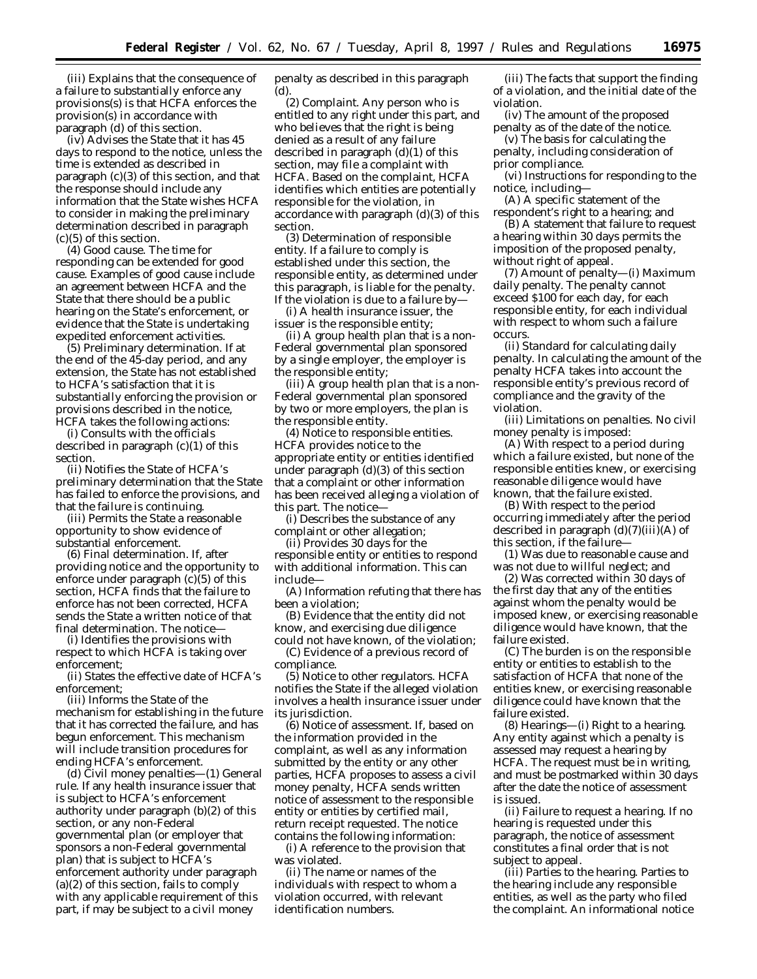(iii) Explains that the consequence of a failure to substantially enforce any provisions(s) is that HCFA enforces the provision(s) in accordance with paragraph (d) of this section.

(iv) Advises the State that it has 45 days to respond to the notice, unless the time is extended as described in paragraph (c)(3) of this section, and that the response should include any information that the State wishes HCFA to consider in making the preliminary determination described in paragraph (c)(5) of this section.

(4) *Good cause.* The time for responding can be extended for good cause. Examples of good cause include an agreement between HCFA and the State that there should be a public hearing on the State's enforcement, or evidence that the State is undertaking expedited enforcement activities.

(5) *Preliminary determination.* If at the end of the 45-day period, and any extension, the State has not established to HCFA's satisfaction that it is substantially enforcing the provision or provisions described in the notice, HCFA takes the following actions:

(i) Consults with the officials described in paragraph  $(c)(1)$  of this section.

(ii) Notifies the State of HCFA's preliminary determination that the State has failed to enforce the provisions, and that the failure is continuing.

(iii) Permits the State a reasonable opportunity to show evidence of substantial enforcement.

(6) *Final determination.* If, after providing notice and the opportunity to enforce under paragraph (c)(5) of this section, HCFA finds that the failure to enforce has not been corrected, HCFA sends the State a written notice of that final determination. The notice—

(i) Identifies the provisions with respect to which HCFA is taking over enforcement;

(ii) States the effective date of HCFA's enforcement;

(iii) Informs the State of the mechanism for establishing in the future that it has corrected the failure, and has begun enforcement. This mechanism will include transition procedures for ending HCFA's enforcement.

(d) *Civil money penalties*—(1) *General rule.* If any health insurance issuer that is subject to HCFA's enforcement authority under paragraph (b)(2) of this section, or any non-Federal governmental plan (or employer that sponsors a non-Federal governmental plan) that is subject to HCFA's enforcement authority under paragraph (a)(2) of this section, fails to comply with any applicable requirement of this part, if may be subject to a civil money

penalty as described in this paragraph (d).

(2) *Complaint.* Any person who is entitled to any right under this part, and who believes that the right is being denied as a result of any failure described in paragraph (d)(1) of this section, may file a complaint with HCFA. Based on the complaint, HCFA identifies which entities are potentially responsible for the violation, in accordance with paragraph (d)(3) of this section.

(3) *Determination of responsible entity.* If a failure to comply is established under this section, the responsible entity, as determined under this paragraph, is liable for the penalty. If the violation is due to a failure by—

(i) A health insurance issuer, the issuer is the responsible entity;

(ii) A group health plan that is a non-Federal governmental plan sponsored by a single employer, the employer is the responsible entity;

(iii) A group health plan that is a non-Federal governmental plan sponsored by two or more employers, the plan is the responsible entity.

(4) *Notice to responsible entities.* HCFA provides notice to the appropriate entity or entities identified under paragraph (d)(3) of this section that a complaint or other information has been received alleging a violation of this part. The notice—

(i) Describes the substance of any complaint or other allegation;

(ii) Provides 30 days for the responsible entity or entities to respond with additional information. This can include—

(A) Information refuting that there has been a violation;

(B) Evidence that the entity did not know, and exercising due diligence could not have known, of the violation;

(C) Evidence of a previous record of compliance.

(5) *Notice to other regulators.* HCFA notifies the State if the alleged violation involves a health insurance issuer under its jurisdiction.

(6) *Notice of assessment.* If, based on the information provided in the complaint, as well as any information submitted by the entity or any other parties, HCFA proposes to assess a civil money penalty, HCFA sends written notice of assessment to the responsible entity or entities by certified mail, return receipt requested. The notice contains the following information:

(i) A reference to the provision that was violated.

(ii) The name or names of the individuals with respect to whom a violation occurred, with relevant identification numbers.

(iii) The facts that support the finding of a violation, and the initial date of the violation.

(iv) The amount of the proposed penalty as of the date of the notice.

(v) The basis for calculating the penalty, including consideration of prior compliance.

(vi) Instructions for responding to the notice, including—

(A) A specific statement of the respondent's right to a hearing; and

(B) A statement that failure to request a hearing within 30 days permits the imposition of the proposed penalty, without right of appeal.

(7) *Amount of penalty*—(i) *Maximum daily penalty.* The penalty cannot exceed \$100 for each day, for each responsible entity, for each individual with respect to whom such a failure occurs.

(ii) *Standard for calculating daily penalty.* In calculating the amount of the penalty HCFA takes into account the responsible entity's previous record of compliance and the gravity of the violation.

(iii) *Limitations on penalties.* No civil money penalty is imposed:

(A) With respect to a period during which a failure existed, but none of the responsible entities knew, or exercising reasonable diligence would have known, that the failure existed.

(B) With respect to the period occurring immediately after the period described in paragraph (d)(7)(iii)(A) of this section, if the failure—

(*1*) Was due to reasonable cause and was not due to willful neglect; and

(*2*) Was corrected within 30 days of the first day that any of the entities against whom the penalty would be imposed knew, or exercising reasonable diligence would have known, that the failure existed.

(C) The burden is on the responsible entity or entities to establish to the satisfaction of HCFA that none of the entities knew, or exercising reasonable diligence could have known that the failure existed.

(8) *Hearings*—(i) *Right to a hearing*. Any entity against which a penalty is assessed may request a hearing by HCFA. The request must be in writing, and must be postmarked within 30 days after the date the notice of assessment is issued.

(ii) *Failure to request a hearing*. If no hearing is requested under this paragraph, the notice of assessment constitutes a final order that is not subject to appeal.

(iii) *Parties to the hearing*. Parties to the hearing include any responsible entities, as well as the party who filed the complaint. An informational notice